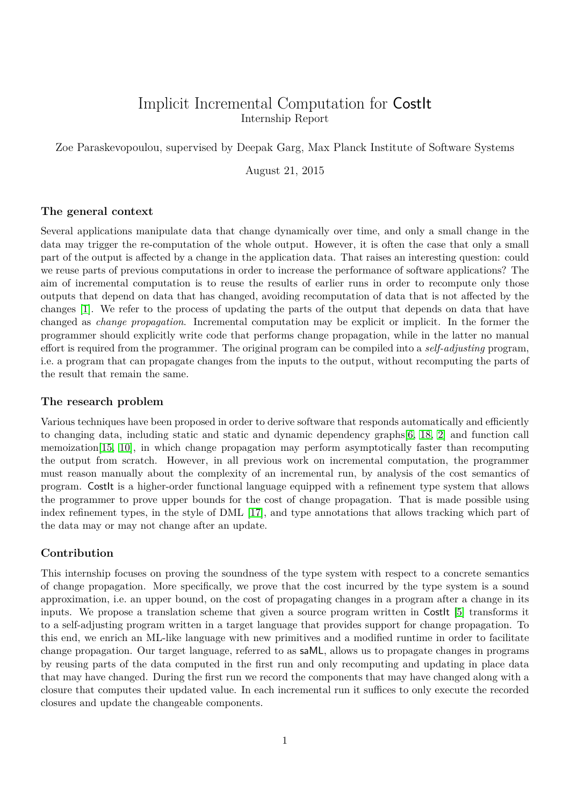# Implicit Incremental Computation for CostIt Internship Report

<span id="page-0-0"></span>Zoe Paraskevopoulou, supervised by Deepak Garg, Max Planck Institute of Software Systems

August 21, 2015

#### **The general context**

Several applications manipulate data that change dynamically over time, and only a small change in the data may trigger the re-computation of the whole output. However, it is often the case that only a small part of the output is affected by a change in the application data. That raises an interesting question: could we reuse parts of previous computations in order to increase the performance of software applications? The aim of incremental computation is to reuse the results of earlier runs in order to recompute only those outputs that depend on data that has changed, avoiding recomputation of data that is not affected by the changes [\[1\]](#page-20-0). We refer to the process of updating the parts of the output that depends on data that have changed as *change propagation*. Incremental computation may be explicit or implicit. In the former the programmer should explicitly write code that performs change propagation, while in the latter no manual effort is required from the programmer. The original program can be compiled into a *self-adjusting* program, i.e. a program that can propagate changes from the inputs to the output, without recomputing the parts of the result that remain the same.

#### **The research problem**

Various techniques have been proposed in order to derive software that responds automatically and efficiently to changing data, including static and static and dynamic dependency graphs[\[6,](#page-20-1) [18,](#page-21-0) [2\]](#page-20-2) and function call memoization[\[15,](#page-20-3) [10\]](#page-20-4), in which change propagation may perform asymptotically faster than recomputing the output from scratch. However, in all previous work on incremental computation, the programmer must reason manually about the complexity of an incremental run, by analysis of the cost semantics of program. CostIt is a higher-order functional language equipped with a refinement type system that allows the programmer to prove upper bounds for the cost of change propagation. That is made possible using index refinement types, in the style of DML [\[17\]](#page-21-1), and type annotations that allows tracking which part of the data may or may not change after an update.

#### **Contribution**

This internship focuses on proving the soundness of the type system with respect to a concrete semantics of change propagation. More specifically, we prove that the cost incurred by the type system is a sound approximation, i.e. an upper bound, on the cost of propagating changes in a program after a change in its inputs. We propose a translation scheme that given a source program written in CostIt [\[5\]](#page-20-5) transforms it to a self-adjusting program written in a target language that provides support for change propagation. To this end, we enrich an ML-like language with new primitives and a modified runtime in order to facilitate change propagation. Our target language, referred to as saML, allows us to propagate changes in programs by reusing parts of the data computed in the first run and only recomputing and updating in place data that may have changed. During the first run we record the components that may have changed along with a closure that computes their updated value. In each incremental run it suffices to only execute the recorded closures and update the changeable components.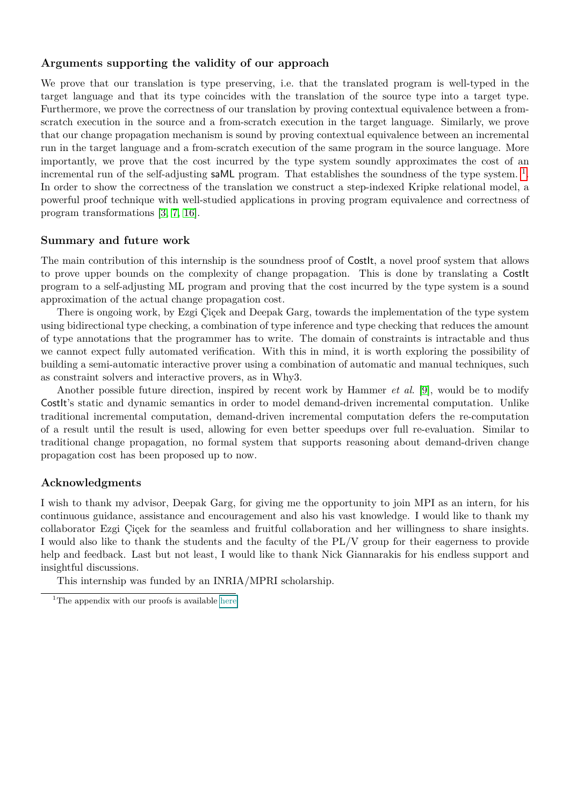### **Arguments supporting the validity of our approach**

We prove that our translation is type preserving, i.e. that the translated program is well-typed in the target language and that its type coincides with the translation of the source type into a target type. Furthermore, we prove the correctness of our translation by proving contextual equivalence between a fromscratch execution in the source and a from-scratch execution in the target language. Similarly, we prove that our change propagation mechanism is sound by proving contextual equivalence between an incremental run in the target language and a from-scratch execution of the same program in the source language. More importantly, we prove that the cost incurred by the type system soundly approximates the cost of an incremental run of the self-adjusting  $s$ aML program. That establishes the soundness of the type system.<sup>[1](#page-1-0)</sup>. In order to show the correctness of the translation we construct a step-indexed Kripke relational model, a powerful proof technique with well-studied applications in proving program equivalence and correctness of program transformations [\[3,](#page-20-6) [7,](#page-20-7) [16\]](#page-20-8).

#### **Summary and future work**

The main contribution of this internship is the soundness proof of Costlt, a novel proof system that allows to prove upper bounds on the complexity of change propagation. This is done by translating a CostIt program to a self-adjusting ML program and proving that the cost incurred by the type system is a sound approximation of the actual change propagation cost.

There is ongoing work, by Ezgi Çiçek and Deepak Garg, towards the implementation of the type system using bidirectional type checking, a combination of type inference and type checking that reduces the amount of type annotations that the programmer has to write. The domain of constraints is intractable and thus we cannot expect fully automated verification. With this in mind, it is worth exploring the possibility of building a semi-automatic interactive prover using a combination of automatic and manual techniques, such as constraint solvers and interactive provers, as in Why3.

Another possible future direction, inspired by recent work by Hammer *et al.* [\[9\]](#page-20-9), would be to modify CostIt's static and dynamic semantics in order to model demand-driven incremental computation. Unlike traditional incremental computation, demand-driven incremental computation defers the re-computation of a result until the result is used, allowing for even better speedups over full re-evaluation. Similar to traditional change propagation, no formal system that supports reasoning about demand-driven change propagation cost has been proposed up to now.

#### **Acknowledgments**

I wish to thank my advisor, Deepak Garg, for giving me the opportunity to join MPI as an intern, for his continuous guidance, assistance and encouragement and also his vast knowledge. I would like to thank my collaborator Ezgi Çiçek for the seamless and fruitful collaboration and her willingness to share insights. I would also like to thank the students and the faculty of the PL/V group for their eagerness to provide help and feedback. Last but not least, I would like to thank Nick Giannarakis for his endless support and insightful discussions.

This internship was funded by an INRIA/MPRI scholarship.

<span id="page-1-0"></span><sup>&</sup>lt;sup>1</sup>The appendix with our proofs is available [here](#page-0-0)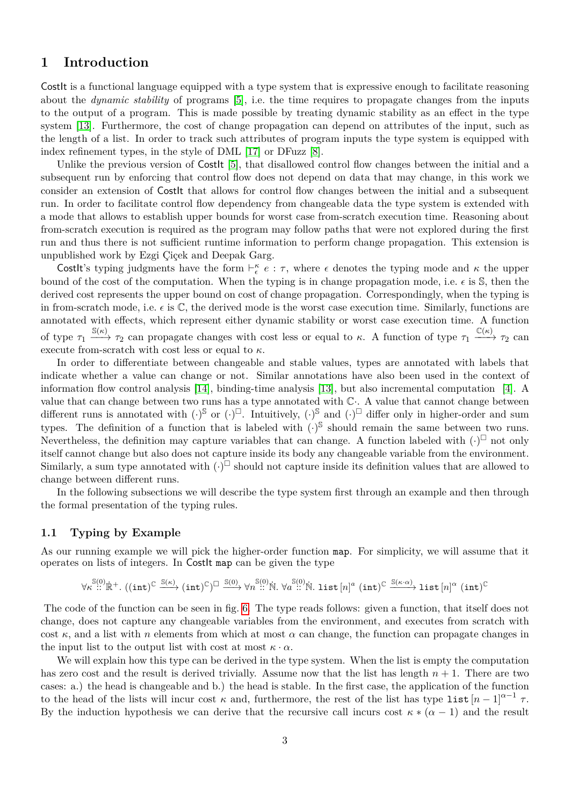# **1 Introduction**

CostIt is a functional language equipped with a type system that is expressive enough to facilitate reasoning about the *dynamic stability* of programs [\[5\]](#page-20-5), i.e. the time requires to propagate changes from the inputs to the output of a program. This is made possible by treating dynamic stability as an effect in the type system [\[13\]](#page-20-10). Furthermore, the cost of change propagation can depend on attributes of the input, such as the length of a list. In order to track such attributes of program inputs the type system is equipped with index refinement types, in the style of DML [\[17\]](#page-21-1) or DFuzz [\[8\]](#page-20-11).

Unlike the previous version of Costlt [\[5\]](#page-20-5), that disallowed control flow changes between the initial and a subsequent run by enforcing that control flow does not depend on data that may change, in this work we consider an extension of CostIt that allows for control flow changes between the initial and a subsequent run. In order to facilitate control flow dependency from changeable data the type system is extended with a mode that allows to establish upper bounds for worst case from-scratch execution time. Reasoning about from-scratch execution is required as the program may follow paths that were not explored during the first run and thus there is not sufficient runtime information to perform change propagation. This extension is unpublished work by Ezgi Çiçek and Deepak Garg.

CostIt's typing judgments have the form  $\vdash^{\kappa}_{\epsilon} e : \tau$ , where  $\epsilon$  denotes the typing mode and  $\kappa$  the upper bound of the cost of the computation. When the typing is in change propagation mode, i.e.  $\epsilon$  is  $\mathbb{S}$ , then the derived cost represents the upper bound on cost of change propagation. Correspondingly, when the typing is in from-scratch mode, i.e.  $\epsilon$  is  $\mathbb{C}$ , the derived mode is the worst case execution time. Similarly, functions are annotated with effects, which represent either dynamic stability or worst case execution time. A function of type  $\tau_1 \xrightarrow{\mathbb{S}(\kappa)} \tau_2$  can propagate changes with cost less or equal to  $\kappa$ . A function of type  $\tau_1 \xrightarrow{\mathbb{C}(\kappa)} \tau_2$  can execute from-scratch with cost less or equal to *κ*.

In order to differentiate between changeable and stable values, types are annotated with labels that indicate whether a value can change or not. Similar annotations have also been used in the context of information flow control analysis [\[14\]](#page-20-12), binding-time analysis [\[13\]](#page-20-10), but also incremental computation [\[4\]](#page-20-13). A value that can change between two runs has a type annotated with  $\mathbb{C}$ . A value that cannot change between different runs is annotated with  $(\cdot)^{\mathbb{S}}$  or  $(\cdot)^{\square}$ . Intuitively,  $(\cdot)^{\mathbb{S}}$  and  $(\cdot)^{\square}$  differ only in higher-order and sum types. The definition of a function that is labeled with  $(\cdot)^{\mathbb{S}}$  should remain the same between two runs. Nevertheless, the definition may capture variables that can change. A function labeled with  $(\cdot)^{\square}$  not only itself cannot change but also does not capture inside its body any changeable variable from the environment. Similarly, a sum type annotated with  $\left(\cdot\right)^{\square}$  should not capture inside its definition values that are allowed to change between different runs.

In the following subsections we will describe the type system first through an example and then through the formal presentation of the typing rules.

### **1.1 Typing by Example**

As our running example we will pick the higher-order function map. For simplicity, we will assume that it operates on lists of integers. In CostIt map can be given the type

$$
\forall \kappa \stackrel{\mathbb{S}(0)}{\text{::}} \mathbb{R}^+. \ ((\texttt{int})^\mathbb{C} \xrightarrow{\mathbb{S}(\kappa)} (\texttt{int})^\mathbb{C})^\square \xrightarrow{\mathbb{S}(0)} \forall n \stackrel{\mathbb{S}(0)}{\text{::}} \mathbb{N}. \ \forall a \stackrel{\mathbb{S}(0)}{\text{::}} \mathbb{N}. \ \mathtt{list}\left[n\right]^a \ (\texttt{int})^\mathbb{C} \xrightarrow{\mathbb{S}(\kappa \cdot \alpha)} \mathtt{list}\left[n\right]^\alpha \ (\texttt{int})^\mathbb{C}
$$

The code of the function can be seen in fig. [6.](#page-7-0) The type reads follows: given a function, that itself does not change, does not capture any changeable variables from the environment, and executes from scratch with cost  $\kappa$ , and a list with *n* elements from which at most  $\alpha$  can change, the function can propagate changes in the input list to the output list with cost at most  $\kappa \cdot \alpha$ .

We will explain how this type can be derived in the type system. When the list is empty the computation has zero cost and the result is derived trivially. Assume now that the list has length  $n + 1$ . There are two cases: a.) the head is changeable and b.) the head is stable. In the first case, the application of the function to the head of the lists will incur cost  $\kappa$  and, furthermore, the rest of the list has type list  $[n-1]^{\alpha-1}$   $\tau$ . By the induction hypothesis we can derive that the recursive call incurs cost  $\kappa * (\alpha - 1)$  and the result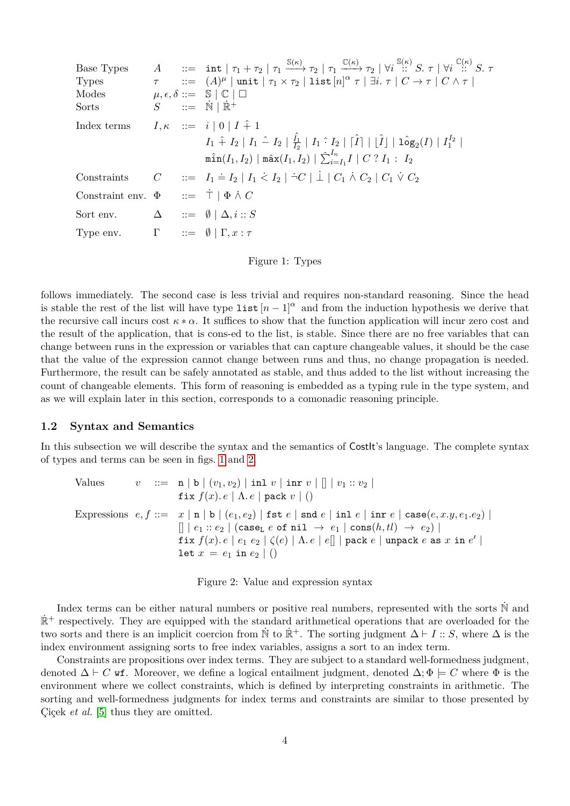<span id="page-3-0"></span>

| Base Types                                                |  | $A$ ::= int $ \tau_1 + \tau_2  \tau_1 \xrightarrow{\mathbb{S}(\kappa)} \tau_2  \tau_1 \xrightarrow{\mathbb{C}(\kappa)} \tau_2  \forall i \xrightarrow{\mathbb{S}(\kappa)} S. \tau  \forall i \xrightarrow{\mathbb{C}(\kappa)} S. \tau$ |
|-----------------------------------------------------------|--|----------------------------------------------------------------------------------------------------------------------------------------------------------------------------------------------------------------------------------------|
| <b>Types</b>                                              |  | $\tau$ ::= $(A)^{\mu}$   unit   $\tau_1 \times \tau_2$   list $[n]^{\alpha} \tau$   $\exists i. \tau$   $C \rightarrow \tau$   $C \wedge \tau$                                                                                         |
| Modes                                                     |  | $\mu, \epsilon, \delta ::= \mathbb{S} \mid \mathbb{C} \mid \Box$                                                                                                                                                                       |
| Sorts                                                     |  | $S$ ::= $\dot{N}   \dot{\mathbb{R}}^+$                                                                                                                                                                                                 |
| Index terms                                               |  | $I, \kappa \quad ::= \quad i \mid 0 \mid I \hat{+} 1$                                                                                                                                                                                  |
|                                                           |  | $I_1 \hat{+} I_2   I_1 \hat{-} I_2   \frac{\hat{I_1}}{I_2}   I_1 \hat{+} I_2   [\hat{I}]   [\hat{I}]   1 \hat{\circ} g_2(I)   I_1^{I_2}  $                                                                                             |
|                                                           |  | $\min(I_1, I_2)   \max(I_1, I_2)   \sum_{i=I_1}^{I_n} I   C ? I_1 : I_2$                                                                                                                                                               |
|                                                           |  | Constraints $C$ ::= $I_1 \doteq I_2   I_1 \nleq I_2   \nightharpoonup C   \nightharpoonup C_1 \wedge C_2   C_1 \vee C_2$                                                                                                               |
| Constraint env. $\Phi$ ::= $\dot{\top}$   $\Phi \wedge C$ |  |                                                                                                                                                                                                                                        |
| Sort env. $\Delta$ ::= $\emptyset \mid \Delta, i : S$     |  |                                                                                                                                                                                                                                        |
| Type env. $\Gamma$ ::= $\emptyset   \Gamma, x : \tau$     |  |                                                                                                                                                                                                                                        |
|                                                           |  |                                                                                                                                                                                                                                        |

Figure 1: Types

follows immediately. The second case is less trivial and requires non-standard reasoning. Since the head is stable the rest of the list will have type list  $[n-1]^{\alpha}$  and from the induction hypothesis we derive that the recursive call incurs cost  $\kappa * \alpha$ . It suffices to show that the function application will incur zero cost and the result of the application, that is cons-ed to the list, is stable. Since there are no free variables that can change between runs in the expression or variables that can capture changeable values, it should be the case that the value of the expression cannot change between runs and thus, no change propagation is needed. Furthermore, the result can be safely annotated as stable, and thus added to the list without increasing the count of changeable elements. This form of reasoning is embedded as a typing rule in the type system, and as we will explain later in this section, corresponds to a comonadic reasoning principle.

### **1.2 Syntax and Semantics**

<span id="page-3-1"></span>In this subsection we will describe the syntax and the semantics of CostIt's language. The complete syntax of types and terms can be seen in figs. [1](#page-3-0) and [2.](#page-3-1)

| Values |  | $v := \mathbf{n}   b   (v_1, v_2)   \text{inl } v   \text{inr } v   []   v_1 :: v_2  $                                                         |
|--------|--|------------------------------------------------------------------------------------------------------------------------------------------------|
|        |  | fix $f(x)$ . $e \mid \Lambda$ . $e \mid$ pack $v \mid$ ()                                                                                      |
|        |  | Expressions $e, f ::= x   n   b   (e_1, e_2)   \text{fst } e   \text{snd } e   \text{in } e   \text{in } e   \text{case}(e, x, y, e_1, e_2)  $ |
|        |  | $[  e_1 : e_2   $ (case <sub>L</sub> e of nil $\rightarrow e_1    \text{cons}(h, tl) \rightarrow e_2   $                                       |
|        |  | fix $f(x) \cdot e \mid e_1 \mid e_2 \mid \zeta(e) \mid \Lambda \cdot e \mid e \mid \mid$   pack $e \mid$ unpack $e$ as $x$ in $e' \mid$        |
|        |  | $\det x = e_1 \text{ in } e_2 \mid$ ()                                                                                                         |

Figure 2: Value and expression syntax

Index terms can be either natural numbers or positive real numbers, represented with the sorts  $\mathbb N$  and  $\mathbb{R}^+$  respectively. They are equipped with the standard arithmetical operations that are overloaded for the two sorts and there is an implicit coercion from  $\dot{N}$  to  $\dot{\mathbb{R}}^+$ . The sorting judgment  $\Delta \vdash I :: S$ , where  $\Delta$  is the index environment assigning sorts to free index variables, assigns a sort to an index term.

Constraints are propositions over index terms. They are subject to a standard well-formedness judgment, denoted  $\Delta \vdash C$  wf. Moreover, we define a logical entailment judgment, denoted  $\Delta; \Phi \models C$  where  $\Phi$  is the environment where we collect constraints, which is defined by interpreting constraints in arithmetic. The sorting and well-formedness judgments for index terms and constraints are similar to those presented by Çiçek *et al.* [\[5\]](#page-20-5) thus they are omitted.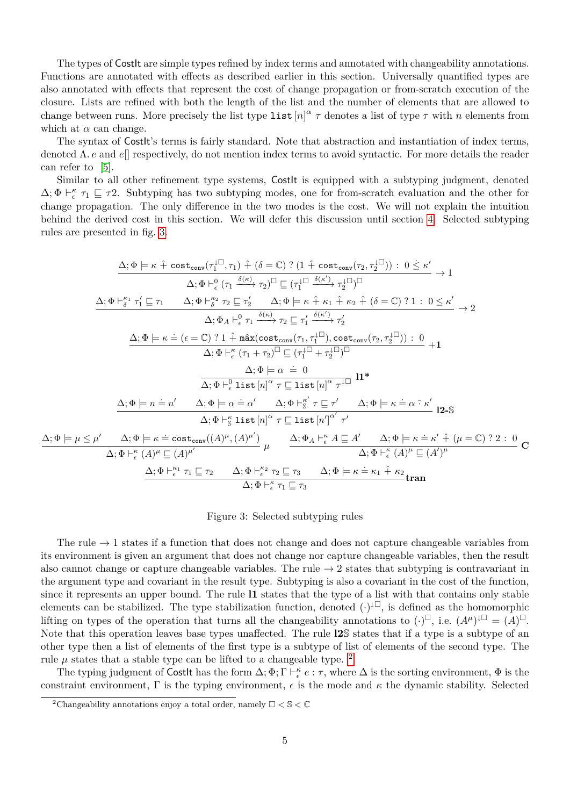The types of CostIt are simple types refined by index terms and annotated with changeability annotations. Functions are annotated with effects as described earlier in this section. Universally quantified types are also annotated with effects that represent the cost of change propagation or from-scratch execution of the closure. Lists are refined with both the length of the list and the number of elements that are allowed to change between runs. More precisely the list type list  $[n]^\alpha \tau$  denotes a list of type  $\tau$  with *n* elements from which at  $\alpha$  can change.

The syntax of CostIt's terms is fairly standard. Note that abstraction and instantiation of index terms, denoted Λ*. e* and *e*[] respectively, do not mention index terms to avoid syntactic. For more details the reader can refer to [\[5\]](#page-20-5).

Similar to all other refinement type systems, Costlt is equipped with a subtyping judgment, denoted  $\Delta; \Phi \vdash_{\epsilon}^{\kappa} \tau_1 \sqsubseteq \tau_2$ . Subtyping has two subtyping modes, one for from-scratch evaluation and the other for change propagation. The only difference in the two modes is the cost. We will not explain the intuition behind the derived cost in this section. We will defer this discussion until section [4.](#page-10-0) Selected subtyping rules are presented in fig. [3.](#page-4-0)

<span id="page-4-0"></span>
$$
\Delta; \Phi \models \kappa \hat{+} \cot_{\text{conv}}(\tau_1^{\Box}, \tau_1) \hat{+} (\delta = \mathbb{C}) ? (1 \hat{+} \cot_{\text{conv}}(\tau_2, \tau_2^{\Box})) : 0 \leq \kappa'
$$
\n
$$
\Delta; \Phi \vdash_{\epsilon}^{\delta} \tau_1' \sqsubseteq \tau_1 \qquad \Delta; \Phi \vdash_{\delta}^{\kappa} \tau_2 \sqsubseteq \tau_2' \qquad \Delta; \Phi \models \kappa \hat{+} \kappa_1 \hat{+} \kappa_2 \hat{+} (\delta = \mathbb{C}) ? 1 : 0 \leq \kappa'
$$
\n
$$
\Delta; \Phi \models \kappa \dot{+} \tau_1' \sqsubseteq \tau_1 \qquad \Delta; \Phi \vdash_{\delta}^{\kappa} \tau_2 \sqsubseteq \tau_2' \qquad \Delta; \Phi \models \kappa \hat{+} \kappa_1 \hat{+} \kappa_2 \hat{+} (\delta = \mathbb{C}) ? 1 : 0 \leq \kappa'
$$
\n
$$
\Delta; \Phi \models \kappa \dot{=} (\epsilon = \mathbb{C}) ? 1 \hat{+} \max(\text{cost}_{\text{conv}}(\tau_1, \tau_1^{\Box}), \text{cost}_{\text{conv}}(\tau_2, \tau_2^{\Box})) : 0
$$
\n
$$
\Delta; \Phi \models \kappa \dot{+} (\tau_1 + \tau_2)^{\Box} \sqsubseteq (\tau_1^{\Box} + \tau_2^{\Box})^{\Box}
$$
\n
$$
\Delta; \Phi \models \alpha \dot{=} 0
$$
\n
$$
\Delta; \Phi \models \alpha \dot{=} 0
$$
\n
$$
\Delta; \Phi \models \alpha \dot{=} 0 \qquad \Delta; \Phi \models \delta \dot{+} \Delta; \Phi \vdash_{\delta}^{\kappa} \tau \sqsubseteq \tau' \qquad \Delta; \Phi \models \kappa \dot{=} \alpha \hat{+} \kappa'
$$
\n
$$
\Delta; \Phi \models n \dot{=} n' \qquad \Delta; \Phi \models \delta \text{ list } [n]^{\alpha} \tau \sqsubseteq \text{ list } [n]^{\alpha} \tau'
$$
\n
$$
\Delta; \Phi \models \kappa \dot{=} \cot \kappa
$$
\n
$$
\Delta; \Phi \models \kappa \dot{=} \cot \omega( (\Delta)^{\mu
$$

#### Figure 3: Selected subtyping rules

The rule  $\rightarrow$  1 states if a function that does not change and does not capture changeable variables from its environment is given an argument that does not change nor capture changeable variables, then the result also cannot change or capture changeable variables. The rule  $\rightarrow$  2 states that subtyping is contravariant in the argument type and covariant in the result type. Subtyping is also a covariant in the cost of the function, since it represents an upper bound. The rule **l1** states that the type of a list with that contains only stable elements can be stabilized. The type stabilization function, denoted  $(\cdot)^{\downarrow\Box}$ , is defined as the homomorphic lifting on types of the operation that turns all the changeability annotations to  $(\cdot)^{\square}$ , i.e.  $(A^{\mu})^{\downarrow\square} = (A)^{\square}$ . Note that this operation leaves base types unaffected. The rule **l2**S states that if a type is a subtype of an other type then a list of elements of the first type is a subtype of list of elements of the second type. The rule  $\mu$  states that a stable type can be lifted to a changeable type. <sup>[2](#page-4-1)</sup>

The typing judgment of CostIt has the form  $\Delta; \Phi; \Gamma \vdash_{\epsilon}^{\kappa} e : \tau$ , where  $\Delta$  is the sorting environment,  $\Phi$  is the constraint environment,  $\Gamma$  is the typing environment,  $\epsilon$  is the mode and  $\kappa$  the dynamic stability. Selected

 $\Delta$ ;  $\Phi$   $\models$ 

<span id="page-4-1"></span><sup>&</sup>lt;sup>2</sup>Changeability annotations enjoy a total order, namely  $\Box < \mathbb{S} < \mathbb{C}$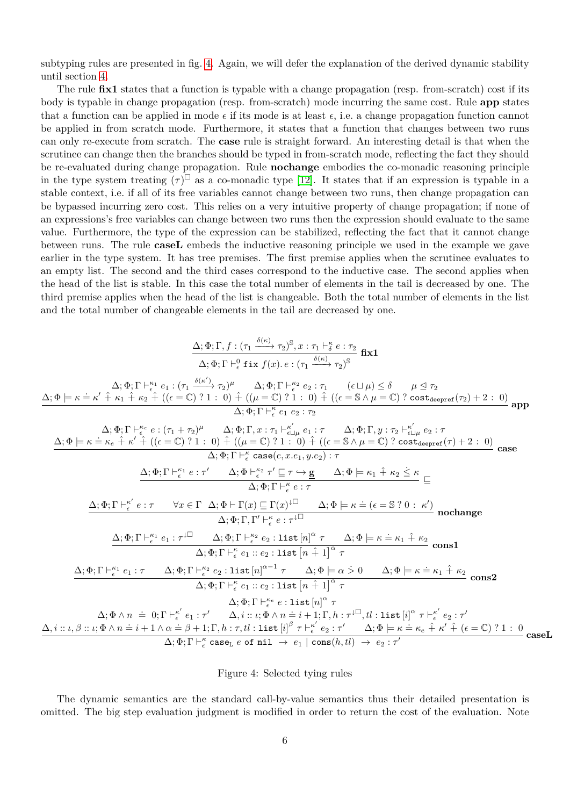subtyping rules are presented in fig. [4.](#page-5-0) Again, we will defer the explanation of the derived dynamic stability until section [4.](#page-10-0)

The rule **fix1** states that a function is typable with a change propagation (resp. from-scratch) cost if its body is typable in change propagation (resp. from-scratch) mode incurring the same cost. Rule **app** states that a function can be applied in mode  $\epsilon$  if its mode is at least  $\epsilon$ , i.e. a change propagation function cannot be applied in from scratch mode. Furthermore, it states that a function that changes between two runs can only re-execute from scratch. The **case** rule is straight forward. An interesting detail is that when the scrutinee can change then the branches should be typed in from-scratch mode, reflecting the fact they should be re-evaluated during change propagation. Rule **nochange** embodies the co-monadic reasoning principle in the type system treating  $(\tau)^{\square}$  as a co-monadic type [\[12\]](#page-20-14). It states that if an expression is typable in a stable context, i.e. if all of its free variables cannot change between two runs, then change propagation can be bypassed incurring zero cost. This relies on a very intuitive property of change propagation; if none of an expressions's free variables can change between two runs then the expression should evaluate to the same value. Furthermore, the type of the expression can be stabilized, reflecting the fact that it cannot change between runs. The rule **caseL** embeds the inductive reasoning principle we used in the example we gave earlier in the type system. It has tree premises. The first premise applies when the scrutinee evaluates to an empty list. The second and the third cases correspond to the inductive case. The second applies when the head of the list is stable. In this case the total number of elements in the tail is decreased by one. The third premise applies when the head of the list is changeable. Both the total number of elements in the list and the total number of changeable elements in the tail are decreased by one.

<span id="page-5-0"></span>
$$
\frac{\Delta; \Phi; \Gamma, f: (\tau_1 \xrightarrow{\delta(\kappa)} \tau_2)^S, x: \tau_1 \vdash_{\delta}^{\kappa} e: \tau_2}{\Delta; \Phi; \Gamma \vdash_{\epsilon}^{\kappa} e: (\tau_1 \xrightarrow{\delta(\kappa')} \tau_2)^{\mu} \Delta; \Phi; \Gamma \vdash_{\epsilon}^{\kappa} e: (\tau_1 \xrightarrow{\delta(\kappa')} \tau_2)^S}
$$
\n
$$
\Delta; \Phi \models \kappa \doteq \kappa' \hat{+} \kappa_1 \hat{+} \kappa_2 \hat{+} \ ((e \sqsubseteq \zeta) \; ? \; . \; 0) \hat{+} \ ((\mu \sqsubseteq \zeta) \; ? \; . \; 0) \hat{+} \ ((e \sqsubseteq \zeta \wedge \mu \sqsubseteq \zeta) \; ? \; \Delta \otimes \tau_2)^S
$$
\n
$$
\Delta; \Phi; \Gamma \vdash_{\epsilon}^{\kappa} e: (\tau_1 + \tau_2)^{\mu} \Delta; \Phi; \Gamma, x: \tau_1 \vdash_{\kappa \sqcup \mu}^{\kappa \sqcup} e: \tau \Delta; \Phi; \Gamma, y: \tau_2 \vdash_{\kappa \sqcup \mu}^{\kappa \sqcup} e: \tau
$$
\n
$$
\Delta; \Phi; \Gamma \vdash_{\epsilon}^{\kappa} e: (\tau_1 + \tau_2)^{\mu} \Delta; \Phi; \Gamma, x: \tau_1 \vdash_{\kappa \sqcup \mu}^{\kappa \sqcup} e: \tau \Delta; \Phi; \Gamma, y: \tau_2 \vdash_{\kappa \sqcup \mu}^{\kappa \sqcup} e: \tau
$$
\n
$$
\Delta; \Phi; \Gamma \vdash_{\epsilon}^{\kappa} e: \kappa \in \kappa_1 \hat{\pi} \hat{\pi} \hat{\pi} \cdot \epsilon_1 \ (e \sqsubseteq \zeta) \; ? \; . \; 0) \hat{+} \ ((\mu \sqsubseteq \zeta) \; ? \; . \; 0) \hat{+} \ ((\epsilon \sqsubseteq \delta \land \mu \sqsubseteq \zeta) \; ? \; \sigma_2)^S
$$
\n
$$
\Delta; \Phi; \Gamma \vdash_{\epsilon}^{\kappa} e: \tau \Delta; \Phi \vdash \Gamma, x: \tau_1 \vdash_{\kappa \sqcup}^{\kappa \sqcup} e: \tau \Delta; \Phi \models \k
$$

#### Figure 4: Selected tying rules

The dynamic semantics are the standard call-by-value semantics thus their detailed presentation is omitted. The big step evaluation judgment is modified in order to return the cost of the evaluation. Note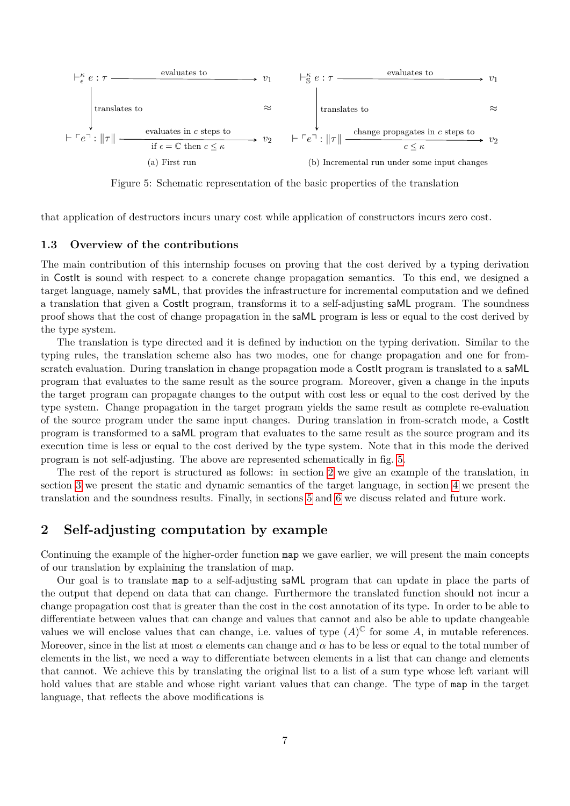<span id="page-6-0"></span>

Figure 5: Schematic representation of the basic properties of the translation

that application of destructors incurs unary cost while application of constructors incurs zero cost.

#### **1.3 Overview of the contributions**

The main contribution of this internship focuses on proving that the cost derived by a typing derivation in CostIt is sound with respect to a concrete change propagation semantics. To this end, we designed a target language, namely saML, that provides the infrastructure for incremental computation and we defined a translation that given a CostIt program, transforms it to a self-adjusting saML program. The soundness proof shows that the cost of change propagation in the saML program is less or equal to the cost derived by the type system.

The translation is type directed and it is defined by induction on the typing derivation. Similar to the typing rules, the translation scheme also has two modes, one for change propagation and one for fromscratch evaluation. During translation in change propagation mode a Costlt program is translated to a saML program that evaluates to the same result as the source program. Moreover, given a change in the inputs the target program can propagate changes to the output with cost less or equal to the cost derived by the type system. Change propagation in the target program yields the same result as complete re-evaluation of the source program under the same input changes. During translation in from-scratch mode, a CostIt program is transformed to a saML program that evaluates to the same result as the source program and its execution time is less or equal to the cost derived by the type system. Note that in this mode the derived program is not self-adjusting. The above are represented schematically in fig. [5.](#page-6-0)

The rest of the report is structured as follows: in section [2](#page-6-1) we give an example of the translation, in section [3](#page-8-0) we present the static and dynamic semantics of the target language, in section [4](#page-10-0) we present the translation and the soundness results. Finally, in sections [5](#page-17-0) and [6](#page-18-0) we discuss related and future work.

### <span id="page-6-1"></span>**2 Self-adjusting computation by example**

Continuing the example of the higher-order function map we gave earlier, we will present the main concepts of our translation by explaining the translation of map.

Our goal is to translate map to a self-adjusting saML program that can update in place the parts of the output that depend on data that can change. Furthermore the translated function should not incur a change propagation cost that is greater than the cost in the cost annotation of its type. In order to be able to differentiate between values that can change and values that cannot and also be able to update changeable values we will enclose values that can change, i.e. values of type  $(A)^\mathbb{C}$  for some A, in mutable references. Moreover, since in the list at most  $\alpha$  elements can change and  $\alpha$  has to be less or equal to the total number of elements in the list, we need a way to differentiate between elements in a list that can change and elements that cannot. We achieve this by translating the original list to a list of a sum type whose left variant will hold values that are stable and whose right variant values that can change. The type of map in the target language, that reflects the above modifications is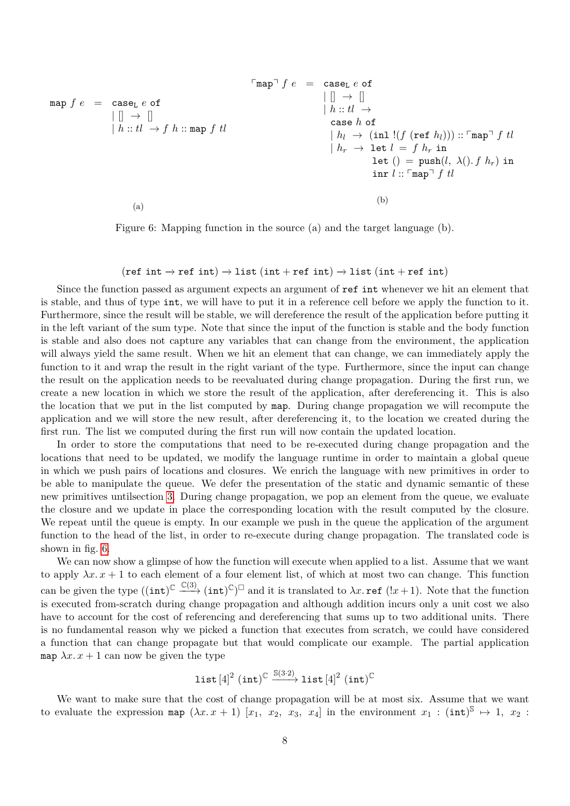<span id="page-7-0"></span>
$$
\begin{array}{rcl}\n\text{map } f e & = & \text{case}_L e \text{ of } \\
\mid \parallel \rightarrow \parallel \\
\mid h :: tl \rightarrow f h :: \text{map } f \text{ } tl & \\
\mid h :: tl \rightarrow f h :: \text{map } f \text{ } tl & \\
\mid h_1 \rightarrow (\text{inl } \mid (f (\text{ref } h_l))) :: \text{map } f \text{ } tl & \\
\mid h_r \rightarrow \text{let } l = f \text{ } h_r \text{ in } \\
\mid h_r \rightarrow \text{let } l = f \text{ } h_r \text{ in } \\
\mid \text{let } () = \text{push}(l, \lambda().f \text{ } h_r) \text{ in } \\
\mid \text{inr } l :: \text{map } f \text{ } tl & \\
\mid \text{inr } l :: \text{map } f \text{ } tl & \\
\mid \text{inr } l :: \text{map } f \text{ } tl & \\
\mid \text{inr } l :: \text{map } f \text{ } tl & \\
\mid \text{inr } l :: \text{map } f \text{ } tl & \\
\mid \text{inr } l :: \text{map } f \text{ } tl & \\
\mid \text{inr } l :: \text{map } f \text{ } dl & \\
\mid \text{inr } l :: \text{map } f \text{ } dl & \\
\mid \text{inr } l :: \text{map } f \text{ } dl & \\
\mid \text{inr } l :: \text{map } f \text{ } dl & \\
\mid \text{inr } l :: \text{map } f \text{ } dl & \\
\mid \text{inr } l :: \text{map } g \text{ } dl & \\
\mid \text{inr } l :: \text{map } g \text{ } dl & \\
\mid \text{inr } l :: \text{map } g \text{ } dl & \\
\mid \text{inr } l :: \text{map } g \text{ } dl & \\
\mid \text{inr } l :: \text{map } g \text{ } dl & \\
\mid \text{inr } l :: \text{map } g \text{ } dl & \\
\mid \text{inr } l :: \text{map } g \text{ } dl & \\
\mid \text{inr } l :: \text{map } g \text{ } dl & \\
\mid \text{inr } l :: \text{map } g \text{ } dl & \\
\mid \text{inr } l :: \text{map } g \text{ } dl & \\
\mid \text{inr } l :: \text{map
$$

Figure 6: Mapping function in the source (a) and the target language (b).

#### $(ref int \rightarrow ref int) \rightarrow list (int + ref int) \rightarrow list (int + ref int)$

Since the function passed as argument expects an argument of ref int whenever we hit an element that is stable, and thus of type int, we will have to put it in a reference cell before we apply the function to it. Furthermore, since the result will be stable, we will dereference the result of the application before putting it in the left variant of the sum type. Note that since the input of the function is stable and the body function is stable and also does not capture any variables that can change from the environment, the application will always yield the same result. When we hit an element that can change, we can immediately apply the function to it and wrap the result in the right variant of the type. Furthermore, since the input can change the result on the application needs to be reevaluated during change propagation. During the first run, we create a new location in which we store the result of the application, after dereferencing it. This is also the location that we put in the list computed by map. During change propagation we will recompute the application and we will store the new result, after dereferencing it, to the location we created during the first run. The list we computed during the first run will now contain the updated location.

In order to store the computations that need to be re-executed during change propagation and the locations that need to be updated, we modify the language runtime in order to maintain a global queue in which we push pairs of locations and closures. We enrich the language with new primitives in order to be able to manipulate the queue. We defer the presentation of the static and dynamic semantic of these new primitives untilsection [3.](#page-8-0) During change propagation, we pop an element from the queue, we evaluate the closure and we update in place the corresponding location with the result computed by the closure. We repeat until the queue is empty. In our example we push in the queue the application of the argument function to the head of the list, in order to re-execute during change propagation. The translated code is shown in fig. [6.](#page-7-0)

We can now show a glimpse of how the function will execute when applied to a list. Assume that we want to apply  $\lambda x. x + 1$  to each element of a four element list, of which at most two can change. This function can be given the type  $((\text{int})^{\mathbb{C}} \xrightarrow{\mathbb{C}(3)} (\text{int})^{\mathbb{C}})^{\square}$  and it is translated to  $\lambda x$ . **ref**  $(!x+1)$ . Note that the function is executed from-scratch during change propagation and although addition incurs only a unit cost we also have to account for the cost of referencing and dereferencing that sums up to two additional units. There is no fundamental reason why we picked a function that executes from scratch, we could have considered a function that can change propagate but that would complicate our example. The partial application map  $\lambda x \cdot x + 1$  can now be given the type

$$
\mathtt{list}\left[4\right]^2\left(\mathtt{int}\right)^{\mathbb{C}}\xrightarrow{\mathbb{S}(3\cdot2)}\mathtt{list}\left[4\right]^2\left(\mathtt{int}\right)^{\mathbb{C}}
$$

We want to make sure that the cost of change propagation will be at most six. Assume that we want to evaluate the expression map  $(\lambda x. x + 1)$  [ $x_1, x_2, x_3, x_4$ ] in the environment  $x_1 : (\text{int})^8 \mapsto 1, x_2 :$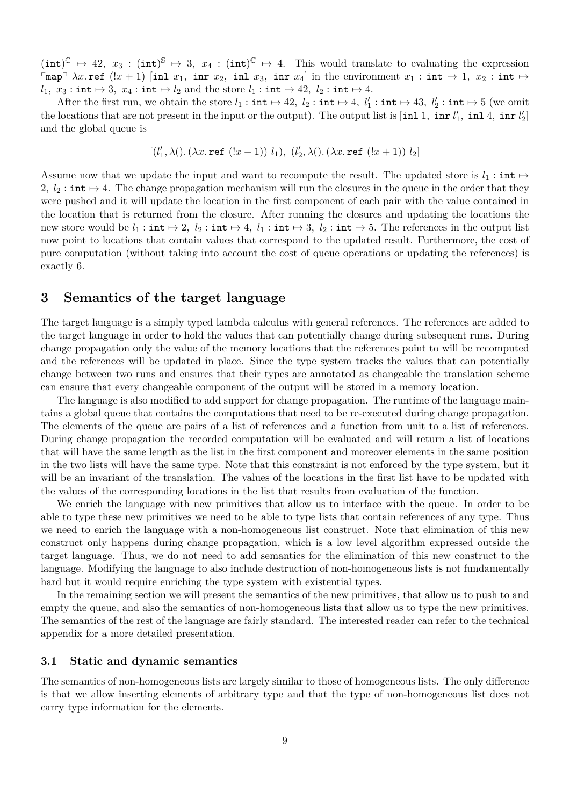$(int)^{\mathbb{C}} \mapsto 42$ ,  $x_3 : (int)^{\mathbb{S}} \mapsto 3$ ,  $x_4 : (int)^{\mathbb{C}} \mapsto 4$ . This would translate to evaluating the expression  $\lceil \text{map} \rceil \lambda x$ . ref  $(lx + 1)$  [inl  $x_1$ , inr  $x_2$ , inl  $x_3$ , inr  $x_4$ ] in the environment  $x_1 : \text{int} \mapsto 1, x_2 : \text{int} \mapsto$ *l*<sub>1</sub>*,*  $x_3$  : int  $\mapsto$  3*,*  $x_4$  : int  $\mapsto$  *l*<sub>2</sub> and the store *l*<sub>1</sub> : int  $\mapsto$  42*, l*<sub>2</sub> : int  $\mapsto$  4*.* 

After the first run, we obtain the store  $l_1 : \text{int} \mapsto 42$ ,  $l_2 : \text{int} \mapsto 4$ ,  $l'_1 : \text{int} \mapsto 43$ ,  $l'_2 : \text{int} \mapsto 5$  (we omit the locations that are not present in the input or the output). The output list is  $[\text{inl } 1, \text{ inr } l'_1, \text{ inl } 4, \text{ inr } l'_2]$ and the global queue is

$$
[(l'_1, \lambda(), (\lambda x.\,\texttt{ref}\,\,(!x+1))\,\, l_1),\,\, (l'_2, \lambda(), (\lambda x.\,\texttt{ref}\,\,(!x+1))\,\, l_2]
$$

Assume now that we update the input and want to recompute the result. The updated store is  $l_1$ : int  $\mapsto$ 2,  $l_2$ : int  $\mapsto$  4. The change propagation mechanism will run the closures in the queue in the order that they were pushed and it will update the location in the first component of each pair with the value contained in the location that is returned from the closure. After running the closures and updating the locations the new store would be  $l_1 : \text{int} \mapsto 2$ ,  $l_2 : \text{int} \mapsto 4$ ,  $l_1 : \text{int} \mapsto 3$ ,  $l_2 : \text{int} \mapsto 5$ . The references in the output list now point to locations that contain values that correspond to the updated result. Furthermore, the cost of pure computation (without taking into account the cost of queue operations or updating the references) is exactly 6.

# <span id="page-8-0"></span>**3 Semantics of the target language**

The target language is a simply typed lambda calculus with general references. The references are added to the target language in order to hold the values that can potentially change during subsequent runs. During change propagation only the value of the memory locations that the references point to will be recomputed and the references will be updated in place. Since the type system tracks the values that can potentially change between two runs and ensures that their types are annotated as changeable the translation scheme can ensure that every changeable component of the output will be stored in a memory location.

The language is also modified to add support for change propagation. The runtime of the language maintains a global queue that contains the computations that need to be re-executed during change propagation. The elements of the queue are pairs of a list of references and a function from unit to a list of references. During change propagation the recorded computation will be evaluated and will return a list of locations that will have the same length as the list in the first component and moreover elements in the same position in the two lists will have the same type. Note that this constraint is not enforced by the type system, but it will be an invariant of the translation. The values of the locations in the first list have to be updated with the values of the corresponding locations in the list that results from evaluation of the function.

We enrich the language with new primitives that allow us to interface with the queue. In order to be able to type these new primitives we need to be able to type lists that contain references of any type. Thus we need to enrich the language with a non-homogeneous list construct. Note that elimination of this new construct only happens during change propagation, which is a low level algorithm expressed outside the target language. Thus, we do not need to add semantics for the elimination of this new construct to the language. Modifying the language to also include destruction of non-homogeneous lists is not fundamentally hard but it would require enriching the type system with existential types.

In the remaining section we will present the semantics of the new primitives, that allow us to push to and empty the queue, and also the semantics of non-homogeneous lists that allow us to type the new primitives. The semantics of the rest of the language are fairly standard. The interested reader can refer to the technical appendix for a more detailed presentation.

#### **3.1 Static and dynamic semantics**

The semantics of non-homogeneous lists are largely similar to those of homogeneous lists. The only difference is that we allow inserting elements of arbitrary type and that the type of non-homogeneous list does not carry type information for the elements.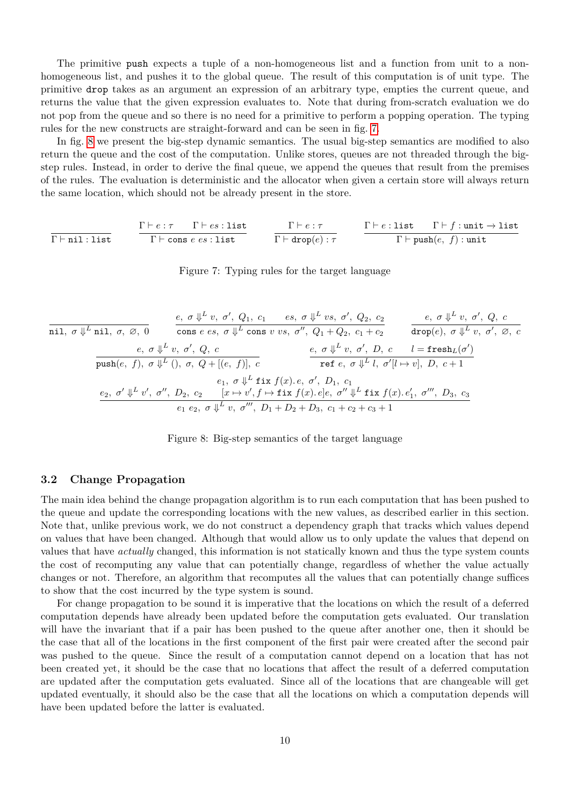The primitive push expects a tuple of a non-homogeneous list and a function from unit to a nonhomogeneous list, and pushes it to the global queue. The result of this computation is of unit type. The primitive drop takes as an argument an expression of an arbitrary type, empties the current queue, and returns the value that the given expression evaluates to. Note that during from-scratch evaluation we do not pop from the queue and so there is no need for a primitive to perform a popping operation. The typing rules for the new constructs are straight-forward and can be seen in fig. [7.](#page-9-0)

In fig. [8](#page-9-1) we present the big-step dynamic semantics. The usual big-step semantics are modified to also return the queue and the cost of the computation. Unlike stores, queues are not threaded through the bigstep rules. Instead, in order to derive the final queue, we append the queues that result from the premises of the rules. The evaluation is deterministic and the allocator when given a certain store will always return the same location, which should not be already present in the store.

<span id="page-9-0"></span>
$$
\cfrac{\Gamma \vdash e : \tau \qquad \Gamma \vdash es : \text{list}}{\Gamma \vdash \text{cons } e \text{ es : list}} \qquad \cfrac{\Gamma \vdash e : \tau}{\Gamma \vdash \text{drop}(e) : \tau} \qquad \cfrac{\Gamma \vdash e : \text{list} \qquad \Gamma \vdash f : \text{unit} \rightarrow \text{list}}{\Gamma \vdash \text{push}(e, f) : \text{unit}}
$$

Figure 7: Typing rules for the target language

<span id="page-9-1"></span>nil*, σ* ⇓ *L* nil*, σ,* ∅*,* 0 *e, σ* ⇓ *L v, σ*<sup>0</sup> *, Q*1*, c*<sup>1</sup> *es, σ* ⇓ *L vs, σ*<sup>0</sup> *, Q*2*, c*<sup>2</sup> cons *e es, σ* ⇓ *L* cons *v vs, σ*<sup>00</sup>*, Q*<sup>1</sup> + *Q*2*, c*<sup>1</sup> + *c*<sup>2</sup> *e, σ* ⇓ *L v, σ*<sup>0</sup> *, Q, c* drop(*e*)*, σ* ⇓ *L v, σ*<sup>0</sup> *,* ∅*, c e, σ* ⇓ *L v, σ*<sup>0</sup> *, Q, c* push(*e, f*)*, σ* ⇓ *L* ()*, σ, Q* + [(*e, f*)]*, c e, σ* ⇓ *L v, σ*<sup>0</sup> *, D, c l* = fresh*L*(*σ* 0 ) ref *e, σ* ⇓ *L l, σ*<sup>0</sup> [*l* 7→ *v*]*, D, c* + 1 *e*1*, σ* ⇓ *L* fix *f*(*x*)*. e, σ*<sup>0</sup> *, D*1*, c*<sup>1</sup> *e*2*, σ*<sup>0</sup> ⇓ *L v* 0 *, σ*<sup>00</sup>*, D*2*, c*<sup>2</sup> [*x* 7→ *v* 0 *, f* 7→ fix *f*(*x*)*. e*]*e, σ*<sup>00</sup> ⇓ *L* fix *f*(*x*)*. e*<sup>0</sup> 1 *, σ*<sup>000</sup>*, D*3*, c*<sup>3</sup> *e*<sup>1</sup> *e*2*, σ* ⇓ *L v, σ*<sup>000</sup>*, D*<sup>1</sup> + *D*<sup>2</sup> + *D*3*, c*<sup>1</sup> + *c*<sup>2</sup> + *c*<sup>3</sup> + 1

Figure 8: Big-step semantics of the target language

### **3.2 Change Propagation**

The main idea behind the change propagation algorithm is to run each computation that has been pushed to the queue and update the corresponding locations with the new values, as described earlier in this section. Note that, unlike previous work, we do not construct a dependency graph that tracks which values depend on values that have been changed. Although that would allow us to only update the values that depend on values that have *actually* changed, this information is not statically known and thus the type system counts the cost of recomputing any value that can potentially change, regardless of whether the value actually changes or not. Therefore, an algorithm that recomputes all the values that can potentially change suffices to show that the cost incurred by the type system is sound.

For change propagation to be sound it is imperative that the locations on which the result of a deferred computation depends have already been updated before the computation gets evaluated. Our translation will have the invariant that if a pair has been pushed to the queue after another one, then it should be the case that all of the locations in the first component of the first pair were created after the second pair was pushed to the queue. Since the result of a computation cannot depend on a location that has not been created yet, it should be the case that no locations that affect the result of a deferred computation are updated after the computation gets evaluated. Since all of the locations that are changeable will get updated eventually, it should also be the case that all the locations on which a computation depends will have been updated before the latter is evaluated.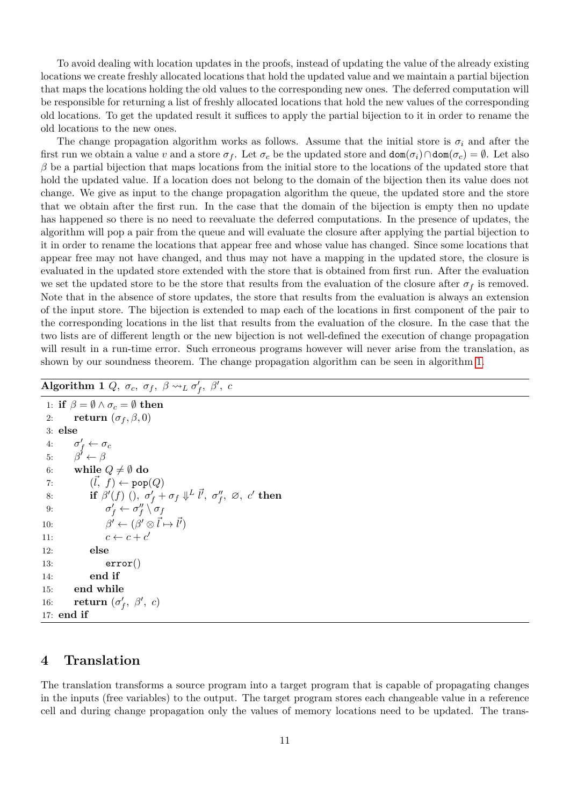To avoid dealing with location updates in the proofs, instead of updating the value of the already existing locations we create freshly allocated locations that hold the updated value and we maintain a partial bijection that maps the locations holding the old values to the corresponding new ones. The deferred computation will be responsible for returning a list of freshly allocated locations that hold the new values of the corresponding old locations. To get the updated result it suffices to apply the partial bijection to it in order to rename the old locations to the new ones.

The change propagation algorithm works as follows. Assume that the initial store is  $\sigma_i$  and after the first run we obtain a value *v* and a store  $\sigma_f$ . Let  $\sigma_c$  be the updated store and  $\text{dom}(\sigma_i) \cap \text{dom}(\sigma_c) = \emptyset$ . Let also *β* be a partial bijection that maps locations from the initial store to the locations of the updated store that hold the updated value. If a location does not belong to the domain of the bijection then its value does not change. We give as input to the change propagation algorithm the queue, the updated store and the store that we obtain after the first run. In the case that the domain of the bijection is empty then no update has happened so there is no need to reevaluate the deferred computations. In the presence of updates, the algorithm will pop a pair from the queue and will evaluate the closure after applying the partial bijection to it in order to rename the locations that appear free and whose value has changed. Since some locations that appear free may not have changed, and thus may not have a mapping in the updated store, the closure is evaluated in the updated store extended with the store that is obtained from first run. After the evaluation we set the updated store to be the store that results from the evaluation of the closure after  $\sigma_f$  is removed. Note that in the absence of store updates, the store that results from the evaluation is always an extension of the input store. The bijection is extended to map each of the locations in first component of the pair to the corresponding locations in the list that results from the evaluation of the closure. In the case that the two lists are of different length or the new bijection is not well-defined the execution of change propagation will result in a run-time error. Such erroneous programs however will never arise from the translation, as shown by our soundness theorem. The change propagation algorithm can be seen in algorithm [1.](#page-10-1)

```
\overline{\textbf{Algorithm 1} \; Q, \; \sigma_c, \; \sigma_f, \; \beta \leadsto_L \sigma'_f, \; \beta', \; c}
```

```
1: if \beta = \emptyset \wedge \sigma_c = \emptyset then
 2: return (\sigma_f, \beta, 0)3: else
 4: \sigma'_f \leftarrow \sigma_c5: \beta' \leftarrow \beta6: while Q \neq \emptyset do
 7: (\vec{l}, f) \leftarrow \text{pop}(Q)8: if \beta'(f) (), \sigma'_f + \sigma_f \Downarrow^L \vec{l}', \sigma''_f, \varnothing, c' then
 9: \sigma'_f \leftarrow \sigma''_f \setminus \sigma_f10: β
                       \vec{l} \leftarrow (\beta' \otimes \vec{l} \mapsto \vec{l'})11: c \leftarrow c + c'12: else
13: error()14: end if
15: end while
16: return (\sigma'_f, \ \beta', \ c)17: end if
```
# <span id="page-10-0"></span>**4 Translation**

The translation transforms a source program into a target program that is capable of propagating changes in the inputs (free variables) to the output. The target program stores each changeable value in a reference cell and during change propagation only the values of memory locations need to be updated. The trans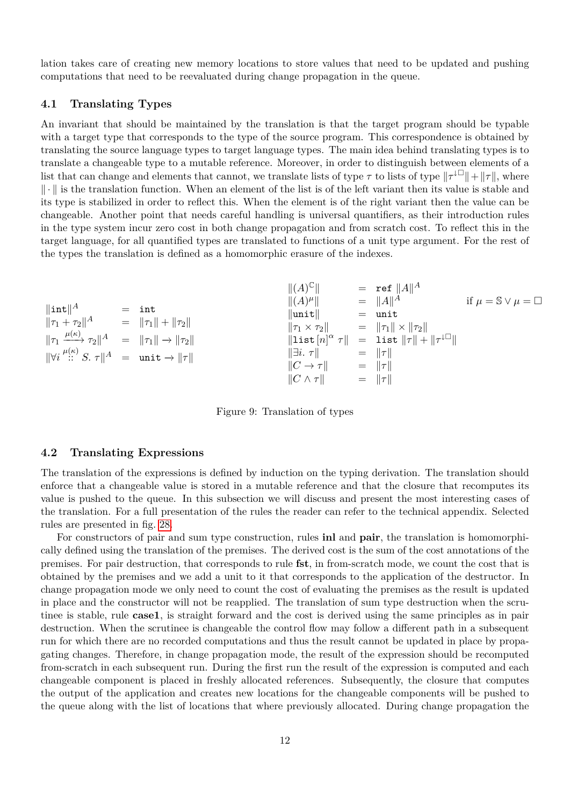lation takes care of creating new memory locations to store values that need to be updated and pushing computations that need to be reevaluated during change propagation in the queue.

### **4.1 Translating Types**

An invariant that should be maintained by the translation is that the target program should be typable with a target type that corresponds to the type of the source program. This correspondence is obtained by translating the source language types to target language types. The main idea behind translating types is to translate a changeable type to a mutable reference. Moreover, in order to distinguish between elements of a list that can change and elements that cannot, we translate lists of type  $\tau$  to lists of type  $\|\tau^{\downarrow\Box}\| + \|\tau\|$ , where  $\|\cdot\|$  is the translation function. When an element of the list is of the left variant then its value is stable and its type is stabilized in order to reflect this. When the element is of the right variant then the value can be changeable. Another point that needs careful handling is universal quantifiers, as their introduction rules in the type system incur zero cost in both change propagation and from scratch cost. To reflect this in the target language, for all quantified types are translated to functions of a unit type argument. For the rest of the types the translation is defined as a homomorphic erasure of the indexes.

$$
\|\text{int}\|^{A} = \text{int} \|\text{int}\|^{A} = \|\text{int} \|\text{int}\|^{A} \text{ if } \mu = \text{S} \vee \mu = \square
$$
\n
$$
\|\tau_{1} + \tau_{2}\|^{A} = \|\tau_{1}\| + \|\tau_{2}\|
$$
\n
$$
\|\tau_{1} \xrightarrow{\mu(\kappa)} \tau_{2}\|^{A} = \|\tau_{1}\| \rightarrow \|\tau_{2}\|
$$
\n
$$
\|\nabla i \xrightarrow{\mu(\kappa)} S. \tau \|^{A} = \text{unit} \rightarrow \|\tau \|
$$
\n
$$
\|\nabla i \xrightarrow{\mu(\kappa)} S. \tau \|^{A} = \text{unit} \rightarrow \|\tau \|
$$
\n
$$
\|\nabla i \xrightarrow{\mu(\kappa)} S. \tau \|^{A} = \text{unit} \rightarrow \|\tau \|
$$
\n
$$
\|\tau_{1} \vee \tau_{2}\|^{A} = \|\tau_{1}\| \vee \|\tau_{2}\|
$$
\n
$$
\|\text{list } [n]^{\alpha} \tau \| = \text{list } \|\tau\| + \|\tau^{\perp}\|
$$
\n
$$
\|\overrightarrow{C} \rightarrow \tau \| = \|\tau \|
$$
\n
$$
\|\sigma \wedge \tau \| = \|\tau \|
$$

Figure 9: Translation of types

#### **4.2 Translating Expressions**

The translation of the expressions is defined by induction on the typing derivation. The translation should enforce that a changeable value is stored in a mutable reference and that the closure that recomputes its value is pushed to the queue. In this subsection we will discuss and present the most interesting cases of the translation. For a full presentation of the rules the reader can refer to the technical appendix. Selected rules are presented in fig. [28.](#page-28-0)

For constructors of pair and sum type construction, rules **inl** and **pair**, the translation is homomorphically defined using the translation of the premises. The derived cost is the sum of the cost annotations of the premises. For pair destruction, that corresponds to rule **fst**, in from-scratch mode, we count the cost that is obtained by the premises and we add a unit to it that corresponds to the application of the destructor. In change propagation mode we only need to count the cost of evaluating the premises as the result is updated in place and the constructor will not be reapplied. The translation of sum type destruction when the scrutinee is stable, rule **case1**, is straight forward and the cost is derived using the same principles as in pair destruction. When the scrutinee is changeable the control flow may follow a different path in a subsequent run for which there are no recorded computations and thus the result cannot be updated in place by propagating changes. Therefore, in change propagation mode, the result of the expression should be recomputed from-scratch in each subsequent run. During the first run the result of the expression is computed and each changeable component is placed in freshly allocated references. Subsequently, the closure that computes the output of the application and creates new locations for the changeable components will be pushed to the queue along with the list of locations that where previously allocated. During change propagation the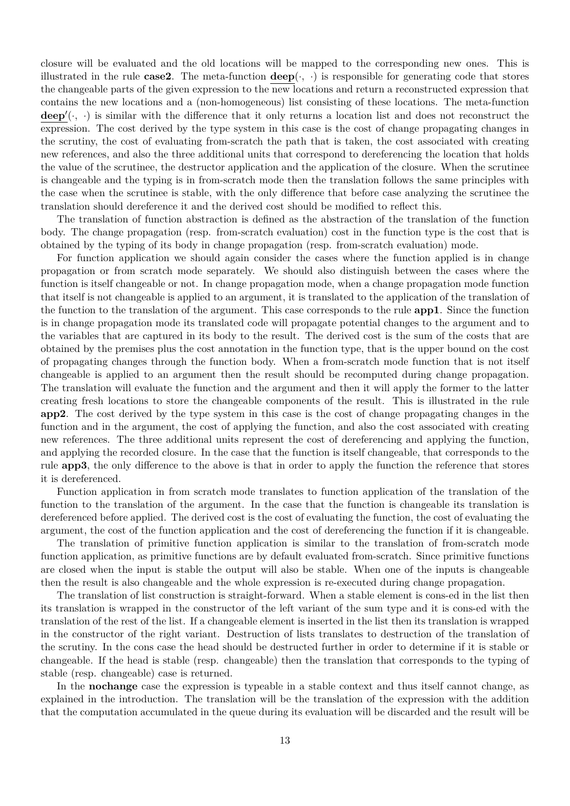closure will be evaluated and the old locations will be mapped to the corresponding new ones. This is illustrated in the rule  $\text{case2.}$  The meta-function  $\text{deep}(\cdot, \cdot)$  is responsible for generating code that stores the changeable parts of the given expression to the new locations and return a reconstructed expression that contains the new locations and a (non-homogeneous) list consisting of these locations. The meta-function  $\mathbf{deep}'(\cdot, \cdot)$  is similar with the difference that it only returns a location list and does not reconstruct the expression. The cost derived by the type system in this case is the cost of change propagating changes in the scrutiny, the cost of evaluating from-scratch the path that is taken, the cost associated with creating new references, and also the three additional units that correspond to dereferencing the location that holds the value of the scrutinee, the destructor application and the application of the closure. When the scrutinee is changeable and the typing is in from-scratch mode then the translation follows the same principles with the case when the scrutinee is stable, with the only difference that before case analyzing the scrutinee the translation should dereference it and the derived cost should be modified to reflect this.

The translation of function abstraction is defined as the abstraction of the translation of the function body. The change propagation (resp. from-scratch evaluation) cost in the function type is the cost that is obtained by the typing of its body in change propagation (resp. from-scratch evaluation) mode.

For function application we should again consider the cases where the function applied is in change propagation or from scratch mode separately. We should also distinguish between the cases where the function is itself changeable or not. In change propagation mode, when a change propagation mode function that itself is not changeable is applied to an argument, it is translated to the application of the translation of the function to the translation of the argument. This case corresponds to the rule **app1**. Since the function is in change propagation mode its translated code will propagate potential changes to the argument and to the variables that are captured in its body to the result. The derived cost is the sum of the costs that are obtained by the premises plus the cost annotation in the function type, that is the upper bound on the cost of propagating changes through the function body. When a from-scratch mode function that is not itself changeable is applied to an argument then the result should be recomputed during change propagation. The translation will evaluate the function and the argument and then it will apply the former to the latter creating fresh locations to store the changeable components of the result. This is illustrated in the rule **app2**. The cost derived by the type system in this case is the cost of change propagating changes in the function and in the argument, the cost of applying the function, and also the cost associated with creating new references. The three additional units represent the cost of dereferencing and applying the function, and applying the recorded closure. In the case that the function is itself changeable, that corresponds to the rule **app3**, the only difference to the above is that in order to apply the function the reference that stores it is dereferenced.

Function application in from scratch mode translates to function application of the translation of the function to the translation of the argument. In the case that the function is changeable its translation is dereferenced before applied. The derived cost is the cost of evaluating the function, the cost of evaluating the argument, the cost of the function application and the cost of dereferencing the function if it is changeable.

The translation of primitive function application is similar to the translation of from-scratch mode function application, as primitive functions are by default evaluated from-scratch. Since primitive functions are closed when the input is stable the output will also be stable. When one of the inputs is changeable then the result is also changeable and the whole expression is re-executed during change propagation.

The translation of list construction is straight-forward. When a stable element is cons-ed in the list then its translation is wrapped in the constructor of the left variant of the sum type and it is cons-ed with the translation of the rest of the list. If a changeable element is inserted in the list then its translation is wrapped in the constructor of the right variant. Destruction of lists translates to destruction of the translation of the scrutiny. In the cons case the head should be destructed further in order to determine if it is stable or changeable. If the head is stable (resp. changeable) then the translation that corresponds to the typing of stable (resp. changeable) case is returned.

In the **nochange** case the expression is typeable in a stable context and thus itself cannot change, as explained in the introduction. The translation will be the translation of the expression with the addition that the computation accumulated in the queue during its evaluation will be discarded and the result will be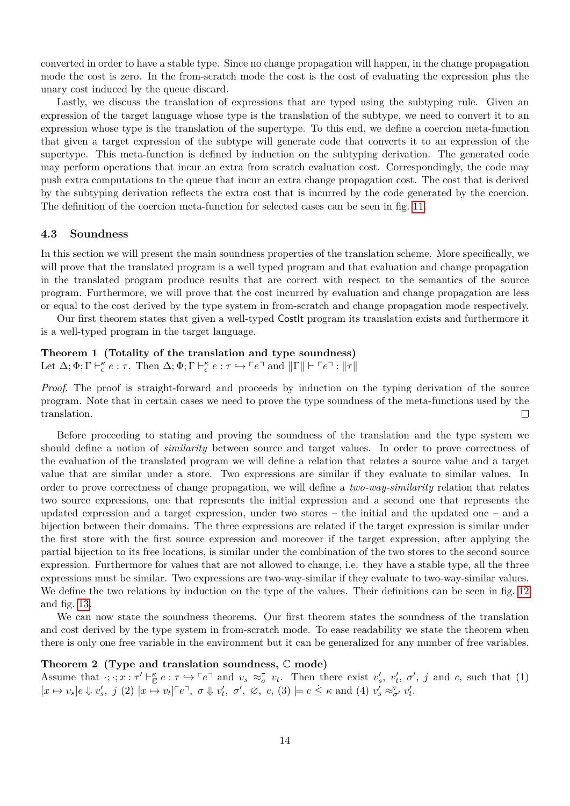converted in order to have a stable type. Since no change propagation will happen, in the change propagation mode the cost is zero. In the from-scratch mode the cost is the cost of evaluating the expression plus the unary cost induced by the queue discard.

Lastly, we discuss the translation of expressions that are typed using the subtyping rule. Given an expression of the target language whose type is the translation of the subtype, we need to convert it to an expression whose type is the translation of the supertype. To this end, we define a coercion meta-function that given a target expression of the subtype will generate code that converts it to an expression of the supertype. This meta-function is defined by induction on the subtyping derivation. The generated code may perform operations that incur an extra from scratch evaluation cost. Correspondingly, the code may push extra computations to the queue that incur an extra change propagation cost. The cost that is derived by the subtyping derivation reflects the extra cost that is incurred by the code generated by the coercion. The definition of the coercion meta-function for selected cases can be seen in fig. [11.](#page-15-0)

#### **4.3 Soundness**

In this section we will present the main soundness properties of the translation scheme. More specifically, we will prove that the translated program is a well typed program and that evaluation and change propagation in the translated program produce results that are correct with respect to the semantics of the source program. Furthermore, we will prove that the cost incurred by evaluation and change propagation are less or equal to the cost derived by the type system in from-scratch and change propagation mode respectively.

Our first theorem states that given a well-typed CostIt program its translation exists and furthermore it is a well-typed program in the target language.

### **Theorem 1 (Totality of the translation and type soundness)**

Let  $\Delta; \Phi; \Gamma \vdash_{\epsilon}^{\kappa} e : \tau$ . Then  $\Delta; \Phi; \Gamma \vdash_{\epsilon}^{\kappa} e : \tau \hookrightarrow \ulcorner e \urcorner$  and  $\|\Gamma\| \vdash \ulcorner e \urcorner : \|\tau\|$ 

*Proof.* The proof is straight-forward and proceeds by induction on the typing derivation of the source program. Note that in certain cases we need to prove the type soundness of the meta-functions used by the translation.  $\Box$ 

Before proceeding to stating and proving the soundness of the translation and the type system we should define a notion of *similarity* between source and target values. In order to prove correctness of the evaluation of the translated program we will define a relation that relates a source value and a target value that are similar under a store. Two expressions are similar if they evaluate to similar values. In order to prove correctness of change propagation, we will define a *two-way-similarity* relation that relates two source expressions, one that represents the initial expression and a second one that represents the updated expression and a target expression, under two stores – the initial and the updated one – and a bijection between their domains. The three expressions are related if the target expression is similar under the first store with the first source expression and moreover if the target expression, after applying the partial bijection to its free locations, is similar under the combination of the two stores to the second source expression. Furthermore for values that are not allowed to change, i.e. they have a stable type, all the three expressions must be similar. Two expressions are two-way-similar if they evaluate to two-way-similar values. We define the two relations by induction on the type of the values. Their definitions can be seen in fig. [12](#page-15-1) and fig. [13.](#page-16-0)

We can now state the soundness theorems. Our first theorem states the soundness of the translation and cost derived by the type system in from-scratch mode. To ease readability we state the theorem when there is only one free variable in the environment but it can be generalized for any number of free variables.

#### **Theorem 2 (Type and translation soundness,** C **mode)**

Assume that  $\cdot; \cdot; x : \tau' \vdash_{\mathbb{C}}^{\kappa} e : \tau \hookrightarrow^{\ulcorner} e \urcorner$  and  $v_s \approx_{\sigma}^{\tau} v_t$ . Then there exist  $v'_s, v'_t, \sigma', j$  and c, such that (1)  $[x \mapsto v_s]e \Downarrow v'_s, \ j(2) [x \mapsto v_t] \upharpoonright e^{\top}, \ \sigma \Downarrow v'_t, \ \sigma', \ \varnothing, \ c, (3) \models c \leq \kappa \text{ and } (4) \ v'_s \approx_{\sigma'}^{\tau} v'_t.$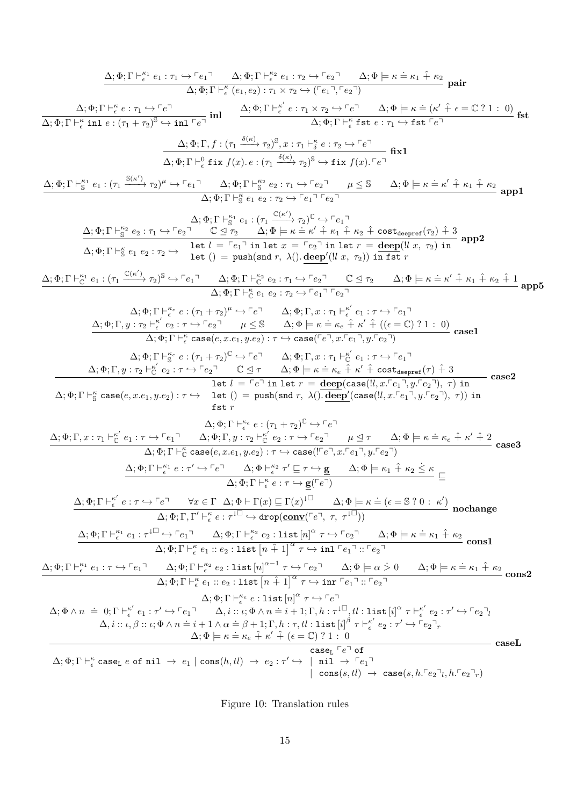$$
\Delta_1 \Phi_1 \Gamma + \frac{a_1}{2} \epsilon_1 + \frac{a_1}{2} \Gamma + \frac{a_1}{2} \epsilon_1 + \frac{a_1}{2} \epsilon_2 + \frac{a_1}{2} \Gamma + \frac{a_1}{2} \epsilon_1 + \frac{a_1}{2} \Gamma + \frac{a_1}{2} \Gamma + \frac{a_1}{2} \Gamma + \frac{a_1}{2} \Gamma + \frac{a_1}{2} \Gamma + \frac{a_1}{2} \Gamma + \frac{a_1}{2} \Gamma + \frac{a_1}{2} \Gamma + \frac{a_1}{2} \Gamma + \frac{a_1}{2} \Gamma + \frac{a_1}{2} \Gamma + \frac{a_1}{2} \Gamma + \frac{a_1}{2} \Gamma + \frac{a_1}{2} \Gamma + \frac{a_1}{2} \Gamma + \frac{a_1}{2} \Gamma + \frac{a_1}{2} \Gamma + \frac{a_1}{2} \Gamma + \frac{a_1}{2} \Gamma + \frac{a_1}{2} \Gamma + \frac{a_1}{2} \Gamma + \frac{a_1}{2} \Gamma + \frac{a_1}{2} \Gamma + \frac{a_1}{2} \Gamma + \frac{a_1}{2} \Gamma + \frac{a_1}{2} \Gamma + \frac{a_1}{2} \Gamma + \frac{a_1}{2} \Gamma + \frac{a_1}{2} \Gamma + \frac{a_1}{2} \Gamma + \frac{a_1}{2} \Gamma + \frac{a_1}{2} \Gamma + \frac{a_1}{2} \Gamma + \frac{a_1}{2} \Gamma + \frac{a_1}{2} \Gamma + \frac{a_1}{2} \Gamma + \frac{a_1}{2} \Gamma + \frac{a_1}{2} \Gamma + \frac{a_1}{2} \Gamma + \frac{a_1}{2} \Gamma + \frac{a_1}{2} \Gamma + \frac{a_1}{2} \Gamma + \frac{a_1}{2} \Gamma + \frac{a_1}{2} \Gamma + \frac{a_1}{2} \Gamma + \frac{a_1}{2} \Gamma + \frac{a_1}{2} \Gamma + \frac{a_1}{2} \Gamma + \frac{a_1}{2} \Gamma + \frac{a_1}{2} \Gamma + \frac{a_1}{2} \Gamma + \frac{a_1}{2} \Gamma + \frac{a_1}{2} \Gamma + \frac{a_1}{2} \Gamma + \frac{a_1}{2} \Gamma + \frac{a_1}{2}
$$

Figure 10: Translation rules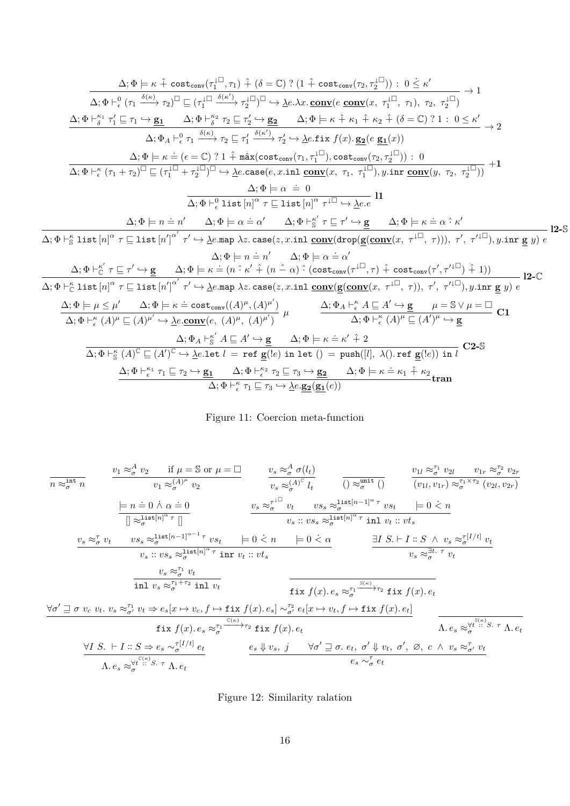<span id="page-15-0"></span>
$$
\Delta; \Phi \models \kappa \stackrel{\frown}{+} \cot \frac{\kappa}{2} \quad \frac{\Delta; \Phi \models \kappa \stackrel{\frown}{+} \cot \frac{\kappa}{2} \quad \frac{\Delta}{2} \quad \frac{\Delta}{2} \quad \frac{\Delta}{2} \quad \frac{\Delta}{2} \quad \frac{\Delta}{2} \quad \frac{\Delta}{2} \quad \frac{\Delta}{2} \quad \frac{\Delta}{2} \quad \frac{\Delta}{2} \quad \frac{\Delta}{2} \quad \frac{\Delta}{2} \quad \frac{\Delta}{2} \quad \frac{\Delta}{2} \quad \frac{\Delta}{2} \quad \frac{\Delta}{2} \quad \frac{\Delta}{2} \quad \frac{\Delta}{2} \quad \frac{\Delta}{2} \quad \frac{\Delta}{2} \quad \frac{\Delta}{2} \quad \frac{\Delta}{2} \quad \frac{\Delta}{2} \quad \frac{\Delta}{2} \quad \frac{\Delta}{2} \quad \frac{\Delta}{2} \quad \frac{\Delta}{2} \quad \frac{\Delta}{2} \quad \frac{\Delta}{2} \quad \frac{\Delta}{2} \quad \frac{\Delta}{2} \quad \frac{\Delta}{2} \quad \frac{\Delta}{2} \quad \frac{\Delta}{2} \quad \frac{\Delta}{2} \quad \frac{\Delta}{2} \quad \frac{\Delta}{2} \quad \frac{\Delta}{2} \quad \frac{\Delta}{2} \quad \frac{\Delta}{2} \quad \frac{\Delta}{2} \quad \frac{\Delta}{2} \quad \frac{\Delta}{2} \quad \frac{\Delta}{2} \quad \frac{\Delta}{2} \quad \frac{\Delta}{2} \quad \frac{\Delta}{2} \quad \frac{\Delta}{2} \quad \frac{\Delta}{2} \quad \frac{\Delta}{2} \quad \frac{\Delta}{2} \quad \frac{\Delta}{2} \quad \frac{\Delta}{2} \quad \frac{\Delta}{2} \quad \frac{\Delta}{2} \quad \frac{\Delta}{2} \quad \frac{\Delta}{2} \quad \frac{\Delta}{2} \quad \frac{\Delta}{2} \quad \frac{\Delta}{2} \quad \frac{\Delta}{2} \quad \frac{\Delta}{2} \quad \frac{\Delta}{2} \quad \frac{\Delta}{2} \quad \frac{\Delta}{2} \quad \frac{\Delta}{2} \quad \frac{\Delta}{2} \quad \frac{\Delta}{2} \quad \frac{\Delta}{2} \quad \frac{\Delta}{2} \quad \frac{\Delta}{2} \quad \frac{\Delta}{2} \quad \frac{\Delta}{2} \quad \frac{\Delta}{2} \quad \frac{\Delta}{2} \quad \frac{\Delta}{2} \quad \frac{\Delta}{2} \quad \frac{\Delta}{2} \quad \frac{\
$$

# Figure 11: Coercion meta-function

<span id="page-15-1"></span>
$$
\begin{array}{llll}\n\hline\n\frac{\partial_{1} \mathbf{r}_{\sigma} \cdot \mathbf{r}_{\sigma} \cdot \mathbf{r}_{\sigma} \cdot \mathbf{r}_{\sigma} \cdot \mathbf{r}_{\sigma} \cdot \mathbf{r}_{\sigma} \cdot \mathbf{r}_{\sigma} \cdot \mathbf{r}_{\sigma} \cdot \mathbf{r}_{\sigma} \cdot \mathbf{r}_{\sigma} \cdot \mathbf{r}_{\sigma} \cdot \mathbf{r}_{\sigma} \cdot \mathbf{r}_{\sigma} \cdot \mathbf{r}_{\sigma} \cdot \mathbf{r}_{\sigma} \cdot \mathbf{r}_{\sigma} \cdot \mathbf{r}_{\sigma} \cdot \mathbf{r}_{\sigma} \cdot \mathbf{r}_{\sigma} \cdot \mathbf{r}_{\sigma} \cdot \mathbf{r}_{\sigma} \cdot \mathbf{r}_{\sigma} \cdot \mathbf{r}_{\sigma} \cdot \mathbf{r}_{\sigma} \cdot \mathbf{r}_{\sigma} \cdot \mathbf{r}_{\sigma} \cdot \mathbf{r}_{\sigma} \cdot \mathbf{r}_{\sigma} \cdot \mathbf{r}_{\sigma} \cdot \mathbf{r}_{\sigma} \cdot \mathbf{r}_{\sigma} \cdot \mathbf{r}_{\sigma} \cdot \mathbf{r}_{\sigma} \cdot \mathbf{r}_{\sigma} \cdot \mathbf{r}_{\sigma} \cdot \mathbf{r}_{\sigma} \cdot \mathbf{r}_{\sigma} \cdot \mathbf{r}_{\sigma} \cdot \mathbf{r}_{\sigma} \cdot \mathbf{r}_{\sigma} \cdot \mathbf{r}_{\sigma} \cdot \mathbf{r}_{\sigma} \cdot \mathbf{r}_{\sigma} \cdot \mathbf{r}_{\sigma} \cdot \mathbf{r}_{\sigma} \cdot \mathbf{r}_{\sigma} \cdot \mathbf{r}_{\sigma} \cdot \mathbf{r}_{\sigma} \cdot \mathbf{r}_{\sigma} \cdot \mathbf{r}_{\sigma} \cdot \mathbf{r}_{\sigma} \cdot \mathbf{r}_{\sigma} \cdot \mathbf{r}_{\sigma} \cdot \mathbf{r}_{\sigma} \cdot \mathbf{r}_{\sigma} \cdot \mathbf{r}_{\sigma} \cdot \mathbf{r}_{\sigma} \cdot \mathbf{r}_{\sigma} \cdot \mathbf{r}_{\sigma} \cdot \mathbf{r}_{\sigma} \cdot \mathbf{r}_{\sigma} \cdot \mathbf{r}_{\sigma} \cdot \mathbf{r}_{\sigma} \cdot \mathbf{r}_{\sigma} \cdot \mathbf{r}_{\sigma} \cdot \mathbf{r}_{\sigma} \cdot \mathbf{r}_{\sigma} \cdot \mathbf
$$

Figure 12: Similarity ralation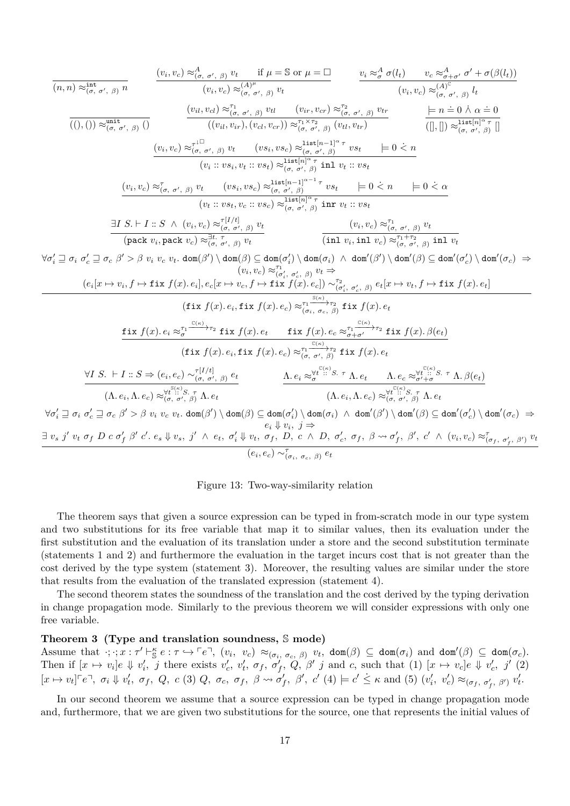<span id="page-16-0"></span>
$$
\frac{\langle v_i, v_c \rangle \approx_{(\sigma, \sigma', \beta)}^{\text{int}} v \qquad \frac{\langle v_i, v_c \rangle \approx_{(\sigma, \sigma', \beta)}^{\text{int}} v_i \qquad \text{if } \mu = \mathbb{S} \text{ or } \mu = \square}{\langle v_i, v_c \rangle \approx_{(\sigma, \sigma', \beta)}^{\text{int}} v_i \qquad \text{if } \mu = \mathbb{S} \text{ or } \mu = \square} \qquad \frac{v_i \approx_{\sigma}^A \sigma(l_i) \qquad v_c \approx_{\sigma, \sigma', \beta}^A l_i}{\langle v_i, v_c \rangle \approx_{(\sigma, \sigma', \beta)}^{\text{int}} l_i \qquad \text{if } \mu = \mathbb{S} \text{ or } \mu = \square} \qquad \frac{\langle v_i, v_c \rangle \approx_{(\sigma, \sigma', \beta)}^{\text{int}} l_i \qquad \text{if } \mu = \mathbb{S} \text{ or } \mu = \square}{\langle (v_i, v_c \rangle \approx_{(\sigma, \sigma', \beta)}^{\text{int}} v_i \qquad \text{if } \mu = \pi = 0 \land \alpha = 0 \text{ or } \mu = 0 \text{ or } \mu = 0 \text{ or } \mu = 0 \text{ or } \mu = 0 \text{ or } \mu = 0 \text{ or } \mu = 0 \text{ or } \mu = 0 \text{ or } \mu = 0 \text{ or } \mu = 0 \text{ or } \mu = 0 \text{ or } \mu = 0 \text{ or } \mu = 0 \text{ or } \mu = 0 \text{ or } \mu = 0 \text{ or } \mu = 0 \text{ or } \mu = 0 \text{ or } \mu = 0 \text{ or } \mu = 0 \text{ or } \mu = 0 \text{ or } \mu = 0 \text{ or } \mu = 0 \text{ or } \mu = 0 \text{ or } \mu = 0 \text{ or } \mu = 0 \text{ or } \mu = 0 \text{ or } \mu = 0 \text{ or } \mu = 0 \text{ or } \mu = 0 \text{ or } \mu = 0 \text{ or } \mu = 0 \text{ or } \mu = 0 \text{ or } \mu = 0 \text{ or } \mu = 0 \text{ or } \mu = 0 \text{ or } \mu = 0 \text{ or } \mu = 0 \text{ or } \mu = 0 \text{ or } \mu = 0 \text{ or } \mu = 0 \text{ or } \
$$

Figure 13: Two-way-similarity relation

The theorem says that given a source expression can be typed in from-scratch mode in our type system and two substitutions for its free variable that map it to similar values, then its evaluation under the first substitution and the evaluation of its translation under a store and the second substitution terminate (statements 1 and 2) and furthermore the evaluation in the target incurs cost that is not greater than the cost derived by the type system (statement 3). Moreover, the resulting values are similar under the store that results from the evaluation of the translated expression (statement 4).

The second theorem states the soundness of the translation and the cost derived by the typing derivation in change propagation mode. Similarly to the previous theorem we will consider expressions with only one free variable.

### <span id="page-16-1"></span>**Theorem 3 (Type and translation soundness,** S **mode)**

Assume that  $\cdot; \cdot; x : \tau' \vdash_{\mathbb{S}}^{\kappa} e : \tau \hookrightarrow \ulcorner e \urcorner, (v_i, v_c) \approx_{(\sigma_i, \sigma_c, \beta)} v_t$ ,  $\text{dom}(\beta) \subseteq \text{dom}(\sigma_i)$  and  $\text{dom}'(\beta) \subseteq \text{dom}(\sigma_c)$ . Then if  $[x \mapsto v_i]e \Downarrow v'_i$ , j there exists  $v'_c$ ,  $v'_t$ ,  $\sigma_f$ ,  $\sigma'_f$ ,  $Q$ ,  $\beta'$  j and c, such that (1)  $[x \mapsto v_c]e \Downarrow v'_c$ , j' (2)  $[x \mapsto v_t]^{\mathsf{F}} e^{\mathsf{T}}$ ,  $\sigma_i \Downarrow v'_t$ ,  $\sigma_f$ ,  $Q$ ,  $c$  (3)  $Q$ ,  $\sigma_c$ ,  $\sigma_f$ ,  $\beta \leadsto \sigma'_f$ ,  $\beta'$ ,  $c'$  (4)  $\models c' \leq \kappa$  and (5)  $(v'_i, v'_c) \approx_{(\sigma_f, \sigma'_f, \beta')} v'_t$ .

In our second theorem we assume that a source expression can be typed in change propagation mode and, furthermore, that we are given two substitutions for the source, one that represents the initial values of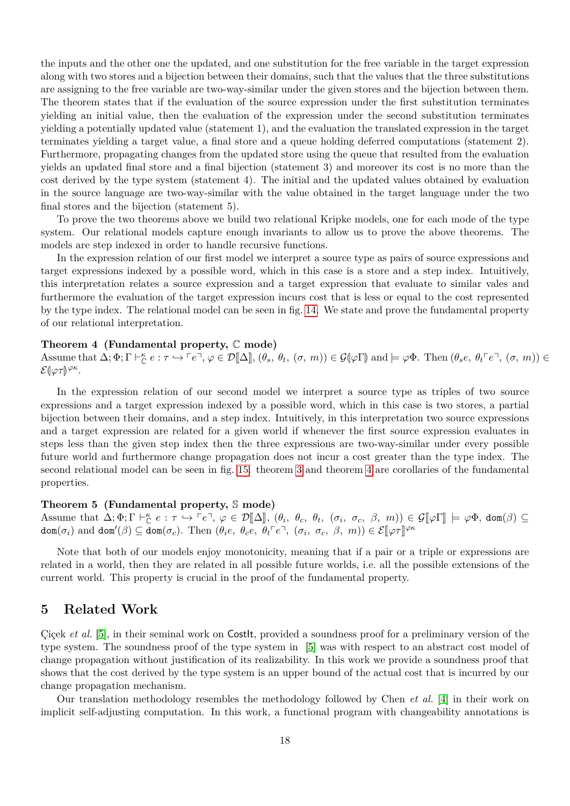the inputs and the other one the updated, and one substitution for the free variable in the target expression along with two stores and a bijection between their domains, such that the values that the three substitutions are assigning to the free variable are two-way-similar under the given stores and the bijection between them. The theorem states that if the evaluation of the source expression under the first substitution terminates yielding an initial value, then the evaluation of the expression under the second substitution terminates yielding a potentially updated value (statement 1), and the evaluation the translated expression in the target terminates yielding a target value, a final store and a queue holding deferred computations (statement 2). Furthermore, propagating changes from the updated store using the queue that resulted from the evaluation yields an updated final store and a final bijection (statement 3) and moreover its cost is no more than the cost derived by the type system (statement 4). The initial and the updated values obtained by evaluation in the source language are two-way-similar with the value obtained in the target language under the two final stores and the bijection (statement 5).

To prove the two theorems above we build two relational Kripke models, one for each mode of the type system. Our relational models capture enough invariants to allow us to prove the above theorems. The models are step indexed in order to handle recursive functions.

In the expression relation of our first model we interpret a source type as pairs of source expressions and target expressions indexed by a possible word, which in this case is a store and a step index. Intuitively, this interpretation relates a source expression and a target expression that evaluate to similar vales and furthermore the evaluation of the target expression incurs cost that is less or equal to the cost represented by the type index. The relational model can be seen in fig. [14.](#page-18-1) We state and prove the fundamental property of our relational interpretation.

#### <span id="page-17-1"></span>**Theorem 4 (Fundamental property,** C **mode)**

Assume that  $\Delta; \Phi; \Gamma \vdash_{\mathbb{C}}^{\kappa} e : \tau \hookrightarrow \ulcorner e \urcorner, \varphi \in \mathcal{D}[\![\Delta]\!], (\theta_s, \theta_t, (\sigma, m)) \in \mathcal{G}(\varphi \Gamma)$  and  $\models \varphi \Phi$ . Then  $(\theta_s e, \theta_t \ulcorner e \urcorner, (\sigma, m)) \in$ <br> $\mathcal{S}_{\phi \circ \pi}(\varphi \circ \varphi)$  $\mathcal{E}[\varphi\tau]^{\varphi\kappa}.$ 

In the expression relation of our second model we interpret a source type as triples of two source expressions and a target expression indexed by a possible word, which in this case is two stores, a partial bijection between their domains, and a step index. Intuitively, in this interpretation two source expressions and a target expression are related for a given world if whenever the first source expression evaluates in steps less than the given step index then the three expressions are two-way-similar under every possible future world and furthermore change propagation does not incur a cost greater than the type index. The second relational model can be seen in fig. [15.](#page-19-0) theorem [3](#page-16-1) and theorem [4](#page-17-1) are corollaries of the fundamental properties.

#### **Theorem 5 (Fundamental property,** S **mode)**

Assume that  $\Delta; \Phi; \Gamma \vdash_{\mathbb{C}}^{\kappa} e : \tau \hookrightarrow \ulcorner e \urcorner, \varphi \in \mathcal{D}[\![\Delta]\!], (\theta_i, \theta_c, \theta_t, (\sigma_i, \sigma_c, \beta, m)) \in \mathcal{G}[\![\varphi\Gamma]\!] \models \varphi\Phi, \text{dom}(\beta) \subseteq \text{dom}(\sigma)$  $dom(\sigma_i)$  and  $dom'(\beta) \subseteq dom(\sigma_c)$ . Then  $(\theta_i e, \theta_c e, \theta_t e^c, \theta_t e^c, \sigma_c, \beta, m) \in \mathcal{E}[\varphi \tau] \varphi \kappa$ 

Note that both of our models enjoy monotonicity, meaning that if a pair or a triple or expressions are related in a world, then they are related in all possible future worlds, i.e. all the possible extensions of the current world. This property is crucial in the proof of the fundamental property.

# <span id="page-17-0"></span>**5 Related Work**

Cicek *et al.* [\[5\]](#page-20-5), in their seminal work on Costlt, provided a soundness proof for a preliminary version of the type system. The soundness proof of the type system in [\[5\]](#page-20-5) was with respect to an abstract cost model of change propagation without justification of its realizability. In this work we provide a soundness proof that shows that the cost derived by the type system is an upper bound of the actual cost that is incurred by our change propagation mechanism.

Our translation methodology resembles the methodology followed by Chen *et al.* [\[4\]](#page-20-13) in their work on implicit self-adjusting computation. In this work, a functional program with changeability annotations is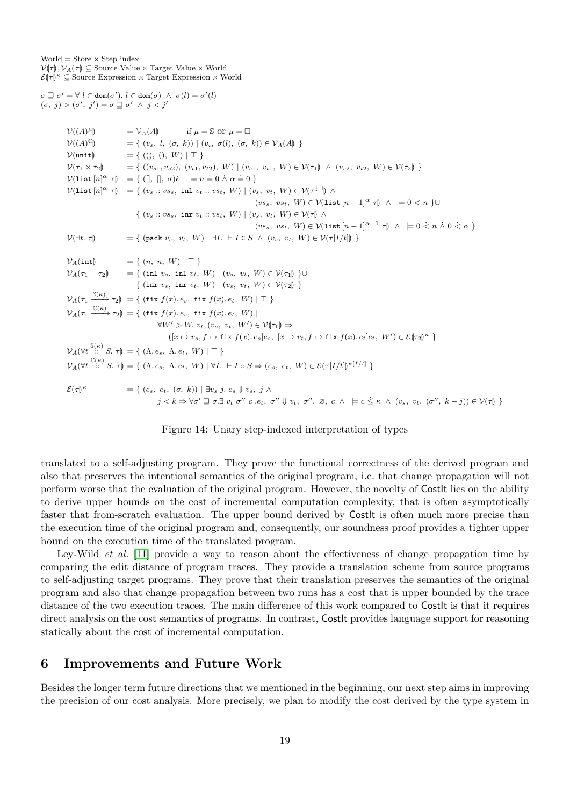<span id="page-18-1"></span> $World = Store \times Step index$  $\mathcal{V}(\tau)$ ,  $\mathcal{V}_A(\tau) \subseteq$  Source Value × Target Value × World  $\mathcal{E}(\tau)$ <sup>*κ*</sup>  $\subseteq$  Source Expression  $\times$  Target Expression  $\times$  World

 $\sigma \supseteq \sigma' = \forall \ l \in \text{dom}(\sigma'). \ l \in \text{dom}(\sigma) \ \land \ \sigma(l) = \sigma'(l)$ 

```
(\sigma, j) > (\sigma', j') = \sigma \sqsupseteq \sigma' \land j < j'V((A)^{\mu})V_A(A) if \mu = \mathbb{S} or \mu = \squareV((A)^{\mathbb{C}}\mathcal{V}(\mathcal{A})^{\mathbb{C}} = { (v_s, l, (\sigma, k)) | (v_i, \sigma(l), (\sigma, k)) \in \mathcal{V}_{\mathcal{A}}(\mathcal{A}) }<br>\mathcal{V}(\text{unit}) = { ((\cdot, \cdot), W) | \top }
              V(\text{unit}) = { ((), (), W) | T }<br>
V(\tau_1 \times \tau_2) = { ((v_{s1}, v_{s2}), (v_{t1}, v_{t2})
                                                = { ((v_{s1}, v_{s2}), (v_{t1}, v_{t2}), W) | (v_{s1}, v_{t1}, W) \in \mathcal{V}(\tau_1) \land (v_{s2}, v_{t2}, W) \in \mathcal{V}(\tau_2) }
               V(\text{list } [n]^\alpha \tau) = \{([\text{}, \text{ }]], \sigma)k \mid \text{ }= n = 0 \land \alpha = 0 \}\mathcal{V}(\text{list } [n]^\alpha \ \tau) = \{ (v_s :: v s_s, \text{ inl } v_t :: v s_t, \ W) \mid (v_s, v_t, \ W) \in \mathcal{V}(\tau^{\perp} \cup \mathcal{V}) \land(vs_s, vs_t, W) \in \mathcal{V}(list [n-1]^{\alpha} \tau \rightarrow \infty | \cup \infty k + 0 k + 3
                                                       \{ (v_s :: v s_s, \text{ inr } v_t :: v s_t, W) | (v_s, v_t, W) \in \mathcal{V}(\tau) \land(vs_s, vs_t, W) \in V(\text{list } [n-1]^{\alpha-1} \tau) \land \models 0 \leq n \land 0 \leq \alpha \}V(\exists t. \tau) = { (pack v_s, v_t, W) | \exists I. \vdash I :: S \land (v_s, v_t, W) \in V(\tau[I/t]) }
              V_A(\text{int}) = { (n, n, W) | \top }<br>
V_A(r_1 + r_2) = { (\text{inl } v_s, \text{ inl } v_t,V = \{ (\text{inl } v_s, \text{ inl } v_t, W) \mid (v_s, v_t, W) \in \mathcal{V}[\tau_1] \}\{ (\text{inr } v_s, \text{ inr } v_t, W) \mid (v_s, v_t, W) \in \mathcal{V}(\tau_2) \}\mathcal{V}_A(\tau_1 \xrightarrow{\mathbb{S}(\kappa)} \tau_2) = \{ (\text{fix } f(x). e_s, \text{fix } f(x). e_t, W) \mid \top \}\mathcal{V}_A(\tau_1 \xrightarrow{\mathbb{C}(\kappa)} \tau_2) = \{ (\text{fix } f(x). e_s, \text{fix } f(x). e_t, W) \}\forall W' > W, v<sub>t</sub>, (v<sub>s</sub>, v<sub>t</sub>, W') \in \mathcal{V}(\tau_1) \Rightarrow([x \mapsto v_s, f \mapsto \texttt{fix } f(x). e_s]e_s, [x \mapsto v_t, f \mapsto \texttt{fix } f(x). e_t]e_t, W') \in \mathcal{E}(\tau_2)^{\kappa}\mathcal{V}_A(\forall t \stackrel{\mathbb{S}(\kappa)}{\vdots} S. \tau) = \{ (\Lambda. e_s, \Lambda. e_t, W) \mid \top \}\mathcal{V}_{A}(\forall t \stackrel{\mathcal{C}(\kappa)}{\dots} S. \tau) = \{ (\Lambda. e_s, \Lambda. e_t, W) \mid \forall I. \vdash I :: S \Rightarrow (e_s, e_t, W) \in \mathcal{E}(\tau[I/t])^{\kappa[I/t]} \}\mathcal{E}(\!|\tau\!|)^{\kappa}= \{ (e_s, e_t, (\sigma, k)) | \exists v_s \ j. \ e_s \Downarrow v_s, j \wedge s \}j < k \Rightarrow \forall \sigma \in \mathbb{R} \sigma \in \mathbb{R} \sigma \in \mathbb{R}, \sigma'' \downarrow v_t, \sigma'', \varnothing, c \wedge \models c \leq \kappa \wedge (v_s, v_t, (\sigma'', k - j)) \in \mathcal{V}(\tau)
```
Figure 14: Unary step-indexed interpretation of types

translated to a self-adjusting program. They prove the functional correctness of the derived program and also that preserves the intentional semantics of the original program, i.e. that change propagation will not perform worse that the evaluation of the original program. However, the novelty of CostIt lies on the ability to derive upper bounds on the cost of incremental computation complexity, that is often asymptotically faster that from-scratch evaluation. The upper bound derived by Costlt is often much more precise than the execution time of the original program and, consequently, our soundness proof provides a tighter upper bound on the execution time of the translated program.

Ley-Wild *et al.* [\[11\]](#page-20-15) provide a way to reason about the effectiveness of change propagation time by comparing the edit distance of program traces. They provide a translation scheme from source programs to self-adjusting target programs. They prove that their translation preserves the semantics of the original program and also that change propagation between two runs has a cost that is upper bounded by the trace distance of the two execution traces. The main difference of this work compared to CostIt is that it requires direct analysis on the cost semantics of programs. In contrast, CostIt provides language support for reasoning statically about the cost of incremental computation.

# <span id="page-18-0"></span>**6 Improvements and Future Work**

Besides the longer term future directions that we mentioned in the beginning, our next step aims in improving the precision of our cost analysis. More precisely, we plan to modify the cost derived by the type system in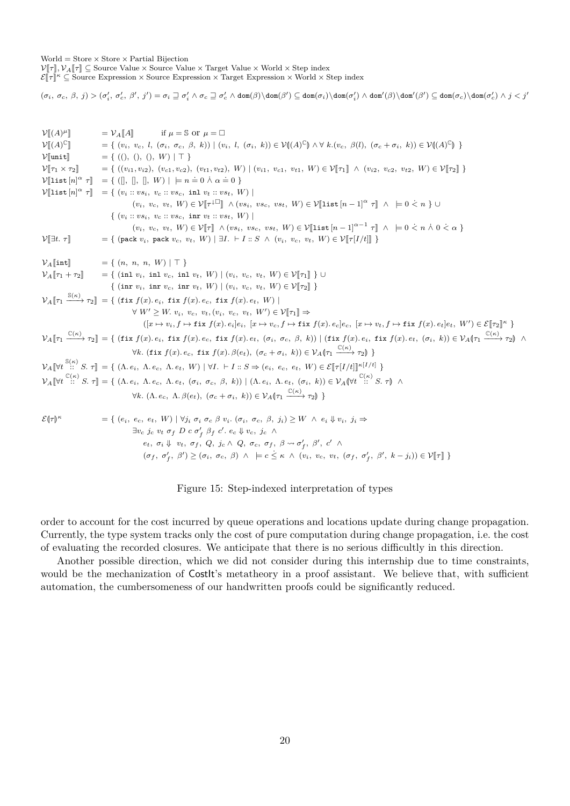<span id="page-19-0"></span> $World = Store \times Store \times Partial Bijection$  $\mathcal{V}[\![\tau]\!], \mathcal{V}_A[\![\tau]\!] \subseteq$  Source Value × Source Value × Target Value × World × Step index

 $\mathcal{E}[\![\tau]\!]^{\kappa} \subseteq$  Source Expression × Source Expression × Target Expression × World × Step index

 $(\sigma_i,~\sigma_c,~\beta,~j)>(\sigma'_i,~\sigma'_c,~\beta',~j')=\sigma_i \sqsupseteq \sigma'_i \land \sigma_c \sqsupseteq \sigma'_c \land \text{dom}(\beta) \backslash \text{dom}(\sigma'_i) \land \text{dom}(\sigma'_i) \land \text{dom}'(\beta') \subseteq \text{dom}(\sigma_c) \backslash \text{dom}(\sigma'_c) \land j < j'$ 

<sup>V</sup>J(*A*) *µ*<sup>K</sup> <sup>=</sup> <sup>V</sup>*A*J*A*<sup>K</sup> if *<sup>µ</sup>* <sup>=</sup> <sup>S</sup> or *<sup>µ</sup>* <sup>=</sup> <sup>V</sup>J(*A*) C<sup>K</sup> <sup>=</sup> { (*vi, vc, l,* (*σi, σc, β, k*)) <sup>|</sup> (*vi, l,* (*σi, k*)) ∈ VL(*A*) C<sup>M</sup> ∧ ∀ *k.*(*vc, β*(*l*)*,* (*σ<sup>c</sup>* <sup>+</sup> *<sup>σ</sup>i, k*)) ∈ VL(*A*) CM } <sup>V</sup>Junit<sup>K</sup> <sup>=</sup> { (()*,* ()*,* ()*, W*) | > } <sup>V</sup>J*τ*<sup>1</sup> <sup>×</sup> *<sup>τ</sup>*2<sup>K</sup> <sup>=</sup> { ((*vi*1*, vi*2)*,* (*vc*1*, vc*2)*,* (*vt*1*, vt*2)*, W*) <sup>|</sup> (*vi*1*, vc*1*, vt*1*, W*) ∈ VJ*τ*1<sup>K</sup> <sup>∧</sup> (*vi*2*, vc*2*, vt*2*, W*) ∈ VJ*τ*2<sup>K</sup> } <sup>V</sup>Jlist [*n*] *<sup>α</sup> <sup>τ</sup>*<sup>K</sup> <sup>=</sup> { ([]*,* []*,* []*, W*) | |<sup>=</sup> *<sup>n</sup> .* = 0 ∧˙ *α .* = 0 } <sup>V</sup>Jlist [*n*] *<sup>α</sup> <sup>τ</sup>*<sup>K</sup> <sup>=</sup> { (*v<sup>i</sup>* :: *vsi, v<sup>c</sup>* :: *vsc,* inl *<sup>v</sup><sup>t</sup>* :: *vst, W*) <sup>|</sup> (*vi, vc, vt, W*) ∈ VJ*<sup>τ</sup>* <sup>K</sup> <sup>∧</sup> (*vsi, vsc, vst, W*) ∈ VJlist [*<sup>n</sup>* <sup>−</sup> 1]*<sup>α</sup> <sup>τ</sup>*<sup>K</sup> ∧ |= 0 *< n* ˙ } ∪ { (*v<sup>i</sup>* :: *vsi, v<sup>c</sup>* :: *vsc,* inr *v<sup>t</sup>* :: *vst, W*) | (*vi, vc, vt, W*) ∈ VJ*τ*<sup>K</sup> <sup>∧</sup> (*vsi, vsc, vst, W*) ∈ VJlist [*<sup>n</sup>* <sup>−</sup> 1]*α*−<sup>1</sup> *<sup>τ</sup>*<sup>K</sup> ∧ |= 0 *< n* ˙ <sup>∧</sup>˙ <sup>0</sup> *< α* ˙ } <sup>V</sup>J∃*t. τ*<sup>K</sup> <sup>=</sup> { (pack *<sup>v</sup>i,* pack *<sup>v</sup>c, vt, W*) | ∃*I.* ` *<sup>I</sup>* :: *<sup>S</sup>* <sup>∧</sup> (*vi, vc, vt, W*) ∈ VJ*τ*[*I/t*]<sup>K</sup> } <sup>V</sup>*A*Jint<sup>K</sup> <sup>=</sup> { (*n, n, n, W*) | > } <sup>V</sup>*A*J*τ*<sup>1</sup> <sup>+</sup> *<sup>τ</sup>*2<sup>K</sup> <sup>=</sup> { (inl *<sup>v</sup>i,* inl *<sup>v</sup>c,* inl *<sup>v</sup>t, W*) <sup>|</sup> (*vi, vc, vt, W*) ∈ VJ*τ*1<sup>K</sup> } ∪ { (inr *<sup>v</sup>i,* inr *<sup>v</sup>c,* inr *<sup>v</sup>t, W*) <sup>|</sup> (*vi, vc, vt, W*) ∈ VJ*τ*2<sup>K</sup> } <sup>V</sup>*A*J*τ*<sup>1</sup> S(*κ*) −−−→ *<sup>τ</sup>*2<sup>K</sup> <sup>=</sup> { (fix *<sup>f</sup>*(*x*)*. ei,* fix *<sup>f</sup>*(*x*)*. ec,* fix *<sup>f</sup>*(*x*)*. et, W*) <sup>|</sup> ∀ *W*<sup>0</sup> ≥ *W. vi, vc, vt,* (*vi, vc, vt, W*<sup>0</sup> ) ∈ VJ*τ*1<sup>K</sup> <sup>⇒</sup> ([*x* 7→ *vi, f* 7→ fix *f*(*x*)*. ei*]*ei,* [*x* 7→ *vc, f* 7→ fix *f*(*x*)*. ec*]*ec,* [*x* 7→ *vt, f* 7→ fix *f*(*x*)*. et*]*et, W*<sup>0</sup> ) ∈ EJ*τ*2<sup>K</sup> *<sup>κ</sup>* } <sup>V</sup>*A*J*τ*<sup>1</sup> C(*κ*) −−−→ *<sup>τ</sup>*2<sup>K</sup> <sup>=</sup> { (fix *<sup>f</sup>*(*x*)*. ei,* fix *<sup>f</sup>*(*x*)*. ec,* fix *<sup>f</sup>*(*x*)*. et,* (*σi, σc, β, k*)) <sup>|</sup> (fix *<sup>f</sup>*(*x*)*. ei,* fix *<sup>f</sup>*(*x*)*. et,* (*σi, k*)) ∈ V*A*L*τ*<sup>1</sup> C(*κ*) −−−→ *<sup>τ</sup>*2<sup>M</sup> <sup>∧</sup> <sup>∀</sup>*k.* (fix *<sup>f</sup>*(*x*)*. ec,* fix *<sup>f</sup>*(*x*)*. β*(*et*)*,* (*σ<sup>c</sup>* <sup>+</sup> *<sup>σ</sup>i, k*)) ∈ V*A*L*τ*<sup>1</sup> C(*κ*) −−−→ *<sup>τ</sup>*2<sup>M</sup> } <sup>V</sup>*A*J∀*<sup>t</sup>* S(*κ*) :: *S. τ*<sup>K</sup> <sup>=</sup> { (Λ*. ei,* <sup>Λ</sup>*. ec,* <sup>Λ</sup>*. et, W*) | ∀*I.* ` *<sup>I</sup>* :: *<sup>S</sup>* <sup>⇒</sup> (*ei, ec, et, W*) ∈ EJ*τ*[*I/t*]<sup>K</sup> *<sup>κ</sup>*[*I/t*] } <sup>V</sup>*A*J∀*<sup>t</sup>* C(*κ*) :: *S. τ*<sup>K</sup> <sup>=</sup> { (Λ*. ei,* <sup>Λ</sup>*. ec,* <sup>Λ</sup>*. et,* (*σi, σc, β, k*)) <sup>|</sup> (Λ*. ei,* <sup>Λ</sup>*. et,* (*σi, k*)) ∈ V*A*L∀*<sup>t</sup>* C(*κ*) :: *S. τ*<sup>M</sup> <sup>∧</sup> <sup>∀</sup>*k.* (Λ*. ec,* <sup>Λ</sup>*. β*(*et*)*,* (*σ<sup>c</sup>* <sup>+</sup> *<sup>σ</sup>i, k*)) ∈ V*A*L*τ*<sup>1</sup> C(*κ*) −−−→ *<sup>τ</sup>*2<sup>M</sup> } <sup>E</sup>L*τ*<sup>M</sup> *<sup>κ</sup>* = { (*ei, ec, et, W*) | ∀*j<sup>i</sup> σ<sup>i</sup> σ<sup>c</sup> β vi.* (*σi, σc, β, ji*) ≥ *W* ∧ *e<sup>i</sup>* ⇓ *vi, j<sup>i</sup>* ⇒ ∃*v<sup>c</sup> j<sup>c</sup> v<sup>t</sup> σ<sup>f</sup> D c σ*<sup>0</sup> *f β<sup>f</sup> c* 0 *. e<sup>c</sup>* ⇓ *vc, j<sup>c</sup>* ∧ *et, σ<sup>i</sup>* ⇓ *vt, σ<sup>f</sup> , Q, j<sup>c</sup>* ∧ *Q, σc, σ<sup>f</sup> , β σ* 0 *f , β*<sup>0</sup> *, c*<sup>0</sup> ∧ (*σ<sup>f</sup> , σ*<sup>0</sup> *f , β*<sup>0</sup> ) ≥ (*σi, σc, β*) ∧ |= *c* ≤˙ *κ* ∧ (*vi, vc, vt,* (*σ<sup>f</sup> , σ*<sup>0</sup> *f , β*<sup>0</sup> *, k* <sup>−</sup> *<sup>j</sup>i*)) ∈ VJ*τ*<sup>K</sup> }

Figure 15: Step-indexed interpretation of types

order to account for the cost incurred by queue operations and locations update during change propagation. Currently, the type system tracks only the cost of pure computation during change propagation, i.e. the cost of evaluating the recorded closures. We anticipate that there is no serious difficultly in this direction.

Another possible direction, which we did not consider during this internship due to time constraints, would be the mechanization of Costlt's metatheory in a proof assistant. We believe that, with sufficient automation, the cumbersomeness of our handwritten proofs could be significantly reduced.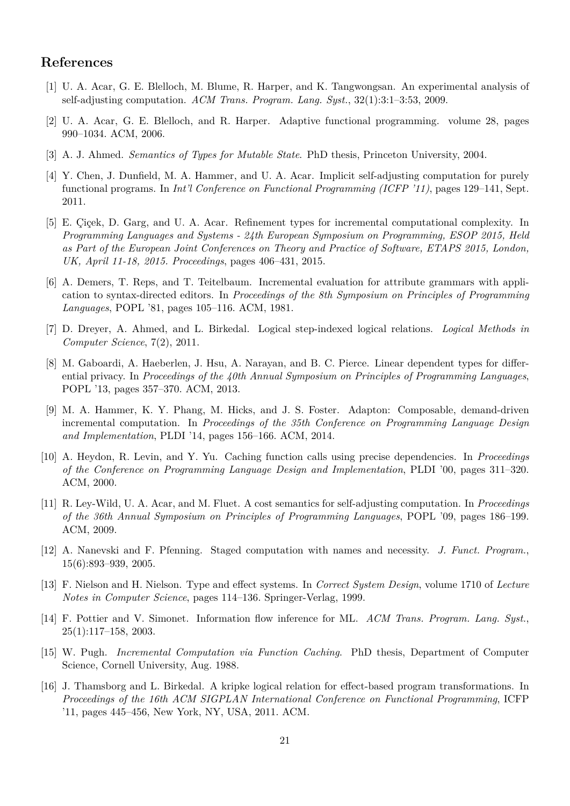# **References**

- <span id="page-20-0"></span>[1] U. A. Acar, G. E. Blelloch, M. Blume, R. Harper, and K. Tangwongsan. An experimental analysis of self-adjusting computation. *ACM Trans. Program. Lang. Syst.*, 32(1):3:1–3:53, 2009.
- <span id="page-20-2"></span>[2] U. A. Acar, G. E. Blelloch, and R. Harper. Adaptive functional programming. volume 28, pages 990–1034. ACM, 2006.
- <span id="page-20-6"></span>[3] A. J. Ahmed. *Semantics of Types for Mutable State*. PhD thesis, Princeton University, 2004.
- <span id="page-20-13"></span>[4] Y. Chen, J. Dunfield, M. A. Hammer, and U. A. Acar. Implicit self-adjusting computation for purely functional programs. In *Int'l Conference on Functional Programming (ICFP '11)*, pages 129–141, Sept. 2011.
- <span id="page-20-5"></span>[5] E. Çiçek, D. Garg, and U. A. Acar. Refinement types for incremental computational complexity. In *Programming Languages and Systems - 24th European Symposium on Programming, ESOP 2015, Held as Part of the European Joint Conferences on Theory and Practice of Software, ETAPS 2015, London, UK, April 11-18, 2015. Proceedings*, pages 406–431, 2015.
- <span id="page-20-1"></span>[6] A. Demers, T. Reps, and T. Teitelbaum. Incremental evaluation for attribute grammars with application to syntax-directed editors. In *Proceedings of the 8th Symposium on Principles of Programming Languages*, POPL '81, pages 105–116. ACM, 1981.
- <span id="page-20-7"></span>[7] D. Dreyer, A. Ahmed, and L. Birkedal. Logical step-indexed logical relations. *Logical Methods in Computer Science*, 7(2), 2011.
- <span id="page-20-11"></span>[8] M. Gaboardi, A. Haeberlen, J. Hsu, A. Narayan, and B. C. Pierce. Linear dependent types for differential privacy. In *Proceedings of the 40th Annual Symposium on Principles of Programming Languages*, POPL '13, pages 357–370. ACM, 2013.
- <span id="page-20-9"></span>[9] M. A. Hammer, K. Y. Phang, M. Hicks, and J. S. Foster. Adapton: Composable, demand-driven incremental computation. In *Proceedings of the 35th Conference on Programming Language Design and Implementation*, PLDI '14, pages 156–166. ACM, 2014.
- <span id="page-20-4"></span>[10] A. Heydon, R. Levin, and Y. Yu. Caching function calls using precise dependencies. In *Proceedings of the Conference on Programming Language Design and Implementation*, PLDI '00, pages 311–320. ACM, 2000.
- <span id="page-20-15"></span>[11] R. Ley-Wild, U. A. Acar, and M. Fluet. A cost semantics for self-adjusting computation. In *Proceedings of the 36th Annual Symposium on Principles of Programming Languages*, POPL '09, pages 186–199. ACM, 2009.
- <span id="page-20-14"></span>[12] A. Nanevski and F. Pfenning. Staged computation with names and necessity. *J. Funct. Program.*, 15(6):893–939, 2005.
- <span id="page-20-10"></span>[13] F. Nielson and H. Nielson. Type and effect systems. In *Correct System Design*, volume 1710 of *Lecture Notes in Computer Science*, pages 114–136. Springer-Verlag, 1999.
- <span id="page-20-12"></span>[14] F. Pottier and V. Simonet. Information flow inference for ML. *ACM Trans. Program. Lang. Syst.*, 25(1):117–158, 2003.
- <span id="page-20-3"></span>[15] W. Pugh. *Incremental Computation via Function Caching*. PhD thesis, Department of Computer Science, Cornell University, Aug. 1988.
- <span id="page-20-8"></span>[16] J. Thamsborg and L. Birkedal. A kripke logical relation for effect-based program transformations. In *Proceedings of the 16th ACM SIGPLAN International Conference on Functional Programming*, ICFP '11, pages 445–456, New York, NY, USA, 2011. ACM.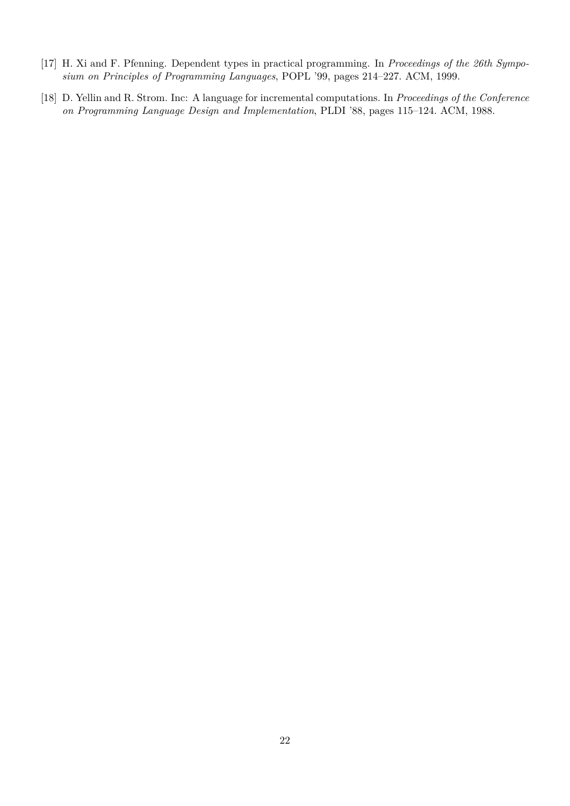- <span id="page-21-1"></span>[17] H. Xi and F. Pfenning. Dependent types in practical programming. In *Proceedings of the 26th Symposium on Principles of Programming Languages*, POPL '99, pages 214–227. ACM, 1999.
- <span id="page-21-0"></span>[18] D. Yellin and R. Strom. Inc: A language for incremental computations. In *Proceedings of the Conference on Programming Language Design and Implementation*, PLDI '88, pages 115–124. ACM, 1988.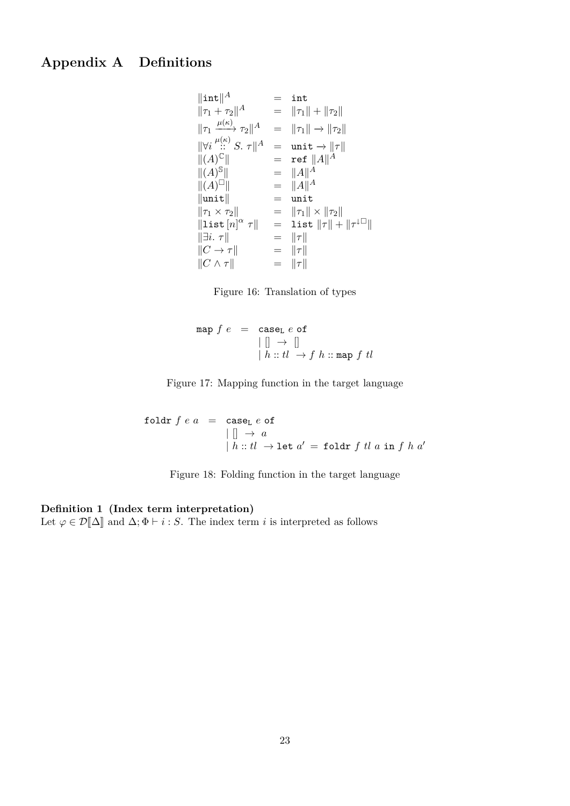# **Appendix A Definitions**

$$
\|\text{int}\|^{A} = \text{int}
$$
\n
$$
\|\tau_{1} + \tau_{2}\|^{A} = \|\tau_{1}\| + \|\tau_{2}\|
$$
\n
$$
\|\tau_{1} \xrightarrow{\mu(\kappa)} \tau_{2}\|^{A} = \|\tau_{1}\| + \|\tau_{2}\|
$$
\n
$$
\|\forall i \xrightarrow{\mu(\kappa)} S. \tau\|^{A} = \text{unit} \rightarrow \|\tau\|
$$
\n
$$
\|(A)^{C}\| = \text{ref } \|A\|^{A}
$$
\n
$$
\|(A)^{S}\| = \|A\|^{A}
$$
\n
$$
\|\|A\|^{S}\| = \|\mu\|^{A}
$$
\n
$$
\|\text{unit} \|\tau_{1} \times \tau_{2}\| = \text{unit}
$$
\n
$$
\|\tau_{1} \times \tau_{2}\| = \text{unit} \|\tau\| \times \|\tau_{2}\|
$$
\n
$$
\|\text{list } [n]^{\alpha} \tau\| = \text{list } \|\tau\| + \|\tau^{\perp\Box}\|
$$
\n
$$
\|\overrightarrow{C} \rightarrow \tau\| = \|\tau\|
$$
\n
$$
\|\overrightarrow{C} \wedge \tau\| = \|\tau\|
$$
\n
$$
\|\tau\| \leq \|\tau\|
$$
\n
$$
\|\tau\| \leq \|\tau\|
$$
\n
$$
\|\tau\| \leq \|\tau\|
$$
\n
$$
\|\tau\| \leq \|\tau\|
$$



$$
\begin{array}{rcl}\n\text{map } f \ e & = & \text{case}_L \ e \text{ of} \\
\mid \ [] \ \rightarrow \ [] \\
\mid \ h :: tl \ \rightarrow f \ h :: \text{map } f \ tl\n\end{array}
$$

Figure 17: Mapping function in the target language

$$
\begin{array}{rcl}\n\text{foldr } f e a & = & \text{case}_L e \text{ of} \\
& | \quad | \quad \rightarrow a \\
& | \quad h :: tl \rightarrow \text{let } a' = \text{foldr } f \text{ } tl \text{ } a \text{ in } f \text{ } h \text{ } a'\n\end{array}
$$

Figure 18: Folding function in the target language

### **Definition 1 (Index term interpretation)**

Let  $\varphi \in \mathcal{D}[\![\Delta]\!]$  and  $\Delta; \Phi \vdash i : S$ . The index term *i* is interpreted as follows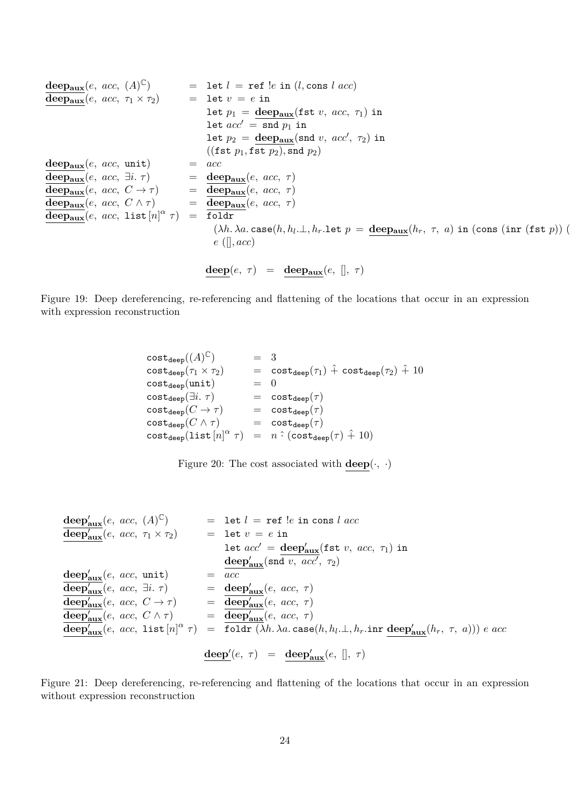$$
\begin{array}{llll}\n\text{deep}_{\text{aux}}(e, \, acc, \, (A)^{\mathbb{C}}) & = & \text{let } l = \text{ref } \text{le in } (l, \text{cons } l \, acc) \\
\hline\n\text{deep}_{\text{aux}}(e, \, acc, \, \tau_1 \times \tau_2) & = & \text{let } v = e \, \text{in} \\
& \text{let } p_1 = \text{deep}_{\text{aux}}(\text{fst } v, \, acc, \, \tau_1) \, \text{in} \\
& \text{let } \alpha c' = \text{snd } p_1 \, \text{in} \\
\text{let } p_2 = \text{deep}_{\text{aux}}(\text{snd } v, \, acc', \, \tau_2) \, \text{in} \\
(\text{fst } p_1, \text{fst } p_2), \text{snd } p_2) \\
\hline\n\text{deep}_{\text{aux}}(e, \, acc, \, \text{unit}) & = & \alpha c \\
\hline\n\text{deep}_{\text{aux}}(e, \, acc, \, \text{iii } \tau) & = & \text{deep}_{\text{aux}}(e, \, acc, \, \tau) \\
\hline\n\text{deep}_{\text{aux}}(e, \, acc, \, C \to \tau) & = & \text{deep}_{\text{aux}}(e, \, acc, \, \tau) \\
\hline\n\text{deep}_{\text{aux}}(e, \, acc, \, C \land \tau) & = & \text{deep}_{\text{aux}}(e, \, acc, \, \tau) \\
\hline\n\text{deep}_{\text{aux}}(e, \, acc, \, \text{iii } \tau) & = & \text{float} \\
(\lambda h \cdot \lambda a. \, \text{case}(h, h_l \ldots, h_r. \text{let } p = \text{deep}_{\text{aux}}(h_r, \, \tau, \, a) \, \text{in} \, (\text{cons } (\text{inr } (\text{fst } p)) \, (\text{else } p_l \, \text{in} \, \tau)) \\
& \text{deep}_{\text{aux}}(e, \, \text{acc}, \, \text{iv } \tau) & = & \text{deep}_{\text{aux}}(e, \, \text{acc}, \, \tau) \\
& \text{deep}_{\text{aux}}(e, \, acc, \, \text{iv } \tau) & = & \text{deep}_{\text{
$$

Figure 19: Deep dereferencing, re-referencing and flattening of the locations that occur in an expression with expression reconstruction

> $\mathtt{cost}_{\mathtt{deep}}((A)^\mathbb{C})$  $=$  3 cost<sub>deep</sub>( $\tau_1 \times \tau_2$ ) = cost<sub>deep</sub>( $\tau_1$ ) +̂ cost<sub>deep</sub>( $\tau_2$ ) +̂ 10 <br>cost<sub>deep</sub>(unit) = 0  $cost_{deep}(unit)$ <br> $cost_{deep}(\exists i. \tau)$  $=$   $cost_{deep}(\tau)$  $\texttt{cost}_{\texttt{deep}}(C \to \tau)$  =  $\texttt{cost}_{\texttt{deep}}(\tau)$  $\texttt{cost}_{\texttt{deep}}(C\land \tau)$  =  $\texttt{cost}_{\texttt{deep}}(\tau)$  $\cosh_{\text{deep}}(\text{list } [n]^\alpha \ \tau) = n \cdot (\text{cost}_{\text{deep}}(\tau) + 10)$

|  |  |  |  | Figure 20: The cost associated with $\mathbf{deep}(\cdot, \cdot)$ |  |  |  |  |  |
|--|--|--|--|-------------------------------------------------------------------|--|--|--|--|--|
|--|--|--|--|-------------------------------------------------------------------|--|--|--|--|--|

$$
\begin{array}{llll}\n\text{deep}_{aux}^{\prime}(e, acc, (A)^{\mathbb{C}}) & = & \text{let } l = \text{ref } !e \text{ in cons } l \, acc \\
\overline{\text{deep}_{aux}^{\prime}}(e, acc, \tau_1 \times \tau_2) & = & \text{let } v = e \text{ in} \\
& \text{let } acc' = \text{deep}_{aux}^{\prime}(\text{fst } v, acc, \tau_1) \text{ in} \\
\text{deep}_{aux}^{\prime}(e, acc, unit) & = & \text{acep}_{aux}^{\prime}(\text{snd } v, acc', \tau_2) \\
\overline{\text{deep}_{aux}^{\prime}}(e, acc, \tau) & = & \text{deep}_{aux}^{\prime}(e, acc, \tau) \\
\overline{\text{deep}_{aux}^{\prime}}(e, acc, C \to \tau) & = & \text{deep}_{aux}^{\prime}(e, acc, \tau) \\
\overline{\text{deep}_{aux}^{\prime}}(e, acc, C \land \tau) & = & \text{deep}_{aux}^{\prime}(e, acc, \tau) \\
\overline{\text{deep}_{aux}^{\prime}}(e, acc, 1 \text{ist } [n]^{\alpha} \tau) & = & \text{float } (\lambda h. \lambda a. \text{ case}(h, h_l. \bot, h_r. \text{inr } \underline{\text{deep}_{aux}^{\prime}}(h_r, \tau, a))) \, e \, acc \\
\overline{\text{deep}_{aux}^{\prime}}(e, \tau) & = & \text{deep}_{aux}^{\prime}(e, [l, \tau))\n\end{array}
$$

Figure 21: Deep dereferencing, re-referencing and flattening of the locations that occur in an expression without expression reconstruction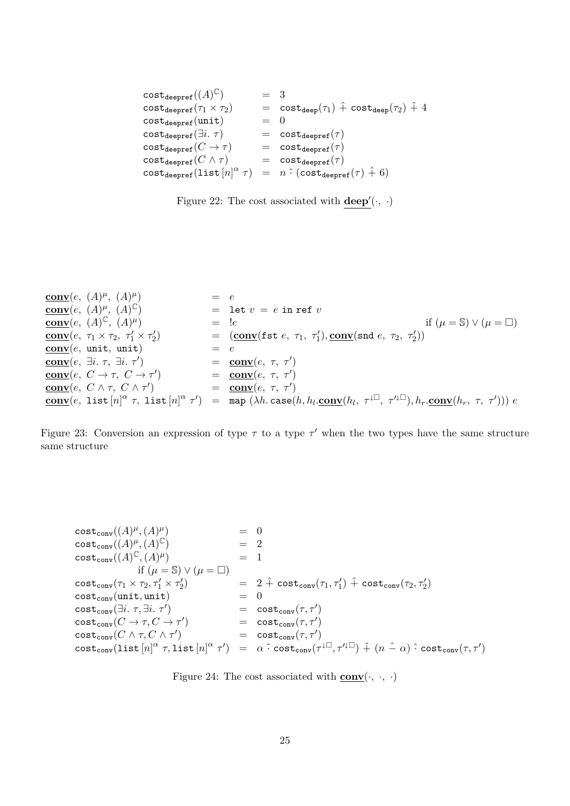```
\texttt{cost}_{\texttt{deepref}}((A)^\mathbb{C}) = 3
\cosh(\tan(\tau_1 \times \tau_2)) = \cosh(\tan(\tau_1) + \cosh(\tau_2)) + 4cost_{deepref} (unit) = 0
cost_{deepref}(\exists i. \tau) = cost_{deepref}(\tau)\texttt{cost}_{\texttt{deepref}}(C \to \tau) = \texttt{cost}_{\texttt{deepref}}(\tau)cost_{deepref}(C \wedge \tau) = cost_{deepref}(\tau)\frac{1}{\text{cost}_{\text{deepref}}}(\text{list}[n]^\alpha)= n \cdot ( \text{cost}_{\text{deerref}}(\tau) + 6)
```


$$
\begin{array}{llll}\n\textbf{conv}(e, (A)^{\mu}, (A)^{\mu}) & = & e \\
\textbf{conv}(e, (A)^{\mu}, (A)^{\mathbb{C}}) & = & \textbf{let } v = & e \textbf{ in ref } v \\
\textbf{conv}(e, (A)^{\mathbb{C}}, (A)^{\mu}) & = & \textbf{let } v = & e \textbf{ in ref } v \\
\textbf{conv}(e, \tau_1 \times \tau_2, \tau_1' \times \tau_2') & = & (\textbf{conv}(\texttt{fst } e, \tau_1, \tau_1'), \textbf{conv}(\texttt{snd } e, \tau_2, \tau_2')) \\
\textbf{conv}(e, \textbf{ unit}, \textbf{ unit}) & = & e \\
\textbf{conv}(e, \exists i. \tau, \exists i. \tau') & = & \textbf{conv}(e, \tau, \tau') \\
\textbf{conv}(e, C \rightarrow \tau, C \rightarrow \tau') & = & \textbf{conv}(e, \tau, \tau') \\
\textbf{conv}(e, C \land \tau, C \land \tau') & = & \textbf{conv}(e, \tau, \tau') \\
\textbf{conv}(e, 1 \textbf{ ist } [n]^{\alpha} \tau, 1 \textbf{ ist } [n]^{\alpha} \tau') & = & \textbf{map}(\lambda h. \textbf{case}(h, h_l.\textbf{conv}(h_l, \tau^{\downarrow \Box}, \tau'^{\downarrow \Box}), h_r.\textbf{conv}(h_r, \tau, \tau'))) e\n\end{array}
$$

Figure 23: Conversion an expression of type  $\tau$  to a type  $\tau'$  when the two types have the same structure same structure

$$
\begin{array}{llll}\n\text{cost}_{\text{conv}}((A)^{\mu},(A)^{\mu}) & = & 0 \\
\text{cost}_{\text{conv}}((A)^{\mu},(A)^{\mathbb{C}}) & = & 2 \\
\text{cost}_{\text{conv}}((A)^{\mathbb{C}},(A)^{\mu}) & = & 1 \\
& \text{if } (\mu = \mathbb{S}) \vee (\mu = \square) \\
& \text{cost}_{\text{conv}}(\tau_1 \times \tau_2, \tau_1' \times \tau_2') & = & 2 \hat{+} \text{ cost}_{\text{conv}}(\tau_1, \tau_1') \hat{+} \text{ cost}_{\text{conv}}(\tau_2, \tau_2') \\
\text{cost}_{\text{conv}}(\text{unit}, \text{unit}) & = & 0 \\
\text{cost}_{\text{conv}}(\exists i. \tau, \exists i. \tau') & = & \text{cost}_{\text{conv}}(\tau, \tau') \\
& \text{cost}_{\text{conv}}(C \to \tau, C \to \tau') & = & \text{cost}_{\text{conv}}(\tau, \tau') \\
& \text{cost}_{\text{conv}}(C \wedge \tau, C \wedge \tau') & = & \text{cost}_{\text{conv}}(\tau, \tau') \\
& \text{cost}_{\text{conv}}(\text{list } [n]^{\alpha} \tau, \text{list } [n]^{\alpha} \tau') & = & \alpha \hat{+} \text{ cost}_{\text{conv}}(\tau^{\downarrow \Box}, \tau'^{\downarrow \Box}) \hat{+} (n \hat{-} \alpha) \hat{+} \text{ cost}_{\text{conv}}(\tau, \tau')\n\end{array}
$$

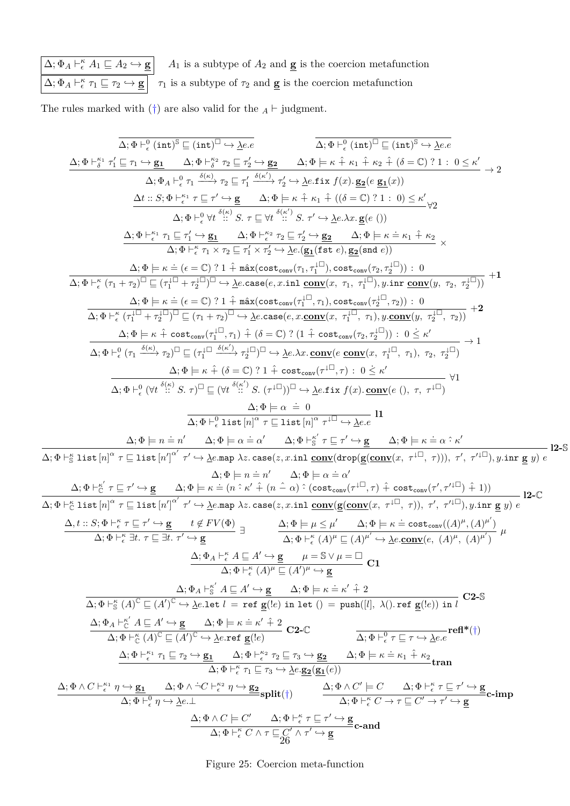$\Delta; \Phi_A \vdash^{\kappa}_{\epsilon} A_1 \sqsubseteq A_2 \hookrightarrow \underline{\mathbf{g}}$  *A*<sub>1</sub> is a subtype of  $A_2$  and  $\underline{\mathbf{g}}$  is the coercion metafunction  $\Delta; \Phi_A \vdash_{\epsilon}^{\kappa} \tau_1 \sqsubseteq \tau_2 \hookrightarrow \underline{\mathbf{g}}$   $\tau_1$  is a subtype of  $\tau_2$  and  $\underline{\mathbf{g}}$  is the coercion metafunction

The rules marked with (†) are also valid for the  $_A \vdash$  judgment.

 $\overline{\overline{\Delta}}$ 

$$
\frac{\Delta_{1}\Phi +_{2}^{0}(1n\tau)^{3}}{\Delta_{1}\Phi +_{2}^{0}(1n\tau)^{4}} = \frac{\Delta_{1}\Phi +_{2}^{0}(1n\tau)^{5}}{\Delta_{1}\Phi +_{2}^{0}(1n\tau)^{5}} = \frac{\Delta_{1}\Phi +_{2}^{0}(1n\tau)^{5}}{\Delta_{1}\Phi +_{2}^{0}(1n\tau)^{5}} = \frac{\Delta_{1}\Phi +_{2}^{0}(1n\tau)^{5}}{\Delta_{1}\Phi +_{2}^{0}(1n\tau)^{5}} = \frac{\Delta_{1}\Phi +_{2}^{0}(1n\tau)^{5}}{\Delta_{1}\Phi +_{2}^{0}(1n\tau)^{5}} = \frac{\Delta_{1}\Phi +_{2}^{0}(1n\tau)^{5}}{\Delta_{1}\Phi +_{2}^{0}(1n\tau)^{5}} = \frac{\Delta_{1}\Phi +_{2}^{0}(1n\tau)^{5}}{\Delta_{1}\Phi +_{2}^{0}(1n\tau)^{5}} = \frac{\Delta_{1}\Phi +_{2}^{0}(1n\tau)^{5}}{\Delta_{1}\Phi +_{2}^{0}(1n\tau)^{5}} = \frac{\Delta_{1}\Phi +_{2}^{0}(1n\tau)^{5}}{\Delta_{1}\Phi +_{2}^{0}(1n\tau)^{5}} = \frac{\Delta_{1}\Phi +_{2}^{0}(1n\tau)^{5}}{\Delta_{1}\Phi +_{2}^{0}(1n\tau)^{5}} = \frac{\Delta_{1}\Phi +_{2}^{0}(1n\tau)^{5}}{\Delta_{1}\Phi +_{2}^{0}(1n\tau)^{5}} = \frac{\Delta_{1}\Phi +_{2}^{0}(1n\tau)^{5}}{\Delta_{1}\Phi +_{2}^{0}(1n\tau)^{5}} = \frac{\Delta_{1}\Phi +_{2}^{0}(1n\tau)^{5}}{\Delta_{1}\Phi +_{2}^{0}(1n\tau)^{5}} = \frac{\Delta_{1}\Phi +_{2}^{0}(1n\tau)^{5}}{\Delta_{1}\Phi +_{2}^{0}(1n\tau)^{5}} = \frac{\Delta_{1}\Phi +_{2}^{0}(1n\tau)^{5}}{\Delta_{1}\Phi +_{2}^{0}(1n\tau)^{5}} = \frac{\Delta_{1}\Phi +_{2}^{0}(1n\tau)^{5}}{\Delta_{1}\Phi +_{2}^{0}(1n\tau)^{5}} = \frac{\Delta_{1}\Phi +_{2}^{0}(1n\tau)^{5}}{\Delta_{1}\Phi +_{2}^{0}(1n\tau
$$

Figure 25: Coercion meta-function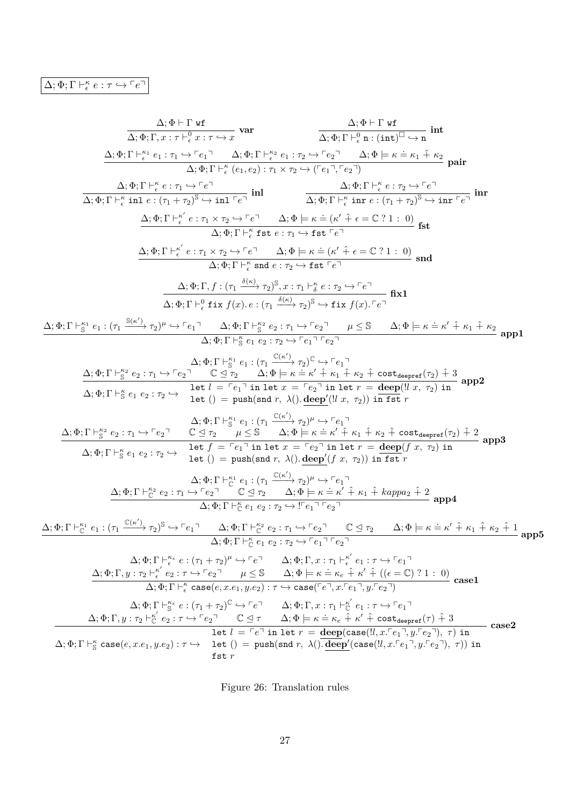| $\Delta$ : $\Phi \vdash \Gamma$ wf                                                                                                                                                                                                                                                                                                                                                                                                                                                                                                                                                                                                                                     |
|------------------------------------------------------------------------------------------------------------------------------------------------------------------------------------------------------------------------------------------------------------------------------------------------------------------------------------------------------------------------------------------------------------------------------------------------------------------------------------------------------------------------------------------------------------------------------------------------------------------------------------------------------------------------|
| $\frac{\Delta; \Phi; \Gamma \vdash^0 \mathbf{n} : (\mathbf{int})^{\square} \hookrightarrow \mathbf{n}}{\Delta; \Phi; \Gamma \vdash^0 \mathbf{n} : (\mathbf{int})^{\square} \hookrightarrow \mathbf{n}}$<br>$\overline{\Delta;\Phi;\Gamma,x:\tau\vdash^0_\epsilon x:\tau\hookrightarrow x}$ var                                                                                                                                                                                                                                                                                                                                                                         |
| $\underline{\Delta};\Phi;\Gamma\vdash^{ \kappa_1}_{\epsilon} e_1:\tau_1\hookrightarrow \ulcorner e_1\urcorner\qquad \Delta;\Phi;\Gamma\vdash^{ \kappa_2}_{\epsilon} e_1:\tau_2\hookrightarrow \ulcorner e_2\urcorner\qquad \Delta;\Phi \models \kappa \doteq \kappa_1\mathrel{\hat{+}}\kappa_2$                                                                                                                                                                                                                                                                                                                                                                        |
| $\Delta: \Phi: \Gamma \vdash^{\kappa} (e_1, e_2): \tau_1 \times \tau_2 \hookrightarrow (\ulcorner e_1 \urcorner \ulcorner e_2 \urcorner$                                                                                                                                                                                                                                                                                                                                                                                                                                                                                                                               |
| $\frac{\Delta;\Phi;\Gamma\vdash^{\kappa}_\epsilon e:\tau_1\hookrightarrow\ulcorner e\urcorner}{\Delta;\Phi;\Gamma\vdash^{\kappa}_\epsilon \text{ inl}~e:(\tau_1+\tau_2)^{\mathbb{S}}\hookrightarrow \text{ inl}~}\qquad \qquad \frac{\Delta;\Phi;\Gamma\vdash^{\kappa}_\epsilon e:\tau_2\hookrightarrow\ulcorner e\urcorner}{\Delta;\Phi;\Gamma\vdash^{\kappa}_\epsilon \text{ inr}~e:(\tau_1+\tau_2)^{\mathbb{S}}\hookrightarrow \text{ inr}~\ulcorner e\urcorner}~\text{ inr}$                                                                                                                                                                                       |
|                                                                                                                                                                                                                                                                                                                                                                                                                                                                                                                                                                                                                                                                        |
| $\frac{\Delta; \Phi; \Gamma \vdash^{\kappa'}_{{\epsilon}} e : \tau_1 \times \tau_2 \hookrightarrow \ulcorner e\urcorner \qquad \Delta; \Phi \models \kappa \doteq (\kappa' \; \hat{+} \; {\epsilon} = \mathbb{C} \; ? \; 1 \; : \; 0)}{\Delta; \Phi; \Gamma \vdash^{\kappa}_{{\epsilon}} \mathtt{fst}\; e : \tau_1 \hookrightarrow \mathtt{fst} \; \ulcorner e\urcorner}$                                                                                                                                                                                                                                                                                              |
| $\Delta; \Phi; \Gamma \vdash^{\kappa'}_{\epsilon} e : \tau_1 \times \tau_2 \hookrightarrow \ulcorner e \urcorner \qquad \Delta; \Phi \models \kappa \doteq (\kappa' \hat{+} \epsilon = \mathbb{C} ? 1 : 0) \text{ and}$                                                                                                                                                                                                                                                                                                                                                                                                                                                |
| $\overline{\Delta;\Phi;\Gamma\vdash_{\epsilon}^{\kappa}$ snd $e:\tau_2\hookrightarrow \mathtt{fst} \Gamma e^{\top}}$                                                                                                                                                                                                                                                                                                                                                                                                                                                                                                                                                   |
| $\underbrace{\Delta;\Phi;\Gamma,f:(\tau_1\xrightarrow{\delta(\kappa)}\tau_2)^{\mathbb{S}},x:\tau_1\vdash^{\kappa}_{\delta}e:\tau_2\hookrightarrow\ulcorner e\urcorner} \text{fix}1$<br>$\Delta; \Phi; \Gamma \vdash^0_{\epsilon} \text{fix } f(x) \ldotp e : (\tau_1 \xrightarrow{\delta(\kappa)} \tau_2)^{\mathbb{S}} \hookrightarrow \text{fix } f(x) \ldotp \ulcorner e \urcorner$                                                                                                                                                                                                                                                                                  |
| $\frac{\Delta;\Phi;\Gamma\vdash_{\mathbb{S}}^{\kappa_1}e_1:(\tau_1\xrightarrow{\mathbb{S}(\kappa')}\tau_2)^\mu\hookrightarrow\ulcorner e_1\urcorner\quad \Delta;\Phi;\Gamma\vdash_{\mathbb{S}}^{\kappa_2}e_2:\tau_1\xrightarrow{\;\vdash}e_2\urcorner\quad \mu\leq\mathbb{S}\qquad \Delta;\Phi\models\kappa\doteq\kappa'\hat{+}\kappa_1\hat{+}\kappa_2\\\Delta;\Phi;\Gamma\vdash_{\mathbb{S}}^{\kappa}e_1\;e_2:\tau_2\xrightarrow{\;\vdash}e_1\urcorner\vdash e_2\urcorner\qquad \qquad \Delta;\$                                                                                                                                                                      |
| $\Delta; \Phi; \Gamma \vdash_{\mathbb{S}}^{\kappa_1} e_1 : (\tau_1 \xrightarrow{\mathbb{C}(\kappa')} \tau_2)^{\mathbb{C}} \hookrightarrow \ulcorner e_1 \urcorner$                                                                                                                                                                                                                                                                                                                                                                                                                                                                                                     |
|                                                                                                                                                                                                                                                                                                                                                                                                                                                                                                                                                                                                                                                                        |
| $\Delta; \Phi; \Gamma \vdash_{\mathbb{S}}^{\kappa_2} e_2 : \tau_1 \hookrightarrow \ulcorner e_2 \urcorner \quad \mathbb{C} \trianglelefteq \tau_2 \quad \Delta; \Phi \models \kappa \doteq \kappa' \hat{+} \kappa_1 \hat{+} \kappa_2 \hat{+} \text{ cost}_{\text{deepref}}(\tau_2) \hat{+} 3 \atop \Delta; \Phi; \Gamma \vdash_{\mathbb{S}}^{\kappa} e_1 e_2 : \tau_2 \hookrightarrow \text{ let } l = \ulcorner e_1 \urcorner \text{ in } \text{let } x = \ulcorner e_2 \urcorner \text{ in } \text{ let } r =$<br>let () = push(snd r, $\lambda$ ().deep'(!l x, $\tau_2$ )) in fst r                                                                                 |
| $\Delta; \Phi; \Gamma \vdash_{\mathcal{S}}^{\kappa_1} e_1 : (\tau_1 \xrightarrow{\mathbb{C}(\kappa')} \tau_2)^\mu \hookrightarrow \ulcorner e_1 \urcorner$<br>$\frac{\Delta; \Phi; \Gamma \vdash_{\mathbb{S}}^{\kappa_2} e_2 : \tau_1 \hookrightarrow \ulcorner e_2 \urcorner \quad \mathbb{C} \trianglelefteq \tau_2 \quad \mu \leq \mathbb{S} \quad \Delta; \Phi \models \kappa \doteq \kappa' \hat{+} \kappa_1 \hat{+} \kappa_2 \hat{+} \text{ cost}_{\text{deepref}}(\tau_2) \hat{+} 2}{\Delta; \Phi; \Gamma \vdash_{\mathbb{S}}^{\kappa} e_1 e_2 : \tau_2 \hookrightarrow \text{ let } f = \ulcorner e_1 \urcorner \text{ in } \text{let } x = \ulcorner e_2 \ur$ |
| let () = push(snd r, $\lambda$ ().deep'(f x, $\tau_2$ )) in fst r                                                                                                                                                                                                                                                                                                                                                                                                                                                                                                                                                                                                      |
| $\Delta; \Phi; \Gamma \vdash^{\kappa_1}_{\mathbb{C}} e_1 : (\tau_1 \xrightarrow{\mathbb{C}(\kappa')} \tau_2)^\mu \hookrightarrow \ulcorner e_1 \urcorner$<br>$\frac{\Delta; \Phi; \Gamma \vdash^{\kappa_2}_\mathbb{C} e_2 : \tau_1 \hookrightarrow \ulcorner e_2 \urcorner \qquad \mathbb{C} \trianglelefteq \tau_2 \qquad \Delta; \Phi \models \kappa \doteq \kappa' \hat{+} \kappa_1 \hat{+} \ kappa_2 \pi_2 \hat{+} 2}{\Delta; \Phi; \Gamma \vdash^{\kappa}_\mathbb{C} e_1 e_2 : \tau_2 \hookrightarrow \ulcorner e_1 \urcorner \ulcorner e_2 \urcorner}$                                                                                                           |
|                                                                                                                                                                                                                                                                                                                                                                                                                                                                                                                                                                                                                                                                        |
| $\Delta;\Phi;\Gamma\vdash^{k_1}_{\mathbb{C}} e_1:(\tau_1\xrightarrow{\mathbb{C}(\kappa')} \tau_2)^{\mathbb{S}} \hookrightarrow \ulcorner e_1\urcorner\qquad \Delta;\Phi;\Gamma\vdash^{k_2}_{\mathbb{C}} e_2:\tau_1\xrightarrow{\;\vdash} e_2\urcorner\qquad\mathbb{C}\trianglelefteq\tau_2\qquad \Delta;\Phi\models\kappa\doteq\kappa'\hat{+}\kappa_1\hat{+}\kappa_2\hat{+}1$                                                                                                                                                                                                                                                                                          |
| $\Delta; \overline{\Phi; \Gamma \vdash_{\mathbb{C}}^{\kappa} e_1 e_2 : \tau_2 \hookrightarrow \ulcorner e_1 \urcorner \ulcorner e_2 \urcorner}$                                                                                                                                                                                                                                                                                                                                                                                                                                                                                                                        |
| $\begin{array}{lll} \Delta; \Phi ; \Gamma \vdash^{ \kappa_e}_{\epsilon} e : (\tau_1 + \tau_2)^\mu \hookrightarrow \ulcorner e \urcorner & \Delta ; \Phi ; \Gamma, x : \tau_1 \vdash^{ \kappa'}_{\epsilon} e_1 : \tau \hookrightarrow \ulcorner e_1 \urcorner \\ \Delta ; \Phi ; \Gamma, y : \tau_2 \vdash^{ \kappa'}_{\epsilon} e_2 : \tau \hookrightarrow \ulcorner e_2 \urcorner & \mu \leq \mathbb{S} & \Delta ; \Phi \models \kappa \doteq \kappa_e \hat{+} \; \kappa' \; \hat{+} \; ((\epsilon = \mathbb{C}) \ ? \ 1 \; : \; 0) \\ \$                                                                                                                             |
|                                                                                                                                                                                                                                                                                                                                                                                                                                                                                                                                                                                                                                                                        |
|                                                                                                                                                                                                                                                                                                                                                                                                                                                                                                                                                                                                                                                                        |
| $\begin{array}{ccc} \Delta; \Phi ; \Gamma \vdash_{\mathbb{S}}^{\kappa_e} e : (\tau_1 + \tau_2)^{\mathbb{C}} \hookrightarrow \ulcorner e \urcorner & \Delta ; \Phi ; \Gamma , x : \tau_1 \vdash_{\mathbb{C}}^{\kappa'} e_1 : \tau \hookrightarrow \ulcorner e_1 \urcorner \\ \Delta ; \Phi ; \Gamma , y : \tau_2 \vdash_{\mathbb{C}}^{\kappa'} e_2 : \tau \hookrightarrow \ulcorner e_2 \urcorner & \mathbb{C} \unlhd \tau & \Delta ; \Phi \models \kappa \doteq \kappa_e \; \hat{+} \; \kappa' \; \hat{+} \; \mathsf{cost}_{\mathsf$<br>case2                                                                                                                          |
| let $l = \lceil e \rceil$ in let $r = \text{deep}(\text{case}(\mathit{ll}, x \lceil e_1 \rceil, y \lceil e_2 \rceil), \tau)$ in<br>$\Delta;\Phi;\Gamma \vdash_{\mathbb{S}}^{\kappa} \text{case}(e,x.e_1,y.e_2): \tau \hookrightarrow \text{ let } () = \text{push}(\text{snd }r, \ \lambda() \cdot \overline{\text{deep}}'(\text{case}(!l,x.^{\ulcorner}e_1 \urcorner, y.^{\ulcorner}e_2 \urcorner), \ \tau)) \text{ in }$<br>fst $r$                                                                                                                                                                                                                                  |
|                                                                                                                                                                                                                                                                                                                                                                                                                                                                                                                                                                                                                                                                        |

Figure 26: Translation rules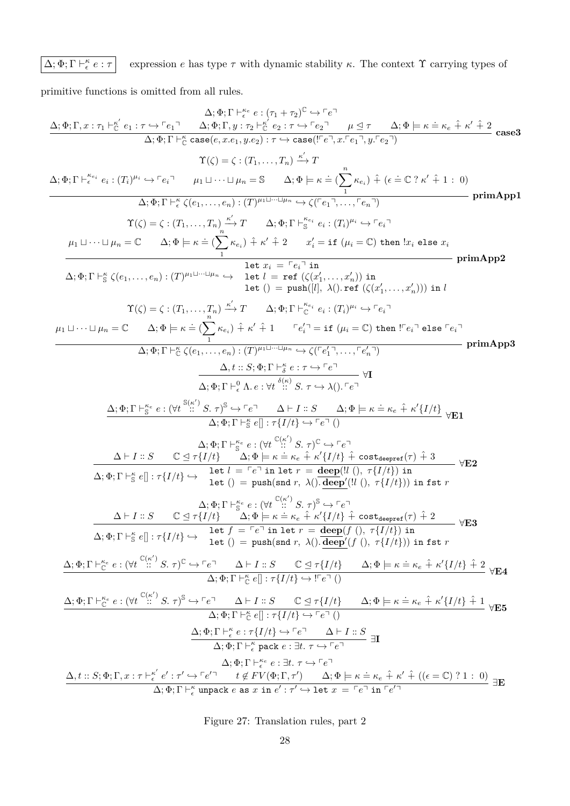#### $Δ; Φ; Γ ⊢_ε^κ$  $e$  has type  $\tau$  with dynamic stability  $\kappa.$  The context  $\Upsilon$  carrying types of

primitive functions is omitted from all rules.

$$
\frac{\Delta_{1}\Phi_{1}\Gamma, x:\tau_{1} \vdash_{\mathcal{C}}^{\mathcal{C}} e_{1} : \tau \leftrightarrow^{\mathcal{C}} e_{1} \qquad \Delta_{1}\Phi_{1}\Gamma, \vdash_{\mathcal{C}}^{\mathcal{C}} e_{2} : \tau_{1} \leftarrow^{\mathcal{C}} e_{2} : \tau_{2} \rightarrow^{\mathcal{C}} e_{1} \qquad \Delta_{1}\Phi_{1}\Gamma, \vdash^{\mathcal{C}} e_{2} : \tau_{2} \rightarrow^{\mathcal{C}} e_{2} \qquad \Delta_{2}\Phi, \vdash_{1}\Gamma, \vdash^{\mathcal{C}} e_{2} : \tau_{2} \rightarrow^{\mathcal{C}} e_{2} \qquad \Delta_{3}\Phi, \vdash_{2}\Gamma, \vdash^{\mathcal{C}} e_{3} : \tau_{3} \rightarrow^{\mathcal{C}} e_{1} \qquad \Delta_{4}\Phi, \vdash_{1}\Gamma, \vdash^{\mathcal{C}} e_{4} : (T_{1})^{n_{1}} \rightarrow^{\mathcal{C}} e_{1} \qquad \Delta_{5}\Phi, T \vdash^{\mathcal{C}} e_{3} : (T_{2})^{n_{2}} \rightarrow T \qquad \Delta_{1}\Phi, \vdash_{1}\Gamma, \vdash^{\mathcal{C}} e_{1} : (T_{1})^{n_{1}} \rightarrow^{\mathcal{C}} e_{1} \qquad \Delta_{1}\Phi, \vdash_{1}\Gamma, \vdash^{\mathcal{C}} e_{2} : (T_{1})^{n_{1}} \rightarrow^{\mathcal{C}} e_{1} \qquad \Delta_{1}\Phi, \vdash_{1}\Gamma, \vdash^{\mathcal{C}} e_{1} : (T_{1})^{n_{1}} \rightarrow^{\mathcal{C}} e_{1} \qquad \Delta_{1}\Phi, \vdash_{1}\Gamma, \vdash^{\mathcal{C}} e_{2} : (T_{1})^{n_{1}} \rightarrow^{\mathcal{C}} e_{1} \qquad \Delta_{1}\Phi, \vdash_{1}\Gamma, \vdash^{\mathcal{C}} e_{2} : (T_{1})^{n_{1}} \rightarrow^{\mathcal{C}} e_{1} \qquad \Delta_{1}\Phi, \vdash_{1}\Gamma, \vdash^{\mathcal{C}} e_{2} : (T_{1})^{n_{1}} \rightarrow^{\mathcal{C}} e_{1} \qquad \Delta_{1}\Phi, \vdash_{1}\Gamma, \vdash^{\mathcal{C}} e_{1} : (T_{1})^{n_{1}} \rightarrow^{\mathcal{
$$

Figure 27: Translation rules, part 2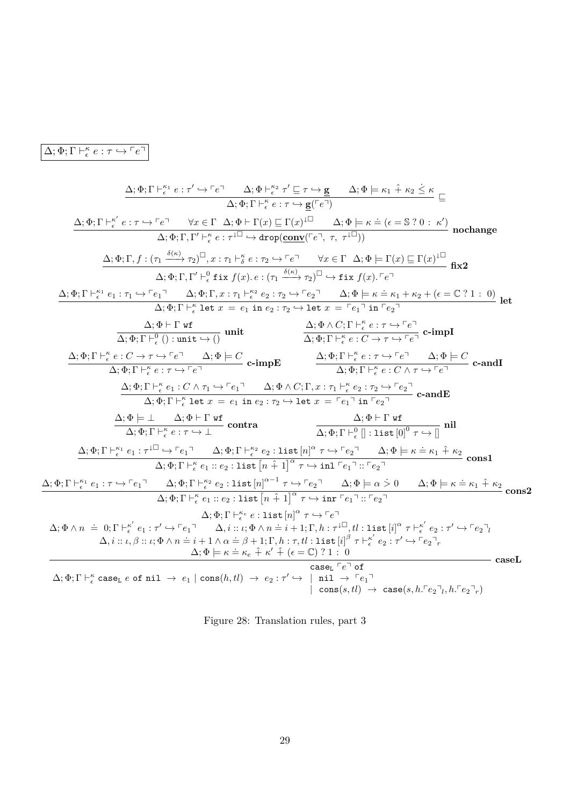<span id="page-28-0"></span>
$$
\Delta ; \Phi ; \Gamma \vdash_{\epsilon}^{\kappa} e : \tau \hookrightarrow \ulcorner e \urcorner
$$

$$
\begin{array}{c} \Delta;\Phi;\Gamma\vdash_{e}^{\kappa_{1}}e:r'\leftrightarrow\Gamma e^{\gamma}\quad\Delta;\Phi\vdash_{e}^{\kappa_{2}}r'\sqsubseteq r\leftrightarrow g\quad\Delta;\Phi\models\kappa_{1}\hat{+}\kappa_{2}\leq\kappa\\\Delta;\Phi;\Gamma\vdash_{e}^{\kappa_{e}}:r\leftrightarrow\Gamma e^{\gamma}\quad\forall x\in\Gamma\quad\Delta;\Phi\vdash\Gamma(x)\sqsubseteq\Gamma(x)^{1\Box}\quad\Delta;\Phi\models\kappa=(e=S\;?\;0\;:\;\kappa')\text{ nonhange}\\\Delta;\Phi;\Gamma,f':\left(\tau_{1}\xrightarrow{\delta(\kappa)}\tau_{2}\right)^{\Box},x:\tau_{1}\vdash_{\delta}^{\kappa}e:\tau_{2}\rightarrow\Gamma e^{\gamma}\quad\forall x\in\Gamma\quad\Delta;\Phi\models\Gamma(x)\sqsubseteq\Gamma(x)^{1\Box}\quad\Omega;\Phi\\\Delta;\Phi;\Gamma,f':\left(\tau_{1}\xrightarrow{\delta(\kappa)}\tau_{2}\right)^{\Box},x:\tau_{1}\vdash_{\delta}^{\kappa}e:\tau_{2}\rightarrow\Gamma e^{\gamma}\quad\forall x\in\Gamma\quad\Delta;\Phi\models\Gamma(x)\sqsubseteq\Gamma(x)^{1\Box}\quad\Omega;\Phi\\\Delta;\Phi;\Gamma\vdash_{e}^{\kappa_{1}}e_{1}:\tau_{1}\rightarrow\Gamma e_{1}^{\gamma_{1}}\quad\Delta;\Phi;\Gamma,x:\tau_{1}\vdash_{\delta}^{\kappa_{2}}e:\tau_{2}\rightarrow\Gamma e^{\gamma}\quad\Delta;\Phi\models\kappa\equiv\kappa_{1}\kappa_{2}\star(\epsilon\equiv\mathbb{C}?\;1\;:\;0)\text{ let}\\\Delta;\Phi;\Gamma\vdash_{e}^{\kappa_{1}}e_{1}:\tau_{1}\rightarrow\Gamma e_{1}^{\gamma_{1}}\quad\Delta;\Phi;\Gamma,x:\tau_{1}\vdash_{e}^{\kappa_{2}}e:\tau_{2}\rightarrow\Gamma e^{\gamma_{2}}\quad\Delta;\Phi\models\kappa\equiv\kappa_{1}\kappa_{2}\star(\epsilon\equiv\mathbb{C}?\;1\;:\;0)\text{ let}\\\Delta;\Phi;\Gamma\vdash_{e}^{\kappa_{1}}e:r'\leftrightarrow\Gamma e^{\gamma_{1}}\quad\Delta;\Phi;\Gamma\vdash_{e}^{\kappa_{2}}e:\tau_{2}\rightarrow\Gamma e^{\gamma_{2}}\quad\Delta;\Phi\vdash\mathbb{C};\Gamma\vdash_{e}^{\kappa_{2}}e:r\leftrightarrow\Gamma e^{\gamma_{2}}\quad\Delta;\Phi;\Gamma\
$$

Figure 28: Translation rules, part 3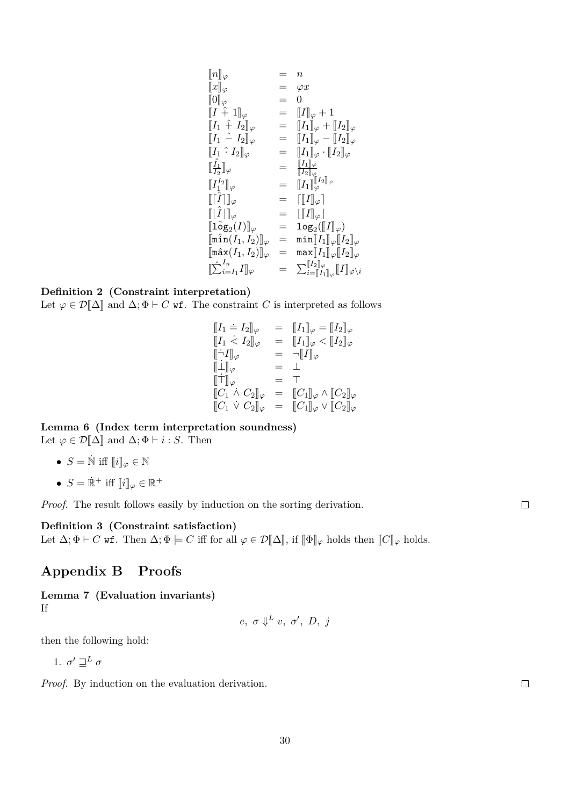$$
\begin{array}{llll}\n\llbracket n \rrbracket_{\varphi} & = & n \\
\llbracket x \rrbracket_{\varphi} & = & \varphi x \\
\llbracket 0 \rrbracket_{\varphi} & = & 0 \\
\llbracket I + 1 \rrbracket_{\varphi} & = & \llbracket I \rrbracket_{\varphi} + 1 \\
\llbracket I_1 \hat{+} I_2 \rrbracket_{\varphi} & = & \llbracket I_1 \rrbracket_{\varphi} + \llbracket I_2 \rrbracket_{\varphi} \\
\llbracket I_1 \hat{=} I_2 \rrbracket_{\varphi} & = & \llbracket I_1 \rrbracket_{\varphi} - \llbracket I_2 \rrbracket_{\varphi} \\
\llbracket I_1 \hat{=} I_2 \rrbracket_{\varphi} & = & \llbracket I_1 \rrbracket_{\varphi} \cdot \llbracket I_2 \rrbracket_{\varphi} \\
\llbracket I_1 \rrbracket_{\varphi} & = & \llbracket I_1 \rrbracket_{\varphi} \cdot \llbracket I_2 \rrbracket_{\varphi} \\
\llbracket I_1 \rrbracket_{\varphi} & = & \llbracket I_1 \rrbracket_{\varphi} \\
\llbracket I_1 \rrbracket_{\varphi} & = & \llbracket I_1 \rrbracket_{\varphi} \\
\llbracket I_2 \rrbracket_{\varphi} & = & \llbracket I_1 \rrbracket_{\varphi} \\
\llbracket I_2 \rrbracket_{\varphi} & = & \llbracket I_1 \rrbracket_{\varphi} \\
\llbracket I_2 \rrbracket_{\varphi} & = & \llbracket I_1 \rrbracket_{\varphi} \\
\llbracket I_2 \rrbracket_{\varphi} & = & \llbracket I_2 \rrbracket_{\varphi} \\
\llbracket \max(I_1, I_2) \rrbracket_{\varphi} & = & \max[I_1] \rrbracket_{\varphi} \llbracket I_2 \rrbracket_{\varphi} \\
\llbracket \hat{\sum}_{i=I_1}^{I_n} I_1 \rrbracket_{\varphi} & = & \sum_{i=\llbracket I_1 \rrbracket_{\varphi} \llbracket I_1 \rrbracket_{\varphi} \\
\llbracket I_2 \rrbracket_{\varphi} \\
\llbracket I_2 \rrbracket_{\varphi} \\
\llbracket I_2 \rrbracket_{\varphi} \\
\llbracket I_1 \rrbracket_{\varphi} \llbr
$$

### **Definition 2 (Constraint interpretation)**

Let  $\varphi \in \mathcal{D}[\![\Delta]\!]$  and  $\Delta; \Phi \vdash C$  wf. The constraint *C* is interpreted as follows

$$
\begin{array}{rcl}\n[I_1 \doteq I_2]_{\varphi} & = & [I_1]_{\varphi} = [I_2]_{\varphi} \\
[I_1 \dot{<} I_2]_{\varphi} & = & [I_1]_{\varphi} < [I_2]_{\varphi} \\
[\dot{\neg} I]_{\varphi} & = & \neg[I]_{\varphi} \\
[\dot{\bot} I]_{\varphi} & = & \neg[I]_{\varphi} \\
[\dot{\bot}]_{\varphi} & = & \bot \\
[\dot{\top}]_{\varphi} & = & \top \\
[C_1 \dot{\wedge} C_2]_{\varphi} & = & [C_1]_{\varphi} \wedge [C_2]_{\varphi} \\
[C_1 \dot{\vee} C_2]_{\varphi} & = & [C_1]_{\varphi} \vee [C_2]_{\varphi}\n\end{array}
$$

**Lemma 6 (Index term interpretation soundness)** Let  $\varphi \in \mathcal{D}[\![\Delta]\!]$  and  $\Delta; \Phi \vdash i : S$ . Then

- $S = \mathbb{N}$  iff  $\llbracket i \rrbracket_{\varphi} \in \mathbb{N}$
- $S = \dot{\mathbb{R}}^+$  iff  $[i]_{\varphi} \in \mathbb{R}^+$

*Proof.* The result follows easily by induction on the sorting derivation.

### **Definition 3 (Constraint satisfaction)**

Let  $\Delta; \Phi \vdash C$  wf. Then  $\Delta; \Phi \models C$  iff for all  $\varphi \in \mathcal{D}[\![\Delta]\!]$ , if  $[\![\Phi]\!]_{\varphi}$  holds then  $[\![C]\!]_{\varphi}$  holds.

# **Appendix B Proofs**

**Lemma 7 (Evaluation invariants)** If

$$
e, \ \sigma \Downarrow^L v, \ \sigma', \ D, \ j
$$

then the following hold:

1.  $\sigma' \sqsupseteq^L \sigma$ 

<span id="page-29-0"></span>*Proof.* By induction on the evaluation derivation.

 $\Box$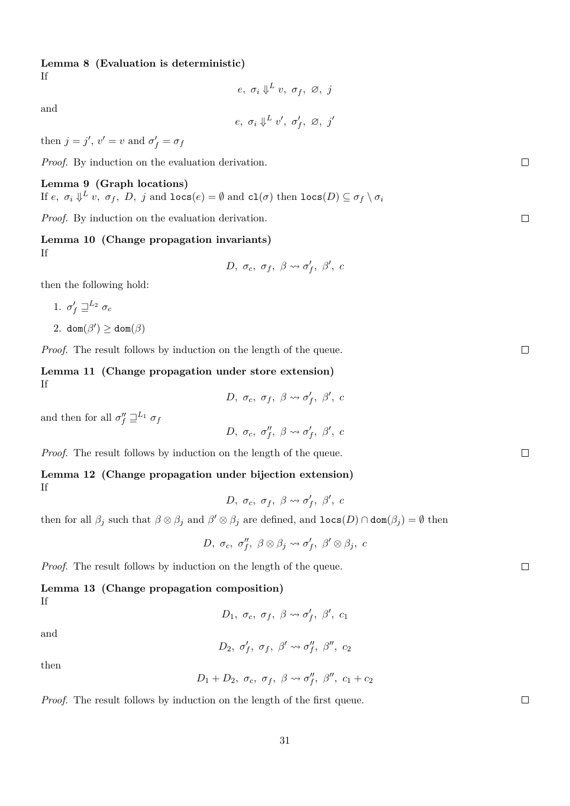### **Lemma 8 (Evaluation is deterministic)**

If

$$
e, \sigma_i \Downarrow^L v, \sigma_f, \varnothing, j
$$

and

$$
e, \ \sigma_i \Downarrow^L v', \ \sigma'_f, \ \varnothing, \ j'
$$

then  $j = j'$ ,  $v' = v$  and  $\sigma'_f = \sigma_f$ 

*Proof.* By induction on the evaluation derivation.

### **Lemma 9 (Graph locations)**

If  $e, \sigma_i \Downarrow^L v, \sigma_f, D, j$  and  $\texttt{loss}(e) = \emptyset$  and  $\texttt{cl}(\sigma)$  then  $\texttt{loss}(D) \subseteq \sigma_f \setminus \sigma_i$ 

*Proof.* By induction on the evaluation derivation.

### **Lemma 10 (Change propagation invariants)** If

$$
D, \sigma_c, \sigma_f, \beta \leadsto \sigma'_f, \beta', c
$$

then the following hold:

$$
1. \, \sigma'_f \sqsupseteq^{L_2} \sigma_c
$$

$$
2. \operatorname{dom}(\beta') \geq \operatorname{dom}(\beta)
$$

*Proof.* The result follows by induction on the length of the queue.

**Lemma 11 (Change propagation under store extension)** If

$$
D, \sigma_c, \sigma_f, \beta \leadsto \sigma'_f, \beta', c
$$

and then for all  $\sigma''_f \sqsupseteq^{L_1} \sigma_f$ 

$$
D, \sigma_c, \sigma''_f, \beta \leadsto \sigma'_f, \beta', c
$$

*Proof.* The result follows by induction on the length of the queue.

### **Lemma 12 (Change propagation under bijection extension)** If

$$
D, \sigma_c, \sigma_f, \beta \leadsto \sigma'_f, \beta', c
$$

then for all  $\beta_j$  such that  $\beta \otimes \beta_j$  and  $\beta' \otimes \beta_j$  are defined, and  $\text{locs}(D) \cap \text{dom}(\beta_j) = \emptyset$  then

$$
D, \sigma_c, \sigma''_f, \beta \otimes \beta_j \leadsto \sigma'_f, \beta' \otimes \beta_j, c
$$

*Proof.* The result follows by induction on the length of the queue.

# **Lemma 13 (Change propagation composition)** If

*D*<sub>1</sub>*, σ*<sub>*c</sub>, σ*<sub>*f*</sub>*, β*<sup>*'*</sup>*, β<sup>'</sup>, <i>c*<sub>1</sub></sub>

and

$$
D_2, \sigma'_f, \sigma_f, \beta' \leadsto \sigma''_f, \beta'', \, c_2
$$

then

$$
D_1+D_2, \sigma_c, \sigma_f, \beta \leadsto \sigma''_f, \beta'', c_1+c_2
$$

*Proof.* The result follows by induction on the length of the first queue.

 $\Box$ 

 $\Box$ 

 $\Box$ 

 $\Box$ 

 $\Box$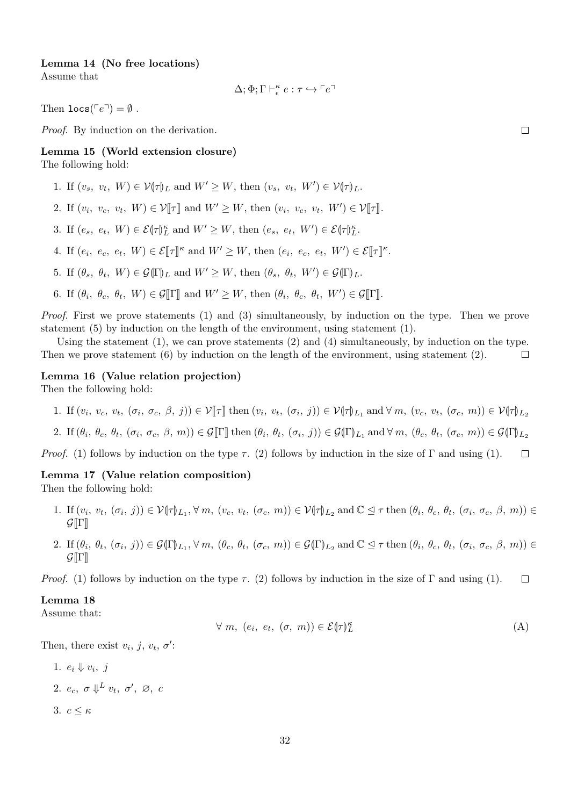#### **Lemma 14 (No free locations)**

Assume that

$$
\Delta; \Phi; \Gamma \vdash_{\epsilon}^{\kappa} e : \tau \hookrightarrow \ulcorner e \urcorner
$$

Then  $\texttt{locs}(Fe^{\top}) = \emptyset$ .

*Proof.* By induction on the derivation.

# <span id="page-31-1"></span>**Lemma 15 (World extension closure)**

The following hold:

- 1. If  $(v_s, v_t, W) \in \mathcal{V}(\tau)$ <sub>L</sub> and  $W' \ge W$ , then  $(v_s, v_t, W') \in \mathcal{V}(\tau)$ <sub>L</sub>.
- 2. If  $(v_i, v_c, v_t, W) \in \mathcal{V}[\![\tau]\!]$  and  $W' \ge W$ , then  $(v_i, v_c, v_t, W') \in \mathcal{V}[\![\tau]\!]$ .
- 3. If  $(e_s, e_t, W) \in \mathcal{E}(\tau)_{L}^{\kappa}$  and  $W' \geq W$ , then  $(e_s, e_t, W') \in \mathcal{E}(\tau)_{L}^{\kappa}$ .
- 4. If  $(e_i, e_c, e_t, W) \in \mathcal{E}[\![\tau]\!]^{\kappa}$  and  $W' \geq W$ , then  $(e_i, e_c, e_t, W') \in \mathcal{E}[\![\tau]\!]^{\kappa}$ .
- 5. If  $(\theta_s, \theta_t, W) \in \mathcal{G}(\Gamma)$ <sub>L</sub> and  $W' \ge W$ , then  $(\theta_s, \theta_t, W') \in \mathcal{G}(\Gamma)$ <sub>L</sub>.
- 6. If  $(\theta_i, \theta_c, \theta_t, W) \in \mathcal{G}[\![\Gamma]\!]$  and  $W' \geq W$ , then  $(\theta_i, \theta_c, \theta_t, W') \in \mathcal{G}[\![\Gamma]\!]$ .

*Proof.* First we prove statements (1) and (3) simultaneously, by induction on the type. Then we prove statement (5) by induction on the length of the environment, using statement (1).

Using the statement  $(1)$ , we can prove statements  $(2)$  and  $(4)$  simultaneously, by induction on the type. Then we prove statement  $(6)$  by induction on the length of the environment, using statement  $(2)$ .  $\Box$ 

### **Lemma 16 (Value relation projection)**

Then the following hold:

- 1. If  $(v_i, v_c, v_t, (\sigma_i, \sigma_c, \beta, j)) \in \mathcal{V}[\![\tau]\!]$  then  $(v_i, v_t, (\sigma_i, j)) \in \mathcal{V}[\![\tau]\!]_{L_1}$  and  $\forall m, (v_c, v_t, (\sigma_c, m)) \in \mathcal{V}[\![\tau]\!]_{L_2}$
- 2. If  $(\theta_i, \theta_c, \theta_t, (\sigma_i, \sigma_c, \beta, m)) \in \mathcal{G}[\![\Gamma]\!]$  then  $(\theta_i, \theta_t, (\sigma_i, j)) \in \mathcal{G}([\![\Gamma]\!]_{L_1}$  and  $\forall m, (\theta_c, \theta_t, (\sigma_c, m)) \in \mathcal{G}([\![\Gamma]\!]_{L_2})$

*Proof.* (1) follows by induction on the type  $\tau$ . (2) follows by induction in the size of  $\Gamma$  and using (1).  $\Box$ 

#### **Lemma 17 (Value relation composition)**

Then the following hold:

- 1. If  $(v_i, v_t, (\sigma_i, j)) \in \mathcal{V}(\tau)_{L_1}, \forall m, (v_c, v_t, (\sigma_c, m)) \in \mathcal{V}(\tau)_{L_2}$  and  $\mathbb{C} \leq \tau$  then  $(\theta_i, \theta_c, \theta_t, (\sigma_i, \sigma_c, \beta, m)) \in \mathcal{C}(\mathbb{F})$  $\mathcal{G}[\Gamma]$
- 2. If  $(\theta_i, \theta_t, (\sigma_i, j)) \in \mathcal{G}(\Gamma)_{L_1}, \forall m, (\theta_c, \theta_t, (\sigma_c, m)) \in \mathcal{G}(\Gamma)_{L_2}$  and  $\mathbb{C} \leq \tau$  then  $(\theta_i, \theta_c, \theta_t, (\sigma_i, \sigma_c, \beta, m)) \in \mathcal{G}(\Gamma)_{L_1}$  $\mathcal{G}[\Gamma]$

*Proof.* (1) follows by induction on the type  $\tau$ . (2) follows by induction in the size of Γ and using (1).  $\Box$ 

#### **Lemma 18**

Assume that:

<span id="page-31-0"></span>
$$
\forall m, (e_i, e_t, (\sigma, m)) \in \mathcal{E}(\tau)_{L}^{\kappa}
$$
 (A)

Then, there exist  $v_i$ ,  $j$ ,  $v_t$ ,  $\sigma'$ :

1.  $e_i \Downarrow v_i, j$ 2.  $e_c$ ,  $\sigma \Downarrow^L v_t$ ,  $\sigma'$ ,  $\varnothing$ ,  $c$ 3.  $c \leq \kappa$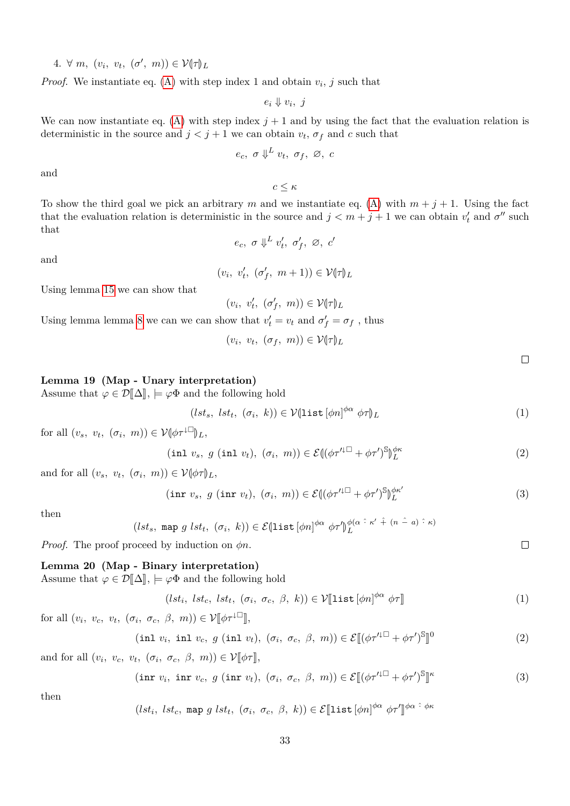$4. \forall m, (v_i, v_t, (\sigma', m)) \in \mathcal{V}(\tau)$ 

*Proof.* We instantiate eq. [\(A\)](#page-31-0) with step index 1 and obtain  $v_i$ , j such that

 $e_i \Downarrow v_i, j$ 

We can now instantiate eq. [\(A\)](#page-31-0) with step index  $j + 1$  and by using the fact that the evaluation relation is deterministic in the source and  $j < j + 1$  we can obtain  $v_t$ ,  $\sigma_f$  and *c* such that

$$
e_c, \sigma \Downarrow^L v_t, \sigma_f, \varnothing, c
$$

and

*c* ≤ *κ*

To show the third goal we pick an arbitrary *m* and we instantiate eq. [\(A\)](#page-31-0) with  $m + j + 1$ . Using the fact that the evaluation relation is deterministic in the source and  $j < m + j + 1$  we can obtain  $v'_t$  and  $\sigma''$  such that

$$
e_c, \ \sigma \Downarrow^L v'_t, \ \sigma'_f, \ \varnothing, \ c'
$$

and

 $(v_i, v'_t, (\sigma'_f, m+1)) \in \mathcal{V}(\tau)$ 

Using lemma [15](#page-31-1) we can show that

 $(v_i, v'_t, (\sigma'_f, m)) \in \mathcal{V}(\tau)$ 

Using lemma lemma [8](#page-29-0) we can we can show that  $v'_t = v_t$  and  $\sigma'_f = \sigma_f$ , thus

 $(v_i, v_t, (\sigma_f, m)) \in \mathcal{V}(\tau)_{L}$ 

<span id="page-32-1"></span><span id="page-32-0"></span> $\Box$ 

#### **Lemma 19 (Map - Unary interpretation)**

Assume that  $\varphi \in \mathcal{D}[\![\Delta]\!], \models \varphi \Phi$  and the following hold

$$
(lst_s, lst_t, (\sigma_i, k)) \in \mathcal{V}(\text{list}[\phi n]^{\phi \alpha} \phi \tau)_{L}
$$
\n
$$
(1)
$$

for all  $(v_s, v_t, (\sigma_i, m)) \in \mathcal{V}[\phi \tau^{\downarrow \Box}]_{L}$ ,

$$
(\text{inl } v_s, \ g \ (\text{inl } v_t), \ (\sigma_i, \ m)) \in \mathcal{E} \left( (\phi \tau'^{\downarrow \Box} + \phi \tau')^{\mathbb{S}} \right)_{L}^{\phi \kappa} \tag{2}
$$

and for all  $(v_s, v_t, (\sigma_i, m)) \in \mathcal{V}(\phi \tau)_{L}$ ,

$$
(\text{inr } v_s, \ g \ (\text{inr } v_t), \ (\sigma_i, \ m)) \in \mathcal{E} \left( (\phi \tau'^{\downarrow \Box} + \phi \tau')^{\mathbb{S}} \right)_{L}^{\phi \kappa'} \tag{3}
$$

then

(*lst<sub>s</sub>*, map 
$$
g \, lst_t
$$
,  $(\sigma_i, k)$ )  $\in \mathcal{E}(\text{list}[\phi n]^{\phi\alpha} \phi\tau']_L^{\phi(\alpha \hat{\tau} \kappa' \hat{\tau} (n - a) \hat{\tau} \kappa)}$ 

*Proof.* The proof proceed by induction on *φn*.

#### **Lemma 20 (Map - Binary interpretation)**

Assume that  $\varphi \in \mathcal{D}[\![\Delta]\!], \models \varphi \Phi$  and the following hold

$$
(lst_i, lst_c, lst_t, (\sigma_i, \sigma_c, \beta, k)) \in \mathcal{V}[\text{list}[\phi n]^{\phi \alpha} \phi \tau]
$$
\n
$$
(1)
$$

for all  $(v_i, v_c, v_t, (\sigma_i, \sigma_c, \beta, m)) \in \mathcal{V}[\![\phi \tau^{\downarrow \Box}]\!]$ ,

$$
(\text{inl } v_i, \text{ inl } v_c, \ g \ (\text{inl } v_t), \ (\sigma_i, \ \sigma_c, \ \beta, \ m)) \in \mathcal{E}[(\phi \tau'^{\downarrow \Box} + \phi \tau')^{\mathbb{S}}]^0 \tag{2}
$$

and for all  $(v_i, v_c, v_t, (\sigma_i, \sigma_c, \beta, m)) \in \mathcal{V}[\![\phi \tau]\!],$ 

 $(\text{inr } v_i, \text{ inr } v_c, g \text{ (inr } v_t), (\sigma_i, \sigma_c, \beta, m)) \in \mathcal{E}[(\phi \tau'^{\downarrow \square} + \phi \tau')^{\mathbb{S}}]$ l<br>I *κ* (3)

then

$$
(lst_i, \, lst_c, \, \text{map } g \, lst_t, \, (\sigma_i, \, \sigma_c, \, \beta, \, k)) \in \mathcal{E}[\text{list}[\phi n]^{\phi \alpha} \, \phi \tau']^{\phi \alpha} \, \hat{\cdot} \, \phi \kappa
$$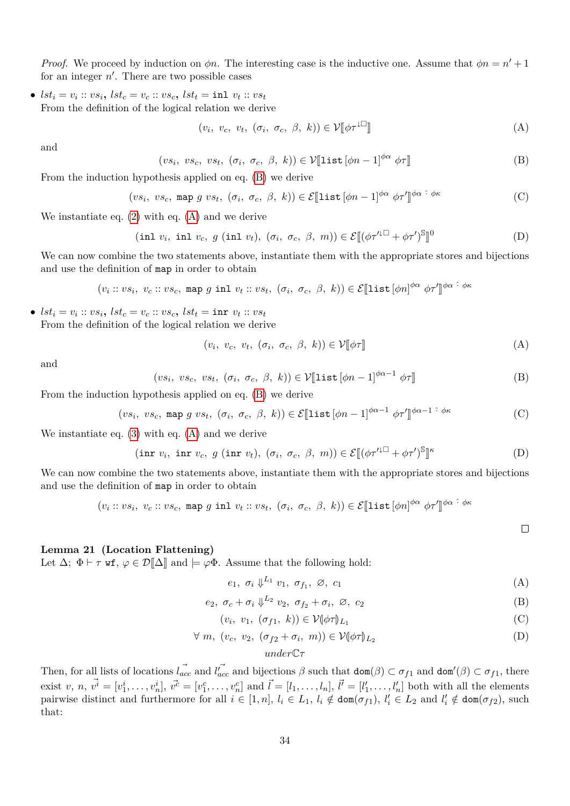*Proof.* We proceed by induction on  $\phi n$ . The interesting case is the inductive one. Assume that  $\phi n = n' + 1$ for an integer  $n'$ . There are two possible cases

•  $lst_i = v_i :: vs_i, \, lst_c = v_c :: vs_c, \, lst_t = \text{inl} \, v_t :: vs_t$ From the definition of the logical relation we derive

<span id="page-33-1"></span><span id="page-33-0"></span>
$$
(v_i, v_c, v_t, (\sigma_i, \sigma_c, \beta, k)) \in \mathcal{V}[\![\phi \tau^{\downarrow \square}]\!]
$$
 (A)

and

$$
(vs_i, vs_c, vs_t, (\sigma_i, \sigma_c, \beta, k)) \in \mathcal{V}[\text{list}[\phi n - 1]^{\phi \alpha} \phi \tau]]
$$
 (B)

From the induction hypothesis applied on eq. [\(B\)](#page-33-0) we derive

$$
(vs_i, vs_c, \text{map } g vs_t, (\sigma_i, \sigma_c, \beta, k)) \in \mathcal{E}[\text{list}[\phi n - 1]^{\phi \alpha} \phi \tau']^{\phi \alpha} \hat{\cdot}^{\phi \kappa} \tag{C}
$$

We instantiate eq.  $(2)$  with eq.  $(A)$  and we derive

$$
(\text{inl } v_i, \text{ inl } v_c, \ g \ (\text{inl } v_t), \ (\sigma_i, \ \sigma_c, \ \beta, \ m)) \in \mathcal{E}[(\phi \tau'^{\downarrow \Box} + \phi \tau')^{\mathbb{S}}]^0 \tag{D}
$$

We can now combine the two statements above, instantiate them with the appropriate stores and bijections and use the definition of map in order to obtain

$$
(v_i :: vs_i, v_c :: vs_c, \text{ map } g \text{ inl } v_t :: vs_t, (\sigma_i, \sigma_c, \beta, k)) \in \mathcal{E}[\text{list}[\phi n]^{\phi \alpha} \phi \tau']^{\phi \alpha} \hat{\cdot}^{\phi \kappa}
$$

•  $lst_i = v_i :: vs_i, \, lst_c = v_c :: vs_c, \, lst_t = \texttt{inr} \, v_t :: vs_t$ From the definition of the logical relation we derive

$$
(v_i, v_c, v_t, (\sigma_i, \sigma_c, \beta, k)) \in \mathcal{V}[\![\phi \tau]\!]
$$
 (A)

and

$$
(vs_i, vs_c, vs_t, (\sigma_i, \sigma_c, \beta, k)) \in \mathcal{V}[\text{list}[\phi n - 1]^{\phi \alpha - 1} \phi \tau]]
$$
 (B)

From the induction hypothesis applied on eq. [\(B\)](#page-33-0) we derive

$$
(vs_i, vs_c, \text{map } g \text{ vs}_t, (\sigma_i, \sigma_c, \beta, k)) \in \mathcal{E}[\text{list}[\phi n - 1]^{\phi \alpha - 1} \phi \tau']^{\phi \alpha - 1 \hat{\cdot} \phi \kappa} \tag{C}
$$

We instantiate eq.  $(3)$  with eq.  $(A)$  and we derive

$$
(\text{inr } v_i, \text{ inr } v_c, \ g \ (\text{inr } v_t), \ (\sigma_i, \ \sigma_c, \ \beta, \ m)) \in \mathcal{E}[(\phi \tau'^{\downarrow \Box} + \phi \tau')^{\mathbb{S}}]^\kappa
$$
 (D)

We can now combine the two statements above, instantiate them with the appropriate stores and bijections and use the definition of map in order to obtain

$$
(v_i :: vs_i, v_c :: vs_c, \text{ map } g \text{ inl } v_t :: vs_t, (\sigma_i, \sigma_c, \beta, k)) \in \mathcal{E}[\text{list}[\phi n]^{\phi \alpha} \phi \tau']^{\phi \alpha} \hat{\cdot}^{\phi \kappa}
$$

#### **Lemma 21 (Location Flattening)**

Let  $\Delta$ ;  $\Phi \vdash \tau$  wf,  $\varphi \in \mathcal{D}[\![\Delta]\!]$  and  $\models \varphi \Phi$ . Assume that the following hold:

$$
e_1, \sigma_i \downarrow^{L_1} v_1, \sigma_{f_1}, \varnothing, c_1 \tag{A}
$$

<span id="page-33-2"></span> $\Box$ 

$$
e_2, \ \sigma_c + \sigma_i \downarrow^{L_2} v_2, \ \sigma_{f_2} + \sigma_i, \ \varnothing, \ c_2 \tag{B}
$$

$$
(v_i, v_1, (\sigma_{f1}, k)) \in \mathcal{V}(\phi \tau)_{L_1}
$$
 (C)

$$
\forall m, (v_c, v_2, (\sigma_{f2} + \sigma_i, m)) \in \mathcal{V}(\phi \tau)_{L_2}
$$
 (D)

*under*C*τ*

Then, for all lists of locations  $l_{acc}^{\rightarrow}$  and bijections  $\beta$  such that  $dom(\beta) \subset \sigma_{f1}$  and  $dom'(\beta) \subset \sigma_{f1}$ , there exist v, n,  $\vec{v}^i = [v_1^i, \dots, v_n^i], \vec{v}^c = [v_1^c, \dots, v_n^c]$  and  $\vec{l} = [l_1, \dots, l_n], \vec{l'} = [l'_1, \dots, l'_n]$  both with all the elements pairwise distinct and furthermore for all  $i \in [1, n]$ ,  $l_i \in L_1$ ,  $l_i \notin \text{dom}(\sigma_{f1})$ ,  $l'_i \in L_2$  and  $l'_i \notin \text{dom}(\sigma_{f2})$ , such that: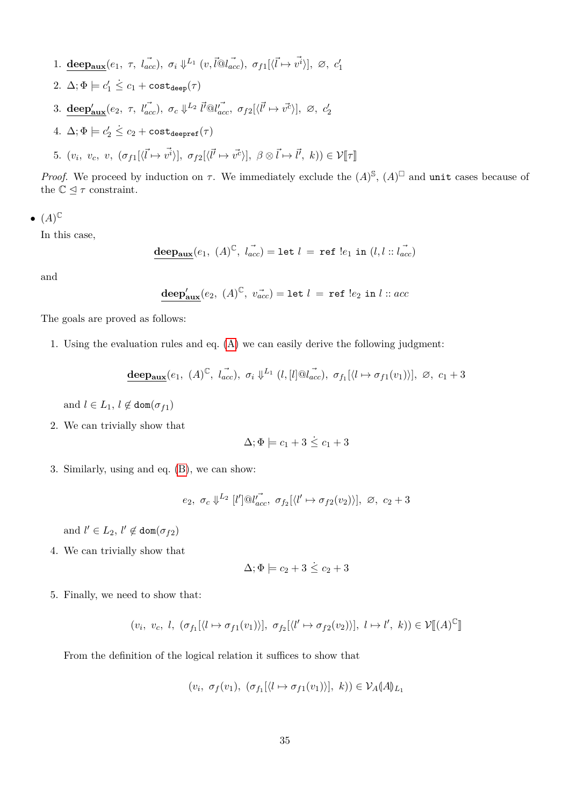1. **deep<sub>aux</sub>**(*e*<sub>1</sub>,  $\tau$ , *l*<sub>acc</sub>),  $\sigma_i \Downarrow^{L_1} (v, \vec{l} \vec{Q} \vec{l}_{acc})$ ,  $\sigma_{f1}[\langle \vec{l} \mapsto \vec{v^i} \rangle]$ ,  $\varnothing$ ,  $c'_1$ 2.  $\Delta; \Phi \models c_1' \leq c_1 + \mathtt{cost}_{\mathtt{deep}}(\tau)$ 3. **deep**<sub>aux</sub></sup>(*e*<sub>2</sub>,  $\tau$ ,  $l_{acc}^{\prime\prime}$ ),  $\sigma_c \Downarrow^{L_2} \vec{l'} \mathbb{Q} l_{acc}^{\prime\prime}$ ,  $\sigma_{f2}[\langle \vec{l'} \mapsto \vec{v^c} \rangle]$ ,  $\varnothing$ ,  $c_2^{\prime}$  $4. \ \Delta; \Phi \models c'_2 \stackrel{.}{\leq} c_2 + \mathtt{cost}_{\mathtt{deepref}}(\tau)$ 5.  $(v_i, v_c, v, (\sigma_{f1}[\langle \vec{l} \mapsto \vec{v^i} \rangle], \sigma_{f2}[\langle \vec{l'} \mapsto \vec{v^c} \rangle], \beta \otimes \vec{l} \mapsto \vec{l'}, k)) \in \mathcal{V}[\![\tau]\!]$ 

*Proof.* We proceed by induction on  $\tau$ . We immediately exclude the  $(A)^{\mathbb{S}}, (A)^{\square}$  and unit cases because of the  $\mathbb{C} \trianglelefteq \tau$  constraint.

$$
\bullet \ \ (A)^{\mathbb{C}}
$$

In this case,

$$
\underline{\text{deep}_{\text{aux}}}(e_1, (A)^{\mathbb{C}}, l_{acc}^{\rightarrow}) = \text{let } l = \text{ref } !e_1 \text{ in } (l, l::l_{acc}^{\rightarrow})
$$

and

$$
\underline{\mathbf{deep}}_{\mathbf{aux}}'(e_2, (A)^{\mathbb{C}}, v_{acc}^{\rightarrow}) = \mathtt{let } l = \mathtt{ref} ! e_2 \mathtt{in} l :: acc
$$

The goals are proved as follows:

1. Using the evaluation rules and eq. [\(A\)](#page-40-0) we can easily derive the following judgment:

$$
\underline{\text{deep}_{\text{aux}}}(e_1, (A)^{\mathbb{C}}, \vec{l_{acc}}), \sigma_i \Downarrow^{L_1} (l, [l] \otimes \vec{l_{acc}}), \sigma_{f_1}[\langle l \mapsto \sigma_{f1}(v_1) \rangle], \varnothing, c_1 + 3
$$

and  $l \in L_1$ ,  $l \notin \text{dom}(\sigma_{f1})$ 

2. We can trivially show that

$$
\Delta; \Phi \models c_1 + 3 \leq c_1 + 3
$$

3. Similarly, using and eq. [\(B\)](#page-40-1), we can show:

$$
e_2, \sigma_c \downarrow^{L_2} [l'] \t\t@l'_{acc}, \sigma_{f_2}[\langle l' \mapsto \sigma_{f2}(v_2) \rangle], \varnothing, c_2 + 3
$$

and  $l' \in L_2$ ,  $l' \notin \text{dom}(\sigma_{f2})$ 

4. We can trivially show that

$$
\Delta; \Phi \models c_2 + 3 \leq c_2 + 3
$$

5. Finally, we need to show that:

$$
(v_i, v_c, l, (\sigma_{f_1}[\langle l \mapsto \sigma_{f1}(v_1) \rangle], \sigma_{f_2}[\langle l' \mapsto \sigma_{f2}(v_2) \rangle], l \mapsto l', k)) \in \mathcal{V}[[A]^\mathbb{C}]]
$$

From the definition of the logical relation it suffices to show that

$$
(v_i, \ \sigma_f(v_1), \ (\sigma_{f_1}[\langle l \mapsto \sigma_{f1}(v_1) \rangle], \ k)) \in \mathcal{V}_A(\mathcal{A})_{L_1}
$$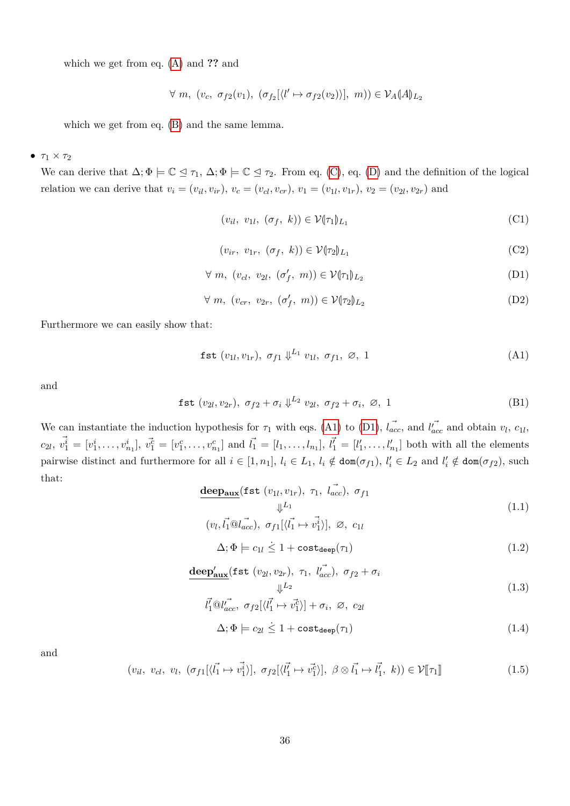which we get from eq. [\(A\)](#page-40-0) and **??** and

$$
\forall m, (v_c, \sigma_{f2}(v_1), (\sigma_{f2}[\langle l' \mapsto \sigma_{f2}(v_2) \rangle], m)) \in \mathcal{V}_A(A|L_2)
$$

which we get from eq. [\(B\)](#page-40-1) and the same lemma.

### $\bullet$   $\tau_1 \times \tau_2$

We can derive that  $\Delta; \Phi \models \mathbb{C} \preceq \tau_1, \Delta; \Phi \models \mathbb{C} \preceq \tau_2$ . From eq. [\(C\)](#page-40-2), eq. [\(D\)](#page-40-3) and the definition of the logical relation we can derive that  $v_i = (v_{il}, v_{ir}), v_c = (v_{cl}, v_{cr}), v_1 = (v_{1l}, v_{1r}), v_2 = (v_{2l}, v_{2r})$  and

$$
(v_{il}, v_{1l}, (\sigma_f, k)) \in \mathcal{V}(\tau_1|_{L_1})
$$
\n(C1)

<span id="page-35-1"></span><span id="page-35-0"></span>
$$
(v_{ir}, v_{1r}, (\sigma_f, k)) \in \mathcal{V}(\tau_2)_{L_1}
$$
 (C2)

$$
\forall m, (v_{cl}, v_{2l}, (\sigma'_f, m)) \in \mathcal{V}(\tau_1)_{L_2}
$$
 (D1)

$$
\forall m, (v_{cr}, v_{2r}, (\sigma'_f, m)) \in \mathcal{V}(\tau_2|_{L_2}
$$
 (D2)

Furthermore we can easily show that:

$$
\text{fst} \ (v_{1l}, v_{1r}), \ \sigma_{f1} \ \psi^{L_1} \ v_{1l}, \ \sigma_{f1}, \ \varnothing, \ 1 \tag{A1}
$$

and

fst (*v*2*<sup>l</sup> , v*2*r*)*, σf*<sup>2</sup> + *σ<sup>i</sup>* ⇓ *<sup>L</sup>*<sup>2</sup> *v*2*<sup>l</sup> , σf*<sup>2</sup> + *σ<sup>i</sup> ,* ∅*,* 1 (B1)

We can instantiate the induction hypothesis for  $\tau_1$  with eqs. [\(A1\)](#page-35-0) to [\(D1\)](#page-35-1),  $\vec{l_{acc}}$  and  $\vec{l_{acc}}$  and obtain  $v_l$ ,  $c_{1l}$ ,  $c_{2l}, \vec{v}_1^i = [v_1^i, \ldots, v_{n_1}^i], \vec{v}_1^c = [v_1^c, \ldots, v_{n_1}^c]$  and  $\vec{l}_1 = [l_1, \ldots, l_{n_1}], \vec{l}_1^c = [l'_1, \ldots, l'_{n_1}]$  both with all the elements pairwise distinct and furthermore for all  $i \in [1, n_1]$ ,  $l_i \in L_1$ ,  $l_i \notin \text{dom}(\sigma_{f1})$ ,  $l'_i \in L_2$  and  $l'_i \notin \text{dom}(\sigma_{f2})$ , such that:

$$
\frac{\text{deep}_{\text{aux}}(\text{fst}(v_{1l}, v_{1r}), \tau_1, l_{acc}^{\top}), \sigma_{f1}}{\Downarrow^{L_1}}(v_l, l_1^{\top} \mathbb{Q}l_{acc}^{\top}), \sigma_{f1}[\langle l_1^{\top} \mapsto v_1^{\top} \rangle], \varnothing, c_{1l}
$$
\n(1.1)

$$
\Delta; \Phi \models c_{1l} \leq 1 + \text{cost}_{\text{deep}}(\tau_1)
$$
\n(1.2)

$$
\underline{\text{deep}}^{\prime}_{\text{aux}}(\text{fst} \ (v_{2l}, v_{2r}), \ \tau_1, \ \vec{l}_{acc}^{\mathbf{r}}), \ \sigma_{f2} + \sigma_i
$$
\n
$$
\downarrow^{L_2}
$$
\n(1.3)

$$
\vec{l}'_1 \, \mathbb{Q} \vec{l}'_{acc}, \ \sigma_{f2} [\langle \vec{l}'_1 \mapsto \vec{v}'_1 \rangle] + \sigma_i, \ \varnothing, \ c_{2l}
$$
\n
$$
\Delta; \Phi \models c_{2l} \leq 1 + \text{cost}_{\text{deep}}(\tau_1) \tag{1.4}
$$

and

$$
(v_{il}, v_{cl}, v_l, (\sigma_{f1}[\langle \vec{l_1} \mapsto \vec{v_1^i} \rangle], \sigma_{f2}[\langle \vec{l_1^i} \mapsto \vec{v_1^c} \rangle], \ \beta \otimes \vec{l_1} \mapsto \vec{l_1^i}, k)) \in \mathcal{V}[\![\tau_1]\!]
$$
(1.5)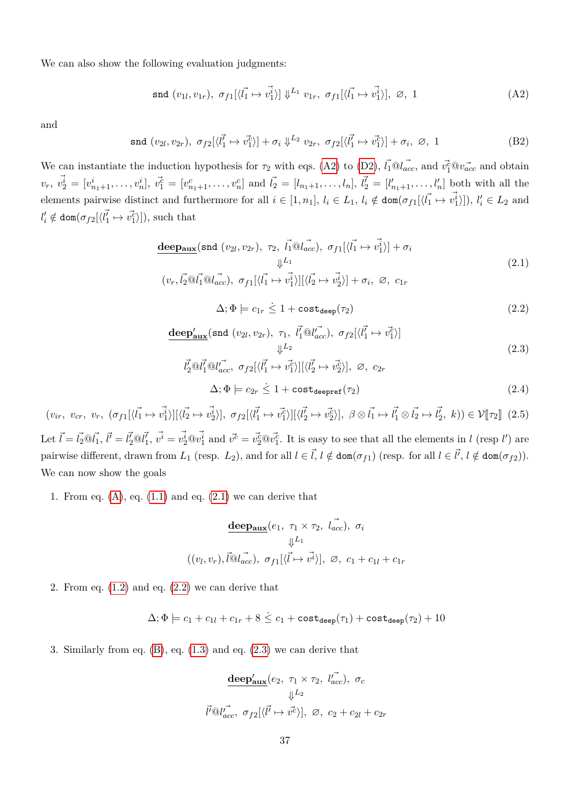We can also show the following evaluation judgments:

<span id="page-36-0"></span>
$$
\text{snd } (v_{1l}, v_{1r}), \ \sigma_{f1}[\langle \vec{l_1} \mapsto \vec{v_1^i} \rangle] \Downarrow^{L_1} v_{1r}, \ \sigma_{f1}[\langle \vec{l_1} \mapsto \vec{v_1^i} \rangle], \ \varnothing, \ 1 \tag{A2}
$$

and

$$
\text{snd}(v_{2l}, v_{2r}), \ \sigma_{f2}[\langle l_1 \rangle \to \vec{v_1^c} \rangle] + \sigma_i \Downarrow^{L_2} v_{2r}, \ \sigma_{f2}[\langle l_1 \rangle \to \vec{v_1^c} \rangle] + \sigma_i, \ \varnothing, \ 1 \tag{B2}
$$

We can instantiate the induction hypothesis for  $\tau_2$  with eqs. [\(A2\)](#page-36-0) to [\(D2\)](#page-35-0),  $\vec{l_1} \mathbb{Q} \vec{l_{acc}}$ , and  $\vec{v_1^c} \mathbb{Q} \vec{v_{acc}}$  and obtain  $v_r, \vec{v}_2^i = [v_{n_1+1}^i, \ldots, v_n^i], \vec{v}_1^c = [v_{n_1+1}^c, \ldots, v_n^c]$  and  $\vec{l}_2^i = [l_{n_1+1}, \ldots, l_n], \vec{l}_2^i = [l'_{n_1+1}, \ldots, l'_n]$  both with all the elements pairwise distinct and furthermore for all  $i \in [1, n_1], l_i \in L_1$ ,  $l_i \notin \text{dom}(\sigma_{f1}[\langle \vec{l_1} \mapsto \vec{v_1^i} \rangle]), l'_i \in L_2$  and  $l'_i \notin \text{dom}(\sigma_{f2}[\langle \vec{l'_1} \mapsto \vec{v_1^c} \rangle]),$  such that

$$
\frac{\text{deep}_{\text{aux}}(\text{snd } (v_{2l}, v_{2r}), \tau_2, \vec{l_1} \textcircled{u_{acc}}), \sigma_{f1}[\langle \vec{l_1} \mapsto \vec{v_1^i} \rangle] + \sigma_i}{\Downarrow^{L_1}}
$$
\n
$$
(v_r, \vec{l_2} \textcircled{u_1^d} \textcircled{u_{acc}}), \sigma_{f1}[\langle \vec{l_1} \mapsto \vec{v_1^i} \rangle] [\langle \vec{l_2} \mapsto \vec{v_2^i} \rangle] + \sigma_i, \varnothing, c_{1r}
$$
\n
$$
(2.1)
$$

$$
\Delta; \Phi \models c_{1r} \le 1 + \text{cost}_{\text{deep}}(\tau_2) \tag{2.2}
$$

$$
\frac{\text{deep}_{\text{aux}}^{\prime}(\text{snd } (v_{2l}, v_{2r}), \tau_1, \vec{l_1} \text{ @ } l_{acc}^{\prime\prime}), \ \sigma_{f2}[\langle \vec{l_1} \mapsto \vec{v_1^c} \rangle]}{\Downarrow^{L_2}} \tag{2.3}
$$

$$
\vec{l}_2^{\prime} \textcircled{a} \vec{l}_1^{\prime} \textcircled{a} \vec{l}_{acc}^{\prime}, \ \sigma_{f2} [\langle \vec{l}_1^{\prime} \mapsto \vec{v_1^c} \rangle] [\langle \vec{l}_2^{\prime} \mapsto \vec{v_2^c} \rangle], \ \varnothing, \ c_{2r}
$$
\n
$$
\Delta; \Phi \models c_{2r} \le 1 + \text{cost}_{\text{deepref}}(\tau_2) \tag{2.4}
$$

 $(v_{ir}, v_{cr}, v_r, (\sigma_{f1}[\langle \vec{l_1} \mapsto \vec{v_1^i} \rangle][\langle \vec{l_2} \mapsto \vec{v_2^i} \rangle], \sigma_{f2}[\langle \vec{l_1^i} \mapsto \vec{v_1^c} \rangle][\langle \vec{l_2^i} \mapsto \vec{v_2^c} \rangle], \ \beta \otimes \vec{l_1} \mapsto \vec{l_1} \otimes \vec{l_2} \mapsto \vec{l_2^i}, k) \in \mathcal{V}[\tau_2]$  (2.5)

Let  $\vec{l} = l_2 \otimes l_1$ ,  $\vec{l'} = l_2 \otimes l_1$ ,  $\vec{v'} = v_2 \otimes v_1 \otimes u_2$  and  $\vec{v'} = v_2 \otimes v_1 \otimes u_2$ . It is easy to see that all the elements in l (resp l') are pairwise different, drawn from  $L_1$  (resp.  $L_2$ ), and for all  $l \in \vec{l}$ ,  $l \notin \text{dom}(\sigma_{f1})$  (resp. for all  $l \in \vec{l}'$ ,  $l \notin \text{dom}(\sigma_{f2})$ ). We can now show the goals

1. From eq.  $(A)$ , eq.  $(1.1)$  and eq.  $(2.1)$  we can derive that

$$
\frac{\text{deep}_{\text{aux}}(e_1, \tau_1 \times \tau_2, \vec{l_{acc}}), \sigma_i}{\Downarrow^{L_1}}
$$

$$
((v_l, v_r), \vec{l} \otimes \vec{l_{acc}}), \sigma_{f1}[\langle \vec{l} \mapsto \vec{v^i} \rangle], \varnothing, c_1 + c_{1l} + c_{1r}
$$

2. From eq.  $(1.2)$  and eq.  $(2.2)$  we can derive that

$$
\Delta; \Phi \models c_1 + c_{1l} + c_{1r} + 8 \leq c_1 + \text{cost}_{\text{deep}}(\tau_1) + \text{cost}_{\text{deep}}(\tau_2) + 10
$$

3. Similarly from eq.  $(B)$ , eq.  $(1.3)$  and eq.  $(2.3)$  we can derive that

$$
\frac{\text{deep}_{\text{aux}}'(e_2, \tau_1 \times \tau_2, l_{acc}^{\vec{r}}), \sigma_c}{\Downarrow^{L_2}}
$$

$$
\vec{l'}@l_{acc}^{\vec{r}}, \sigma_{f2}[\langle \vec{l'} \mapsto \vec{v'} \rangle], \varnothing, c_2 + c_{2l} + c_{2r}
$$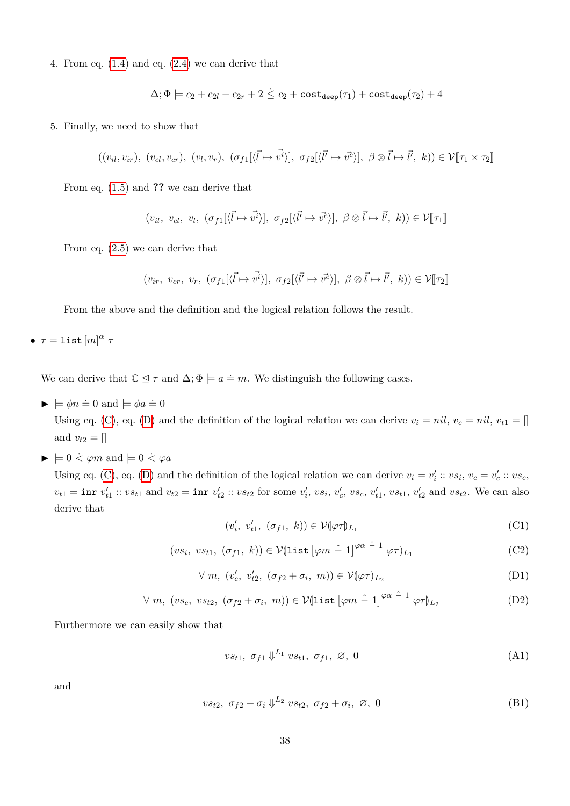4. From eq.  $(1.4)$  and eq.  $(2.4)$  we can derive that

$$
\Delta;\Phi \models c_2 + c_{2l} + c_{2r} + 2 \leq c_2 + \text{cost}_{\text{deep}}(\tau_1) + \text{cost}_{\text{deep}}(\tau_2) + 4
$$

5. Finally, we need to show that

$$
((v_{il}, v_{ir}), (v_{cl}, v_{cr}), (v_l, v_r), (\sigma_{f1}[\langle \vec{l} \mapsto \vec{v^i} \rangle], \sigma_{f2}[\langle \vec{l'} \mapsto \vec{v^c} \rangle], \beta \otimes \vec{l} \mapsto \vec{l'}, k)) \in \mathcal{V}[\![\tau_1 \times \tau_2]\!]
$$

From eq. [\(1.5\)](#page-38-5) and **??** we can derive that

$$
(v_{il}, v_{cl}, v_l, (\sigma_{f1}[\langle \vec{l} \mapsto \vec{v^i} \rangle], \sigma_{f2}[\langle \vec{l'} \mapsto \vec{v^c} \rangle], \beta \otimes \vec{l} \mapsto \vec{l'}, k)) \in \mathcal{V}[\![\tau_1]\!]
$$

From eq. [\(2.5\)](#page-39-1) we can derive that

$$
(v_{ir}, v_{cr}, v_r, (\sigma_{f1}[\langle \vec{l} \mapsto \vec{v^i} \rangle], \sigma_{f2}[\langle \vec{l} \mapsto \vec{v^c} \rangle], \beta \otimes \vec{l} \mapsto \vec{l'}, k)) \in \mathcal{V}[\![\tau_2]\!]
$$

From the above and the definition and the logical relation follows the result.

 $\bullet$   $\tau = 1$ ist $[m]^{\alpha}$   $\tau$ 

We can derive that  $\mathbb{C} \leq \tau$  and  $\Delta; \Phi \models a = m$ . We distinguish the following cases.

 $\blacktriangleright$   $\models \phi n \doteq 0$  and  $\models \phi a \doteq 0$ 

Using eq. [\(C\)](#page-40-3), eq. [\(D\)](#page-40-4) and the definition of the logical relation we can derive  $v_i = nil$ ,  $v_c = nil$ ,  $v_{t1} = []$ and  $v_{t2} = \Box$ 

 $\blacktriangleright$   $\models$  0  $\dot{\lt} \varphi m$  and  $\models$  0  $\dot{\lt} \varphi a$ 

Using eq. [\(C\)](#page-40-3), eq. [\(D\)](#page-40-4) and the definition of the logical relation we can derive  $v_i = v'_i :: vs_i, v_c = v'_c :: vs_c,$  $v_{t1} = \text{inr } v'_{t1} :: v s_{t1}$  and  $v_{t2} = \text{inr } v'_{t2} :: v s_{t2}$  for some  $v'_{i}$ ,  $v s_{i}$ ,  $v'_{c}$ ,  $v s_{c}$ ,  $v'_{t1}$ ,  $v s_{t1}$ ,  $v'_{t2}$  and  $v s_{t2}$ . We can also derive that

<span id="page-37-1"></span>
$$
(v_i', v_{t1}', (\sigma_{f1}, k)) \in \mathcal{V}(\varphi \tau)_{L_1}
$$
 (C1)

$$
(vs_i, vs_{t1}, (\sigma_{f1}, k)) \in \mathcal{V}(\text{list } [\varphi m \ \hat{-} \ 1]^{\varphi \alpha \ \hat{-} \ 1} \ \varphi \tau)_{L_1} \tag{C2}
$$

$$
\forall m, (v_c', v_{t2}', (\sigma_{f2} + \sigma_i, m)) \in \mathcal{V}(\varphi \tau)_{L_2}
$$
 (D1)

$$
\forall m, (vs_c, vs_{t2}, (\sigma_{f2} + \sigma_i, m)) \in \mathcal{V}(\text{list } [\varphi m \hat{-} 1]^{\varphi \alpha} \hat{-}^1 \varphi \tau)_{L_2}
$$
 (D2)

Furthermore we can easily show that

<span id="page-37-0"></span>
$$
vs_{t1}, \sigma_{f1} \downarrow^{L_1} vs_{t1}, \sigma_{f1}, \varnothing, 0 \tag{A1}
$$

and

$$
vs_{t2}, \ \sigma_{f2} + \sigma_i \Downarrow^{L_2} vs_{t2}, \ \sigma_{f2} + \sigma_i, \ \varnothing, \ 0 \tag{B1}
$$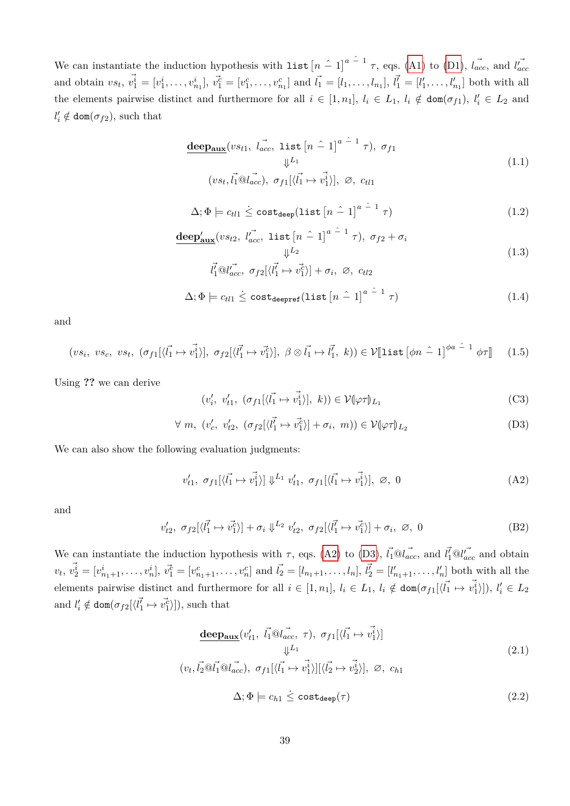We can instantiate the induction hypothesis with list  $\left[n-1\right]^{a-1}$   $\tau$ , eqs. [\(A1\)](#page-37-0) to [\(D1\)](#page-37-1),  $\vec{l_{acc}}$ , and  $\vec{l_{acc}}$ and obtain  $vs_t$ ,  $v_1^{\vec{i}} = [v_1^i, \ldots, v_{n_1}^i], v_1^{\vec{c}} = [v_1^c, \ldots, v_{n_1}^c]$  and  $\vec{l}_1 = [l_1, \ldots, l_{n_1}], \vec{l}_1^{\vec{r}} = [l'_1, \ldots, l'_{n_1}]$  both with all the elements pairwise distinct and furthermore for all  $i \in [1, n_1]$ ,  $l_i \in L_1$ ,  $l_i \notin \text{dom}(\sigma_{f1})$ ,  $l'_i \in L_2$  and  $l'_i \notin \text{dom}(\sigma_{f2}),$  such that

$$
\frac{\text{deep}_{\text{aux}}(vs_{t1}, \overrightarrow{l_{acc}}, \text{list } [n \text{ } \hat{-} 1]^{a \hat{-} 1} \tau), \sigma_{f1}}{\Downarrow^{L_1}}
$$
\n
$$
(vs_t, \overrightarrow{l_1} \text{ } @\overrightarrow{l_{acc}}), \sigma_{f1}[\langle \overrightarrow{l_1} \mapsto \overrightarrow{v_1} \rangle], \varnothing, \ c_{t11}
$$
\n
$$
(1.1)
$$

$$
\Delta; \Phi \models c_{tl1} \leq \mathtt{cost}_{\mathtt{deep}}(\mathtt{list}\left[n \; \hat{\;} \; 1\right]^{a \; \hat{\;} \; 1} \tau) \tag{1.2}
$$

$$
\underline{\text{deep}}'_{\text{aux}}(vs_{t2}, \vec{l'_{acc}}, \text{list}[\hat{n-1}]^{a-1} \tau), \sigma_{f2} + \sigma_i
$$
\n
$$
\Downarrow^{L_2} \tag{1.3}
$$

<span id="page-38-5"></span><span id="page-38-4"></span><span id="page-38-3"></span><span id="page-38-1"></span>
$$
\vec{l_1} \textcircled{a} \vec{l_{acc}}, \ \sigma_{f2}[\langle \vec{l_1} \mapsto \vec{v_1^c} \rangle] + \sigma_i, \ \varnothing, \ ct_{l2}
$$

$$
\Delta; \Phi \models c_{tl1} \leq \mathtt{cost}_{\mathtt{deepref}}(\mathtt{list}\left[n-1\right]^{a-1}\tau) \tag{1.4}
$$

and

$$
(vs_i, vs_c, vs_t, (\sigma_{f1}[\langle \vec{l_1} \mapsto \vec{v_1} \rangle], \sigma_{f2}[\langle \vec{l_1} \mapsto \vec{v_1} \rangle], \beta \otimes \vec{l_1} \mapsto \vec{l_1}, k)) \in \mathcal{V}[\text{list } [\phi n \stackrel{\frown}{-} 1]^{\phi a \stackrel{\frown}{-} 1} \phi \tau] \tag{1.5}
$$

Using **??** we can derive

<span id="page-38-7"></span><span id="page-38-6"></span>
$$
(v_i', v_{t1}', (\sigma_{f1}[\langle \vec{l_1} \mapsto \vec{v_1^i} \rangle], k)) \in \mathcal{V}(\varphi \tau)_{L_1}
$$
 (C3)

$$
\forall m, (v_c', v_{t2}', (\sigma_{f2}[\langle \vec{l_1} \mapsto \vec{v_1^c} \rangle] + \sigma_i, m)) \in \mathcal{V}(\varphi \tau)_{L_2}
$$
 (D3)

We can also show the following evaluation judgments:

$$
v'_{t1}, \sigma_{f1}[\langle \vec{l_1} \mapsto \vec{v_1^i} \rangle] \Downarrow^{L_1} v'_{t1}, \sigma_{f1}[\langle \vec{l_1} \mapsto \vec{v_1^i} \rangle], \varnothing, 0 \tag{A2}
$$

and

$$
v'_{t2}, \sigma_{f2}[\langle \vec{l'_1} \mapsto \vec{v_1} \rangle] + \sigma_i \downarrow^{L_2} v'_{t2}, \sigma_{f2}[\langle \vec{l'_1} \mapsto \vec{v_1} \rangle] + \sigma_i, \varnothing, 0 \tag{B2}
$$

We can instantiate the induction hypothesis with  $\tau$ , eqs. [\(A2\)](#page-38-6) to [\(D3\)](#page-38-7),  $\vec{l_1} \mathbb{Q} \vec{l_{acc}}$ , and  $\vec{l_1} \mathbb{Q} \vec{l_{acc}}$  and obtain  $v_t, v_2^{\vec{i}} = [v_{n_1+1}^i, \ldots, v_n^i], v_1^{\vec{c}} = [v_{n_1+1}^c, \ldots, v_n^c]$  and  $\vec{l}_2 = [l_{n_1+1}, \ldots, l_n], \vec{l}_2^{\vec{c}} = [l'_{n_1+1}, \ldots, l'_n]$  both with all the elements pairwise distinct and furthermore for all  $i \in [1, n_1], l_i \in L_1, l_i \notin \text{dom}(\sigma_{f1}[\langle \vec{l_1} \mapsto \vec{v_1^i} \rangle]), l'_i \in L_2$ and  $l'_i \notin \text{dom}(\sigma_{f2}[\langle \vec{l'_1} \mapsto \vec{v_1^c} \rangle]),$  such that

<span id="page-38-2"></span><span id="page-38-0"></span>
$$
\frac{\text{deep}_{\text{aux}}(v'_{t1}, \vec{l_1} \textcircled{a_{acc}}, \tau), \sigma_{f1}[\langle \vec{l_1} \mapsto \vec{v_1^i} \rangle]}{\Downarrow^{L_1}}
$$
\n
$$
(v_t, \vec{l_2} \textcircled{a_{\text{loc}}}^{\tau} \vec{a})
$$
\n
$$
\sigma_{f1}[\langle \vec{l_1} \mapsto \vec{v_1^i} \rangle][\langle \vec{l_2} \mapsto \vec{v_2^i} \rangle], \varnothing, c_{h1}
$$
\n
$$
\Delta; \Phi \models c_{h1} \leq \text{cost}_{\text{deep}}(\tau)
$$
\n(2.2)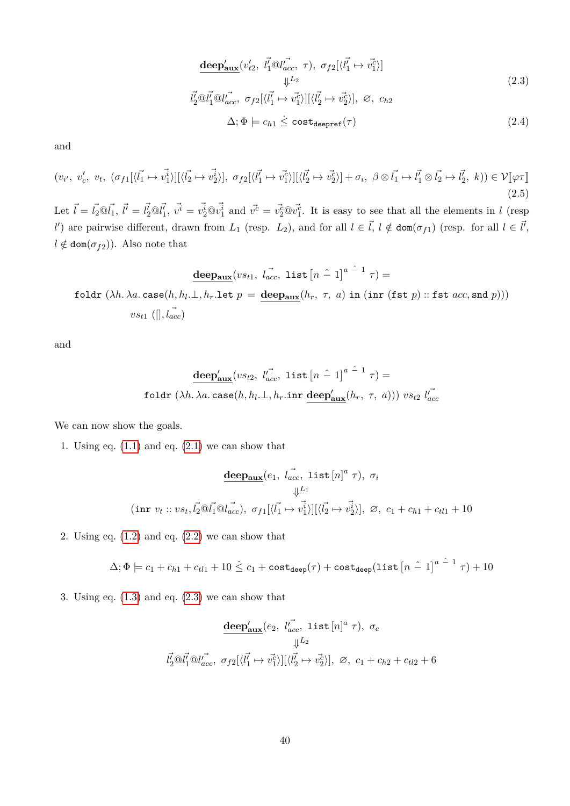<span id="page-39-1"></span><span id="page-39-0"></span>
$$
\frac{\text{deep}_{\text{aux}}'(v_{t2}', \vec{l}_1 \vec{\omega} l_{acc}', \tau), \sigma_{f2}[\langle \vec{l}_1 \mapsto \vec{v}_1^c \rangle]}{\Downarrow^{L_2}}\n\vec{l}_2 \vec{\omega} l_1^{\tau} \vec{\omega} l_{acc}', \sigma_{f2}[\langle \vec{l}_1^{\tau} \mapsto \vec{v}_1^c \rangle][\langle \vec{l}_2^{\tau} \mapsto \vec{v}_2^c \rangle], \varnothing, c_{h2}\n\Delta; \Phi \models c_{h1} \leq \text{cost}_{\text{deepref}}(\tau)
$$
\n(2.4)

and

$$
(v_{i'}, v'_{c}, v_{t}, (\sigma_{f1}[\langle \vec{l_1} \mapsto \vec{v_1^i} \rangle][\langle \vec{l_2} \mapsto \vec{v_2^i} \rangle], \sigma_{f2}[\langle \vec{l_1^i} \mapsto \vec{v_1^c} \rangle][\langle \vec{l_2^i} \mapsto \vec{v_2^c} \rangle] + \sigma_i, \ \beta \otimes \vec{l_1} \mapsto \vec{l_1} \otimes \vec{l_2} \mapsto \vec{l_2^i}, k) \in \mathcal{V}[\varphi \tau \mathbb{I} \tag{2.5}
$$

Let  $\vec{l} = \vec{l}_2 \otimes \vec{l}_1$ ,  $\vec{l}' = \vec{l}'_2 \otimes \vec{l}'_1$ ,  $\vec{v'} = \vec{v'_2} \otimes \vec{v'_1}$  and  $\vec{v'} = \vec{v'_2} \otimes \vec{v'_1}$ . It is easy to see that all the elements in l (resp *l*<sup> $l$ </sup>) are pairwise different, drawn from *L*<sub>1</sub> (resp. *L*<sub>2</sub>), and for all  $l \in \vec{l}$ ,  $l \notin \text{dom}(\sigma_{f1})$  (resp. for all  $l \in \vec{l}'$ ,  $l \notin \text{dom}(\sigma_{f2})$ ). Also note that

$$
\underline{\mathbf{deep_{aux}}}(vs_{t1}, \overrightarrow{l_{acc}}, \overrightarrow{\mathbf{list}}[n-1]^{a-1} \tau) =
$$
\n
$$
\mathbf{foldr} \ (\lambda h. \ \lambda a. \ \mathbf{case}(h, h_l. \bot, h_r. \mathbf{let} \ p = \underline{\mathbf{deep_{aux}}}(h_r, \ \tau, \ a) \ \mathbf{in} \ (\mathbf{int} \ (\mathbf{fst} \ p) :: \mathbf{fst} \ acc, \mathbf{snd} \ p)))
$$
\n
$$
vs_{t1} \ ([], \overrightarrow{l_{acc}})
$$

and

$$
\underline{\mathbf{deep'_{aux}}}(vs_{t2}, \overrightarrow{l'_{acc}}, \overrightarrow{\mathbf{list}}[n-1]^{a-1} \tau) =
$$
\n
$$
\mathbf{foldr} \ (\lambda h. \ \lambda a. \ \mathbf{case}(h, h_l. \bot, h_r. \mathbf{inr} \ \underline{\mathbf{deep'_{aux}}}(h_r, \ \tau, \ a))) \ vs_{t2} \ \overrightarrow{l'_{acc}}
$$

We can now show the goals.

1. Using eq.  $(1.1)$  and eq.  $(2.1)$  we can show that

$$
\frac{\text{deep}_{\text{aux}}(e_1, l_{acc}^{\vec{\mu}}, \text{list}[n]^a \tau), \sigma_i}{\Downarrow^{L_1}}
$$
  
( $\text{inr } v_t :: v s_t, l_2^{\vec{\mu}} \otimes l_1^{\vec{\mu}} \otimes l_{acc}^{\vec{\mu}}), \sigma_{f1}[\langle l_1^{\vec{\mu}} \mapsto v_1^{\vec{\mu}} \rangle][\langle l_2^{\vec{\mu}} \mapsto v_2^{\vec{\mu}} \rangle], \varnothing, c_1 + c_{h1} + c_{t1} + 10$ 

2. Using eq.  $(1.2)$  and eq.  $(2.2)$  we can show that

$$
\Delta; \Phi \models c_1 + c_{h1} + c_{t11} + 10 \leq c_1 + \text{cost}_{\text{deep}}(\tau) + \text{cost}_{\text{deep}}(\text{list }[n \text{ } \hat{-} \text{ } 1]^{a \text{ } \hat{-} \text{ } 1} \text{ } \tau) + 10
$$

3. Using eq.  $(1.3)$  and eq.  $(2.3)$  we can show that

$$
\underbrace{\text{deep}'_{\text{aux}}(e_2, \text{ } l'_{acc}, \text{ list } [n]^a \tau), \text{ } \sigma_c}_{\text{max}} \\ \downarrow^{L_2} \\ \vec{l'_2} \text{@} \vec{l'_1} \text{@} \vec{l'_{acc}}, \text{ } \sigma_{f2}[\langle \vec{l'_1} \mapsto \vec{v'_1} \rangle] [\langle \vec{l'_2} \mapsto \vec{v'_2} \rangle], \text{ } \varnothing, \text{ } c_1 + c_{h2} + c_{tl2} + 6
$$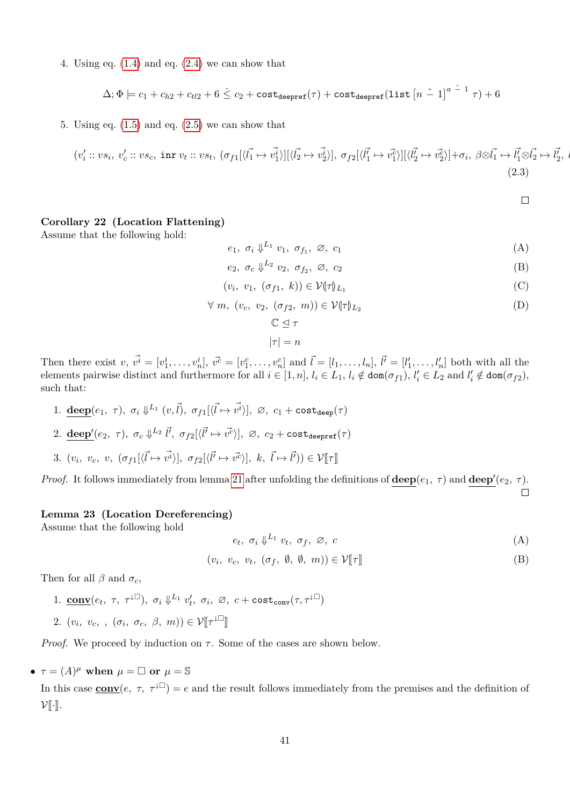4. Using eq.  $(1.4)$  and eq.  $(2.4)$  we can show that

$$
\Delta; \Phi \models c_1 + c_{h2} + c_{t2} + 6 \leq c_2 + \text{cost}_{\text{deepref}}(\tau) + \text{cost}_{\text{deepref}}(\text{list }[n-1]^{a-1} \tau) + 6
$$

5. Using eq.  $(1.5)$  and eq.  $(2.5)$  we can show that

$$
(v_i' :: vs_i, v_c' :: vs_c, \text{ inr } v_t :: vs_t, (\sigma_{f1}[\langle \vec{l_1} \mapsto \vec{v_1} \rangle][\langle \vec{l_2} \mapsto \vec{v_2} \rangle], \sigma_{f2}[\langle \vec{l_1} \mapsto \vec{v_1} \rangle][\langle \vec{l_2} \mapsto \vec{v_2} \rangle] + \sigma_i, \beta \otimes \vec{l_1} \mapsto \vec{l_1} \otimes \vec{l_2} \mapsto \vec{l_2}, \beta \otimes \vec{l_1} \mapsto \vec{l_2} \otimes \vec{l_2} \mapsto \vec{l_2}, \beta \otimes \vec{l_1} \mapsto \vec{l_2} \otimes \vec{l_2} \mapsto \vec{l_2}, \beta \otimes \vec{l_1} \mapsto \vec{l_2} \otimes \vec{l_2} \mapsto \vec{l_2} \tag{2.3}
$$

<span id="page-40-4"></span><span id="page-40-3"></span><span id="page-40-2"></span><span id="page-40-1"></span><span id="page-40-0"></span> $\Box$ 

### <span id="page-40-8"></span>**Corollary 22 (Location Flattening)**

Assume that the following hold:

 $e_1, \sigma_i \downarrow^{L_1} v_1, \sigma_{f_1}, \varnothing, c_1$  (A)

$$
e_2, \sigma_c \downarrow^{L_2} v_2, \sigma_{f_2}, \varnothing, c_2 \tag{B}
$$

$$
(v_i, v_1, (\sigma_{f1}, k)) \in \mathcal{V}(\tau)_{L_1}
$$
 (C)

$$
\forall m, (v_c, v_2, (\sigma_{f2}, m)) \in \mathcal{V}(\tau)_{L_2}
$$
 (D)

$$
\mathbb{C} \trianglelefteq \tau
$$

$$
|\tau|=n
$$

Then there exist  $v, \vec{v}^i = [v_1^i, \dots, v_n^i], \vec{v}^c = [v_1^c, \dots, v_n^c]$  and  $\vec{l} = [l_1, \dots, l_n], \vec{l'} = [l'_1, \dots, l'_n]$  both with all the elements pairwise distinct and furthermore for all  $i \in [1, n]$ ,  $l_i \in L_1$ ,  $l_i \notin \text{dom}(\sigma_{f1})$ ,  $l'_i \in L_2$  and  $l'_i \notin \text{dom}(\sigma_{f2})$ , such that:

- 1. **deep**( $e_1$ ,  $\tau$ ),  $\sigma_i \Downarrow^{L_1} (v, \vec{l})$ ,  $\sigma_{f1}[\langle \vec{l} \mapsto \vec{v^i} \rangle]$ ,  $\varnothing$ ,  $c_1 + \text{cost}_{\text{deep}}(\tau)$
- $2. \ \textbf{deep}'(e_2, \ \tau), \ \sigma_c \Downarrow^{L_2} \vec{l'}, \ \sigma_{f2}[\langle \vec{l'} \mapsto \vec{v^c} \rangle], \ \varnothing, \ c_2 + \texttt{cost}_{\texttt{deepref}}(\tau)$
- 3.  $(v_i, v_c, v, (\sigma_{f1}[\langle \vec{l} \mapsto \vec{v^i} \rangle], \sigma_{f2}[\langle \vec{l'} \mapsto \vec{v^c} \rangle], k, \vec{l} \mapsto \vec{l'})) \in \mathcal{V}[\![\tau]\!]$

*Proof.* It follows immediately from lemma [21](#page-33-0) after unfolding the definitions of  $\text{deep}(e_1, \tau)$  and  $\text{deep}'(e_2, \tau)$ .  $\Box$ 

#### <span id="page-40-7"></span>**Lemma 23 (Location Dereferencing)**

Assume that the following hold

<span id="page-40-6"></span><span id="page-40-5"></span>
$$
e_t, \sigma_i \Downarrow^{L_1} v_t, \sigma_f, \varnothing, c \tag{A}
$$

$$
(v_i, v_c, v_t, (\sigma_f, \emptyset, \emptyset, m)) \in \mathcal{V}[\![\tau]\!]
$$
 (B)

Then for all  $\beta$  and  $\sigma_c$ ,

1. **conv** $(e_t, \tau, \tau^{\downarrow \square})$ ,  $\sigma_i \Downarrow^{L_1} v'_t$ ,  $\sigma_i$ ,  $\varnothing$ ,  $c + \text{cost}_{\text{conv}}(\tau, \tau^{\downarrow \square})$ 2.  $(v_i, v_c, , (\sigma_i, \sigma_c, \beta, m)) \in \mathcal{V}[\![\tau^{\downarrow \Box}]\!]$ 

*Proof.* We proceed by induction on  $\tau$ . Some of the cases are shown below.

•  $\tau = (A)^{\mu}$  when  $\mu = \Box$  or  $\mu = \mathbb{S}$ 

In this case  $\underline{\text{conv}}(e, \tau, \tau^{\downarrow \Box}) = e$  and the result follows immediately from the premises and the definition of  $\mathcal{V}[\![\cdot]\!]$ .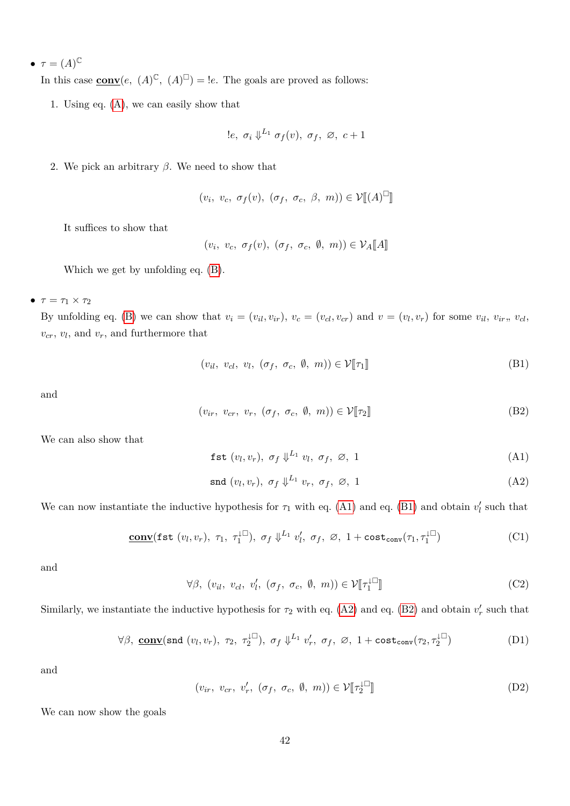•  $\tau = (A)^\mathbb{C}$ 

In this case  $\underline{\text{conv}}(e, (A)^{\mathbb{C}}, (A)^{\mathbb{C}}) = !e$ . The goals are proved as follows:

1. Using eq. [\(A\)](#page-40-5), we can easily show that

$$
!e, \sigma_i \Downarrow^{L_1} \sigma_f(v), \sigma_f, \varnothing, c+1
$$

2. We pick an arbitrary *β*. We need to show that

$$
(v_i, v_c, \sigma_f(v), (\sigma_f, \sigma_c, \beta, m)) \in \mathcal{V}[[A]^\square]
$$

It suffices to show that

 $(v_i, v_c, \sigma_f(v), (\sigma_f, \sigma_c, \emptyset, m)) \in \mathcal{V}_A[\![A]\!]$ 

Which we get by unfolding eq. [\(B\)](#page-40-6).

 $\bullet$   $\tau = \tau_1 \times \tau_2$ 

By unfolding eq. [\(B\)](#page-40-6) we can show that  $v_i = (v_{il}, v_{ir}), v_c = (v_{cl}, v_{cr})$  and  $v = (v_l, v_r)$  for some  $v_{il}, v_{ir}, v_{cl}$ , *vcr*, *v<sup>l</sup>* , and *vr*, and furthermore that

<span id="page-41-1"></span>
$$
(v_{il}, v_{cl}, v_l, (\sigma_f, \sigma_c, \emptyset, m)) \in \mathcal{V}[\![\tau_1]\!]
$$
 (B1)

and

$$
(v_{ir}, v_{cr}, v_r, (\sigma_f, \sigma_c, \emptyset, m)) \in \mathcal{V}[\![\tau_2]\!]
$$
 (B2)

We can also show that

<span id="page-41-3"></span><span id="page-41-2"></span><span id="page-41-0"></span>
$$
\text{fst}(v_l, v_r), \ \sigma_f \downarrow^{L_1} v_l, \ \sigma_f, \ \varnothing, \ 1 \tag{A1}
$$

<span id="page-41-6"></span><span id="page-41-4"></span>
$$
\text{snd}(v_l, v_r), \ \sigma_f \Downarrow^{L_1} v_r, \ \sigma_f, \ \varnothing, \ 1 \tag{A2}
$$

We can now instantiate the inductive hypothesis for  $\tau_1$  with eq. [\(A1\)](#page-41-0) and eq. [\(B1\)](#page-41-1) and obtain  $v'_l$  such that

$$
\underline{\text{conv}}(\text{fst}(v_l, v_r), \tau_1, \tau_1^{\downarrow \square}), \sigma_f \Downarrow^{L_1} v'_l, \sigma_f, \varnothing, 1 + \text{cost}_{\text{conv}}(\tau_1, \tau_1^{\downarrow \square})
$$
(C1)

and

 $\forall \beta, (v_{il}, v_{cl}, v'_{l}, (\sigma_f, \sigma_c, \emptyset, m)) \in \mathcal{V}[\![\tau_1^{\downarrow \square}]\!]$  $\mathbb{I}$  (C2)

Similarly, we instantiate the inductive hypothesis for  $\tau_2$  with eq. [\(A2\)](#page-41-2) and eq. [\(B2\)](#page-41-3) and obtain  $v'_r$  such that

$$
\forall \beta, \underline{\text{conv}}(\text{snd}(v_l, v_r), \tau_2, \tau_2^{\perp \square}), \sigma_f \Downarrow^{L_1} v'_r, \sigma_f, \varnothing, 1 + \text{cost}_{\text{conv}}(\tau_2, \tau_2^{\perp \square})
$$
 (D1)

and

<span id="page-41-7"></span><span id="page-41-5"></span> $(v_{ir}, v_{cr}, v'_r, (\sigma_f, \sigma_c, \emptyset, m)) \in \mathcal{V}[\![\tau_2^{\perp}]$  $\mathbb{I}$  (D2)

We can now show the goals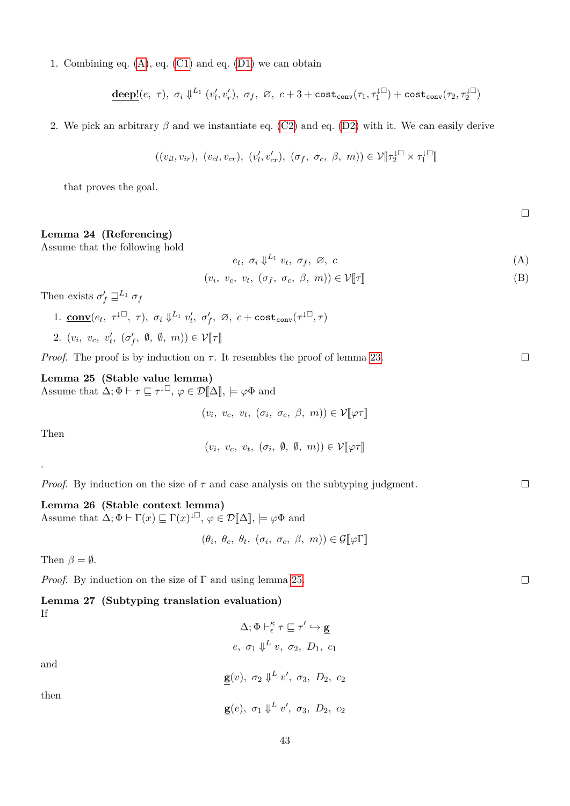1. Combining eq. [\(A\)](#page-40-5), eq. [\(C1\)](#page-41-4) and eq. [\(D1\)](#page-41-5) we can obtain

$$
\underline{\text{deep}!}(e, \tau), \sigma_i \Downarrow^{L_1} (v'_l, v'_r), \sigma_f, \varnothing, c+3+\text{cost}_{\text{conv}}(\tau_1, \tau_1^{\downarrow \square})+\text{cost}_{\text{conv}}(\tau_2, \tau_2^{\downarrow \square})
$$

2. We pick an arbitrary *β* and we instantiate eq. [\(C2\)](#page-41-6) and eq. [\(D2\)](#page-41-7) with it. We can easily derive

$$
((v_{il}, v_{ir}), (v_{cl}, v_{cr}), (v'_l, v'_{cr}), (\sigma_f, \sigma_c, \beta, m)) \in \mathcal{V}[\![\tau_2^{\perp\Box} \times \tau_1^{\perp\Box}]\!]
$$

that proves the goal.

## <span id="page-42-2"></span>**Lemma 24 (Referencing)**

Assume that the following hold

- $e_t, \sigma_i \downarrow^{L_1} v_t, \sigma_f, \varnothing, c$  (A)
- $(v_i, v_c, v_t, (\sigma_f, \sigma_c, \beta, m)) \in \mathcal{V}[\![\tau]\!]$  (B)

Then exists  $\sigma'_f \sqsupseteq^{L_1} \sigma_f$ 

- 1. **conv**( $e_t$ ,  $\tau^{\downarrow\Box}$ ,  $\tau$ ),  $\sigma_i \Downarrow^{L_1} v'_t$ ,  $\sigma'_f$ ,  $\varnothing$ ,  $c + \text{cost}_{\text{conv}}(\tau^{\downarrow\Box}, \tau)$
- 2.  $(v_i, v_c, v'_t, (\sigma'_f, \emptyset, \emptyset, m)) \in \mathcal{V}[\![\tau]\!]$

*Proof.* The proof is by induction on  $\tau$ . It resembles the proof of lemma [23.](#page-40-7)

#### <span id="page-42-0"></span>**Lemma 25 (Stable value lemma)**

Assume that  $\Delta; \Phi \vdash \tau \sqsubseteq \tau^{\downarrow \square}, \varphi \in \mathcal{D}[\![\Delta]\!], \models \varphi \Phi$  and

 $(v_i, v_c, v_t, (\sigma_i, \sigma_c, \beta, m)) \in \mathcal{V}[\![\varphi \tau]\!]$ 

Then

.

 $(v_i, v_c, v_t, (\sigma_i, \emptyset, \emptyset, m)) \in \mathcal{V}[\![\varphi \tau]\!]$ 

*Proof.* By induction on the size of  $\tau$  and case analysis on the subtyping judgment.

<span id="page-42-3"></span>**Lemma 26 (Stable context lemma)** Assume that  $\Delta; \Phi \vdash \Gamma(x) \sqsubseteq \Gamma(x)^{\downarrow \square}, \varphi \in \mathcal{D}[\![\Delta]\!], \models \varphi \Phi$  and

 $(\theta_i, \theta_c, \theta_t, (\sigma_i, \sigma_c, \beta, m)) \in \mathcal{G}[\![\varphi\Gamma]\!]$ 

Then  $\beta = \emptyset$ .

*Proof.* By induction on the size of Γ and using lemma [25.](#page-42-0)

<span id="page-42-1"></span>

|    | Lemma 27 (Subtyping translation evaluation)                                                 |
|----|---------------------------------------------------------------------------------------------|
| Τf |                                                                                             |
|    | $\Delta; \Phi \vdash^{\kappa}_{\epsilon} \tau \sqsubseteq \tau' \hookrightarrow \mathbf{g}$ |

and

then

| $e, \sigma_1 \Downarrow^L v, \sigma_2, D_1, c_1$                          |  |
|---------------------------------------------------------------------------|--|
| $\underline{\mathbf{g}}(v), \sigma_2 \Downarrow^L v', \sigma_3, D_2, c_2$ |  |
| $\mathbf{g}(e), \sigma_1 \Downarrow^L v', \sigma_3, D_2, c_2$             |  |

43

 $\Box$ 

 $\Box$ 

 $\Box$ 

 $\Box$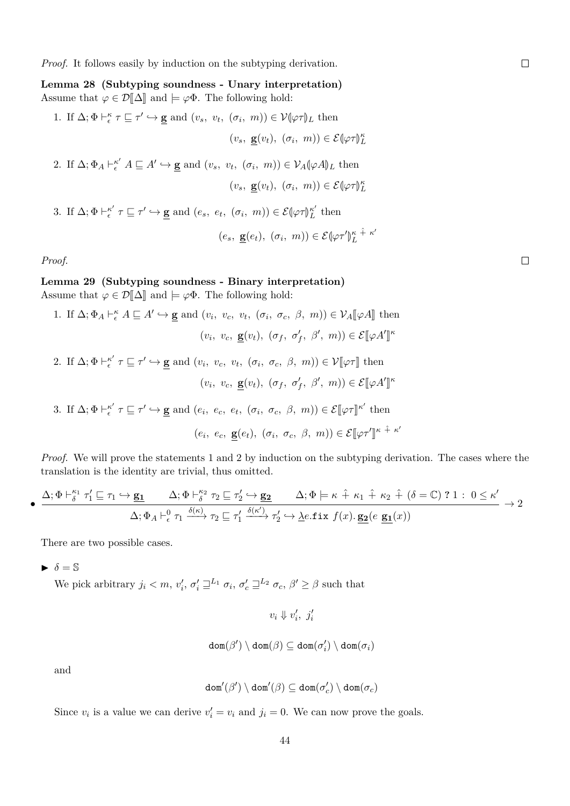*Proof.* It follows easily by induction on the subtyping derivation.

<span id="page-43-0"></span>**Lemma 28 (Subtyping soundness - Unary interpretation)** Assume that  $\varphi \in \mathcal{D}[\![\Delta]\!]$  and  $\models \varphi \Phi$ . The following hold: 1. If  $\Delta; \Phi \vdash_{\epsilon}^{\kappa} \tau \sqsubseteq \tau' \hookrightarrow \mathbf{g}$  and  $(v_s, v_t, (\sigma_i, m)) \in \mathcal{V}(\varphi \tau)$ <sub>L</sub> then  $(v_s, \underline{\mathbf{g}}(v_t), (\sigma_i, m)) \in \mathcal{E}[\varphi \tau]_L^{\kappa}$ 2. If  $\Delta$ ;  $\Phi_A \vdash_{\epsilon}^{\kappa'} A \sqsubseteq A' \hookrightarrow \underline{\mathbf{g}}$  and  $(v_s, v_t, (\sigma_i, m)) \in \mathcal{V}_A(\varphi A)$ <sub>L</sub> then  $(v_s, \underline{\mathbf{g}}(v_t), (\sigma_i, m)) \in \mathcal{E}[\varphi \tau]_L^{\kappa}$ 3. If  $\Delta; \Phi \vdash_{\epsilon}^{\kappa'} \tau \sqsubseteq \tau' \hookrightarrow \underline{\mathbf{g}}$  and  $(e_s, e_t, (\sigma_i, m)) \in \mathcal{E}(\varphi \tau)_{L}^{\kappa'}$  $L \nightharpoonup L$  then  $(e_s, \underline{\mathbf{g}}(e_t), (\sigma_i, m)) \in \mathcal{E}(\varphi \tau)$  $\kappa + \kappa'$ *L*

*Proof.*

# **Lemma 29 (Subtyping soundness - Binary interpretation)**

Assume that  $\varphi \in \mathcal{D}[\![\Delta]\!]$  and  $\models \varphi \Phi$ . The following hold:

1. If  $\Delta; \Phi_A \vdash_{\epsilon}^{\kappa} A \sqsubseteq A' \hookrightarrow \mathbf{g}$  and  $(v_i, v_c, v_t, (\sigma_i, \sigma_c, \beta, m)) \in \mathcal{V}_A[\![\varphi A]\!]$  then  $(v_i, v_c, \underline{\mathbf{g}}(v_t), (\sigma_f, \sigma'_f, \beta', m)) \in \mathcal{E}[\varphi A']$ *κ* 2. If  $\Delta; \Phi \vdash_{\epsilon}^{\kappa'} \tau \sqsubseteq \tau' \hookrightarrow \underline{\mathbf{g}}$  and  $(v_i, v_c, v_t, (\sigma_i, \sigma_c, \beta, m)) \in \mathcal{V}[\![\varphi \tau]\!]$  then  $(v_i, v_c, \underline{\mathbf{g}}(v_t), (\sigma_f, \sigma'_f, \beta', m)) \in \mathcal{E}[\varphi A']$ *κ* 3. If  $\Delta; \Phi \vdash_{\epsilon}^{\kappa'} \tau \sqsubseteq \tau' \hookrightarrow \underline{\mathbf{g}}$  and  $(e_i, e_c, e_t, (\sigma_i, \sigma_c, \beta, m)) \in \mathcal{E}[\![\varphi \tau]\!]^{\kappa'}$  then  $(e_i, e_c, \underline{\mathbf{g}}(e_t), (\sigma_i, \sigma_c, \beta, m)) \in \mathcal{E}[\varphi \tau']$  $\kappa$  +̂  $\kappa'$ 

*Proof.* We will prove the statements 1 and 2 by induction on the subtyping derivation. The cases where the translation is the identity are trivial, thus omitted.

$$
\bullet \xrightarrow{\Delta; \Phi \vdash^{\kappa_1}_{\delta} \tau'_1 \sqsubseteq \tau_1 \hookrightarrow \mathbf{g_1} \qquad \Delta; \Phi \vdash^{\kappa_2}_{\delta} \tau_2 \sqsubseteq \tau'_2 \hookrightarrow \mathbf{g_2} \qquad \Delta; \Phi \models \kappa \hat{+} \kappa_1 \hat{+} \kappa_2 \hat{+} (\delta = \mathbb{C}) ? 1 : 0 \leq \kappa' \qquad \Delta; \Phi_A \vdash^0_{\epsilon} \tau_1 \xrightarrow{\delta(\kappa)} \tau_2 \sqsubseteq \tau'_1 \xrightarrow{\delta(\kappa')} \tau'_2 \hookrightarrow \lambda e.\mathtt{fix} f(x).\ \mathbf{g_2}(e \mathbf{g_1}(x))} \rightarrow 2
$$

There are two possible cases.

 $\triangleright$   $\delta = \mathbb{S}$ 

We pick arbitrary  $j_i < m$ ,  $v'_i$ ,  $\sigma'_i \sqsupseteq^{L_1} \sigma_i$ ,  $\sigma'_c \sqsupseteq^{L_2} \sigma_c$ ,  $\beta' \ge \beta$  such that

$$
v_i \Downarrow v'_i, \ j'_i
$$

$$
\mathtt{dom}(\beta')\setminus\mathtt{dom}(\beta)\subseteq\mathtt{dom}(\sigma'_i)\setminus\mathtt{dom}(\sigma_i)
$$

and

$$
\mathtt{dom}'(\beta')\setminus\mathtt{dom}'(\beta)\subseteq\mathtt{dom}(\sigma'_c)\setminus\mathtt{dom}(\sigma_c)
$$

Since  $v_i$  is a value we can derive  $v'_i = v_i$  and  $j_i = 0$ . We can now prove the goals.

 $\Box$ 

 $\Box$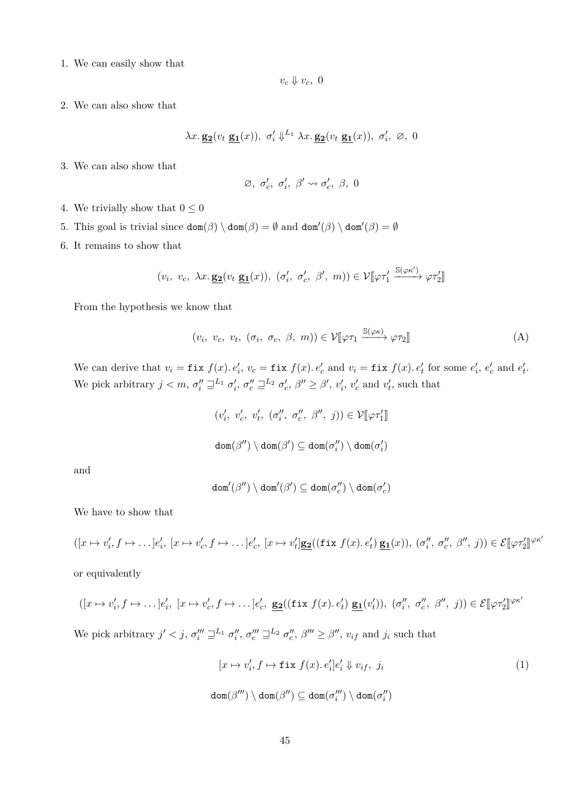1. We can easily show that

 $v_c \Downarrow v_c$ , 0

2. We can also show that

$$
\lambda x.\,\underline{\mathbf{g_2}}(v_t\,\underline{\mathbf{g_1}}(x)),\ \sigma'_i\Downarrow^{L_1}\lambda x.\,\underline{\mathbf{g_2}}(v_t\,\underline{\mathbf{g_1}}(x)),\ \sigma'_i,\ \varnothing,\ 0
$$

3. We can also show that

$$
\varnothing, \ \sigma'_c, \ \sigma'_i, \ \beta' \leadsto \sigma'_c, \ \beta, \ 0
$$

4. We trivially show that  $0\leq 0$ 

- 5. This goal is trivial since  $\text{dom}(\beta) \setminus \text{dom}(\beta) = \emptyset$  and  $\text{dom}'(\beta) \setminus \text{dom}'(\beta) = \emptyset$
- 6. It remains to show that

$$
(v_i, v_c, \lambda x. \underline{\mathbf{g_2}}(v_t \underline{\mathbf{g_1}}(x)), (\sigma'_i, \sigma'_c, \beta', m)) \in \mathcal{V}[\![\varphi\tau'_1 \xrightarrow{\mathbb{S}(\varphi\kappa')} \varphi\tau'_2]\!]
$$

From the hypothesis we know that

$$
(v_i, v_c, v_t, (\sigma_i, \sigma_c, \beta, m)) \in \mathcal{V}[\![\varphi \tau_1 \xrightarrow{\mathbb{S}(\varphi \kappa)} \varphi \tau_2]\!]
$$
 (A)

We can derive that  $v_i = \texttt{fix } f(x) \cdot e'_i$ ,  $v_c = \texttt{fix } f(x) \cdot e'_c$  and  $v_i = \texttt{fix } f(x) \cdot e'_t$  for some  $e'_i$ ,  $e'_c$  and  $e'_t$ . We pick arbitrary  $j < m$ ,  $\sigma''_i \sqsupseteq^{L_1} \sigma'_i$ ,  $\sigma''_c \sqsupseteq^{L_2} \sigma'_c$ ,  $\beta'' \ge \beta'$ ,  $v'_i$ ,  $v'_c$  and  $v'_t$ , such that

$$
\begin{array}{l} (v_i',\ v_c',\ v_t',\ (\sigma_i'',\ \sigma_c'',\ \beta'',\ j))\in {\cal V}[\![\varphi\tau_1']\!]\\\\mathop{\mathrm{dom}}(\beta'')\setminus \mathop{\mathrm{dom}}(\beta')\subseteq \mathop{\mathrm{dom}}(\sigma_i'')\setminus \mathop{\mathrm{dom}}(\sigma_i')\end{array}
$$

and

$$
\mathtt{dom}'(\beta'')\setminus\mathtt{dom}'(\beta')\subseteq\mathtt{dom}(\sigma''_c)\setminus\mathtt{dom}(\sigma'_c)
$$

We have to show that

$$
([x \mapsto v_i', f \mapsto \dots]e_i', [x \mapsto v_c', f \mapsto \dots]e_c', [x \mapsto v_t'] \underline{\mathbf{g_2}}((\text{fix } f(x), e_t') \underline{\mathbf{g_1}}(x)), (\sigma_i'', \sigma_c'', \beta'', j)) \in \mathcal{E}[\varphi \tau_2']^{ \varphi \kappa_2'}
$$

or equivalently

$$
([x \mapsto v'_i, f \mapsto \dots]e'_i, [x \mapsto v'_c, f \mapsto \dots]e'_c, \underline{\mathbf{g_2}}((\text{fix } f(x).e'_t) \underline{\mathbf{g_1}}(v'_t)), (\sigma''_i, \sigma''_c, \beta'', j)) \in \mathcal{E}[\varphi \tau'_2]^{\varphi \kappa'}
$$

We pick arbitrary  $j' < j$ ,  $\sigma_i''' \sqsupseteq^{L_1} \sigma_i''$ ,  $\sigma_c''' \sqsupseteq^{L_2} \sigma_c''$ ,  $\beta''' \geq \beta''$ ,  $v_{if}$  and  $j_i$  such that

<span id="page-44-0"></span>
$$
[x \mapsto v'_i, f \mapsto \text{fix } f(x). e'_i]e'_i \Downarrow v_{if}, j_i
$$
  

$$
\text{dom}(\beta''') \setminus \text{dom}(\beta'') \subseteq \text{dom}(\sigma_i''') \setminus \text{dom}(\sigma_i'')
$$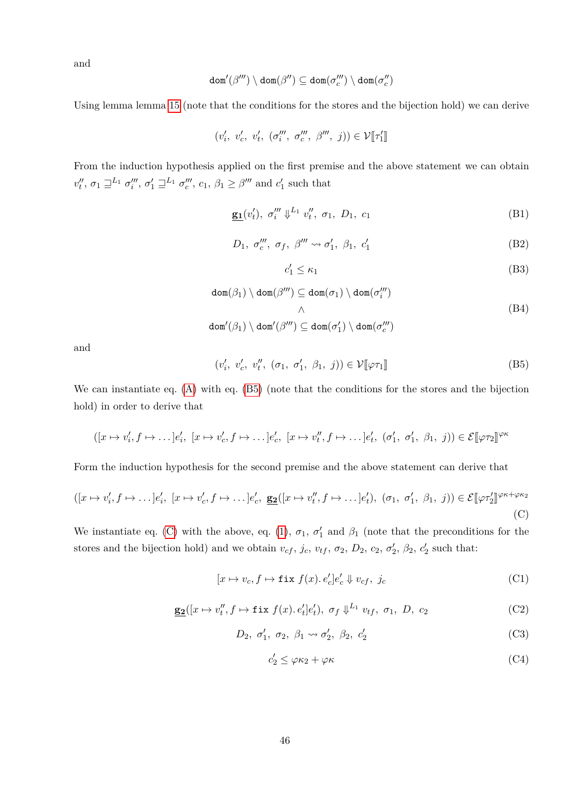and

$$
\mathtt{dom}'(\beta''')\setminus\mathtt{dom}(\beta'')\subseteq\mathtt{dom}(\sigma'''_c)\setminus\mathtt{dom}(\sigma''_c)
$$

Using lemma lemma [15](#page-31-0) (note that the conditions for the stores and the bijection hold) we can derive

$$
(v'_{i}, v'_{c}, v'_{t}, (\sigma''''_{i}, \sigma'''_{c}, \beta''', j)) \in \mathcal{V}[\![\tau'_1]\!]
$$

From the induction hypothesis applied on the first premise and the above statement we can obtain  $v''_t$ ,  $\sigma_1 \sqsupseteq^{L_1} \sigma'''_i$ ,  $\sigma'_1 \sqsupseteq^{L_1} \sigma'''_c$ ,  $c_1$ ,  $\beta_1 \geq \beta'''$  and  $c'_1$  such that

$$
\underline{\mathbf{g_1}}(v'_t), \ \sigma''_i \ \psi^{L_1} \ v''_t, \ \sigma_1, \ D_1, \ c_1 \tag{B1}
$$

$$
D_1, \sigma''_c, \sigma_f, \beta''' \leadsto \sigma'_1, \beta_1, c'_1 \tag{B2}
$$

<span id="page-45-6"></span><span id="page-45-4"></span><span id="page-45-2"></span><span id="page-45-0"></span>
$$
c_1' \le \kappa_1 \tag{B3}
$$

$$
dom(\beta_1) \setminus dom(\beta''') \subseteq dom(\sigma_1) \setminus dom(\sigma_i''')
$$
  

$$
\wedge
$$
  

$$
dom'(\beta_1) \setminus dom'(\beta''') \subseteq dom(\sigma_1') \setminus dom(\sigma_c''')
$$
  
(B4)

and

$$
(v_i', v_c', v_t'', (\sigma_1, \sigma_1', \beta_1, j)) \in \mathcal{V}[\![\varphi \tau_1]\!]
$$
 (B5)

We can instantiate eq. [\(A\)](#page-53-0) with eq. [\(B5\)](#page-45-0) (note that the conditions for the stores and the bijection hold) in order to derive that

$$
([x \mapsto v'_i, f \mapsto \dots] e'_i, [x \mapsto v'_c, f \mapsto \dots] e'_c, [x \mapsto v''_t, f \mapsto \dots] e'_t, (\sigma'_1, \sigma'_1, \beta_1, j)) \in \mathcal{E}[\varphi \tau_2]^{\varphi \kappa}
$$

Form the induction hypothesis for the second premise and the above statement can derive that

$$
([x \mapsto v_i', f \mapsto \dots]e_i', [x \mapsto v_c', f \mapsto \dots]e_c', \underbrace{\mathbf{g_2}([x \mapsto v_t'', f \mapsto \dots]e_t'}), (\sigma_1, \sigma_1', \beta_1, j)) \in \mathcal{E}[\varphi \tau_2']^{\varphi \kappa + \varphi \kappa_2}
$$
\n(C)

We instantiate eq. [\(C\)](#page-45-1) with the above, eq. [\(1\)](#page-44-0),  $\sigma_1$ ,  $\sigma'_1$  and  $\beta_1$  (note that the preconditions for the stores and the bijection hold) and we obtain  $v_{cf}$ ,  $j_c$ ,  $v_{tf}$ ,  $\sigma_2$ ,  $D_2$ ,  $c_2$ ,  $\sigma'_2$ ,  $\beta_2$ ,  $c'_2$  such that:

$$
[x \mapsto v_c, f \mapsto \text{fix } f(x). e'_c] e'_c \Downarrow v_{cf}, \ j_c \tag{C1}
$$

$$
\underline{\mathbf{g_2}}([x \mapsto v_t'', f \mapsto \mathtt{fix}\ f(x). e_t']e_t'), \ \sigma_f \Downarrow^{L_1} v_{tf}, \ \sigma_1, \ D, \ c_2
$$
 (C2)

$$
D_2, \sigma'_1, \sigma_2, \beta_1 \rightsquigarrow \sigma'_2, \beta_2, c'_2 \tag{C3}
$$

<span id="page-45-8"></span><span id="page-45-7"></span><span id="page-45-5"></span><span id="page-45-3"></span><span id="page-45-1"></span>
$$
c_2' \le \varphi \kappa_2 + \varphi \kappa \tag{C4}
$$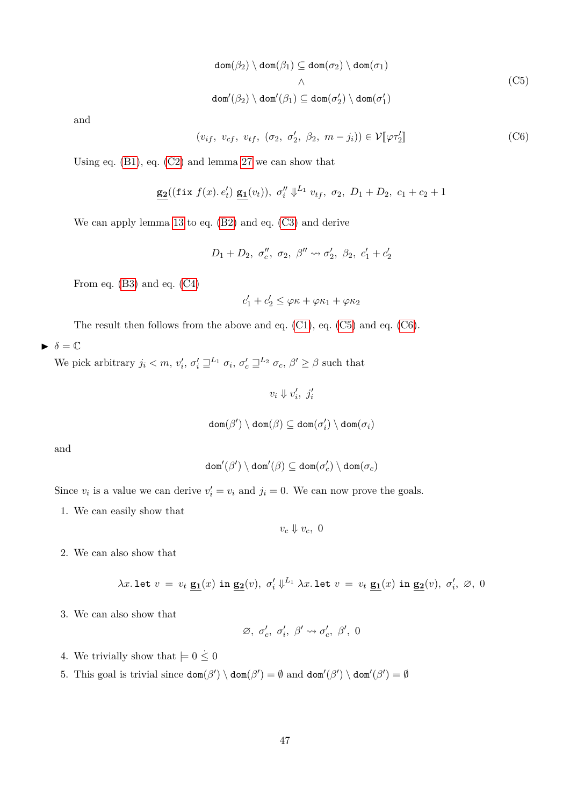<span id="page-46-1"></span><span id="page-46-0"></span>
$$
\text{dom}(\beta_2) \setminus \text{dom}(\beta_1) \subseteq \text{dom}(\sigma_2) \setminus \text{dom}(\sigma_1)
$$
  

$$
\wedge
$$
  

$$
\text{dom}'(\beta_2) \setminus \text{dom}'(\beta_1) \subseteq \text{dom}(\sigma'_2) \setminus \text{dom}(\sigma'_1)
$$
 (C5)

and

$$
(v_{if}, v_{cf}, v_{tf}, (\sigma_2, \sigma'_2, \beta_2, m - j_i)) \in \mathcal{V}[\mathcal{V} \tau'_2]
$$
 (C6)

Using eq.  $(B1)$ , eq.  $(C2)$  and lemma [27](#page-42-1) we can show that

$$
\underline{\mathbf{g_2}}((\mathtt{fix}\;f(x),\,e'_t)\;\underline{\mathbf{g_1}}(v_t)),\;\sigma''_i\Downarrow^{L_1} v_{tf},\;\sigma_2,\;D_1+D_2,\;c_1+c_2+1
$$

We can apply lemma [13](#page-30-0) to eq. [\(B2\)](#page-45-4) and eq. [\(C3\)](#page-45-5) and derive

$$
D_1 + D_2, \sigma''_c, \sigma_2, \beta'' \leadsto \sigma'_2, \beta_2, c'_1 + c'_2
$$

From eq. [\(B3\)](#page-45-6) and eq. [\(C4\)](#page-45-7)

$$
c'_1 + c'_2 \leq \varphi \kappa + \varphi \kappa_1 + \varphi \kappa_2
$$

The result then follows from the above and eq. [\(C1\)](#page-45-8), eq. [\(C5\)](#page-46-0) and eq. [\(C6\)](#page-46-1).

 $\blacktriangleright$   $\delta = \mathbb{C}$ 

We pick arbitrary  $j_i < m$ ,  $v'_i$ ,  $\sigma'_i \sqsupseteq^{L_1} \sigma_i$ ,  $\sigma'_c \sqsupseteq^{L_2} \sigma_c$ ,  $\beta' \ge \beta$  such that

$$
v_i \Downarrow v_i', \ j_i'
$$

$$
\mathsf{dom}(\beta') \setminus \mathsf{dom}(\beta) \subseteq \mathsf{dom}(\sigma_i') \setminus \mathsf{dom}(\sigma_i)
$$

and

$$
\mathtt{dom}'(\beta')\setminus\mathtt{dom}'(\beta)\subseteq\mathtt{dom}(\sigma'_c)\setminus\mathtt{dom}(\sigma_c)
$$

Since  $v_i$  is a value we can derive  $v'_i = v_i$  and  $j_i = 0$ . We can now prove the goals.

1. We can easily show that

 $v_c \Downarrow v_c$ , 0

2. We can also show that

$$
\lambda x. \text{ let } v \ = \ v_t \ \underline{\mathbf{g_1}}(x) \ \text{ in } \ \underline{\mathbf{g_2}}(v), \ \sigma'_i \Downarrow^{L_1} \lambda x. \ \text{let } v \ = \ v_t \ \underline{\mathbf{g_1}}(x) \ \text{ in } \ \underline{\mathbf{g_2}}(v), \ \sigma'_i, \ \varnothing, \ 0
$$

3. We can also show that

$$
\varnothing,~\sigma_c',~\sigma_i',~\beta'\leadsto\sigma_c',~\beta',~0
$$

- 4. We trivially show that  $\models 0 \leq 0$
- 5. This goal is trivial since  $\text{dom}(\beta') \setminus \text{dom}(\beta') = \emptyset$  and  $\text{dom}'(\beta') \setminus \text{dom}'(\beta') = \emptyset$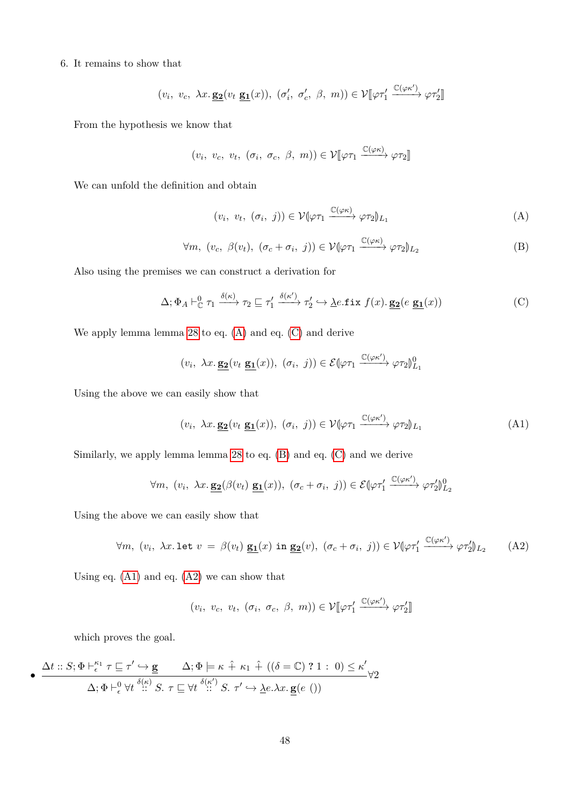#### 6. It remains to show that

$$
(v_i, v_c, \lambda x. \underline{\mathbf{g_2}}(v_t \underline{\mathbf{g_1}}(x)), (\sigma'_i, \sigma'_c, \beta, m)) \in \mathcal{V}[\varphi \tau'_1 \xrightarrow{\mathbb{C}(\varphi \kappa')} \varphi \tau'_2]
$$

From the hypothesis we know that

$$
(v_i, v_c, v_t, (\sigma_i, \sigma_c, \beta, m)) \in \mathcal{V}[\varphi \tau_1 \xrightarrow{\mathbb{C}(\varphi \kappa)} \varphi \tau_2]
$$

We can unfold the definition and obtain

<span id="page-47-2"></span><span id="page-47-1"></span><span id="page-47-0"></span>
$$
(v_i, v_t, (\sigma_i, j)) \in \mathcal{V}(\varphi \tau_1 \xrightarrow{\mathbb{C}(\varphi \kappa)} \varphi \tau_2)_{L_1}
$$
 (A)

$$
\forall m, (v_c, \beta(v_t), (\sigma_c + \sigma_i, j)) \in \mathcal{V}(\varphi \tau_1 \xrightarrow{\mathbb{C}(\varphi \kappa)} \varphi \tau_2)_{L_2}
$$
 (B)

Also using the premises we can construct a derivation for

$$
\Delta; \Phi_A \vdash_{\mathbb{C}}^0 \tau_1 \xrightarrow{\delta(\kappa)} \tau_2 \sqsubseteq \tau_1' \xrightarrow{\delta(\kappa')} \tau_2' \hookrightarrow \underline{\lambda}e.\mathtt{fix} \ f(x).\,\underline{\mathbf{g_2}}(e \ \underline{\mathbf{g_1}}(x))
$$
 (C)

We apply lemma lemma [28](#page-43-0) to eq. [\(A\)](#page-47-0) and eq. [\(C\)](#page-47-1) and derive

$$
(v_i, \ \lambda x. \underline{\mathbf{g_2}}(v_t \ \underline{\mathbf{g_1}}(x)), \ (\sigma_i, \ j)) \in \mathcal{E}(\varphi \tau_1 \xrightarrow{\mathbb{C}(\varphi \kappa')} \varphi \tau_2)_{L_1}^0
$$

Using the above we can easily show that

<span id="page-47-3"></span>
$$
(v_i, \ \lambda x. \underline{\mathbf{g_2}}(v_t \underline{\mathbf{g_1}}(x)), \ (\sigma_i, \ j)) \in \mathcal{V}(\varphi \tau_1 \xrightarrow{\mathbb{C}(\varphi \kappa')} \varphi \tau_2)_{L_1}
$$
 (A1)

Similarly, we apply lemma lemma [28](#page-43-0) to eq. [\(B\)](#page-47-2) and eq. [\(C\)](#page-47-1) and we derive

$$
\forall m, \ (v_i, \ \lambda x. \ \underline{\mathbf{g_2}}(\beta(v_t) \ \underline{\mathbf{g_1}}(x)), \ (\sigma_c + \sigma_i, \ j)) \in \mathcal{E}(\varphi \tau_1' \xrightarrow{\mathbb{C}(\varphi \kappa')} \varphi \tau_2')_{L_2}^0
$$

Using the above we can easily show that

$$
\forall m, (v_i, \lambda x. \text{ let } v = \beta(v_t) \underline{\mathbf{g_1}}(x) \text{ in } \underline{\mathbf{g_2}}(v), (\sigma_c + \sigma_i, j)) \in \mathcal{V}(\varphi \tau_1' \xrightarrow{\mathbb{C}(\varphi \kappa')} \varphi \tau_2')_{L_2} \tag{A2}
$$

Using eq. [\(A1\)](#page-47-3) and eq. [\(A2\)](#page-47-4) we can show that

<span id="page-47-4"></span>
$$
(v_i, v_c, v_t, (\sigma_i, \sigma_c, \beta, m)) \in \mathcal{V}[\![\varphi\tau'_1 \xrightarrow{\mathbb{C}(\varphi\kappa')} \varphi\tau'_2]\!]
$$

which proves the goal.

$$
\bullet \quad \frac{\Delta t :: S; \Phi \vdash_{\epsilon}^{\kappa_1} \tau \sqsubseteq \tau' \hookrightarrow \mathbf{g} \qquad \Delta; \Phi \models \kappa \hat{+} \kappa_1 \hat{+} \; ((\delta = \mathbb{C}) \; ? \; 1 : \; 0) \leq \kappa' \; \Delta; \Phi \vdash_{\epsilon}^0 \forall t \stackrel{\delta(\kappa)}{\cdots} S. \; \tau \sqsubseteq \forall t \stackrel{\delta(\kappa')}{\cdots} S. \; \tau' \hookrightarrow \underline{\lambda} e. \lambda x. \, \mathbf{g}(e \; ())} \vee 2
$$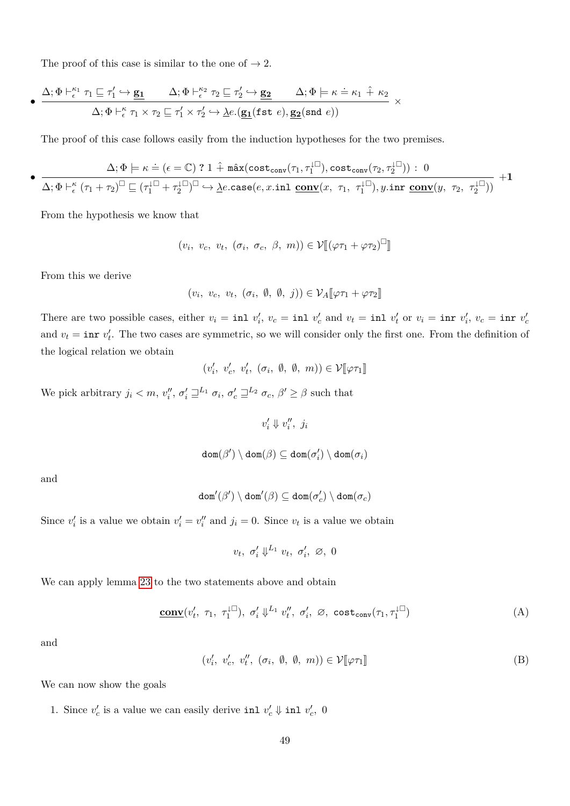The proof of this case is similar to the one of  $\rightarrow 2$ .

$$
\bullet\; \frac{\Delta;\Phi \vdash^{ \kappa_1}_{\epsilon} \tau_1 \sqsubseteq \tau_1' \hookrightarrow \underline{\mathbf{g_1}} \qquad \Delta;\Phi \vdash^{ \kappa_2}_{\epsilon} \tau_2 \sqsubseteq \tau_2' \hookrightarrow \underline{\mathbf{g_2}} \qquad \Delta;\Phi \models \kappa \doteq \kappa_1 \hat + \kappa_2 }{\Delta;\Phi \vdash^{ \kappa}_{\epsilon} \tau_1 \times \tau_2 \sqsubseteq \tau_1' \times \tau_2' \hookrightarrow \underline{\lambda} e.(\underline{\mathbf{g_1}}( \texttt{fst} \ e), \underline{\mathbf{g_2}}( \texttt{snd} \ e))} \;\times \\
$$

The proof of this case follows easily from the induction hypotheses for the two premises.

$$
\bullet\; \frac{\Delta;\Phi \models \kappa \doteq (\epsilon = \mathbb{C}) \;?\; 1 \; \hat{+} \; \texttt{max}(\texttt{cost}_\texttt{conv}(\tau_1, \tau_1^{\downarrow \square}), \texttt{cost}_\texttt{conv}(\tau_2, \tau_2^{\downarrow \square})) \;:\; 0}{\Delta;\Phi \vdash^{ \kappa }_{\epsilon} (\tau_1 + \tau_2)^{\square} \sqsubseteq (\tau_1^{\downarrow \square} + \tau_2^{\downarrow \square})^{\square} \; \hookrightarrow \underbrace{\lambda e.\texttt{case}(e,x.\texttt{inl}\; \mathbf{\underline{conv}}(x,\; \tau_1,\; \tau_1^{\downarrow \square}), y.\texttt{inr}\; \mathbf{\underline{conv}}(y,\; \tau_2,\; \tau_2^{\downarrow \square}))}_{}
$$

From the hypothesis we know that

$$
(v_i, v_c, v_t, (\sigma_i, \sigma_c, \beta, m)) \in \mathcal{V}[[(\varphi \tau_1 + \varphi \tau_2)^{\square}]]
$$

From this we derive

$$
(v_i, v_c, v_t, (\sigma_i, \emptyset, \emptyset, j)) \in \mathcal{V}_A[\![\varphi \tau_1 + \varphi \tau_2]\!]
$$

There are two possible cases, either  $v_i = \text{inl } v'_i$ ,  $v_c = \text{inl } v'_c$  and  $v_t = \text{inl } v'_t$  or  $v_i = \text{inr } v'_i$ ,  $v_c = \text{inr } v'_c$ and  $v_t = \text{inr } v'_t$ . The two cases are symmetric, so we will consider only the first one. From the definition of the logical relation we obtain

$$
(v'_i, v'_c, v'_t, (\sigma_i, \emptyset, \emptyset, m)) \in \mathcal{V}[\![\varphi \tau_1]\!]
$$

We pick arbitrary  $j_i < m$ ,  $v_i''$ ,  $\sigma_i' \sqsupseteq^{L_1} \sigma_i$ ,  $\sigma_c' \sqsupseteq^{L_2} \sigma_c$ ,  $\beta' \ge \beta$  such that

 $v'_i \Downarrow v''_i, j_i$ 

$$
\mathtt{dom}(\beta')\setminus\mathtt{dom}(\beta)\subseteq\mathtt{dom}(\sigma'_i)\setminus\mathtt{dom}(\sigma_i)
$$

and

$$
\mathtt{dom}'(\beta')\setminus\mathtt{dom}'(\beta)\subseteq\mathtt{dom}(\sigma'_c)\setminus\mathtt{dom}(\sigma_c)
$$

Since  $v'_i$  is a value we obtain  $v'_i = v''_i$  and  $j_i = 0$ . Since  $v_t$  is a value we obtain

<span id="page-48-1"></span><span id="page-48-0"></span>
$$
v_t, \sigma'_i \Downarrow^{L_1} v_t, \sigma'_i, \varnothing, 0
$$

We can apply lemma [23](#page-40-7) to the two statements above and obtain

$$
\underline{\text{conv}}(v'_t, \tau_1, \tau_1^{\downarrow \square}), \sigma'_i \downarrow^{L_1} v''_t, \sigma'_i, \varnothing, \text{cost}_{\text{conv}}(\tau_1, \tau_1^{\downarrow \square})
$$
(A)

and

$$
(v'_i, v'_c, v''_t, (\sigma_i, \emptyset, \emptyset, m)) \in \mathcal{V}[\![\varphi \tau_1]\!]
$$
 (B)

We can now show the goals

1. Since  $v'_c$  is a value we can easily derive inl  $v'_c \Downarrow$  inl  $v'_c$ , 0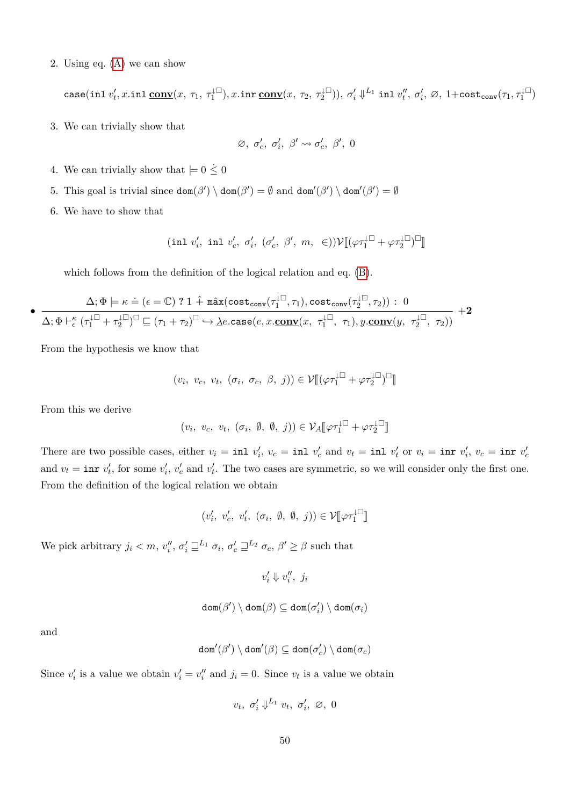2. Using eq. [\(A\)](#page-48-0) we can show

 $\texttt{case}(\texttt{inl}\ v'_t,x.\texttt{inl}\ \underline{\mathbf{conv}}(x,\ \tau_1,\ \tau_1^{\downarrow\Box}),x.\texttt{inr}\ \underline{\mathbf{conv}}(x,\ \tau_2,\ \tau_2^{\downarrow\Box})),\ \sigma'_i\ \psi^L{^1} \texttt{inl}\ v''_t,\ \sigma'_i,\ \varnothing,\ 1+\texttt{cost}_\texttt{conv}(\tau_1,\tau_1^{\downarrow\Box})$ 

3. We can trivially show that

$$
\varnothing,~\sigma_c',~\sigma_i',~\beta'\leadsto\sigma_c',~\beta',~0
$$

- 4. We can trivially show that  $\models 0 \leq 0$
- 5. This goal is trivial since  $\text{dom}(\beta') \setminus \text{dom}(\beta') = \emptyset$  and  $\text{dom}'(\beta') \setminus \text{dom}'(\beta') = \emptyset$
- 6. We have to show that

$$
(\text{inl } v_i', \text{ inl } v_c', \sigma_i', \ (\sigma_c', \ \beta', \ m, \ \in)) \mathcal{V}[\![ (\varphi \tau_1^{\downarrow \Box} + \varphi \tau_2^{\downarrow \Box})^\Box]\!]
$$

which follows from the definition of the logical relation and eq. [\(B\)](#page-48-1).

$$
\frac{\Delta;\Phi \models \kappa \doteq (\epsilon = \mathbb{C}) \ ? \ 1 \ \hat{+} \ \texttt{max}(\texttt{cost}_\texttt{conv}(\tau_1^{\downarrow \square}, \tau_1), \texttt{cost}_\texttt{conv}(\tau_2^{\downarrow \square}, \tau_2)) : \ 0 }{\Delta;\Phi \vdash^{\kappa}_{\epsilon} (\tau_1^{\downarrow \square} + \tau_2^{\downarrow \square})^{\square} \sqsubseteq (\tau_1 + \tau_2)^{\square} \hookrightarrow \underline{\lambda} e.\texttt{case}(e, x.\underline{\mathbf{conv}}(x,\ \tau_1^{\downarrow \square},\ \tau_1), y.\underline{\mathbf{conv}}(y,\ \tau_2^{\downarrow \square},\ \tau_2)) } \ + \mathbf{2}
$$

From the hypothesis we know that

$$
(v_i, v_c, v_t, (\sigma_i, \sigma_c, \beta, j)) \in \mathcal{V}[[ (\varphi \tau_1^{\downarrow \square} + \varphi \tau_2^{\downarrow \square})^{\square} ]
$$

From this we derive

•

$$
(v_i, v_c, v_t, (\sigma_i, \emptyset, \emptyset, j)) \in \mathcal{V}_A[\![\varphi \tau_1^{\downarrow \square} + \varphi \tau_2^{\downarrow \square}]\!]
$$

There are two possible cases, either  $v_i = \text{inl } v'_i$ ,  $v_c = \text{inl } v'_c$  and  $v_t = \text{inl } v'_t$  or  $v_i = \text{inr } v'_i$ ,  $v_c = \text{inr } v'_c$ and  $v_t = \text{inr } v'_t$ , for some  $v'_i$ ,  $v'_c$  and  $v'_t$ . The two cases are symmetric, so we will consider only the first one. From the definition of the logical relation we obtain

$$
(v'_i, v'_c, v'_t, (\sigma_i, \emptyset, \emptyset, j)) \in \mathcal{V}[\![\varphi \tau_1^{\perp \square}]\!]
$$

We pick arbitrary  $j_i < m$ ,  $v_i''$ ,  $\sigma_i' \sqsupseteq^{L_1} \sigma_i$ ,  $\sigma_c' \sqsupseteq^{L_2} \sigma_c$ ,  $\beta' \ge \beta$  such that

$$
v'_i \Downarrow v''_i, \ j_i
$$

$$
\mathtt{dom}(\beta')\setminus\mathtt{dom}(\beta)\subseteq\mathtt{dom}(\sigma'_i)\setminus\mathtt{dom}(\sigma_i)
$$

and

$$
\mathtt{dom}'(\beta')\setminus\mathtt{dom}'(\beta)\subseteq\mathtt{dom}(\sigma'_c)\setminus\mathtt{dom}(\sigma_c)
$$

Since  $v'_i$  is a value we obtain  $v'_i = v''_i$  and  $j_i = 0$ . Since  $v_t$  is a value we obtain

$$
v_t, \sigma'_i \Downarrow^{L_1} v_t, \sigma'_i, \varnothing, 0
$$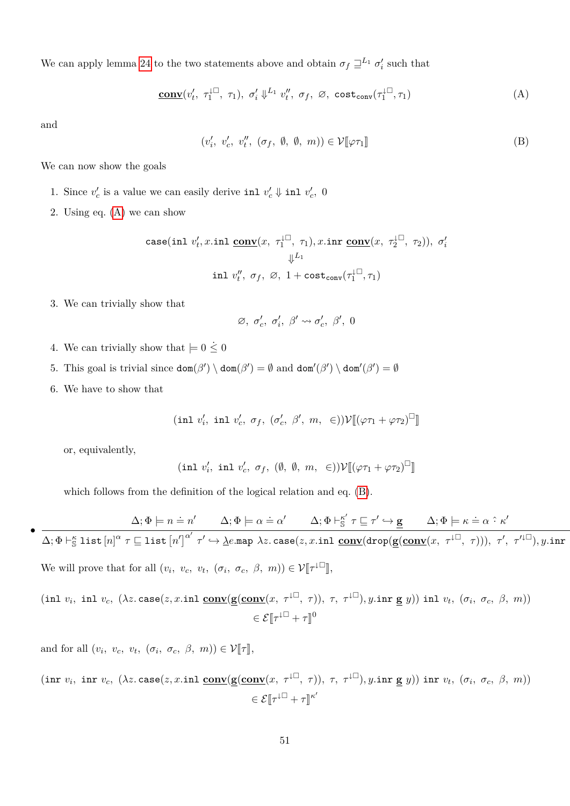We can apply lemma [24](#page-42-2) to the two statements above and obtain  $\sigma_f \sqsupseteq^{L_1} \sigma'_i$  such that

$$
\underline{\text{conv}}(v'_t, \ \tau_1^{\downarrow \square}, \ \tau_1), \ \sigma'_i \downarrow^{L_1} v''_t, \ \sigma_f, \ \varnothing, \ \text{cost}_{\text{conv}}(\tau_1^{\downarrow \square}, \tau_1) \tag{A}
$$

and

<span id="page-50-1"></span><span id="page-50-0"></span>
$$
(v'_i, v'_c, v''_t, (\sigma_f, \emptyset, \emptyset, m)) \in \mathcal{V}[\![\varphi \tau_1]\!]
$$
 (B)

We can now show the goals

- 1. Since  $v'_c$  is a value we can easily derive inl  $v'_c \Downarrow$  inl  $v'_c$ , 0
- 2. Using eq. [\(A\)](#page-50-0) we can show

$$
\begin{aligned} \texttt{case}(\texttt{inl}\ v_t',x.\texttt{inl}\ \underline{\texttt{conv}}(x,\ \tau_1^{\downarrow\Box},\ \tau_1),x.\texttt{inr}\ \underline{\texttt{conv}}(x,\ \tau_2^{\downarrow\Box},\ \tau_2)),\ \sigma_i'\\ \Downarrow^{L_1}\\ \texttt{inl}\ v_t'',\ \sigma_f,\ \varnothing,\ 1+\texttt{cost}_\texttt{conv}(\tau_1^{\downarrow\Box},\tau_1) \end{aligned}
$$

3. We can trivially show that

$$
\varnothing,~\sigma'_c,~\sigma'_i,~\beta' \leadsto \sigma'_c,~\beta',~0
$$

- 4. We can trivially show that  $= 0 \leq 0$
- 5. This goal is trivial since  $\text{dom}(\beta') \setminus \text{dom}(\beta') = \emptyset$  and  $\text{dom}'(\beta') \setminus \text{dom}'(\beta') = \emptyset$
- 6. We have to show that

$$
(\text{inl } v_i', \text{ inl } v_c', \sigma_f, (\sigma_c', \beta', m, \epsilon))\mathcal{V}[\![ (\varphi\tau_1 + \varphi\tau_2)^\square ]\!]
$$

or, equivalently,

•

$$
(\verb"inl" v'_{i}, \verb"inl" v'_{c}, \sigma_{f}, (\emptyset, \emptyset, m, \in))\mathcal{V}[\![ (\varphi\tau_{1}+\varphi\tau_{2})^{\Box}]\!]
$$

which follows from the definition of the logical relation and eq. [\(B\)](#page-50-1).

 $\Delta; \Phi \models n = n'$   $\Delta; \Phi \models \alpha = \alpha'$   $\Delta; \Phi \vdash_{\mathbb{S}}^{\kappa'} \tau \sqsubseteq \tau' \hookrightarrow \mathbf{g}$   $\Delta; \Phi \models \kappa = \alpha \hat{\cdot} \kappa'$  $\Delta; \Phi \vdash_{\mathbb{S}}^{\kappa} \mathtt{list}\left[n\right]^{\alpha} \tau \sqsubseteq \mathtt{list}\left[n'\right]^{\alpha'} \tau' \hookrightarrow \underline{\lambda} e.\mathtt{map}\ \lambda z.\,\mathtt{case}(z,x.\mathtt{inl}\ \underline{\mathbf{conv}}(\mathtt{drop}(\mathbf{g}(\underline{\mathbf{conv}}(x,\ \tau^{\downarrow \square},\ \tau))),\ \tau',\ \tau'^{\downarrow \square}), y.\mathtt{inr}$ We will prove that for all  $(v_i, v_c, v_t, (\sigma_i, \sigma_c, \beta, m)) \in \mathcal{V}[\![\tau^{\downarrow \Box}]\!]$ ,

$$
(\text{inl } v_i, \text{ inl } v_c, (\lambda z. \text{case}(z, x. \text{inl } \underline{\text{conv}}(\underline{\mathbf{g}}(\underline{\text{conv}}(x, \tau^{\downarrow \square}, \tau)), \tau, \tau^{\downarrow \square}), y. \text{inr } \underline{\mathbf{g}} \ y)) \text{ inl } v_t, (\sigma_i, \sigma_c, \beta, m))
$$

$$
\in \mathcal{E}[\![\tau^{\downarrow \square} + \tau]\!]^0
$$

and for all  $(v_i, v_c, v_t, (\sigma_i, \sigma_c, \beta, m)) \in \mathcal{V}[\![\tau]\!],$ 

$$
(\text{inr } v_i, \text{ inr } v_c, (\lambda z. \text{case}(z, x. \text{inl } \underline{\text{conv}}(\underline{\mathbf{g}}(\underline{\text{conv}}(x, \tau^{\downarrow \square}, \tau)), \tau, \tau^{\downarrow \square}), y. \text{inr } \underline{\mathbf{g}} \ y)) \text{ inr } v_t, (\sigma_i, \sigma_c, \beta, m))
$$

$$
\in \mathcal{E}[\![\tau^{\downarrow \square} + \tau]\!]^{\kappa'}
$$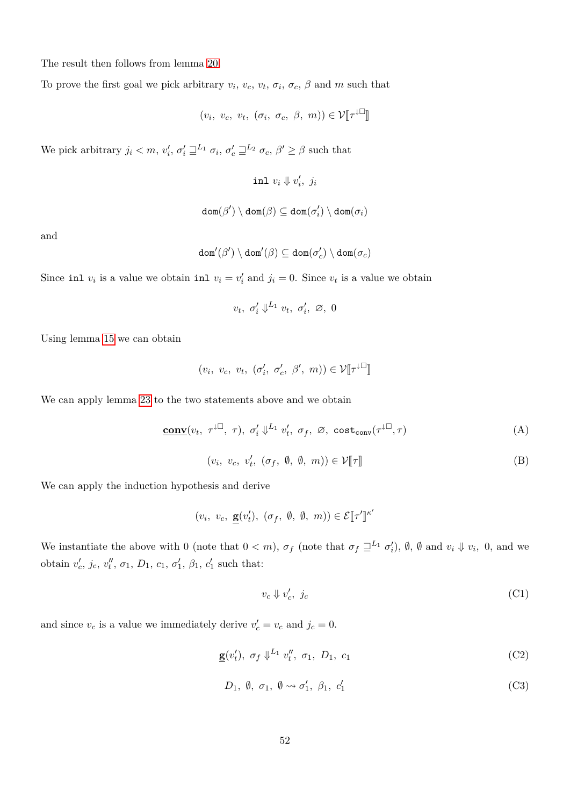The result then follows from lemma [20.](#page-32-0)

To prove the first goal we pick arbitrary  $v_i$ ,  $v_c$ ,  $v_t$ ,  $\sigma_i$ ,  $\sigma_c$ ,  $\beta$  and  $m$  such that

$$
(v_i, v_c, v_t, (\sigma_i, \sigma_c, \beta, m)) \in \mathcal{V}[\![\tau^{\downarrow \Box}]\!]
$$

We pick arbitrary  $j_i < m$ ,  $v'_i$ ,  $\sigma'_i \sqsupseteq^{L_1} \sigma_i$ ,  $\sigma'_c \sqsupseteq^{L_2} \sigma_c$ ,  $\beta' \ge \beta$  such that

 $\text{inl } v_i \Downarrow v'_i, j_i$ 

$$
\mathtt{dom}(\beta')\setminus\mathtt{dom}(\beta)\subseteq\mathtt{dom}(\sigma'_i)\setminus\mathtt{dom}(\sigma_i)
$$

and

$$
\mathtt{dom}'(\beta')\setminus\mathtt{dom}'(\beta)\subseteq\mathtt{dom}(\sigma'_c)\setminus\mathtt{dom}(\sigma_c)
$$

Since inl  $v_i$  is a value we obtain inl  $v_i = v'_i$  and  $j_i = 0$ . Since  $v_t$  is a value we obtain

<span id="page-51-1"></span>
$$
v_t, \sigma'_i \Downarrow^{L_1} v_t, \sigma'_i, \varnothing, 0
$$

Using lemma [15](#page-31-0) we can obtain

$$
(v_i, v_c, v_t, (\sigma'_i, \sigma'_c, \beta', m)) \in \mathcal{V}[\![\tau^{\downarrow \square}]\!]
$$

We can apply lemma [23](#page-40-7) to the two statements above and we obtain

$$
\underline{\text{conv}}(v_t, \ \tau^{\downarrow \square}, \ \tau), \ \sigma'_i \Downarrow^{L_1} v'_t, \ \sigma_f, \ \varnothing, \ \text{cost}_{\text{conv}}(\tau^{\downarrow \square}, \tau) \tag{A}
$$

 $(v_i, v_c, v'_t, (\sigma_f, \emptyset, \emptyset, m)) \in \mathcal{V}[\![\tau]\!]$  (B)

We can apply the induction hypothesis and derive

$$
(v_i, v_c, \underline{\mathbf{g}}(v'_t), (\sigma_f, \emptyset, \emptyset, m)) \in \mathcal{E}[\![\tau']\!]^{\kappa'}
$$

We instantiate the above with 0 (note that  $0 < m$ ),  $\sigma_f$  (note that  $\sigma_f \sqsupseteq^{L_1} \sigma'_i$ ),  $\emptyset$ ,  $\emptyset$  and  $v_i \Downarrow v_i$ , 0, and we obtain  $v'_c$ ,  $j_c$ ,  $v''_t$ ,  $\sigma_1$ ,  $D_1$ ,  $c_1$ ,  $\sigma'_1$ ,  $\beta_1$ ,  $c'_1$  such that:

<span id="page-51-0"></span>
$$
v_c \Downarrow v'_c, \ j_c \tag{C1}
$$

and since  $v_c$  is a value we immediately derive  $v'_c = v_c$  and  $j_c = 0$ .

$$
\underline{\mathbf{g}}(v_t'), \ \sigma_f \Downarrow^{L_1} v_t'', \ \sigma_1, \ D_1, \ c_1 \tag{C2}
$$

$$
D_1, \emptyset, \sigma_1, \emptyset \leadsto \sigma'_1, \beta_1, c'_1 \tag{C3}
$$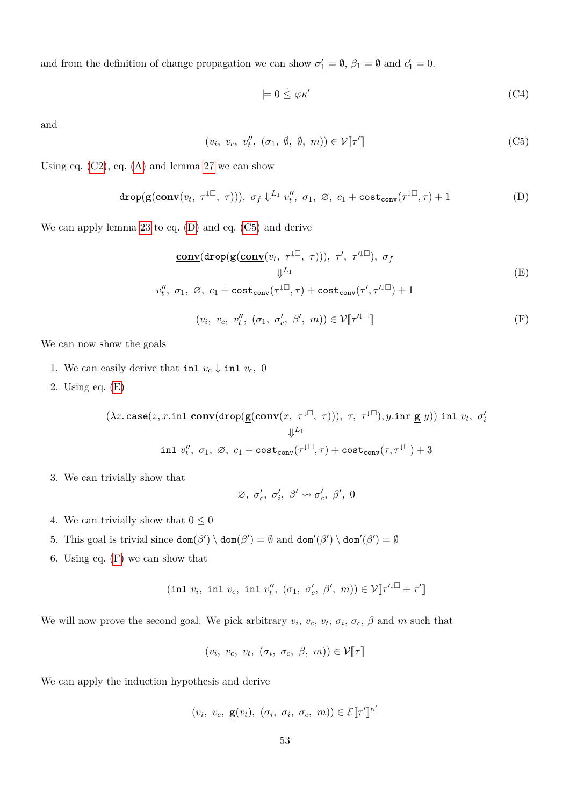and from the definition of change propagation we can show  $\sigma'_1 = \emptyset$ ,  $\beta_1 = \emptyset$  and  $c'_1 = 0$ .

<span id="page-52-2"></span><span id="page-52-1"></span><span id="page-52-0"></span>
$$
\models 0 \leq \varphi \kappa' \tag{C4}
$$

and

$$
(v_i, v_c, v''_t, (\sigma_1, \emptyset, \emptyset, m)) \in \mathcal{V}[\![\tau']\!]
$$
 (C5)

Using eq.  $(C2)$ , eq.  $(A)$  and lemma [27](#page-42-1) we can show

$$
\operatorname{drop}(\underline{\mathbf{g}}(\underline{\operatorname{conv}}(v_t, \ \tau^{\downarrow \square}, \ \tau))), \ \sigma_f \Downarrow^{L_1} v_t'', \ \sigma_1, \ \varnothing, \ c_1 + \operatorname{cost}_{\operatorname{conv}}(\tau^{\downarrow \square}, \tau) + 1 \tag{D}
$$

We can apply lemma [23](#page-40-7) to eq. [\(D\)](#page-52-0) and eq. [\(C5\)](#page-52-1) and derive

$$
\frac{\text{conv}(\text{drop}(\underline{g}(\underline{\text{conv}}(v_t, \tau^{\downarrow \square}, \tau))), \tau', \tau'^{\downarrow \square}), \sigma_f)}{\Downarrow^{L_1}}
$$
\n
$$
v_t'', \sigma_1, \varnothing, c_1 + \text{cost}_{\text{conv}}(\tau^{\downarrow \square}, \tau) + \text{cost}_{\text{conv}}(\tau', \tau'^{\downarrow \square}) + 1
$$
\n(E)

<span id="page-52-3"></span>
$$
(v_i, v_c, v''_t, (\sigma_1, \sigma'_c, \beta', m)) \in \mathcal{V}[\![\tau'^{\downarrow \Box}]\!]
$$
 (F)

We can now show the goals

- 1. We can easily derive that  $\text{inl } v_c \Downarrow \text{inl } v_c$ , 0
- 2. Using eq. [\(E\)](#page-52-2)

$$
(\lambda z.\case(z, x.\text{inl } \underline{\text{conv}}(\text{drop}(\underline{\mathbf{g}}(\underline{\text{conv}}(x, \tau^{\downarrow \Box}, \tau))), \tau, \tau^{\downarrow \Box}), y.\text{inr } \underline{\mathbf{g}} \ y)) \text{ inl } v_t, \sigma'_i
$$
  
 
$$
\Downarrow^{L_1}
$$
  
 
$$
\text{inl } v''_t, \sigma_1, \varnothing, \ c_1 + \text{cost}_{\text{conv}}(\tau^{\downarrow \Box}, \tau) + \text{cost}_{\text{conv}}(\tau, \tau^{\downarrow \Box}) + 3
$$

3. We can trivially show that

$$
\varnothing, \ \sigma'_c, \ \sigma'_i, \ \beta' \leadsto \sigma'_c, \ \beta', \ 0
$$

- 4. We can trivially show that  $0 \leq 0$
- 5. This goal is trivial since  $\text{dom}(\beta') \setminus \text{dom}(\beta') = \emptyset$  and  $\text{dom}'(\beta') \setminus \text{dom}'(\beta') = \emptyset$
- 6. Using eq. [\(F\)](#page-52-3) we can show that

$$
(\text{inl } v_i, \text{ inl } v_c, \text{ inl } v''_t, (\sigma_1, \sigma'_c, \beta', m)) \in \mathcal{V}[\![\tau'^{\downarrow\Box} + \tau']\!]
$$

We will now prove the second goal. We pick arbitrary  $v_i$ ,  $v_c$ ,  $v_t$ ,  $\sigma_i$ ,  $\sigma_c$ ,  $\beta$  and  $m$  such that

$$
(v_i, v_c, v_t, (\sigma_i, \sigma_c, \beta, m)) \in \mathcal{V}[\![\tau]\!]
$$

We can apply the induction hypothesis and derive

$$
(v_i, v_c, \underline{\mathbf{g}}(v_t), (\sigma_i, \sigma_i, \sigma_c, m)) \in \mathcal{E}[\![\tau']\!]^{\kappa'}
$$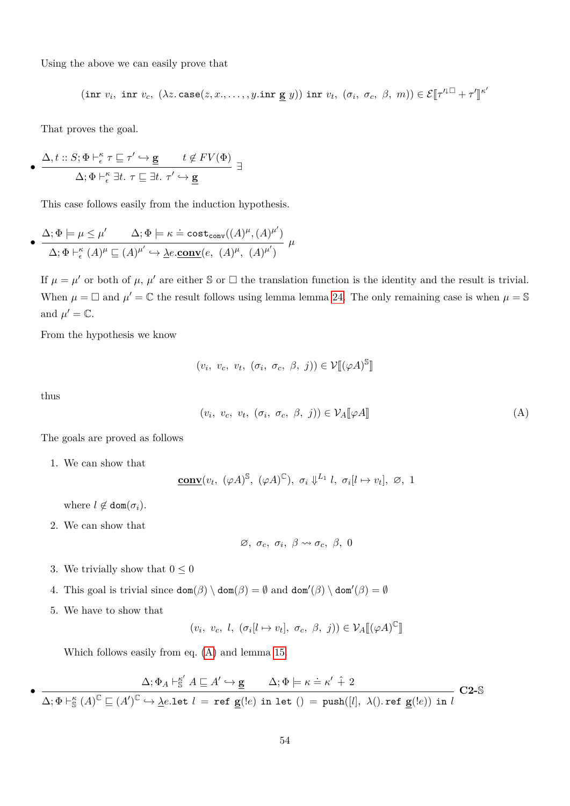Using the above we can easily prove that

$$
(\text{inr } v_i, \text{ inr } v_c, (\lambda z.\text{case}(z, x, \dots, y.\text{inr } \underline{\mathbf{g}} y)) \text{ inr } v_t, (\sigma_i, \sigma_c, \beta, m)) \in \mathcal{E}[\![\tau'^{\downarrow\Box} + \tau']\!]^{\kappa'}
$$

That proves the goal.

$$
\bullet \ \ \frac{\Delta, t :: S; \Phi \vdash_{\epsilon}^{\kappa} \tau \sqsubseteq \tau' \hookrightarrow \mathbf{g} \qquad t \notin FV(\Phi)}{\Delta; \Phi \vdash_{\epsilon}^{\kappa} \exists t. \ \tau \sqsubseteq \exists t. \ \tau' \hookrightarrow \mathbf{g}} \ \ \exists
$$

This case follows easily from the induction hypothesis.

• 
$$
\frac{\Delta; \Phi \models \mu \leq \mu'}{\Delta; \Phi \models^{\kappa} \Delta; \Phi \models \kappa \doteq \text{cost}_{\text{conv}}((A)^{\mu}, (A)^{\mu'})}{\Delta; \Phi \models^{\kappa}_{\epsilon} (A)^{\mu} \subseteq (A)^{\mu'} \hookrightarrow \underline{\lambda e.\text{conv}}(e, (A)^{\mu}, (A)^{\mu'})} \mu
$$

If  $\mu = \mu'$  or both of  $\mu$ ,  $\mu'$  are either S or  $\Box$  the translation function is the identity and the result is trivial. When  $\mu = \Box$  and  $\mu' = \mathbb{C}$  the result follows using lemma lemma [24.](#page-42-2) The only remaining case is when  $\mu = \mathbb{S}$ and  $\mu' = \mathbb{C}$ .

From the hypothesis we know

$$
(v_i, v_c, v_t, (\sigma_i, \sigma_c, \beta, j)) \in \mathcal{V}[(\varphi A)^\mathbb{S}]
$$

thus

$$
(v_i, v_c, v_t, (\sigma_i, \sigma_c, \beta, j)) \in \mathcal{V}_A[\![\varphi A]\!]
$$
 (A)

The goals are proved as follows

1. We can show that

$$
\underline{\text{conv}}(v_t, \ (\varphi A)^{\mathbb{S}}, \ (\varphi A)^{\mathbb{C}}), \ \sigma_i \Downarrow^{L_1} l, \ \sigma_i[l \mapsto v_t], \ \varnothing, \ 1
$$

where  $l \notin \text{dom}(\sigma_i)$ .

2. We can show that

<span id="page-53-0"></span>
$$
\varnothing, \sigma_c, \sigma_i, \beta \leadsto \sigma_c, \beta, 0
$$

- 3. We trivially show that  $0\leq 0$
- 4. This goal is trivial since  $\text{dom}(\beta) \setminus \text{dom}(\beta) = \emptyset$  and  $\text{dom}'(\beta) \setminus \text{dom}'(\beta) = \emptyset$
- 5. We have to show that

$$
(v_i, v_c, l, (\sigma_i[l \mapsto v_t], \sigma_c, \beta, j)) \in \mathcal{V}_A[\![ (\varphi A)^\mathbb{C}]\!]
$$

Which follows easily from eq. [\(A\)](#page-53-0) and lemma [15.](#page-31-0)

$$
\bullet\; \dfrac{\Delta;\Phi_A \vdash_{\mathbb{S}}^{\kappa'} A \sqsubseteq A' \hookrightarrow \underline{\mathbf{g}} \qquad \Delta;\Phi \models \kappa \doteq \kappa' \; \hat{+}\; 2}{\Delta;\Phi \vdash_{\mathbb{S}}^{\kappa} (A)^{\mathbb{C}} \sqsubseteq (A')^{\mathbb{C}} \hookrightarrow \underline{\lambda}e.\text{let } l = \text{ref } \underline{\mathbf{g}}(!e) \text{ in } \text{let } () = \text{push}([l],\; \lambda().\text{ref }\underline{\mathbf{g}}(!e)) \text{ in } l} \; \mathbf{C2-S}
$$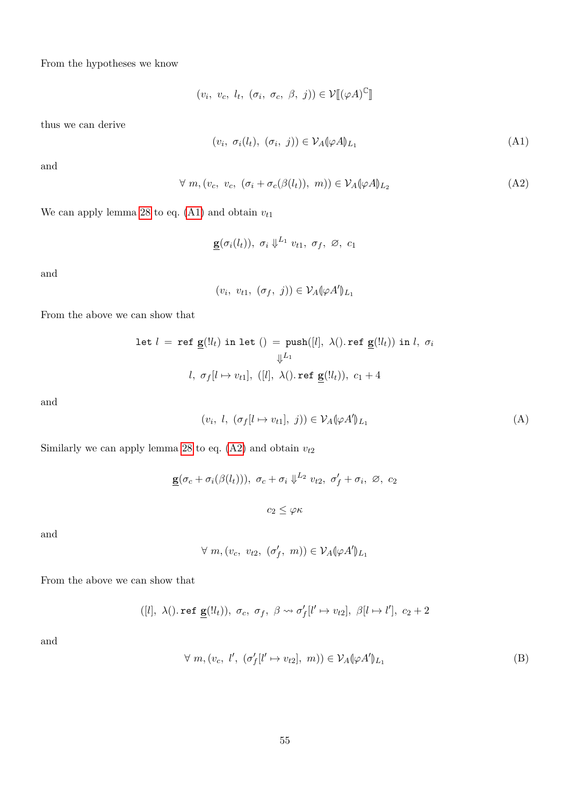From the hypotheses we know

$$
(v_i, v_c, l_t, (\sigma_i, \sigma_c, \beta, j)) \in \mathcal{V}[[(\varphi A)^{\mathbb{C}}]]
$$

thus we can derive

<span id="page-54-1"></span><span id="page-54-0"></span>
$$
(v_i, \sigma_i(l_t), (\sigma_i, j)) \in \mathcal{V}_A(\varphi A)_{L_1}
$$
\n(A1)

and

$$
\forall m, (v_c, v_c, (\sigma_i + \sigma_c(\beta(l_t)), m)) \in \mathcal{V}_A(\varphi A)_{L_2}
$$
 (A2)

We can apply lemma [28](#page-43-0) to eq.  $(A1)$  and obtain  $v_{t1}$ 

$$
\underline{\mathbf{g}}(\sigma_i(l_t)), \ \sigma_i \Downarrow^{L_1} v_{t1}, \ \sigma_f, \ \varnothing, \ c_1
$$

and

$$
(v_i, v_{t1}, (\sigma_f, j)) \in \mathcal{V}_A(\varphi A')_{L_1}
$$

From the above we can show that

$$
\begin{aligned} \text{let } l \ = \ \texttt{ref } \underline{\mathbf{g}}(l_l) \ \texttt{in let } () = \ \texttt{push}([l], \ \lambda(). \ \texttt{ref } \underline{\mathbf{g}}(l_l)) \ \texttt{in } l, \ \sigma_i \\ &\Downarrow^{L_1} \\ l, \ \sigma_f[l \mapsto v_{t1}], \ ([l], \ \lambda(). \ \texttt{ref } \underline{\mathbf{g}}(l_t)), \ c_1 + 4 \end{aligned}
$$

and

$$
(v_i, l, (\sigma_f[l \mapsto v_{t1}], j)) \in \mathcal{V}_A(\varphi A')_{L_1}
$$
 (A)

Similarly we can apply lemma [28](#page-43-0) to eq.  $(A2)$  and obtain  $v_{t2}$ 

$$
\underline{\mathbf{g}}(\sigma_c + \sigma_i(\beta(l_t))), \ \sigma_c + \sigma_i \Downarrow^{L_2} v_{t2}, \ \sigma'_f + \sigma_i, \ \varnothing, \ c_2
$$

$$
c_2 \leq \varphi \kappa
$$

and

 $\forall m, (v_c, v_{t2}, (\sigma'_f, m)) \in \mathcal{V}_A(\varphi A')_{L_1}$ 

From the above we can show that

$$
([l],~\lambda().{\tt ref}~\underline{\bf g}(!l_t)),~\sigma_c,~\sigma_f,~\beta\leadsto\sigma_f'[l'\mapsto v_{t2}],~\beta[l\mapsto l'],~c_2+2
$$

and

$$
\forall m, (v_c, l', (\sigma'_f[l' \mapsto v_{t2}], m)) \in \mathcal{V}_A(\varphi A')_{L_1}
$$
 (B)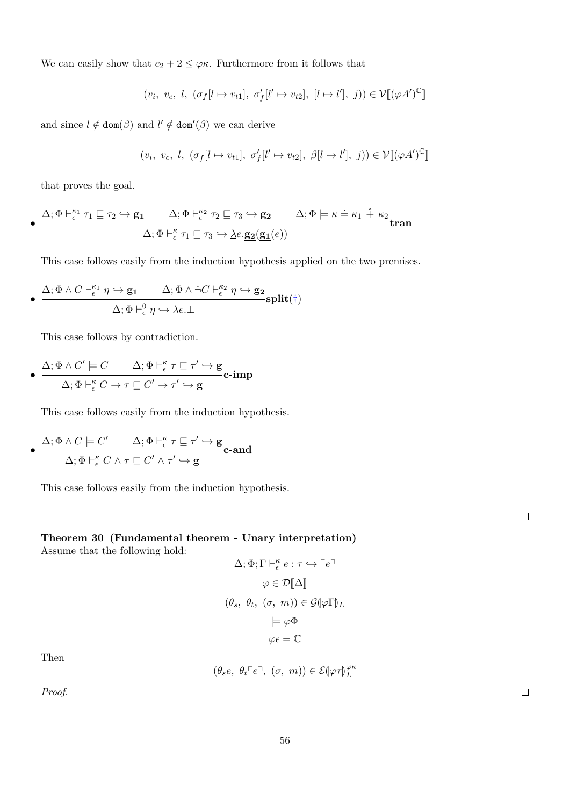We can easily show that  $c_2 + 2 \leq \varphi \kappa$ . Furthermore from it follows that

 $(v_i, v_c, l, (\sigma_f[l \mapsto v_{t1}], \sigma'_f[l' \mapsto v_{t2}], [l \mapsto l'], j)) \in \mathcal{V}[(\varphi A')^{\mathbb{C}}$ l<br>I

and since  $l \notin \text{dom}(\beta)$  and  $l' \notin \text{dom}'(\beta)$  we can derive

 $(v_i, v_c, l, (\sigma_f[l \mapsto v_{t1}], \sigma'_f[l' \mapsto v_{t2}], \beta[l \mapsto l'], j)) \in \mathcal{V}[(\varphi A')^{\mathbb{C}}$ l<br>I

that proves the goal.

$$
\bullet \xrightarrow{\Delta; \Phi \vdash_{\epsilon}^{\kappa_1} \tau_1 \sqsubseteq \tau_2 \hookrightarrow \underline{\mathbf{g_1}} \qquad \Delta; \Phi \vdash_{\epsilon}^{\kappa_2} \tau_2 \sqsubseteq \tau_3 \hookrightarrow \underline{\mathbf{g_2}} \qquad \Delta; \Phi \models \kappa \doteq \kappa_1 \hat{+} \kappa_2} \text{tran}
$$

$$
\Delta; \Phi \vdash_{\epsilon}^{\kappa} \tau_1 \sqsubseteq \tau_3 \hookrightarrow \underline{\lambda} e. \underline{\mathbf{g_2}}(\underline{\mathbf{g_1}}(e))
$$

This case follows easily from the induction hypothesis applied on the two premises.

$$
\bullet \; \frac{\Delta; \Phi \wedge C \vdash_{\epsilon}^{\kappa_1}\eta \hookrightarrow \underline{\mathbf{g_1}}}{\Delta; \Phi \vdash_{\epsilon}^0 \eta \hookrightarrow \underline{\lambda} e.\bot} \underline{\mathrm{split}}(\dagger)
$$

This case follows by contradiction.

• 
$$
\frac{\Delta; \Phi \wedge C' \models C \qquad \Delta; \Phi \vdash_{\epsilon}^{\kappa} \tau \sqsubseteq \tau' \hookrightarrow \mathbf{g}}{\Delta; \Phi \vdash_{\epsilon}^{\kappa} C \to \tau \sqsubseteq C' \to \tau' \hookrightarrow \mathbf{g}} \mathbf{c}\text{-imp}
$$

This case follows easily from the induction hypothesis.

$$
\bullet \ \ \frac{\Delta; \Phi \wedge C \models C' \qquad \Delta; \Phi \vdash_{\epsilon}^{\kappa} \tau \sqsubseteq \tau' \hookrightarrow \underline{\mathbf{g}}}{\Delta; \Phi \vdash_{\epsilon}^{\kappa} C \wedge \tau \sqsubseteq C' \wedge \tau' \hookrightarrow \underline{\mathbf{g}}} \mathbf{c}\text{-and}
$$

This case follows easily from the induction hypothesis.

<span id="page-55-0"></span>**Theorem 30 (Fundamental theorem - Unary interpretation)** Assume that the following hold:

$$
\Delta; \Phi; \Gamma \vdash_{\epsilon}^{\kappa} e : \tau \hookrightarrow \ulcorner e \urcorner
$$

$$
\varphi \in \mathcal{D}[\![\Delta]\!]
$$

$$
(\theta_s, \ \theta_t, \ (\sigma, \ m)) \in \mathcal{G}([\varphi \Gamma])_L
$$

$$
\models \varphi \Phi
$$

$$
\varphi \epsilon = \mathbb{C}
$$

Then

$$
(\theta_s e, \ \theta_t \ulcorner e \urcorner, \ (\sigma, \ m)) \in \mathcal{E}(\varphi \tau)_{L}^{\varphi \kappa}
$$

*Proof.*

 $\Box$ 

 $\Box$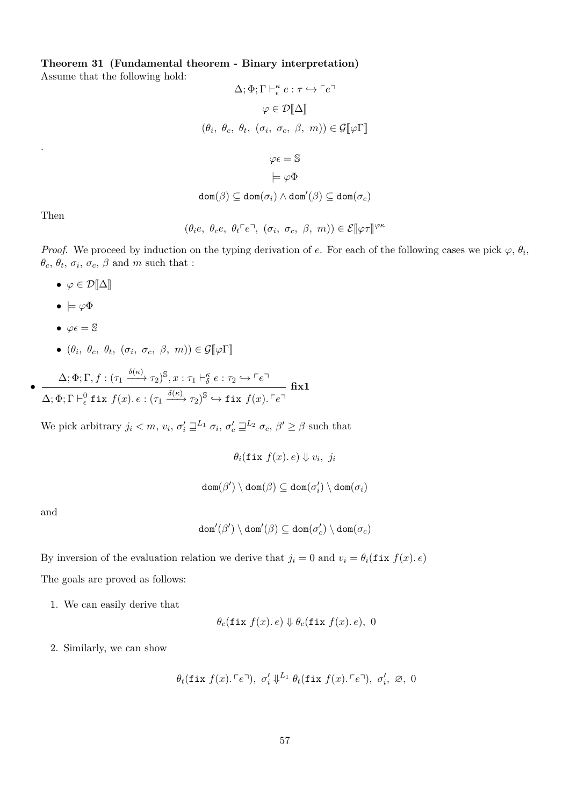**Theorem 31 (Fundamental theorem - Binary interpretation)**

Assume that the following hold:

$$
\Delta; \Phi; \Gamma \vdash_{\epsilon}^{\kappa} e : \tau \hookrightarrow \ulcorner e \urcorner
$$
\n
$$
\varphi \in \mathcal{D}[\![\Delta]\!]
$$
\n
$$
(\theta_i, \ \theta_c, \ \theta_t, \ (\sigma_i, \ \sigma_c, \ \beta, \ m)) \in \mathcal{G}[\![\varphi \Gamma]\!]
$$
\n
$$
\varphi \epsilon = \mathbb{S}
$$
\n
$$
\models \varphi \Phi
$$
\n
$$
\text{dom}(\beta) \subseteq \text{dom}(\sigma_i) \land \text{dom}'(\beta) \subseteq \text{dom}(\sigma_c)
$$

Then

.

$$
(\theta_i e, \ \theta_c e, \ \theta_t \ulcorner e \urcorner, \ (\sigma_i, \ \sigma_c, \ \beta, \ m)) \in \mathcal{E}[\![\varphi \tau]\!]^{\varphi \kappa}
$$

*Proof.* We proceed by induction on the typing derivation of *e*. For each of the following cases we pick  $\varphi$ ,  $\theta_i$ ,  $\theta_c$ ,  $\theta_t$ ,  $\sigma_i$ ,  $\sigma_c$ ,  $\beta$  and *m* such that :

- $\varphi \in \mathcal{D}[\![\Delta]\!]$
- $\bullet \models \varphi \Phi$
- $\varphi \epsilon = \mathbb{S}$
- $(\theta_i, \theta_c, \theta_t, (\sigma_i, \sigma_c, \beta, m)) \in \mathcal{G}[\![\varphi\Gamma]\!]$

 $(\Delta; \Phi; \Gamma, f: (\tau_1 \xrightarrow{\delta(\kappa)} \tau_2)^\mathbb{S}, x: \tau_1 \vdash^\kappa_\delta e: \tau_2 \hookrightarrow \ulcorner e \urcorner$  $\Delta; \Phi; \Gamma \vdash^0_{\epsilon} \texttt{fix}~ f(x) .~e : (\tau_1 \xrightarrow{\delta(\kappa)} \tau_2)^{\mathbb{S}} \hookrightarrow \texttt{fix}~ f(x) .$   $\ulcorner e \urcorner$ **fix1**

We pick arbitrary  $j_i < m$ ,  $v_i$ ,  $\sigma'_i \sqsupseteq^{L_1} \sigma_i$ ,  $\sigma'_c \sqsupseteq^{L_2} \sigma_c$ ,  $\beta' \ge \beta$  such that

$$
\theta_i(\texttt{fix } f(x), e) \Downarrow v_i, \ j_i
$$

$$
\texttt{dom}(\beta') \setminus \texttt{dom}(\beta) \subseteq \texttt{dom}(\sigma'_i) \setminus \texttt{dom}(\sigma_i)
$$

and

•

$$
\mathtt{dom}'(\beta')\setminus\mathtt{dom}'(\beta)\subseteq\mathtt{dom}(\sigma'_c)\setminus\mathtt{dom}(\sigma_c)
$$

By inversion of the evaluation relation we derive that  $j_i = 0$  and  $v_i = \theta_i(\texttt{fix } f(x), e)$ The goals are proved as follows:

1. We can easily derive that

$$
\theta_c(\texttt{fix } f(x), e) \Downarrow \theta_c(\texttt{fix } f(x), e), 0
$$

2. Similarly, we can show

$$
\theta_t(\texttt{fix } f(x).\ulcorner e \urcorner), \ \sigma'_i \Downarrow^{L_1} \theta_t(\texttt{fix } f(x).\ulcorner e \urcorner), \ \sigma'_i, \ \varnothing, \ 0
$$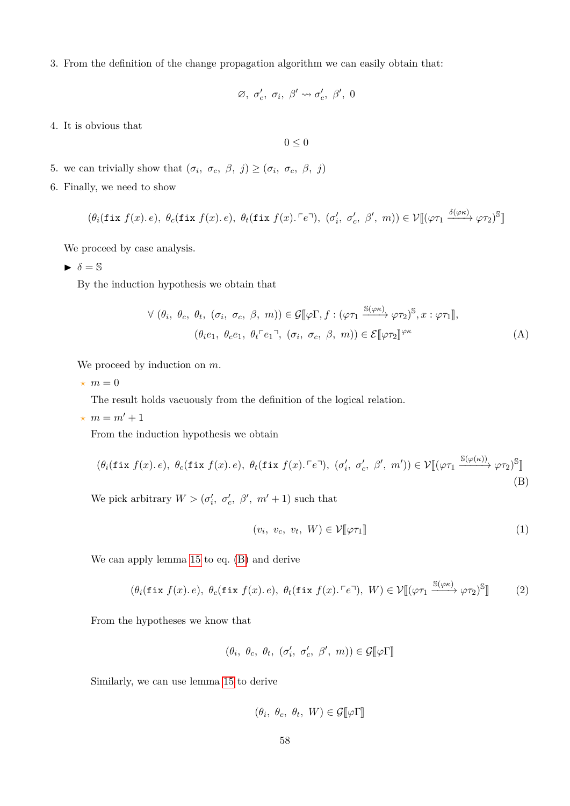3. From the definition of the change propagation algorithm we can easily obtain that:

$$
\varnothing,~\sigma'_c,~\sigma_i,~\beta' \leadsto \sigma'_c,~\beta',~0
$$

4. It is obvious that

<span id="page-57-3"></span> $0 < 0$ 

- 5. we can trivially show that  $(\sigma_i, \sigma_c, \beta, j) \geq (\sigma_i, \sigma_c, \beta, j)$
- 6. Finally, we need to show

$$
(\theta_i(\texttt{fix } f(x). e), \ \theta_c(\texttt{fix } f(x). e), \ \theta_t(\texttt{fix } f(x). \ulcorner e \urcorner), \ (\sigma'_i, \ \sigma'_c, \ \beta', \ m)) \in \mathcal{V}[[\varphi \tau_1 \xrightarrow{\delta(\varphi \kappa)} \varphi \tau_2)^\mathbb{S}]]
$$

We proceed by case analysis.

 $\triangleright$   $\delta = \mathbb{S}$ 

By the induction hypothesis we obtain that

$$
\forall (\theta_i, \ \theta_c, \ \theta_t, \ (\sigma_i, \ \sigma_c, \ \beta, \ m)) \in \mathcal{G}[\![\varphi\Gamma, f : (\varphi\tau_1 \xrightarrow{\mathbb{S}(\varphi\kappa)} \varphi\tau_2)^{\mathbb{S}}, x : \varphi\tau_1]\!],
$$

$$
(\theta_i e_1, \ \theta_c e_1, \ \theta_t \ulcorner e_1 \urcorner, \ (\sigma_i, \ \sigma_c, \ \beta, \ m)) \in \mathcal{E}[\![\varphi\tau_2]\!]^{\varphi\kappa}
$$
(A)

We proceed by induction on *m*.

 $\star$  *m* = 0

The result holds vacuously from the definition of the logical relation.

 $\star$  *m* = *m'* + 1

From the induction hypothesis we obtain

$$
(\theta_i(\texttt{fix } f(x), e), \ \theta_c(\texttt{fix } f(x), e), \ \theta_t(\texttt{fix } f(x), \ulcorner e \urcorner), \ (\sigma'_i, \ \sigma'_c, \ \beta', \ m')) \in \mathcal{V}[[\varphi \tau_1 \xrightarrow{\mathbb{S}(\varphi(\kappa))} \varphi \tau_2)^{\mathbb{S}}]]
$$
(B)

We pick arbitrary  $W > (\sigma_i', \sigma_c', \beta', m' + 1)$  such that

<span id="page-57-2"></span><span id="page-57-1"></span><span id="page-57-0"></span>
$$
(v_i, v_c, v_t, W) \in \mathcal{V}[\![\varphi \tau_1]\!]
$$
\n<sup>(1)</sup>

We can apply lemma [15](#page-31-0) to eq. [\(B\)](#page-57-0) and derive

$$
(\theta_i(\texttt{fix } f(x), e), \ \theta_c(\texttt{fix } f(x), e), \ \theta_t(\texttt{fix } f(x), \ulcorner e \urcorner), \ W) \in \mathcal{V}[[\varphi \tau_1 \xrightarrow{\mathbb{S}(\varphi \kappa)} \varphi \tau_2)^{\mathbb{S}}]] \tag{2}
$$

From the hypotheses we know that

$$
(\theta_i, \ \theta_c, \ \theta_t, \ (\sigma'_i, \ \sigma'_c, \ \beta', \ m)) \in \mathcal{G}[\![\varphi\Gamma]\!]
$$

Similarly, we can use lemma [15](#page-31-0) to derive

$$
(\theta_i, \ \theta_c, \ \theta_t, \ W) \in \mathcal{G}[\![\varphi\Gamma]\!]
$$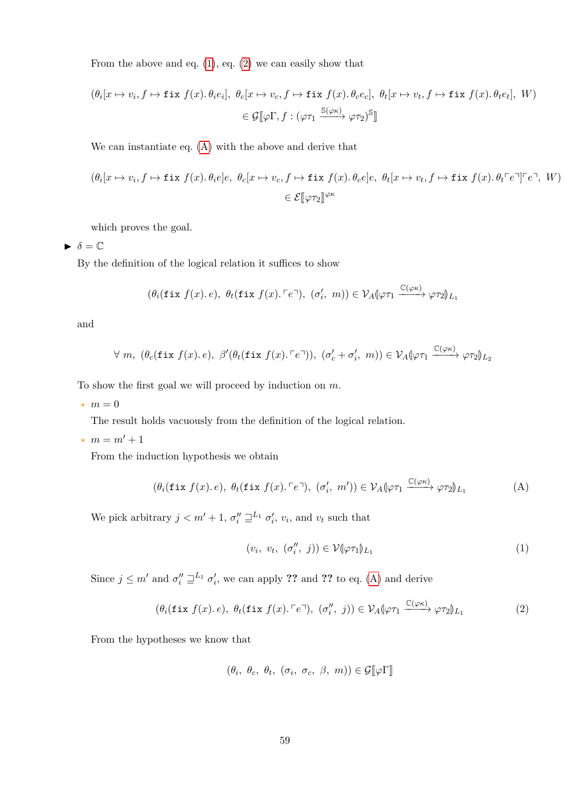From the above and eq.  $(1)$ , eq.  $(2)$  we can easily show that

$$
(\theta_i[x \mapsto v_i, f \mapsto \text{fix } f(x). \theta_i e_i], \ \theta_c[x \mapsto v_c, f \mapsto \text{fix } f(x). \theta_c e_c], \ \theta_t[x \mapsto v_t, f \mapsto \text{fix } f(x). \theta_t e_t], \ W)
$$

$$
\in \mathcal{G}[\![\varphi\Gamma, f : (\varphi\tau_1 \xrightarrow{\mathbb{S}(\varphi\kappa)} \varphi\tau_2)^{\mathbb{S}}]\!]
$$

We can instantiate eq. [\(A\)](#page-57-3) with the above and derive that

$$
(\theta_i[x \mapsto v_i, f \mapsto \text{fix } f(x). \theta_i e]e, \ \theta_c[x \mapsto v_c, f \mapsto \text{fix } f(x). \theta_c e]e, \ \theta_t[x \mapsto v_t, f \mapsto \text{fix } f(x). \theta_t \ulcorner e \urcorner \ulcorner \ulcorner e \urcorner, \ W)
$$

$$
\in \mathcal{E}[\varphi \tau_2]^{ \varphi \kappa}
$$

which proves the goal.

 $\blacktriangleright$   $\delta = \mathbb{C}$ 

By the definition of the logical relation it suffices to show

$$
(\theta_i(\texttt{fix } f(x), e), \ \theta_t(\texttt{fix } f(x). \ulcorner e \urcorner), \ (\sigma_i', \ m)) \in \mathcal{V}_A(\varphi \tau_1 \xrightarrow{\mathbb{C}(\varphi \kappa)} \varphi \tau_2)_{L_1}
$$

and

$$
\forall m, (\theta_c(\texttt{fix } f(x), e), \beta'(\theta_t(\texttt{fix } f(x), \lceil e \rceil)), (\sigma'_c + \sigma'_i, m)) \in \mathcal{V}_A(\varphi \tau_1 \xrightarrow{\mathbb{C}(\varphi \kappa)} \varphi \tau_2)_{L_2}
$$

To show the first goal we will proceed by induction on *m*.

 $\star$  *m* = 0

The result holds vacuously from the definition of the logical relation.

 $\star$  *m* = *m'* + 1

From the induction hypothesis we obtain

$$
(\theta_i(\texttt{fix } f(x), e), \ \theta_t(\texttt{fix } f(x), \ulcorner e \urcorner), \ (\sigma'_i, \ m')) \in \mathcal{V}_A(\varphi \tau_1 \xrightarrow{\mathbb{C}(\varphi \kappa)} \varphi \tau_2) \mathcal{L}_1
$$
 (A)

We pick arbitrary  $j < m' + 1$ ,  $\sigma''_i \sqsupseteq^{L_1} \sigma'_i$ ,  $v_i$ , and  $v_t$  such that

<span id="page-58-2"></span><span id="page-58-1"></span><span id="page-58-0"></span>
$$
(v_i, v_t, (\sigma''_i, j)) \in \mathcal{V}(\varphi \tau_1)_{L_1}
$$
\n
$$
(1)
$$

Since  $j \leq m'$  and  $\sigma''_i \sqsupseteq^{L_1} \sigma'_i$ , we can apply ?? and ?? to eq. [\(A\)](#page-58-0) and derive

$$
(\theta_i(\texttt{fix } f(x), e), \ \theta_t(\texttt{fix } f(x), \ulcorner e \urcorner), \ (\sigma_i'', \ j)) \in \mathcal{V}_A(\varphi \tau_1 \xrightarrow{\mathbb{C}(\varphi \kappa)} \varphi \tau_2)_{L_1} \tag{2}
$$

From the hypotheses we know that

$$
(\theta_i, \theta_c, \theta_t, (\sigma_i, \sigma_c, \beta, m)) \in \mathcal{G}[\![\varphi\Gamma]\!]
$$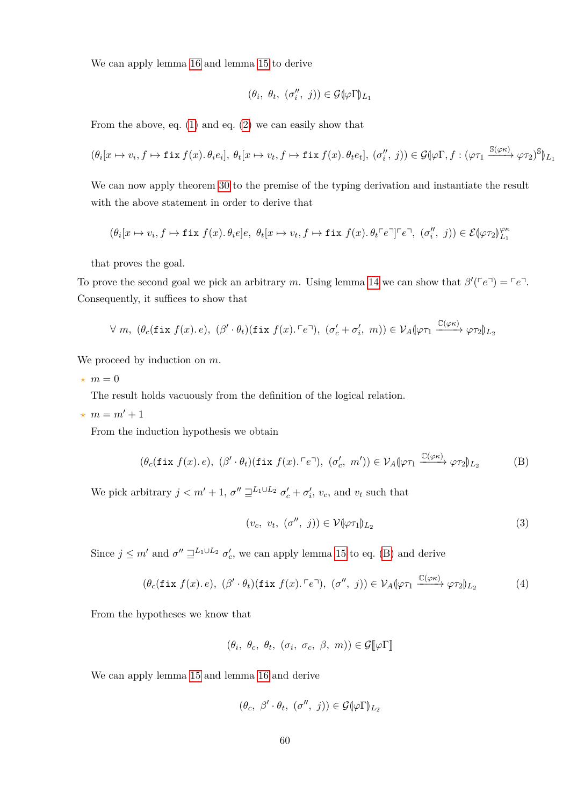We can apply lemma [16](#page-31-1) and lemma [15](#page-31-0) to derive

$$
(\theta_i, \ \theta_t, \ (\sigma''_i, \ j)) \in \mathcal{G}(\varphi \Gamma)_{L_1}
$$

From the above, eq. [\(1\)](#page-58-1) and eq. [\(2\)](#page-58-2) we can easily show that

$$
(\theta_i[x \mapsto v_i, f \mapsto \text{fix } f(x). \theta_i e_i], \ \theta_t[x \mapsto v_t, f \mapsto \text{fix } f(x). \theta_t e_i], \ (\sigma_i'', j)) \in \mathcal{G}(\varphi \Gamma, f : (\varphi \tau_1 \xrightarrow{\mathbb{S}(\varphi \kappa)} \varphi \tau_2)^{\mathbb{S}})_{L_1}
$$

We can now apply theorem [30](#page-55-0) to the premise of the typing derivation and instantiate the result with the above statement in order to derive that

$$
(\theta_i[x \mapsto v_i, f \mapsto \text{fix } f(x). \theta_i e]e, \ \theta_t[x \mapsto v_t, f \mapsto \text{fix } f(x). \theta_t \ulcorner e \urcorner \ulcorner \ulcorner e \urcorner, (\sigma_i'', j)) \in \mathcal{E}(\varphi \tau_2) \ell_{L_1}^{\varphi \kappa}
$$

that proves the goal.

To prove the second goal we pick an arbitrary *m*. Using lemma [14](#page-30-1) we can show that  $\beta'(\lceil e^r \rceil) = \lceil e^r \rceil$ . Consequently, it suffices to show that

$$
\forall m, (\theta_c(\texttt{fix } f(x). e), (\beta' \cdot \theta_t)(\texttt{fix } f(x). \ulcorner e \urcorner), (\sigma'_c + \sigma'_i, m)) \in \mathcal{V}_A[\varphi \tau_1 \xrightarrow{\mathbb{C}(\varphi \kappa)} \varphi \tau_2]_{L_2}
$$

We proceed by induction on *m*.

 $\star$  *m* = 0

The result holds vacuously from the definition of the logical relation.

 $\star$  *m* = *m'* + 1

From the induction hypothesis we obtain

$$
(\theta_c(\text{fix } f(x), e), (\beta' \cdot \theta_t)(\text{fix } f(x), \ulcorner e \urcorner), (\sigma'_c, m')) \in \mathcal{V}_A(\varphi \tau_1 \xrightarrow{\mathbb{C}(\varphi \kappa)} \varphi \tau_2)_{L_2}
$$
 (B)

We pick arbitrary  $j < m' + 1$ ,  $\sigma'' \sqsupseteq^{L_1 \cup L_2} \sigma'_c + \sigma'_i$ ,  $v_c$ , and  $v_t$  such that

<span id="page-59-2"></span><span id="page-59-1"></span><span id="page-59-0"></span>
$$
(v_c, v_t, (\sigma'', j)) \in \mathcal{V}(\varphi \tau_1)_{L_2}
$$
\n
$$
(3)
$$

Since  $j \leq m'$  and  $\sigma'' \sqsupseteq^{L_1 \cup L_2} \sigma'_c$ , we can apply lemma [15](#page-31-0) to eq. [\(B\)](#page-59-0) and derive

$$
(\theta_c(\text{fix } f(x), e), (\beta' \cdot \theta_t)(\text{fix } f(x), \ulcorner e \urcorner), (\sigma'', j)) \in \mathcal{V}_A(\varphi \tau_1 \xrightarrow{\mathbb{C}(\varphi \kappa)} \varphi \tau_2)_{L_2}
$$
(4)

From the hypotheses we know that

$$
(\theta_i, \ \theta_c, \ \theta_t, \ (\sigma_i, \ \sigma_c, \ \beta, \ m)) \in \mathcal{G}[\![\varphi\Gamma]\!]
$$

We can apply lemma [15](#page-31-0) and lemma [16](#page-31-1) and derive

$$
(\theta_c, \beta' \cdot \theta_t, (\sigma'', j)) \in \mathcal{G}(\varphi \Gamma)_{L_2}
$$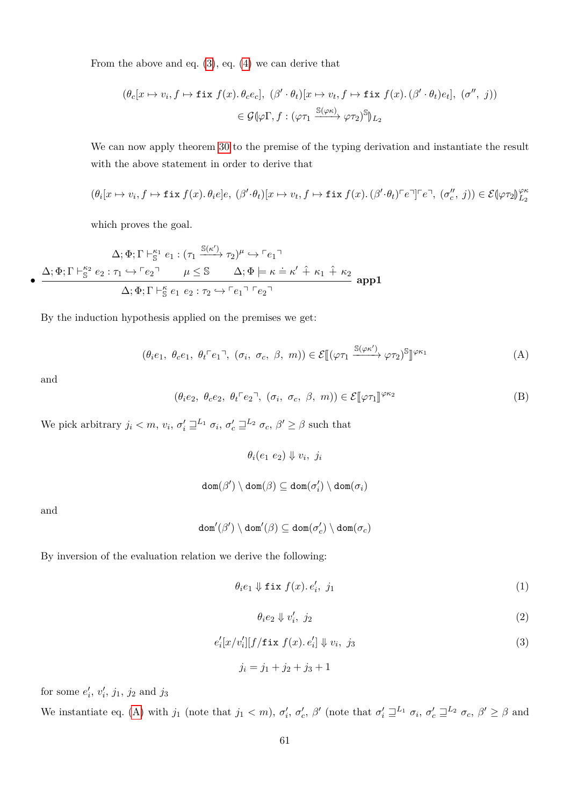From the above and eq.  $(3)$ , eq.  $(4)$  we can derive that

$$
(\theta_c[x \mapsto v_i, f \mapsto \text{fix } f(x). \theta_c e_c], (\beta' \cdot \theta_t)[x \mapsto v_t, f \mapsto \text{fix } f(x).(\beta' \cdot \theta_t)e_t], (\sigma'', j))
$$
  

$$
\in \mathcal{G}(\varphi \Gamma, f : (\varphi \tau_1 \xrightarrow{\mathbb{S}(\varphi \kappa)} \varphi \tau_2)^{\mathbb{S}})_{L_2}
$$

We can now apply theorem [30](#page-55-0) to the premise of the typing derivation and instantiate the result with the above statement in order to derive that

$$
(\theta_i[x \mapsto v_i, f \mapsto \text{fix } f(x). \theta_i e]e, \ (\beta' \cdot \theta_t)[x \mapsto v_t, f \mapsto \text{fix } f(x). (\beta' \cdot \theta_t)^{\top} e^{\top}]^{\top} e^{\top}, \ (\sigma''_c, j)) \in \mathcal{E}(\varphi \tau_2)_{L_2}^{\varphi \kappa}
$$

which proves the goal.

$$
\Delta; \Phi; \Gamma \vdash_{\mathbb{S}}^{\kappa_1} e_1 : (\tau_1 \xrightarrow{\mathbb{S}(\kappa')} \tau_2)^{\mu} \hookrightarrow \ulcorner e_1 \urcorner
$$
\n
$$
\bullet \xrightarrow{\Delta; \Phi; \Gamma \vdash_{\mathbb{S}}^{\kappa_2} e_2 : \tau_1 \hookrightarrow \ulcorner e_2 \urcorner \qquad \mu \leq \mathbb{S} \qquad \Delta; \Phi \models \kappa \doteq \kappa' \hat{+} \kappa_1 \hat{+} \kappa_2 \qquad \text{app1}
$$
\n
$$
\Delta; \Phi; \Gamma \vdash_{\mathbb{S}}^{\kappa} e_1 \ e_2 : \tau_2 \hookrightarrow \ulcorner e_1 \urcorner \ulcorner e_2 \urcorner
$$

By the induction hypothesis applied on the premises we get:

$$
(\theta_i e_1, \ \theta_c e_1, \ \theta_t \ulcorner e_1 \urcorner, \ (\sigma_i, \ \sigma_c, \ \beta, \ m)) \in \mathcal{E}[(\varphi \tau_1 \xrightarrow{\mathbb{S}(\varphi \kappa')} \varphi \tau_2)^{\mathbb{S}}]^{ \varphi \kappa_1}
$$
 (A)

and

$$
(\theta_i e_2, \ \theta_c e_2, \ \theta_t \ulcorner e_2 \urcorner, \ (\sigma_i, \ \sigma_c, \ \beta, \ m)) \in \mathcal{E}[\![\varphi \tau_1]\!]^{\varphi \kappa_2} \tag{B}
$$

We pick arbitrary  $j_i < m$ ,  $v_i$ ,  $\sigma'_i \sqsupseteq^{L_1} \sigma_i$ ,  $\sigma'_c \sqsupseteq^{L_2} \sigma_c$ ,  $\beta' \ge \beta$  such that

<span id="page-60-2"></span><span id="page-60-0"></span> $\theta_i(e_1 \ e_2) \Downarrow v_i, \ j_i$ 

$$
\mathtt{dom}(\beta')\setminus\mathtt{dom}(\beta)\subseteq\mathtt{dom}(\sigma'_i)\setminus\mathtt{dom}(\sigma_i)
$$

and

$$
\mathtt{dom}'(\beta')\setminus\mathtt{dom}'(\beta)\subseteq\mathtt{dom}(\sigma'_c)\setminus\mathtt{dom}(\sigma_c)
$$

By inversion of the evaluation relation we derive the following:

$$
\theta_i e_1 \Downarrow \text{fix } f(x). e'_i, j_1 \tag{1}
$$

<span id="page-60-4"></span><span id="page-60-3"></span><span id="page-60-1"></span>
$$
\theta_i e_2 \Downarrow v_i', \ j_2 \tag{2}
$$

$$
e_i'[x/v_i'][f/\texttt{fix } f(x). e_i'] \Downarrow v_i, j_3
$$
\n(3)

$$
j_i = j_1 + j_2 + j_3 + 1
$$

for some  $e'_{i}$ ,  $v'_{i}$ ,  $j_{1}$ ,  $j_{2}$  and  $j_{3}$ 

We instantiate eq. [\(A\)](#page-60-0) with  $j_1$  (note that  $j_1 < m$ ),  $\sigma'_i$ ,  $\sigma'_c$ ,  $\beta'$  (note that  $\sigma'_i \sqsupseteq^{L_1} \sigma_i$ ,  $\sigma'_c \sqsupseteq^{L_2} \sigma_c$ ,  $\beta' \ge \beta$  and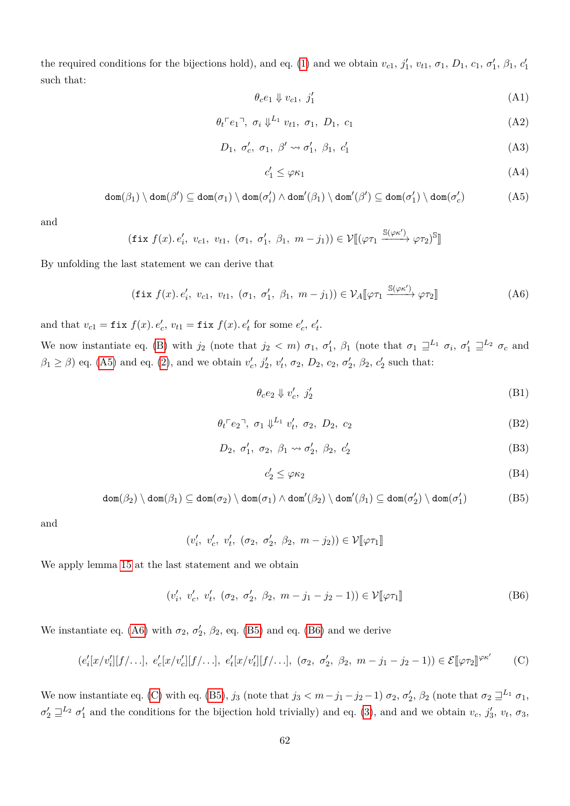the required conditions for the bijections hold), and eq. [\(1\)](#page-60-1) and we obtain  $v_{c1}$ ,  $j'_1$ ,  $v_{t1}$ ,  $\sigma_1$ ,  $D_1$ ,  $c_1$ ,  $\sigma'_1$ ,  $\beta_1$ ,  $c'_1$ such that:

<span id="page-61-5"></span>
$$
\theta_c e_1 \Downarrow v_{c1}, \ j'_1 \tag{A1}
$$

$$
\theta_t \ulcorner e_1 \urcorner, \; \sigma_i \Downarrow^{L_1} v_{t1}, \; \sigma_1, \; D_1, \; c_1 \tag{A2}
$$

$$
D_1, \sigma'_c, \sigma_1, \beta' \leadsto \sigma'_1, \beta_1, c'_1 \tag{A3}
$$

<span id="page-61-11"></span><span id="page-61-9"></span><span id="page-61-7"></span><span id="page-61-1"></span><span id="page-61-0"></span>
$$
c_1' \le \varphi \kappa_1 \tag{A4}
$$

$$
\text{dom}(\beta_1) \setminus \text{dom}(\beta') \subseteq \text{dom}(\sigma_1) \setminus \text{dom}(\sigma_i') \land \text{dom}'(\beta_1) \setminus \text{dom}'(\beta') \subseteq \text{dom}(\sigma_1') \setminus \text{dom}(\sigma_c') \tag{A5}
$$

and

$$
(\text{fix } f(x). e'_i, v_{c1}, v_{t1}, (\sigma_1, \sigma'_1, \beta_1, m-j_1)) \in \mathcal{V}[(\varphi \tau_1 \xrightarrow{\mathbb{S}(\varphi \kappa')} \varphi \tau_2)^{\mathbb{S}}]
$$

By unfolding the last statement we can derive that

$$
(\text{fix } f(x), e'_i, v_{c1}, v_{t1}, (\sigma_1, \sigma'_1, \beta_1, m - j_1)) \in \mathcal{V}_A[\varphi \tau_1 \xrightarrow{\mathbb{S}(\varphi \kappa')} \varphi \tau_2]]
$$
\n(A6)

and that  $v_{c1} = \textbf{fix } f(x)$ *.*  $e'_{c}$ ,  $v_{t1} = \textbf{fix } f(x)$ *.*  $e'_{t}$  for some  $e'_{c}$ ,  $e'_{t}$ .

We now instantiate eq. [\(B\)](#page-60-2) with  $j_2$  (note that  $j_2 < m$ )  $\sigma_1$ ,  $\sigma'_1$ ,  $\beta_1$  (note that  $\sigma_1 \sqsupseteq^{L_1} \sigma_i$ ,  $\sigma'_1 \sqsupseteq^{L_2} \sigma_c$  and  $\beta_1 \geq \beta$  eq. [\(A5\)](#page-61-0) and eq. [\(2\)](#page-60-3), and we obtain  $v'_c$ ,  $j'_2$ ,  $v'_t$ ,  $\sigma_2$ ,  $D_2$ ,  $c_2$ ,  $\sigma'_2$ ,  $\beta_2$ ,  $c'_2$  such that:

<span id="page-61-6"></span>
$$
\theta_c e_2 \Downarrow v'_c, \ j'_2 \tag{B1}
$$

$$
\theta_t \ulcorner e_2 \urcorner, \ \sigma_1 \Downarrow^{L_1} v'_t, \ \sigma_2, \ D_2, \ c_2 \tag{B2}
$$

$$
D_2, \sigma'_1, \sigma_2, \beta_1 \rightsquigarrow \sigma'_2, \beta_2, c'_2 \tag{B3}
$$

<span id="page-61-12"></span><span id="page-61-10"></span><span id="page-61-8"></span><span id="page-61-4"></span><span id="page-61-3"></span><span id="page-61-2"></span>
$$
c_2' \le \varphi \kappa_2 \tag{B4}
$$

$$
\text{dom}(\beta_2) \setminus \text{dom}(\beta_1) \subseteq \text{dom}(\sigma_2) \setminus \text{dom}(\sigma_1) \land \text{dom}'(\beta_2) \setminus \text{dom}'(\beta_1) \subseteq \text{dom}(\sigma'_2) \setminus \text{dom}(\sigma'_1)
$$
(B5)

and

$$
(v'_i, v'_c, v'_t, (\sigma_2, \sigma'_2, \beta_2, m - j_2)) \in \mathcal{V}[\varphi \tau_1]
$$

We apply lemma [15](#page-31-0) at the last statement and we obtain

$$
(v'_i, v'_c, v'_t, (\sigma_2, \sigma'_2, \beta_2, m - j_1 - j_2 - 1)) \in \mathcal{V}[\![\varphi \tau_1]\!]
$$
 (B6)

We instantiate eq. [\(A6\)](#page-61-1) with  $\sigma_2$ ,  $\sigma_2'$ ,  $\beta_2$ , eq. [\(B5\)](#page-61-2) and eq. [\(B6\)](#page-61-3) and we derive

$$
(e'_i[x/v'_i][f/\ldots], e'_c[x/v'_c][f/\ldots], e'_t[x/v'_t][f/\ldots], (\sigma_2, \sigma'_2, \beta_2, m-j_1-j_2-1)) \in \mathcal{E}[\varphi \tau_2]^{\varphi \kappa'} \qquad (C)
$$

We now instantiate eq. [\(C\)](#page-61-4) with eq. [\(B5\)](#page-61-2),  $j_3$  (note that  $j_3 < m - j_1 - j_2 - 1$ )  $\sigma_2$ ,  $\sigma'_2$ ,  $\beta_2$  (note that  $\sigma_2 \sqsupseteq^{L_1} \sigma_1$ ,  $\sigma'_2 \sqsupseteq^{L_2} \sigma'_1$  and the conditions for the bijection hold trivially) and eq. [\(3\)](#page-60-4), and and we obtain  $v_c$ ,  $j'_3$ ,  $v_t$ ,  $\sigma_3$ ,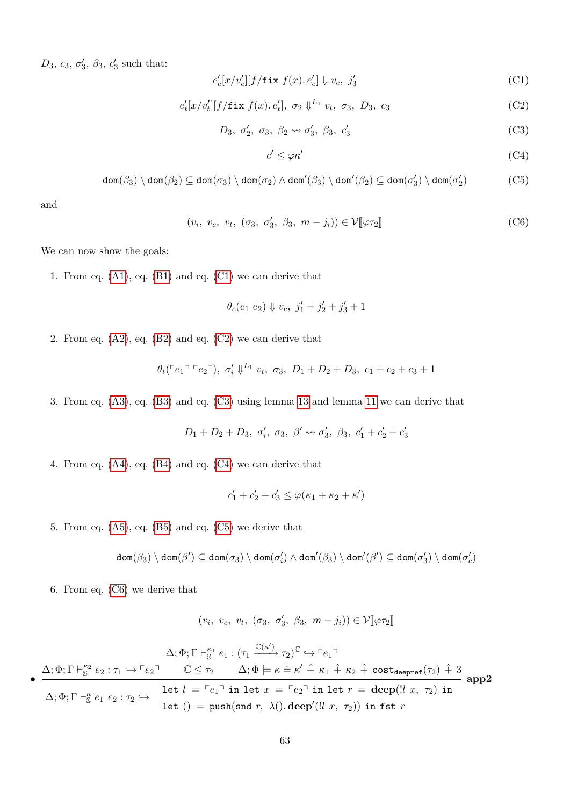$D_3, c_3, \sigma'_3, \beta_3, c'_3$  such that:

$$
e_c'[x/v_c'][f/\mathtt{fix}\ f(x).\ e_c'] \Downarrow v_c,\ j_3'
$$
 (C1)

$$
e'_t[x/v'_t][f/\text{fix }f(x).e'_t], \sigma_2 \downarrow^{L_1} v_t, \sigma_3, D_3, c_3
$$
 (C2)

$$
D_3, \sigma'_2, \sigma_3, \beta_2 \rightsquigarrow \sigma'_3, \beta_3, c'_3 \tag{C3}
$$

<span id="page-62-5"></span><span id="page-62-4"></span><span id="page-62-3"></span><span id="page-62-2"></span><span id="page-62-1"></span><span id="page-62-0"></span>
$$
c' \le \varphi \kappa' \tag{C4}
$$

$$
\text{dom}(\beta_3) \setminus \text{dom}(\beta_2) \subseteq \text{dom}(\sigma_3) \setminus \text{dom}(\sigma_2) \land \text{dom}'(\beta_3) \setminus \text{dom}'(\beta_2) \subseteq \text{dom}(\sigma'_3) \setminus \text{dom}(\sigma'_2) \tag{C5}
$$

and

$$
(v_i, v_c, v_t, (\sigma_3, \sigma'_3, \beta_3, m - j_i)) \in \mathcal{V}[\![\varphi \tau_2]\!]
$$
 (C6)

We can now show the goals:

1. From eq. [\(A1\)](#page-61-5), eq. [\(B1\)](#page-61-6) and eq. [\(C1\)](#page-62-0) we can derive that

$$
\theta_c(e_1\ e_2)\Downarrow v_c,\ j_1'+j_2'+j_3'+1
$$

2. From eq.  $(A2)$ , eq.  $(B2)$  and eq.  $(C2)$  we can derive that

$$
\theta_t({\lceil}e_1 \rceil {\lceil}e_2 \rceil), \sigma'_t \downarrow^{L_1} v_t, \sigma_3, D_1 + D_2 + D_3, c_1 + c_2 + c_3 + 1
$$

3. From eq. [\(A3\)](#page-61-9), eq. [\(B3\)](#page-61-10) and eq. [\(C3\)](#page-62-2) using lemma [13](#page-30-0) and lemma [11](#page-30-2) we can derive that

$$
D_1 + D_2 + D_3, \sigma'_i, \sigma_3, \beta' \leadsto \sigma'_3, \beta_3, c'_1 + c'_2 + c'_3
$$

4. From eq. [\(A4\)](#page-61-11), eq. [\(B4\)](#page-61-12) and eq. [\(C4\)](#page-62-3) we can derive that

$$
c_1'+c_2'+c_3'\leq \varphi(\kappa_1+\kappa_2+\kappa')
$$

5. From eq.  $(A5)$ , eq.  $(B5)$  and eq.  $(C5)$  we derive that

$$
\textnormal{dom}(\beta_3) \setminus \textnormal{dom}(\beta') \subseteq \textnormal{dom}(\sigma_3) \setminus \textnormal{dom}(\sigma_i') \land \textnormal{dom}'(\beta_3) \setminus \textnormal{dom}'(\beta') \subseteq \textnormal{dom}(\sigma_3') \setminus \textnormal{dom}(\sigma_c')
$$

6. From eq. [\(C6\)](#page-62-5) we derive that

$$
(v_i, v_c, v_t, (\sigma_3, \sigma'_3, \beta_3, m - j_i)) \in \mathcal{V}[\varphi \tau_2]
$$

•  $\Delta; \Phi; \Gamma \vdash_{\mathbb{S}}^{\kappa_1} e_1 : (\tau_1 \xrightarrow{\mathbb{C}(\kappa')} \tau_2)^{\mathbb{C}} \hookrightarrow \ulcorner e_1 \urcorner$  $\Delta; \Phi; \Gamma \vdash_{\mathbb{S}}^{\kappa_2} e_2 : \tau_1 \hookrightarrow \ulcorner e_2 \urcorner \qquad \mathbb{C} \trianglelefteq \tau_2 \qquad \Delta; \Phi \models \kappa \doteq \kappa' \hat{+} \kappa_1 \hat{+} \kappa_2 \hat{+} \text{ cost}_{\text{deepref}}(\tau_2) \hat{+} 3$  $\Delta; \Phi; \Gamma \vdash_{\mathbb{S}}^{\kappa} e_1 \ e_2 : \tau_2 \hookrightarrow$ let  $l = \lceil e_1 \rceil$  in let  $x = \lceil e_2 \rceil$  in let  $r = \text{deep}(\lfloor l x, \tau_2 \rfloor)$  in let  $() = \text{push}(\text{snd } r, \lambda() \ldotp \text{deep}'(!l x, \tau_2))$  in fst  $r$ **app2**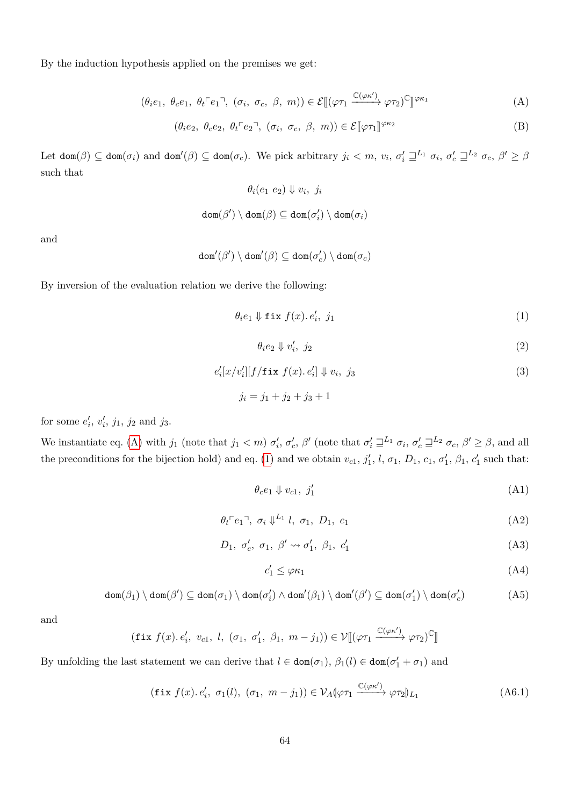By the induction hypothesis applied on the premises we get:

$$
(\theta_i e_1, \ \theta_c e_1, \ \theta_t \ulcorner e_1 \urcorner, \ (\sigma_i, \ \sigma_c, \ \beta, \ m)) \in \mathcal{E}[(\varphi \tau_1 \xrightarrow{\mathbb{C}(\varphi \kappa')} \varphi \tau_2)^{\mathbb{C}}]^{(\varphi \kappa_1)} \tag{A}
$$

$$
(\theta_i e_2, \ \theta_c e_2, \ \theta_t \ulcorner e_2 \urcorner, \ (\sigma_i, \ \sigma_c, \ \beta, \ m)) \in \mathcal{E}[\![\varphi \tau_1]\!]^{\varphi \kappa_2} \tag{B}
$$

Let  $\text{dom}(\beta) \subseteq \text{dom}(\sigma_i)$  and  $\text{dom}'(\beta) \subseteq \text{dom}(\sigma_c)$ . We pick arbitrary  $j_i < m$ ,  $v_i$ ,  $\sigma'_i \sqsupseteq^{L_1} \sigma_i$ ,  $\sigma'_c \sqsupseteq^{L_2} \sigma_c$ ,  $\beta' \geq \beta$ such that

$$
\theta_i(e_1 \ e_2) \Downarrow v_i, \ j_i
$$

$$
\texttt{dom}(\beta') \setminus \texttt{dom}(\beta) \subseteq \texttt{dom}(\sigma'_i) \setminus \texttt{dom}(\sigma_i)
$$

and

$$
\mathtt{dom}'(\beta')\setminus\mathtt{dom}'(\beta)\subseteq\mathtt{dom}(\sigma'_c)\setminus\mathtt{dom}(\sigma_c)
$$

By inversion of the evaluation relation we derive the following:

$$
\theta_i e_1 \Downarrow \text{fix } f(x). e'_i, \ j_1 \tag{1}
$$

$$
\theta_i e_2 \Downarrow v_i', \ j_2 \tag{2}
$$

$$
e'_{i}[x/v'_{i}][f/\mathtt{fix}\;f(x).\;e'_{i}]\Downarrow v_{i},\;j_{3}\qquad \qquad (3)
$$

$$
j_i = j_1 + j_2 + j_3 + 1
$$

for some  $e'_{i}$ ,  $v'_{i}$ ,  $j_{1}$ ,  $j_{2}$  and  $j_{3}$ .

We instantiate eq. [\(A\)](#page-60-0) with  $j_1$  (note that  $j_1 < m$ )  $\sigma'_i$ ,  $\sigma'_c$ ,  $\beta'$  (note that  $\sigma'_i \sqsupseteq^{L_1} \sigma_i$ ,  $\sigma'_c \sqsupseteq^{L_2} \sigma_c$ ,  $\beta' \geq \beta$ , and all the preconditions for the bijection hold) and eq. [\(1\)](#page-60-1) and we obtain  $v_{c1}$ ,  $j'_1$ ,  $l$ ,  $\sigma_1$ ,  $D_1$ ,  $c_1$ ,  $\sigma'_1$ ,  $\beta_1$ ,  $c'_1$  such that:

<span id="page-63-1"></span>
$$
\theta_c e_1 \Downarrow v_{c1}, \ j'_1 \tag{A1}
$$

$$
\theta_t \ulcorner e_1 \urcorner, \; \sigma_i \Downarrow^{L_1} l, \; \sigma_1, \; D_1, \; c_1 \tag{A2}
$$

$$
D_1, \sigma'_c, \sigma_1, \beta' \leadsto \sigma'_1, \beta_1, c'_1 \tag{A3}
$$

<span id="page-63-5"></span><span id="page-63-4"></span><span id="page-63-3"></span><span id="page-63-2"></span><span id="page-63-0"></span>
$$
c_1' \le \varphi \kappa_1 \tag{A4}
$$

$$
\text{dom}(\beta_1) \setminus \text{dom}(\beta') \subseteq \text{dom}(\sigma_1) \setminus \text{dom}(\sigma_i') \land \text{dom}'(\beta_1) \setminus \text{dom}'(\beta') \subseteq \text{dom}(\sigma_1') \setminus \text{dom}(\sigma_c') \tag{A5}
$$

and

$$
(\text{fix } f(x), e'_i, v_{c1}, l, (\sigma_1, \sigma'_1, \beta_1, m - j_1)) \in \mathcal{V}[(\varphi \tau_1 \xrightarrow{\mathbb{C}(\varphi \kappa')} \varphi \tau_2)^{\mathbb{C}}]
$$

By unfolding the last statement we can derive that  $l \in \text{dom}(\sigma_1)$ ,  $\beta_1(l) \in \text{dom}(\sigma'_1 + \sigma_1)$  and

$$
(\text{fix } f(x), e'_i, \ \sigma_1(l), \ (\sigma_1, \ m - j_1)) \in \mathcal{V}_A(\varphi \tau_1 \xrightarrow{\mathbb{C}(\varphi \kappa')} \varphi \tau_2)_{L_1}
$$
\n(A6.1)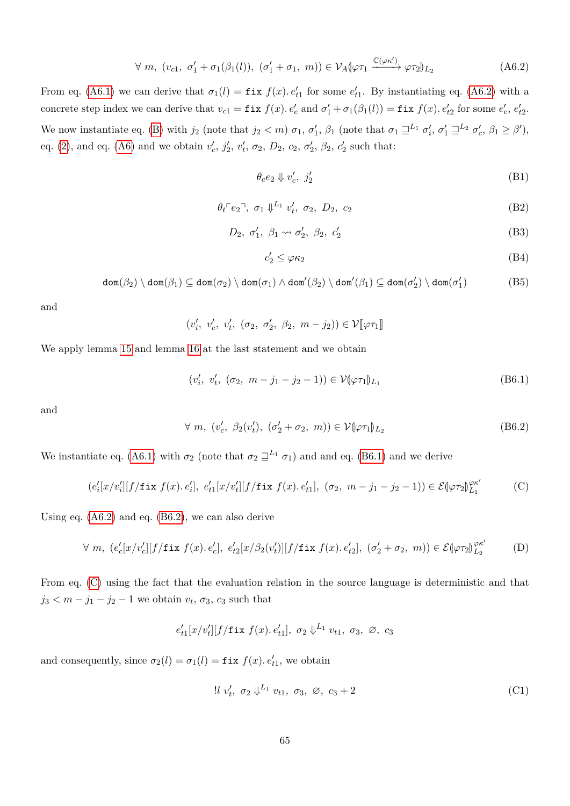$$
\forall m, (v_{c1}, \sigma_1' + \sigma_1(\beta_1(l)), (\sigma_1' + \sigma_1, m)) \in \mathcal{V}_A(\varphi \tau_1 \xrightarrow{\mathbb{C}(\varphi \kappa')} \varphi \tau_2)_{L_2}
$$
 (A6.2)

From eq. [\(A6.1\)](#page-63-0) we can derive that  $\sigma_1(l) = \text{fix } f(x)$ *.*  $e'_{t1}$  for some  $e'_{t1}$ . By instantiating eq. [\(A6.2\)](#page-64-0) with a concrete step index we can derive that  $v_{c1} = \text{fix } f(x)$ .  $e'_{c}$  and  $\sigma'_{1} + \sigma_{1}(\beta_{1}(l)) = \text{fix } f(x)$ .  $e'_{t2}$  for some  $e'_{c}$ ,  $e'_{t2}$ . We now instantiate eq. [\(B\)](#page-60-2) with  $j_2$  (note that  $j_2 < m$ )  $\sigma_1$ ,  $\sigma'_1$ ,  $\beta_1$  (note that  $\sigma_1 \sqsupseteq^{L_1} \sigma'_i$ ,  $\sigma'_1 \sqsupseteq^{L_2} \sigma'_c$ ,  $\beta_1 \geq \beta'$ ), eq. [\(2\)](#page-60-3), and eq. [\(A6\)](#page-61-1) and we obtain  $v'_{c}$ ,  $j'_{2}$ ,  $v'_{t}$ ,  $\sigma_{2}$ ,  $D_{2}$ ,  $c_{2}$ ,  $\sigma'_{2}$ ,  $\beta_{2}$ ,  $c'_{2}$  such that:

<span id="page-64-6"></span><span id="page-64-0"></span>
$$
\theta_c e_2 \Downarrow v'_c, \ j'_2 \tag{B1}
$$

$$
\theta_t \ulcorner e_2 \urcorner, \ \sigma_1 \Downarrow^{L_1} v'_t, \ \sigma_2, \ D_2, \ c_2 \tag{B2}
$$

$$
D_2, \sigma'_1, \beta_1 \rightsquigarrow \sigma'_2, \beta_2, c'_2 \tag{B3}
$$

<span id="page-64-10"></span><span id="page-64-9"></span><span id="page-64-8"></span><span id="page-64-7"></span><span id="page-64-3"></span><span id="page-64-2"></span><span id="page-64-1"></span>
$$
c_2' \le \varphi \kappa_2 \tag{B4}
$$

$$
\text{dom}(\beta_2) \setminus \text{dom}(\beta_1) \subseteq \text{dom}(\sigma_2) \setminus \text{dom}(\sigma_1) \land \text{dom}'(\beta_2) \setminus \text{dom}'(\beta_1) \subseteq \text{dom}(\sigma'_2) \setminus \text{dom}(\sigma'_1)
$$
(B5)

and

 $(v'_i, v'_c, v'_t, (\sigma_2, \sigma'_2, \beta_2, m - j_2)) \in \mathcal{V}[\![\varphi \tau_1]\!]$ 

We apply lemma [15](#page-31-0) and lemma [16](#page-31-1) at the last statement and we obtain

$$
(v'_i, v'_t, (\sigma_2, m - j_1 - j_2 - 1)) \in \mathcal{V}(\varphi \tau_1)_{L_1}
$$
 (B6.1)

and

$$
\forall m, (v'_c, \beta_2(v'_t), (\sigma'_2 + \sigma_2, m)) \in \mathcal{V}(\varphi \tau_1)_{L_2}
$$
 (B6.2)

We instantiate eq. [\(A6.1\)](#page-63-0) with  $\sigma_2$  (note that  $\sigma_2 \sqsupseteq^{L_1} \sigma_1$ ) and and eq. [\(B6.1\)](#page-64-1) and we derive

$$
(e'_i[x/v'_i][f/\text{fix }f(x), e'_i], e'_{t1}[x/v'_t][f/\text{fix }f(x), e'_{t1}], (\sigma_2, m - j_1 - j_2 - 1)) \in \mathcal{E}(\varphi \tau_2)_{L_1}^{\varphi \kappa'} \tag{C}
$$

Using eq. [\(A6.2\)](#page-64-0) and eq. [\(B6.2\)](#page-64-2), we can also derive

$$
\forall m, (e_c'[x/v_c'][f/\text{fix } f(x), e_c'], e_{t2}'[x/\beta_2(v_t')][f/\text{fix } f(x), e_{t2}'], (\sigma_2' + \sigma_2, m)) \in \mathcal{E}(\varphi \tau_2)_{L_2}^{\varphi \kappa'} \tag{D}
$$

From eq. [\(C\)](#page-64-3) using the fact that the evaluation relation in the source language is deterministic and that  $j_3 < m - j_1 - j_2 - 1$  we obtain  $v_t$ ,  $\sigma_3$ ,  $c_3$  such that

$$
e'_{t1}[x/v'_t][f/\text{fix } f(x), e'_{t1}], \sigma_2 \downarrow^{L_1} v_{t1}, \sigma_3, \varnothing, c_3
$$

and consequently, since  $\sigma_2(l) = \sigma_1(l) = \text{fix } f(x) \cdot e'_{t1}$ , we obtain

<span id="page-64-5"></span><span id="page-64-4"></span>
$$
\text{!! } v'_t, \ \sigma_2 \Downarrow^{L_1} v_{t1}, \ \sigma_3, \ \varnothing, \ c_3 + 2 \tag{C1}
$$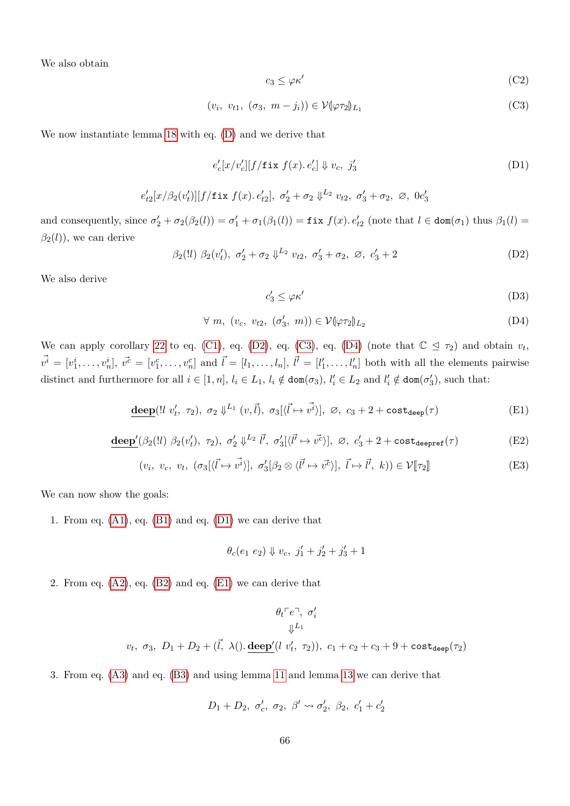We also obtain

<span id="page-65-3"></span><span id="page-65-1"></span>
$$
c_3 \le \varphi \kappa' \tag{C2}
$$

$$
(v_i, v_{t1}, (\sigma_3, m - j_i)) \in \mathcal{V}(\varphi \tau_2)_{L_1}
$$
 (C3)

We now instantiate lemma [18](#page-31-2) with eq. [\(D\)](#page-64-4) and we derive that

$$
e_c'[x/v_c'][f/\text{fix }f(x), e_c'] \Downarrow v_c, j_3'
$$
 (D1)

$$
e'_{t2}[x/\beta_2(v'_t)][f/\text{fix }f(x), e'_{t2}], \sigma'_2+\sigma_2\Downarrow^{L_2} v_{t2}, \sigma'_3+\sigma_2, \varnothing, 0c'_3
$$

and consequently, since  $\sigma'_2 + \sigma_2(\beta_2(l)) = \sigma'_1 + \sigma_1(\beta_1(l)) = \text{fix } f(x) \cdot e'_{t2}$  (note that  $l \in \text{dom}(\sigma_1)$  thus  $\beta_1(l) =$  $\beta_2(l)$ , we can derive

 $\beta_2(l) \ \beta_2(v'_t), \ \sigma'_2 + \sigma_2 \ \psi^{L_2} \ v_{t2}, \ \sigma'_3 + \sigma_2, \ \varnothing, \ c'_3 + 2$  (D2)

We also derive

<span id="page-65-7"></span><span id="page-65-6"></span><span id="page-65-5"></span><span id="page-65-4"></span><span id="page-65-2"></span><span id="page-65-0"></span>
$$
c'_3 \le \varphi \kappa' \tag{D3}
$$

$$
\forall m, (v_c, v_{t2}, (\sigma'_3, m)) \in \mathcal{V}(\varphi \tau_2)_{L_2}
$$
 (D4)

We can apply corollary [22](#page-40-8) to eq. [\(C1\)](#page-64-5), eq. [\(D2\)](#page-65-0), eq. [\(C3\)](#page-65-1), eq. [\(D4\)](#page-65-2) (note that  $\mathbb{C} \leq \tau_2$ ) and obtain  $v_t$ ,  $\vec{v}^i = [v_1^i, \ldots, v_n^i], \ \vec{v}^c = [v_1^c, \ldots, v_n^c]$  and  $\vec{l} = [l_1, \ldots, l_n], \ \vec{l'} = [l'_1, \ldots, l'_n]$  both with all the elements pairwise distinct and furthermore for all  $i \in [1, n]$ ,  $l_i \in L_1$ ,  $l_i \notin \text{dom}(\sigma_3)$ ,  $l'_i \in L_2$  and  $l'_i \notin \text{dom}(\sigma'_3)$ , such that:

$$
\underline{\text{deep}}(\mathit{ll} \; v'_t, \; \tau_2), \; \sigma_2 \; \Downarrow^{L_1} \; (v, \vec{l}), \; \sigma_3[\langle \vec{l} \mapsto v^{\vec{i}} \rangle], \; \varnothing, \; c_3 + 2 + \text{cost}_{\text{deep}}(\tau) \tag{E1}
$$

$$
\underline{\text{deep}}'(\beta_2(l) \ \beta_2(v'_t), \ \tau_2), \ \sigma'_2 \ \Downarrow^{L_2} \vec{l'}, \ \sigma'_3[\langle \vec{l'} \mapsto \vec{v^c} \rangle], \ \varnothing, \ c'_3 + 2 + \text{cost}_{\text{deepref}}(\tau) \tag{E2}
$$

$$
(v_i, v_c, v_t, (\sigma_3[\langle \vec{l} \mapsto \vec{v^i} \rangle], \sigma'_3[\beta_2 \otimes \langle \vec{l'} \mapsto \vec{v^c} \rangle], \vec{l} \mapsto \vec{l'}, k)) \in \mathcal{V}[\![\tau_2]\!]
$$
 (E3)

We can now show the goals:

1. From eq. [\(A1\)](#page-63-1), eq. [\(B1\)](#page-64-6) and eq. [\(D1\)](#page-65-3) we can derive that

$$
\theta_c(e_1 \ e_2) \Downarrow v_c, \ j'_1 + j'_2 + j'_3 + 1
$$

2. From eq.  $(A2)$ , eq.  $(B2)$  and eq.  $(E1)$  we can derive that

$$
\begin{aligned} \theta_t{}^{\!\top} e^\neg,\ \sigma_i' \\ \Downarrow^{L_1} \\ v_t,\ \sigma_3,\ D_1+D_2 +(\vec{l},\ \lambda().\text{deep}'(l\ v_t',\ \tau_2)),\ c_1+c_2+c_3+9+\text{cost}_{\text{deep}}(\tau_2) \end{aligned}
$$

3. From eq. [\(A3\)](#page-63-3) and eq. [\(B3\)](#page-64-8) and using lemma [11](#page-30-2) and lemma [13](#page-30-0) we can derive that

$$
D_1 + D_2, \sigma'_c, \sigma_2, \beta' \leadsto \sigma'_2, \beta_2, c'_1 + c'_2
$$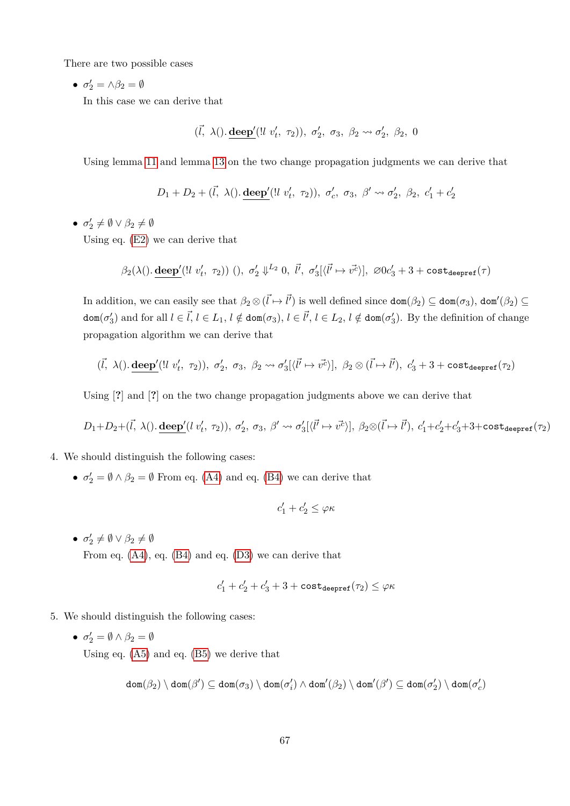There are two possible cases

•  $\sigma'_2 = \wedge \beta_2 = \emptyset$ 

In this case we can derive that

$$
(\vec{l}, \lambda)
$$
. deep' $(!l v'_t, \tau_2)$ ,  $\sigma'_2, \sigma_3, \beta_2 \leadsto \sigma'_2, \beta_2, 0$ 

Using lemma [11](#page-30-2) and lemma [13](#page-30-0) on the two change propagation judgments we can derive that

$$
D_1 + D_2 + (\vec{l}, \lambda)). \underline{\text{deep}}'(\exists \ v'_t, \ \tau_2)), \ \sigma'_c, \ \sigma_3, \ \beta' \leadsto \sigma'_2, \ \beta_2, \ c'_1 + c'_2
$$

 $\bullet$   $\sigma'_2 \neq \emptyset \vee \beta_2 \neq \emptyset$ 

Using eq. [\(E2\)](#page-65-5) we can derive that

$$
\beta_2(\lambda().\operatorname{\underline{deep}}'(\text{!l } v'_t, \ \tau_2))\,\,(),\,\,\sigma'_2\Downarrow^{L_2} 0,\,\,\vec{l'},\,\,\sigma'_3[\langle\vec{l'}\mapsto\vec{v^c}\rangle],\,\,\varnothing 0c'_3+3+\operatorname{cost}_{\operatorname{deepref}}(\tau)
$$

In addition, we can easily see that  $\beta_2 \otimes (\vec{l} \mapsto \vec{l'})$  is well defined since  $\text{dom}(\beta_2) \subseteq \text{dom}(\sigma_3)$ ,  $\text{dom}'(\beta_2) \subseteq$  $dom(\sigma_3')$  and for all  $l \in \vec{l}$ ,  $l \in L_1$ ,  $l \notin dom(\sigma_3)$ ,  $l \in \vec{l'}$ ,  $l \in L_2$ ,  $l \notin dom(\sigma_3')$ . By the definition of change propagation algorithm we can derive that

$$
(\vec{l}, \lambda)
$$
. deep' $(!l v'_t, \tau_2)$ ,  $\sigma'_2, \sigma_3, \beta_2 \leadsto \sigma'_3[\langle \vec{l'} \mapsto \vec{v'} \rangle]$ ,  $\beta_2 \otimes (\vec{l} \mapsto \vec{l'})$ ,  $c'_3 + 3 + \text{cost}_{\text{deepref}}(\tau_2)$ 

Using [**?**] and [**?**] on the two change propagation judgments above we can derive that

$$
D_1+D_2+(\vec{l},\ \lambda\dot{}).\ \underline{\text{deep}}'(l\ v'_t,\ \tau_2\dot{)),\ \sigma'_2,\ \sigma_3,\ \beta'\leadsto\sigma'_3[\langle\vec{l'}\mapsto\vec{v^c}\rangle],\ \beta_2\otimes(\vec{l}\mapsto\vec{l'}),\ c'_1+c'_2+c'_3+3+\text{cost}_{\text{deepref}}(\tau_2\dot{)}
$$

- 4. We should distinguish the following cases:
	- $\sigma'_2 = \emptyset \wedge \beta_2 = \emptyset$  From eq. [\(A4\)](#page-63-4) and eq. [\(B4\)](#page-64-9) we can derive that

$$
c_1'+c_2'\leq \varphi \kappa
$$

 $\bullet \ \sigma'_2 \neq \emptyset \lor \beta_2 \neq \emptyset$ From eq. [\(A4\)](#page-63-4), eq. [\(B4\)](#page-64-9) and eq. [\(D3\)](#page-65-6) we can derive that

$$
c_1'+c_2'+c_3'+3+\texttt{cost}_{\texttt{deepref}}(\tau_2)\leq \varphi\kappa
$$

- 5. We should distinguish the following cases:
	- $\bullet$   $\sigma'_2 = \emptyset \wedge \beta_2 = \emptyset$ Using eq. [\(A5\)](#page-63-5) and eq. [\(B5\)](#page-64-10) we derive that

$$
\mathrm{dom}(\beta_2)\setminus\mathrm{dom}(\beta')\subseteq\mathrm{dom}(\sigma_3)\setminus\mathrm{dom}(\sigma'_i)\wedge\mathrm{dom}'(\beta_2)\setminus\mathrm{dom}'(\beta')\subseteq\mathrm{dom}(\sigma'_2)\setminus\mathrm{dom}(\sigma'_c)
$$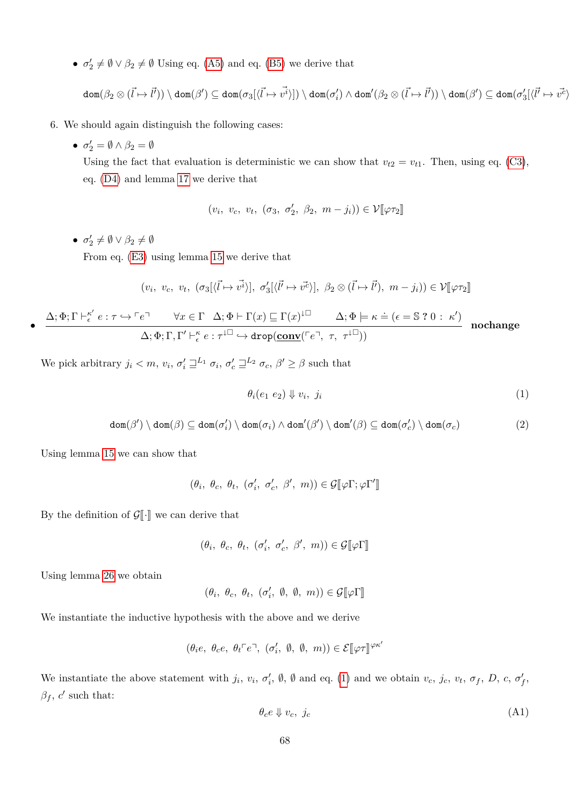•  $\sigma'_2 \neq \emptyset \vee \beta_2 \neq \emptyset$  Using eq. [\(A5\)](#page-63-5) and eq. [\(B5\)](#page-64-10) we derive that

$$
\text{dom}(\beta_2 \otimes (\vec{l} \mapsto \vec{l'})) \setminus \text{dom}(\beta') \subseteq \text{dom}(\sigma_3[\langle \vec{l} \mapsto \vec{v^i} \rangle]) \setminus \text{dom}(\sigma'_i) \wedge \text{dom}'(\beta_2 \otimes (\vec{l} \mapsto \vec{l'})) \setminus \text{dom}(\beta') \subseteq \text{dom}(\sigma'_3[\langle \vec{l'} \mapsto \vec{v^c} \rangle])
$$

- 6. We should again distinguish the following cases:
	- $\sigma'_2 = \emptyset \wedge \beta_2 = \emptyset$

Using the fact that evaluation is deterministic we can show that  $v_{t2} = v_{t1}$ . Then, using eq. [\(C3\)](#page-65-1), eq. [\(D4\)](#page-65-2) and lemma [17](#page-31-3) we derive that

$$
(v_i, v_c, v_t, (\sigma_3, \sigma'_2, \beta_2, m - j_i)) \in \mathcal{V}[\varphi \tau_2]
$$

 $\bullet \ \sigma'_2 \neq \emptyset \lor \beta_2 \neq \emptyset$ 

•

From eq. [\(E3\)](#page-65-7) using lemma [15](#page-31-0) we derive that

$$
(v_i, v_c, v_t, (\sigma_3[\langle \vec{l} \mapsto \vec{v^i} \rangle], \sigma'_3[\langle \vec{l} \mapsto \vec{v^c} \rangle], \beta_2 \otimes (\vec{l} \mapsto \vec{l}), m - j_i)) \in \mathcal{V}[\![\varphi \tau_2]\!]
$$

$$
\frac{\Delta;\Phi;\Gamma\vdash_{\epsilon}^{\kappa'}e:\tau\hookrightarrow\ulcorner e\urcorner\qquad\forall x\in\Gamma\quad\Delta;\Phi\vdash\Gamma(x)\sqsubseteq\Gamma(x)^{\downarrow\Box}\qquad\Delta;\Phi\models\kappa\doteq(\epsilon=\$\ 2\ 0\ :\ \kappa')}{\Delta;\Phi;\Gamma,\Gamma'\vdash_{\epsilon}^{\kappa}e:\tau^{\downarrow\Box}\hookrightarrow\text{drop}(\underline{\text{conv}}(\ulcorner e\urcorner,\ \tau,\ \tau^{\downarrow\Box}))}\quad\text{nochange}
$$

We pick arbitrary  $j_i < m$ ,  $v_i$ ,  $\sigma'_i \sqsupseteq^{L_1} \sigma_i$ ,  $\sigma'_c \sqsupseteq^{L_2} \sigma_c$ ,  $\beta' \ge \beta$  such that

<span id="page-67-0"></span>
$$
\theta_i(e_1 \ e_2) \Downarrow v_i, \ j_i \tag{1}
$$

$$
\text{dom}(\beta') \setminus \text{dom}(\beta) \subseteq \text{dom}(\sigma'_i) \setminus \text{dom}(\sigma_i) \land \text{dom}'(\beta') \setminus \text{dom}'(\beta) \subseteq \text{dom}(\sigma'_c) \setminus \text{dom}(\sigma_c)
$$
(2)

Using lemma [15](#page-31-0) we can show that

$$
(\theta_i, \ \theta_c, \ \theta_t, \ (\sigma'_i, \ \sigma'_c, \ \beta', \ m)) \in \mathcal{G}[\![\varphi\Gamma; \varphi\Gamma']\!]
$$

By the definition of  $\mathcal{G}[\![\cdot]\!]$  we can derive that

$$
(\theta_i, \ \theta_c, \ \theta_t, \ (\sigma'_i, \ \sigma'_c, \ \beta', \ m)) \in \mathcal{G}[\![\varphi\Gamma]\!]
$$

Using lemma [26](#page-42-3) we obtain

 $(\theta_i, \theta_c, \theta_t, (\sigma'_i, \emptyset, \emptyset, m)) \in \mathcal{G}[\![\varphi\Gamma]\!]$ 

We instantiate the inductive hypothesis with the above and we derive

$$
(\theta_i e, \ \theta_c e, \ \theta_t \ulcorner e \urcorner, \ (\sigma_i', \ \emptyset, \ \emptyset, \ m)) \in \mathcal{E}[\![\varphi \tau]\!]^{\varphi \kappa'}
$$

We instantiate the above statement with  $j_i$ ,  $v_i$ ,  $\sigma'_i$ ,  $\emptyset$ ,  $\emptyset$  and eq. [\(1\)](#page-67-0) and we obtain  $v_c$ ,  $j_c$ ,  $v_t$ ,  $\sigma_f$ ,  $D$ ,  $c$ ,  $\sigma'_f$ ,  $\beta_f$ , *c*' such that:

<span id="page-67-1"></span>
$$
\theta_c e \Downarrow v_c, \ j_c \tag{A1}
$$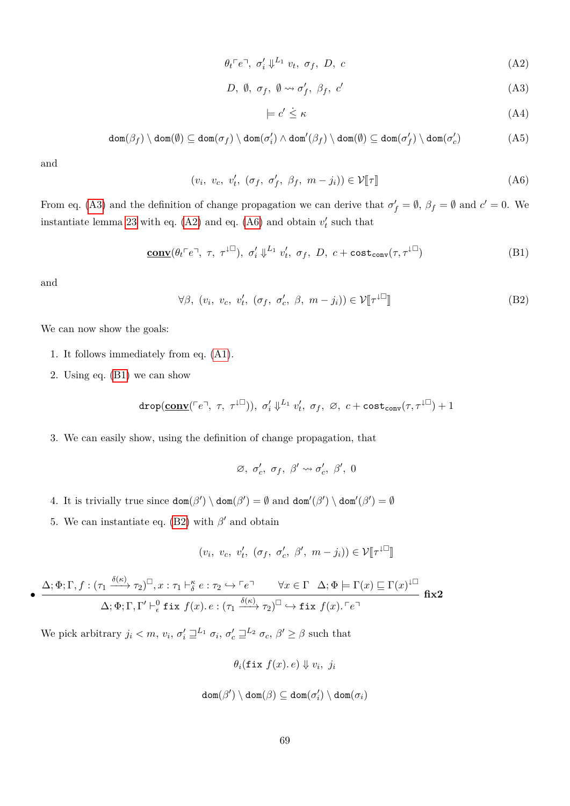$$
\theta_t \ulcorner e \urcorner, \; \sigma'_i \Downarrow^{L_1} v_t, \; \sigma_f, \; D, \; c \tag{A2}
$$

$$
D, \emptyset, \sigma_f, \emptyset \leadsto \sigma'_f, \beta_f, c' \tag{A3}
$$

<span id="page-68-4"></span><span id="page-68-3"></span><span id="page-68-2"></span><span id="page-68-1"></span><span id="page-68-0"></span>
$$
\models c' \leq \kappa \tag{A4}
$$

$$
\text{dom}(\beta_f) \setminus \text{dom}(\emptyset) \subseteq \text{dom}(\sigma_f) \setminus \text{dom}(\sigma_i') \land \text{dom}'(\beta_f) \setminus \text{dom}(\emptyset) \subseteq \text{dom}(\sigma_f') \setminus \text{dom}(\sigma_c') \tag{A5}
$$

and

$$
(v_i, v_c, v'_t, (\sigma_f, \sigma'_f, \beta_f, m - j_i)) \in \mathcal{V}[\![\tau]\!]
$$
 (A6)

From eq. [\(A3\)](#page-68-0) and the definition of change propagation we can derive that  $\sigma'_f = \emptyset$ ,  $\beta_f = \emptyset$  and  $c' = 0$ . We instantiate lemma [23](#page-40-7) with eq.  $(A2)$  and eq.  $(A6)$  and obtain  $v'_t$  such that

$$
\underline{\text{conv}}(\theta_t \ulcorner e \urcorner, \tau, \tau^{\downarrow \Box}), \sigma'_i \Downarrow^{L_1} v'_t, \sigma_f, D, c + \text{cost}_{\text{conv}}(\tau, \tau^{\downarrow \Box})
$$
(B1)

and

•

$$
\forall \beta, (v_i, v_c, v'_t, (\sigma_f, \sigma'_c, \beta, m - j_i)) \in \mathcal{V}[\![\tau^{\downarrow \Box}]\!]
$$
 (B2)

We can now show the goals:

- 1. It follows immediately from eq. [\(A1\)](#page-67-1).
- 2. Using eq. [\(B1\)](#page-68-3) we can show

$$
\texttt{drop}(\underline{\texttt{conv}}({\ulcorner e\urcorner,~ \tau,~ \tau^{\downarrow \Box}})),~\sigma'_i \Downarrow^{L_1} v'_t,~\sigma_f,~\varnothing,~c+ \texttt{cost}_\texttt{conv}(\tau,\tau^{\downarrow \Box})+1
$$

3. We can easily show, using the definition of change propagation, that

$$
\varnothing, \ \sigma'_c, \ \sigma_f, \ \beta' \leadsto \sigma'_c, \ \beta', \ 0
$$

- 4. It is trivially true since  $\text{dom}(\beta') \setminus \text{dom}(\beta') = \emptyset$  and  $\text{dom}'(\beta') \setminus \text{dom}'(\beta') = \emptyset$
- 5. We can instantiate eq. [\(B2\)](#page-68-4) with  $\beta'$  and obtain

$$
(v_i, v_c, v'_t, (\sigma_f, \sigma'_c, \beta', m - j_i)) \in \mathcal{V}[\![\tau^{\downarrow \Box}]\!]
$$

$$
\frac{\Delta; \Phi; \Gamma, f: (\tau_1 \xrightarrow{\delta(\kappa)} \tau_2)^{\square}, x: \tau_1 \vdash_{\delta}^{\kappa} e: \tau_2 \hookrightarrow \ulcorner e \urcorner \quad \forall x \in \Gamma \quad \Delta; \Phi \models \Gamma(x) \sqsubseteq \Gamma(x)^{\downarrow \square}
$$
\n
$$
\Delta; \Phi; \Gamma, \Gamma' \vdash_{\epsilon}^0 \text{fix } f(x) \cdot e: (\tau_1 \xrightarrow{\delta(\kappa)} \tau_2)^{\square} \hookrightarrow \text{fix } f(x) \cdot \ulcorner e \urcorner
$$

We pick arbitrary  $j_i < m$ ,  $v_i$ ,  $\sigma'_i \sqsupseteq^{L_1} \sigma_i$ ,  $\sigma'_c \sqsupseteq^{L_2} \sigma_c$ ,  $\beta' \ge \beta$  such that

$$
\theta_i(\texttt{fix } f(x), e) \Downarrow v_i, j_i
$$

$$
\mathtt{dom}(\beta')\setminus\mathtt{dom}(\beta)\subseteq\mathtt{dom}(\sigma'_i)\setminus\mathtt{dom}(\sigma_i)
$$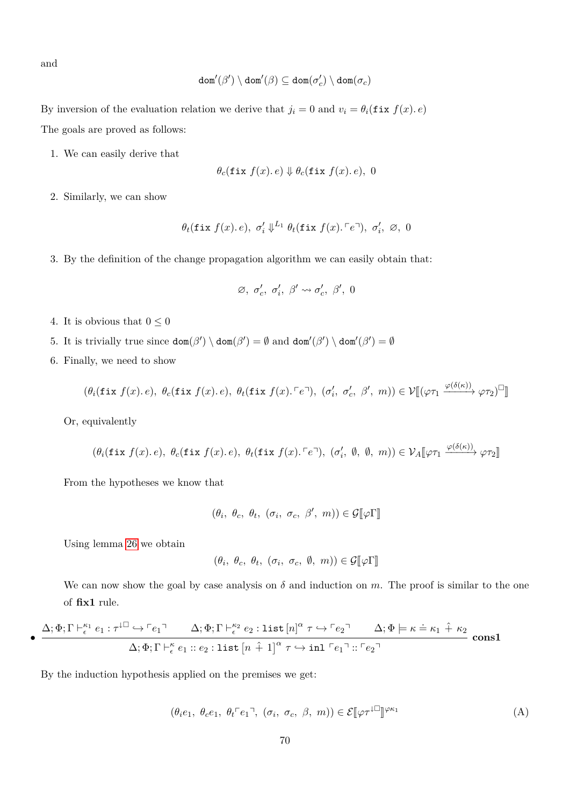and

$$
\mathtt{dom}'(\beta')\setminus\mathtt{dom}'(\beta)\subseteq\mathtt{dom}(\sigma'_c)\setminus\mathtt{dom}(\sigma_c)
$$

By inversion of the evaluation relation we derive that  $j_i = 0$  and  $v_i = \theta_i(\texttt{fix } f(x), e)$ The goals are proved as follows:

1. We can easily derive that

$$
\theta_c(\texttt{fix } f(x), e) \Downarrow \theta_c(\texttt{fix } f(x), e), 0
$$

2. Similarly, we can show

$$
\theta_t(\texttt{fix } f(x), e), \sigma'_i \Downarrow^{L_1} \theta_t(\texttt{fix } f(x), \ulcorner e \urcorner), \sigma'_i, \varnothing, 0
$$

3. By the definition of the change propagation algorithm we can easily obtain that:

$$
\varnothing,~\sigma'_c,~\sigma'_i,~\beta' \leadsto \sigma'_c,~\beta',~0
$$

- 4. It is obvious that  $0\leq 0$
- 5. It is trivially true since  $\text{dom}(\beta') \setminus \text{dom}(\beta') = \emptyset$  and  $\text{dom}'(\beta') \setminus \text{dom}'(\beta') = \emptyset$
- 6. Finally, we need to show

$$
(\theta_i(\texttt{fix } f(x). e), \ \theta_c(\texttt{fix } f(x). e), \ \theta_t(\texttt{fix } f(x). \ulcorner e \urcorner), \ (\sigma'_i, \ \sigma'_c, \ \beta', \ m)) \in \mathcal{V}[[ (\varphi \tau_1 \xrightarrow{\varphi(\delta(\kappa))} \varphi \tau_2)^\square ]
$$

Or, equivalently

$$
(\theta_i(\texttt{fix } f(x). e),~\theta_c(\texttt{fix } f(x). e),~\theta_t(\texttt{fix } f(x). \ulcorner e \urcorner),~(\sigma'_i,~\emptyset,~\emptyset,~m)) \in \mathcal{V}_A[\![\varphi \tau_1 \xrightarrow{\varphi(\delta(\kappa))} \varphi \tau_2]\!]
$$

From the hypotheses we know that

$$
(\theta_i, \ \theta_c, \ \theta_t, \ (\sigma_i, \ \sigma_c, \ \beta', \ m)) \in \mathcal{G}[\![\varphi\Gamma]\!]
$$

Using lemma [26](#page-42-3) we obtain

•

<span id="page-69-0"></span>
$$
(\theta_i, \ \theta_c, \ \theta_t, \ (\sigma_i, \ \sigma_c, \ \emptyset, \ m)) \in \mathcal{G}[\![\varphi\Gamma]\!]
$$

We can now show the goal by case analysis on  $\delta$  and induction on  $m$ . The proof is similar to the one of **fix1** rule.

$$
\frac{\Delta; \Phi; \Gamma \vdash_{\epsilon}^{\kappa_1} e_1 : \tau^{\downarrow \square} \hookrightarrow \ulcorner e_1 \urcorner \quad \Delta; \Phi; \Gamma \vdash_{\epsilon}^{\kappa_2} e_2 : \text{list } [n]^{\alpha} \tau \hookrightarrow \ulcorner e_2 \urcorner \quad \Delta; \Phi \models \kappa \doteq \kappa_1 \hat{+} \kappa_2}{\Delta; \Phi; \Gamma \vdash_{\epsilon}^{\kappa} e_1 :: e_2 : \text{list } [n \hat{+} 1]^{\alpha} \tau \hookrightarrow \text{inl } \ulcorner e_1 \urcorner :: \ulcorner e_2 \urcorner} \quad \text{consl}
$$

By the induction hypothesis applied on the premises we get:

$$
(\theta_i e_1, \ \theta_c e_1, \ \theta_t \ulcorner e_1 \urcorner, \ (\sigma_i, \ \sigma_c, \ \beta, \ m)) \in \mathcal{E}[\varphi \tau^{\downarrow \Box}]^{\varphi \kappa_1} \tag{A}
$$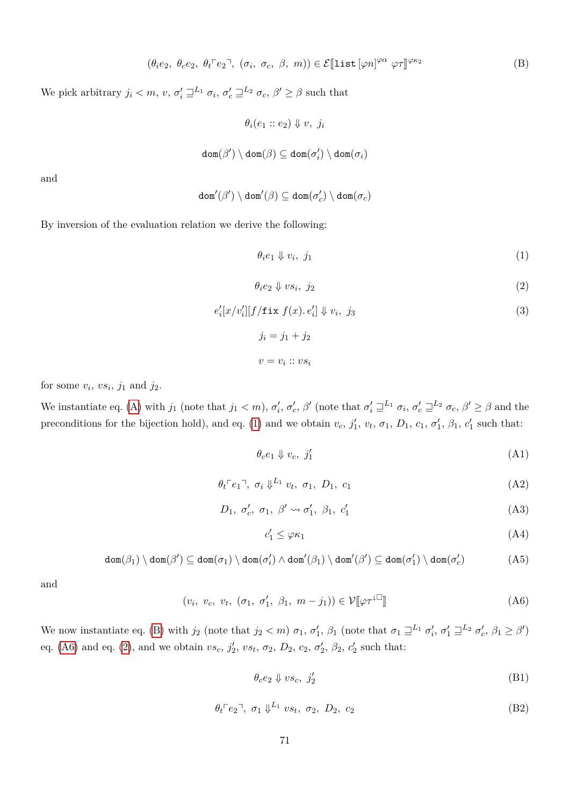$$
(\theta_i e_2, \ \theta_c e_2, \ \theta_t \ulcorner e_2 \urcorner, \ (\sigma_i, \ \sigma_c, \ \beta, \ m)) \in \mathcal{E}[\text{list}[\varphi n]^{\varphi \alpha} \ \varphi \tau]^{ \varphi \kappa_2} \tag{B}
$$

We pick arbitrary  $j_i < m$ ,  $v$ ,  $\sigma'_i \sqsupseteq^{L_1} \sigma_i$ ,  $\sigma'_c \sqsupseteq^{L_2} \sigma_c$ ,  $\beta' \ge \beta$  such that

$$
\theta_i(e_1 :: e_2) \Downarrow v, \ j_i
$$
  

$$
\texttt{dom}(\beta') \setminus \texttt{dom}(\beta) \subseteq \texttt{dom}(\sigma'_i) \setminus \texttt{dom}(\sigma_i)
$$

and

$$
\mathtt{dom}'(\beta')\setminus\mathtt{dom}'(\beta)\subseteq\mathtt{dom}(\sigma'_c)\setminus\mathtt{dom}(\sigma_c)
$$

By inversion of the evaluation relation we derive the following:

<span id="page-70-0"></span>
$$
\theta_i e_1 \Downarrow v_i, \ j_1 \tag{1}
$$

$$
\theta_i e_2 \Downarrow v s_i, \ j_2 \tag{2}
$$

$$
e'_{i}[x/v'_{i}][f/\text{fix } f(x), e'_{i}] \Downarrow v_{i}, j_{3}
$$
  
\n
$$
j_{i} = j_{1} + j_{2}
$$
  
\n
$$
v = v_{i} :: vs_{i}
$$
 (3)

for some  $v_i$ ,  $vs_i$ ,  $j_1$  and  $j_2$ .

We instantiate eq. [\(A\)](#page-69-0) with  $j_1$  (note that  $j_1 < m$ ),  $\sigma'_i$ ,  $\sigma'_c$ ,  $\beta'$  (note that  $\sigma'_i \sqsupseteq^{L_1} \sigma_i$ ,  $\sigma'_c \sqsupseteq^{L_2} \sigma_c$ ,  $\beta' \ge \beta$  and the preconditions for the bijection hold), and eq. [\(1\)](#page-70-0) and we obtain  $v_c$ ,  $j'_1$ ,  $v_t$ ,  $\sigma_1$ ,  $D_1$ ,  $c_1$ ,  $\sigma'_1$ ,  $\beta_1$ ,  $c'_1$  such that:

<span id="page-70-3"></span><span id="page-70-1"></span>
$$
\theta_c e_1 \Downarrow v_c, \ j'_1 \tag{A1}
$$

$$
\theta_t \ulcorner e_1 \urcorner, \ \sigma_i \Downarrow^{L_1} v_t, \ \sigma_1, \ D_1, \ c_1 \tag{A2}
$$

$$
D_1, \sigma'_c, \sigma_1, \beta' \leadsto \sigma'_1, \beta_1, c'_1 \tag{A3}
$$

<span id="page-70-8"></span><span id="page-70-7"></span><span id="page-70-6"></span><span id="page-70-5"></span>
$$
c_1' \le \varphi \kappa_1 \tag{A4}
$$

$$
\text{dom}(\beta_1) \setminus \text{dom}(\beta') \subseteq \text{dom}(\sigma_1) \setminus \text{dom}(\sigma_i') \land \text{dom}'(\beta_1) \setminus \text{dom}'(\beta') \subseteq \text{dom}(\sigma_1') \setminus \text{dom}(\sigma_c') \tag{A5}
$$

and

$$
(v_i, v_c, v_t, (\sigma_1, \sigma'_1, \beta_1, m - j_1)) \in \mathcal{V}[\![\varphi \tau^{\downarrow \Box}]\!]
$$
 (A6)

We now instantiate eq. [\(B\)](#page-60-2) with  $j_2$  (note that  $j_2 < m$ )  $\sigma_1$ ,  $\sigma'_1$ ,  $\beta_1$  (note that  $\sigma_1 \sqsupseteq^{L_1} \sigma'_i$ ,  $\sigma'_1 \sqsupseteq^{L_2} \sigma'_c$ ,  $\beta_1 \geq \beta'$ ) eq. [\(A6\)](#page-61-1) and eq. [\(2\)](#page-60-3), and we obtain  $vs_c$ ,  $j'_2$ ,  $vs_t$ ,  $\sigma_2$ ,  $D_2$ ,  $c_2$ ,  $\sigma'_2$ ,  $\beta_2$ ,  $c'_2$  such that:

<span id="page-70-4"></span><span id="page-70-2"></span>
$$
\theta_c e_2 \Downarrow v s_c, \ j'_2 \tag{B1}
$$

$$
\theta_t \ulcorner e_2 \urcorner, \ \sigma_1 \Downarrow^{L_1} v s_t, \ \sigma_2, \ D_2, \ c_2 \tag{B2}
$$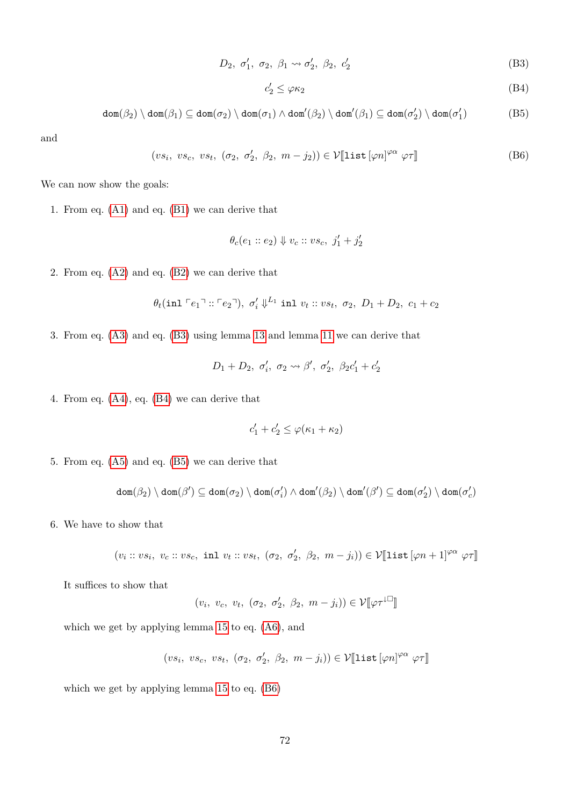$$
D_2, \sigma'_1, \sigma_2, \beta_1 \rightsquigarrow \sigma'_2, \beta_2, c'_2 \tag{B3}
$$

<span id="page-71-3"></span><span id="page-71-2"></span><span id="page-71-1"></span><span id="page-71-0"></span>
$$
c_2' \le \varphi \kappa_2 \tag{B4}
$$

$$
\text{dom}(\beta_2) \setminus \text{dom}(\beta_1) \subseteq \text{dom}(\sigma_2) \setminus \text{dom}(\sigma_1) \land \text{dom}'(\beta_2) \setminus \text{dom}'(\beta_1) \subseteq \text{dom}(\sigma'_2) \setminus \text{dom}(\sigma'_1)
$$
(B5)

and

$$
(vs_i, vs_c, vs_t, (\sigma_2, \sigma'_2, \beta_2, m - j_2)) \in \mathcal{V}[\text{list } [\varphi n]^{\varphi \alpha} \varphi \tau] \tag{B6}
$$

We can now show the goals:

1. From eq. [\(A1\)](#page-70-1) and eq. [\(B1\)](#page-70-2) we can derive that

$$
\theta_c(e_1::e_2)\Downarrow v_c::vs_c,\ j_1'+j_2'
$$

2. From eq. [\(A2\)](#page-70-3) and eq. [\(B2\)](#page-70-4) we can derive that

$$
\theta_t(\text{inl } \ulcorner e_1 \urcorner :: \ulcorner e_2 \urcorner), \sigma'_i \Downarrow^{L_1} \text{inl } v_t :: v s_t, \sigma_2, D_1 + D_2, c_1 + c_2
$$

3. From eq. [\(A3\)](#page-70-5) and eq. [\(B3\)](#page-71-0) using lemma [13](#page-30-0) and lemma [11](#page-30-2) we can derive that

$$
D_1 + D_2, \sigma'_i, \sigma_2 \leadsto \beta', \sigma'_2, \ \beta_2 c'_1 + c'_2
$$

4. From eq. [\(A4\)](#page-70-6), eq. [\(B4\)](#page-71-1) we can derive that

$$
c_1' + c_2' \leq \varphi(\kappa_1 + \kappa_2)
$$

5. From eq. [\(A5\)](#page-70-7) and eq. [\(B5\)](#page-71-2) we can derive that

$$
\mathrm{dom}(\beta_2)\setminus\mathrm{dom}(\beta')\subseteq\mathrm{dom}(\sigma_2)\setminus\mathrm{dom}(\sigma'_i)\wedge\mathrm{dom}'(\beta_2)\setminus\mathrm{dom}'(\beta')\subseteq\mathrm{dom}(\sigma'_2)\setminus\mathrm{dom}(\sigma'_c)
$$

6. We have to show that

$$
(v_i :: vs_i, v_c :: vs_c, \text{ inl } v_t :: vs_t, (\sigma_2, \sigma'_2, \beta_2, m - j_i)) \in \mathcal{V}[\text{list}[\varphi n + 1]^{\varphi \alpha} \varphi \tau]
$$

It suffices to show that

$$
(v_i, v_c, v_t, (\sigma_2, \sigma'_2, \beta_2, m - j_i)) \in \mathcal{V}[\![\varphi \tau^{\downarrow \Box}]\!]
$$

which we get by applying lemma [15](#page-31-0) to eq. [\(A6\)](#page-70-8), and

 $(vs_i, vs_c, vs_t, (\sigma_2, \sigma'_2, \beta_2, m-j_i)) \in \mathcal{V}[\![\mathtt{list}[\varphi n]^{\varphi \alpha} \varphi \tau]\!]$ 

which we get by applying lemma [15](#page-31-0) to eq. [\(B6\)](#page-71-3)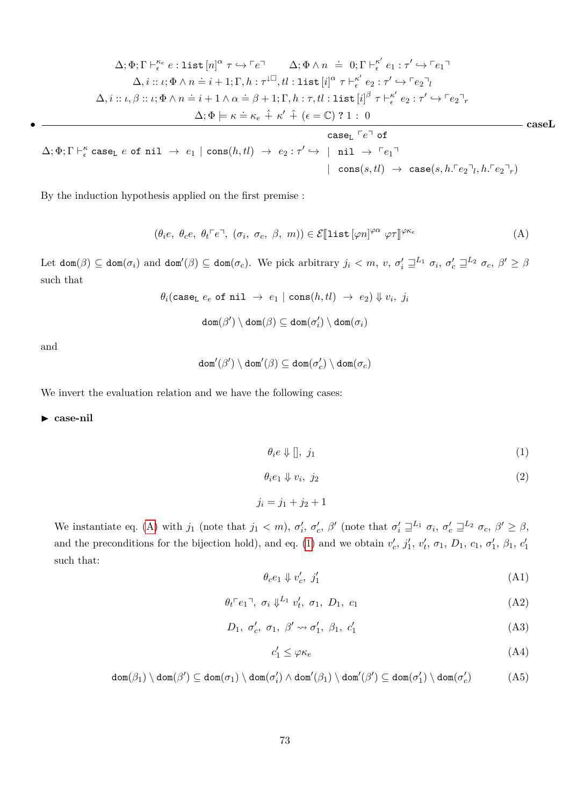$$
\Delta; \Phi; \Gamma \vdash_{\epsilon}^{\kappa_e} e: \text{list } [n]^{\alpha} \tau \hookrightarrow \ulcorner e \urcorner \qquad \Delta; \Phi \wedge n \doteq 0; \Gamma \vdash_{\epsilon}^{\kappa'} e_1 : \tau' \hookrightarrow \ulcorner e_1 \urcorner
$$
\n
$$
\Delta, i :: \iota; \Phi \wedge n \doteq i+1; \Gamma, h : \tau^{\downarrow \square}, tl : \text{list } [i]^{\alpha} \tau \vdash_{\epsilon}^{\kappa'} e_2 : \tau' \hookrightarrow \ulcorner e_2 \urcorner_l
$$
\n
$$
\Delta, i :: \iota, \beta :: \iota; \Phi \wedge n \doteq i+1 \wedge \alpha \doteq \beta+1; \Gamma, h : \tau, tl : \text{list } [i]^{\beta} \tau \vdash_{\epsilon}^{\kappa'} e_2 : \tau' \hookrightarrow \ulcorner e_2 \urcorner_r
$$
\n
$$
\Delta; \Phi \models \kappa \doteq \kappa_e \hat{+} \kappa' \hat{+} (\epsilon = \mathbb{C}) ? 1 : 0
$$
\n
$$
\qquad \qquad \text{caseL}
$$

 $\Delta; \Phi; \Gamma \vdash^{\kappa}_{\epsilon} \textsf{case_L}\ e\ \textsf{of}\ \textsf{nil}\ \rightarrow\ e_1 \mid \textsf{cons}(h, tl) \ \rightarrow\ e_2 : \tau' \hookrightarrow\ \ \mid\ \textsf{nil}\ \rightarrow\ \ulcorner e_1 \urcorner$  $\mathsf{case_L} \ ^\sqsubset e^{\sqcap}$  of  $| \text{ cons}(s, tl) \rightarrow \text{case}(s, h. \ulcorner e_2 \urcorner_l, h. \ulcorner e_2 \urcorner_r)$ 

By the induction hypothesis applied on the first premise :

$$
(\theta_i e, \ \theta_c e, \ \theta_t \ulcorner e \urcorner, \ (\sigma_i, \ \sigma_c, \ \beta, \ m)) \in \mathcal{E}[\text{list}[\varphi n]^{\varphi \alpha} \ \varphi \tau]^{\varphi \kappa_e} \tag{A}
$$

Let  $\texttt{dom}(\beta) \subseteq \texttt{dom}(\sigma_i)$  and  $\texttt{dom}'(\beta) \subseteq \texttt{dom}(\sigma_c)$ . We pick arbitrary  $j_i < m, v, \sigma'_i \sqsupseteq^{L_1} \sigma_i, \sigma'_c \sqsupseteq^{L_2} \sigma_c, \ \beta' \geq \beta$ such that

$$
\theta_i(\texttt{caseL}\ e_e\ \texttt{of}\ \texttt{nil}\ \rightarrow\ e_1\ |\ \texttt{cons}(h, tl)\ \rightarrow\ e_2) \Downarrow v_i,\ j_i
$$

<span id="page-72-0"></span>
$$
\mathtt{dom}(\beta')\setminus\mathtt{dom}(\beta)\subseteq\mathtt{dom}(\sigma'_i)\setminus\mathtt{dom}(\sigma_i)
$$

and

•

$$
\mathtt{dom}'(\beta')\setminus\mathtt{dom}'(\beta)\subseteq\mathtt{dom}(\sigma'_c)\setminus\mathtt{dom}(\sigma_c)
$$

We invert the evaluation relation and we have the following cases:

 $\blacktriangleright$  case-nil

<span id="page-72-2"></span>
$$
\theta_i e \Downarrow [] , j_1 \tag{1}
$$

$$
\theta_i e_1 \Downarrow v_i, \ j_2 \tag{2}
$$

$$
j_i = j_1 + j_2 + 1
$$

We instantiate eq. [\(A\)](#page-72-0) with  $j_1$  (note that  $j_1 < m$ ),  $\sigma'_i$ ,  $\sigma'_c$ ,  $\beta'$  (note that  $\sigma'_i \sqsupseteq^{L_1} \sigma_i$ ,  $\sigma'_c \sqsupseteq^{L_2} \sigma_c$ ,  $\beta' \geq \beta$ , and the preconditions for the bijection hold), and eq. [\(1\)](#page-70-0) and we obtain  $v'_c$ ,  $j'_1$ ,  $v'_t$ ,  $\sigma_1$ ,  $D_1$ ,  $c_1$ ,  $\sigma'_1$ ,  $\beta_1$ ,  $c'_1$ such that:

<span id="page-72-3"></span>
$$
\theta_c e_1 \Downarrow v'_c, \ j'_1 \tag{A1}
$$

$$
\theta_t \ulcorner e_1 \urcorner, \ \sigma_i \Downarrow^{L_1} v'_t, \ \sigma_1, \ D_1, \ c_1 \tag{A2}
$$

$$
D_1, \sigma'_c, \sigma_1, \beta' \leadsto \sigma'_1, \beta_1, c'_1 \tag{A3}
$$

<span id="page-72-5"></span><span id="page-72-4"></span><span id="page-72-1"></span>
$$
c_1' \le \varphi \kappa_e \tag{A4}
$$

$$
\text{dom}(\beta_1) \setminus \text{dom}(\beta') \subseteq \text{dom}(\sigma_1) \setminus \text{dom}(\sigma_i') \land \text{dom}'(\beta_1) \setminus \text{dom}'(\beta') \subseteq \text{dom}(\sigma_1') \setminus \text{dom}(\sigma_c') \tag{A5}
$$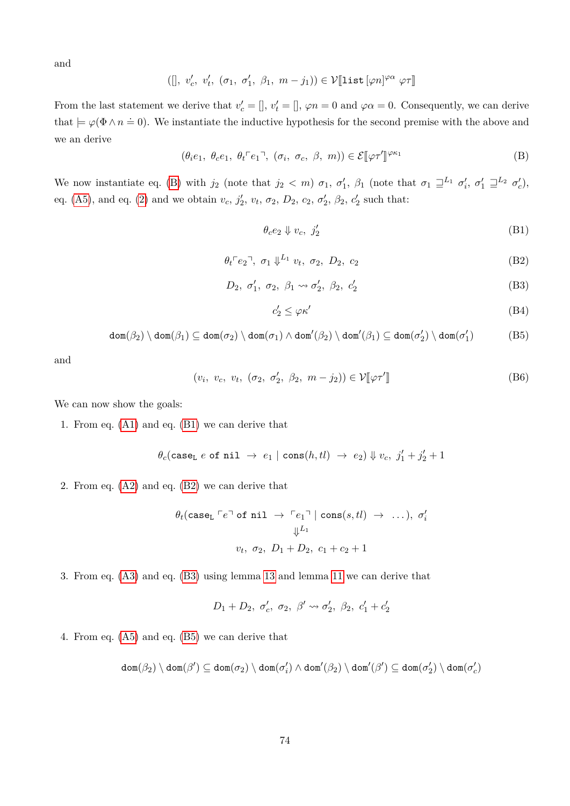and

$$
([\,, v'_c, v'_t, (\sigma_1, \sigma'_1, \beta_1, m - j_1)) \in \mathcal{V}[\![\mathtt{list}[\varphi n]^{\varphi \alpha} \varphi \tau]\!]
$$

From the last statement we derive that  $v'_c = []$ ,  $v'_t = []$ ,  $\varphi n = 0$  and  $\varphi \alpha = 0$ . Consequently, we can derive that  $\models \varphi(\Phi \wedge n \doteq 0)$ . We instantiate the inductive hypothesis for the second premise with the above and we an derive

$$
(\theta_i e_1, \ \theta_c e_1, \ \theta_t \ulcorner e_1 \urcorner, \ (\sigma_i, \ \sigma_c, \ \beta, \ m)) \in \mathcal{E}[\varphi \tau']^{\varphi \kappa_1} \tag{B}
$$

We now instantiate eq. [\(B\)](#page-73-0) with  $j_2$  (note that  $j_2 < m$ )  $\sigma_1$ ,  $\sigma'_1$ ,  $\beta_1$  (note that  $\sigma_1 \sqsupseteq^{L_1} \sigma'_i$ ,  $\sigma'_1 \sqsupseteq^{L_2} \sigma'_c$ ), eq. [\(A5\)](#page-72-1), and eq. [\(2\)](#page-72-2) and we obtain  $v_c$ ,  $j'_2$ ,  $v_t$ ,  $\sigma_2$ ,  $D_2$ ,  $c_2$ ,  $\sigma'_2$ ,  $\beta_2$ ,  $c'_2$  such that:

<span id="page-73-1"></span><span id="page-73-0"></span>
$$
\theta_c e_2 \Downarrow v_c, \; j_2' \tag{B1}
$$

$$
\theta_t \ulcorner e_2 \urcorner, \ \sigma_1 \Downarrow^{L_1} v_t, \ \sigma_2, \ D_2, \ c_2 \tag{B2}
$$

$$
D_2, \sigma'_1, \sigma_2, \beta_1 \rightsquigarrow \sigma'_2, \beta_2, c'_2 \tag{B3}
$$

<span id="page-73-5"></span><span id="page-73-4"></span><span id="page-73-3"></span><span id="page-73-2"></span>
$$
c_2' \le \varphi \kappa' \tag{B4}
$$

$$
\text{dom}(\beta_2) \setminus \text{dom}(\beta_1) \subseteq \text{dom}(\sigma_2) \setminus \text{dom}(\sigma_1) \land \text{dom}'(\beta_2) \setminus \text{dom}'(\beta_1) \subseteq \text{dom}(\sigma'_2) \setminus \text{dom}(\sigma'_1)
$$
(B5)

and

$$
(v_i, v_c, v_t, (\sigma_2, \sigma'_2, \beta_2, m - j_2)) \in \mathcal{V}[\varphi \tau'] \tag{B6}
$$

We can now show the goals:

1. From eq. [\(A1\)](#page-72-3) and eq. [\(B1\)](#page-73-1) we can derive that

$$
\theta_c(\texttt{case}_\texttt{L}\ e\ \texttt{of}\ \texttt{nil}\ \rightarrow\ e_1\ |\ \texttt{cons}(h,tl)\ \rightarrow\ e_2) \Downarrow v_c,\ j_1'+j_2'+1
$$

2. From eq. [\(A2\)](#page-72-4) and eq. [\(B2\)](#page-73-2) we can derive that

$$
\theta_t(\text{case}_L \sqcap e \sqcap \text{ of nil } \rightarrow \sqcap e_1 \sqcap \mid \text{cons}(s, tl) \rightarrow \dots), \sigma'_i
$$
  

$$
\Downarrow^{L_1}
$$
  

$$
v_t, \sigma_2, D_1 + D_2, c_1 + c_2 + 1
$$

3. From eq. [\(A3\)](#page-72-5) and eq. [\(B3\)](#page-73-3) using lemma [13](#page-30-0) and lemma [11](#page-30-1) we can derive that

$$
D_1 + D_2, \ \sigma'_c, \ \sigma_2, \ \beta' \leadsto \sigma'_2, \ \beta_2, \ c'_1 + c'_2
$$

4. From eq. [\(A5\)](#page-72-1) and eq. [\(B5\)](#page-73-4) we can derive that

$$
\textnormal{dom}(\beta_2) \setminus \textnormal{dom}(\beta') \subseteq \textnormal{dom}(\sigma_2) \setminus \textnormal{dom}(\sigma_i') \land \textnormal{dom}'(\beta_2) \setminus \textnormal{dom}'(\beta') \subseteq \textnormal{dom}(\sigma_2') \setminus \textnormal{dom}(\sigma_c')
$$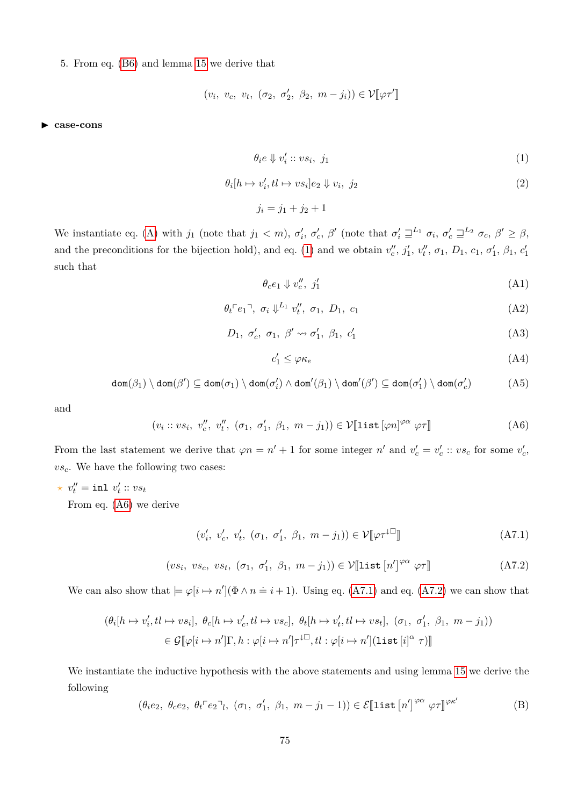5. From eq. [\(B6\)](#page-73-5) and lemma [15](#page-31-0) we derive that

$$
(v_i, v_c, v_t, (\sigma_2, \sigma'_2, \beta_2, m - j_i)) \in \mathcal{V}[\varphi \tau']
$$

I **case-cons**

$$
\theta_i e \Downarrow v'_i :: vs_i, \ j_1 \tag{1}
$$

$$
\theta_i[h \mapsto v_i', tl \mapsto vs_i]e_2 \Downarrow v_i, \ j_2 \tag{2}
$$

<span id="page-74-4"></span> $j_i = j_1 + j_2 + 1$ 

We instantiate eq. [\(A\)](#page-72-0) with  $j_1$  (note that  $j_1 < m$ ),  $\sigma'_i$ ,  $\sigma'_c$ ,  $\beta'$  (note that  $\sigma'_i \sqsupseteq^{L_1} \sigma_i$ ,  $\sigma'_c \sqsupseteq^{L_2} \sigma_c$ ,  $\beta' \geq \beta$ , and the preconditions for the bijection hold), and eq. [\(1\)](#page-70-0) and we obtain  $v''_c$ ,  $j'_1$ ,  $v''_t$ ,  $\sigma_1$ ,  $D_1$ ,  $c_1$ ,  $\sigma'_1$ ,  $\beta_1$ ,  $c'_1$ such that

<span id="page-74-5"></span>
$$
\theta_c e_1 \Downarrow v_c'', \ j_1' \tag{A1}
$$

$$
\theta_t \ulcorner e_1 \urcorner, \ \sigma_i \Downarrow^{L_1} v_t'', \ \sigma_1, \ D_1, \ c_1 \tag{A2}
$$

$$
D_1, \sigma'_c, \sigma_1, \beta' \leadsto \sigma'_1, \beta_1, c'_1 \tag{A3}
$$

<span id="page-74-9"></span><span id="page-74-8"></span><span id="page-74-7"></span><span id="page-74-6"></span><span id="page-74-2"></span><span id="page-74-1"></span><span id="page-74-0"></span>
$$
c_1' \le \varphi \kappa_e \tag{A4}
$$

$$
\text{dom}(\beta_1) \setminus \text{dom}(\beta') \subseteq \text{dom}(\sigma_1) \setminus \text{dom}(\sigma_i') \land \text{dom}'(\beta_1) \setminus \text{dom}'(\beta') \subseteq \text{dom}(\sigma_1') \setminus \text{dom}(\sigma_c') \tag{A5}
$$

and

$$
(v_i :: vs_i, v''_c, v''_t, (\sigma_1, \sigma'_1, \beta_1, m - j_1)) \in \mathcal{V}[\text{list}[\varphi n]^{\varphi \alpha} \varphi \tau]]
$$
\n(A6)

From the last statement we derive that  $\varphi n = n' + 1$  for some integer  $n'$  and  $v'_{c} = v'_{c} :: v s_{c}$  for some  $v'_{c}$ , *vsc*. We have the following two cases:

 $\star v''_t = \texttt{inl} \ v'_t :: v s_t$ 

From eq. [\(A6\)](#page-74-0) we derive

<span id="page-74-3"></span>
$$
(v'_i, v'_c, v'_t, (\sigma_1, \sigma'_1, \beta_1, m - j_1)) \in \mathcal{V}[\![\varphi \tau^{\downarrow \Box}]\!]
$$
\n(A7.1)

$$
(vs_i, vs_c, vs_t, (\sigma_1, \sigma'_1, \beta_1, m - j_1)) \in \mathcal{V}[\text{list } [n']^{\varphi\alpha} \varphi\tau]
$$
 (A7.2)

We can also show that  $\models \varphi[i \mapsto n'](\Phi \wedge n = i + 1)$ . Using eq. [\(A7.1\)](#page-74-1) and eq. [\(A7.2\)](#page-74-2) we can show that

$$
\begin{aligned} (\theta_i[h \mapsto v_i', tl \mapsto vs_i], \ \theta_c[h \mapsto v_c', tl \mapsto vs_c], \ \theta_t[h \mapsto v_t', tl \mapsto vs_t], \ (\sigma_1, \ \sigma_1', \ \beta_1, \ m - j_1)) \\ \in \mathcal{G}[\![\varphi[i \mapsto n']\Gamma, h : \varphi[i \mapsto n']\tau^{\downarrow \square}, tl : \varphi[i \mapsto n'](\text{list}[i]^\alpha \ \tau)]\end{aligned}
$$

We instantiate the inductive hypothesis with the above statements and using lemma [15](#page-31-0) we derive the following

$$
(\theta_i e_2, \ \theta_c e_2, \ \theta_t \ulcorner e_2 \urcorner l, \ (\sigma_1, \ \sigma_1', \ \beta_1, \ m - j_1 - 1)) \in \mathcal{E}[\text{list } [n']^{\varphi\alpha} \ \varphi\tau]^{\varphi\kappa'} \tag{B}
$$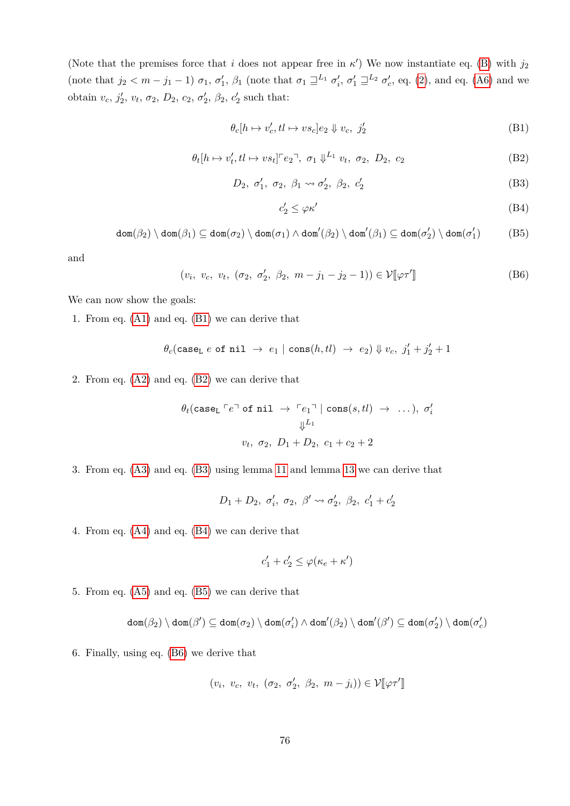(Note that the premises force that *i* does not appear free in  $\kappa'$ ) We now instantiate eq. [\(B\)](#page-74-3) with  $j_2$ (note that  $j_2 < m - j_1 - 1$ )  $\sigma_1$ ,  $\sigma'_1$ ,  $\beta_1$  (note that  $\sigma_1 \sqsupseteq^{L_1} \sigma'_i$ ,  $\sigma'_1 \sqsupseteq^{L_2} \sigma'_c$ , eq. [\(2\)](#page-74-4), and eq. [\(A6\)](#page-74-0) and we obtain  $v_c$ ,  $j'_2$ ,  $v_t$ ,  $\sigma_2$ ,  $D_2$ ,  $c_2$ ,  $\sigma'_2$ ,  $\beta_2$ ,  $c'_2$  such that:

$$
\theta_c[h \mapsto v_c', tl \mapsto vs_c]e_2 \Downarrow v_c, \ j_2' \tag{B1}
$$

$$
\theta_t[h \mapsto v_t', tl \mapsto v s_t] \ulcorner e_2 \urcorner, \ \sigma_1 \Downarrow^{L_1} v_t, \ \sigma_2, \ D_2, \ c_2 \tag{B2}
$$

$$
D_2, \sigma'_1, \sigma_2, \beta_1 \rightsquigarrow \sigma'_2, \beta_2, c'_2 \tag{B3}
$$

<span id="page-75-3"></span><span id="page-75-2"></span><span id="page-75-1"></span><span id="page-75-0"></span>
$$
c_2' \le \varphi \kappa' \tag{B4}
$$

$$
\text{dom}(\beta_2) \setminus \text{dom}(\beta_1) \subseteq \text{dom}(\sigma_2) \setminus \text{dom}(\sigma_1) \land \text{dom}'(\beta_2) \setminus \text{dom}'(\beta_1) \subseteq \text{dom}(\sigma'_2) \setminus \text{dom}(\sigma'_1)
$$
(B5)

and

$$
(v_i, v_c, v_t, (\sigma_2, \sigma'_2, \beta_2, m - j_1 - j_2 - 1)) \in \mathcal{V}[\![\varphi \tau']\!]
$$
 (B6)

We can now show the goals:

1. From eq. [\(A1\)](#page-74-5) and eq. [\(B1\)](#page-75-0) we can derive that

$$
\theta_c(\texttt{case}_\texttt{L}\ e\ \texttt{of}\ \texttt{nil}\ \rightarrow\ e_1\ |\ \texttt{cons}(h, tl)\ \rightarrow\ e_2) \Downarrow v_c,\ j_1'+j_2'+1
$$

2. From eq. [\(A2\)](#page-74-6) and eq. [\(B2\)](#page-73-2) we can derive that

$$
\theta_t(\text{caseL} \sqcap e \sqcap \text{of nil} \rightarrow \sqcap e_1 \sqcap \mid \text{cons}(s, tl) \rightarrow \dots), \sigma'_i
$$
  

$$
\Downarrow^{L_1}
$$
  

$$
v_t, \sigma_2, D_1 + D_2, c_1 + c_2 + 2
$$

3. From eq. [\(A3\)](#page-74-7) and eq. [\(B3\)](#page-73-3) using lemma [11](#page-30-1) and lemma [13](#page-30-0) we can derive that

$$
D_1 + D_2, \sigma'_i, \sigma_2, \beta' \leadsto \sigma'_2, \beta_2, c'_1 + c'_2
$$

4. From eq. [\(A4\)](#page-74-8) and eq. [\(B4\)](#page-75-1) we can derive that

$$
c_1'+c_2'\leq \varphi(\kappa_e+\kappa')
$$

5. From eq. [\(A5\)](#page-74-9) and eq. [\(B5\)](#page-75-2) we can derive that

$$
\textnormal{dom}(\beta_2) \setminus \textnormal{dom}(\beta') \subseteq \textnormal{dom}(\sigma_2) \setminus \textnormal{dom}(\sigma_i') \wedge \textnormal{dom}'(\beta_2) \setminus \textnormal{dom}'(\beta') \subseteq \textnormal{dom}(\sigma_2') \setminus \textnormal{dom}(\sigma_c')
$$

6. Finally, using eq. [\(B6\)](#page-75-3) we derive that

$$
(v_i, v_c, v_t, (\sigma_2, \sigma'_2, \beta_2, m - j_i)) \in \mathcal{V}[\varphi \tau']
$$